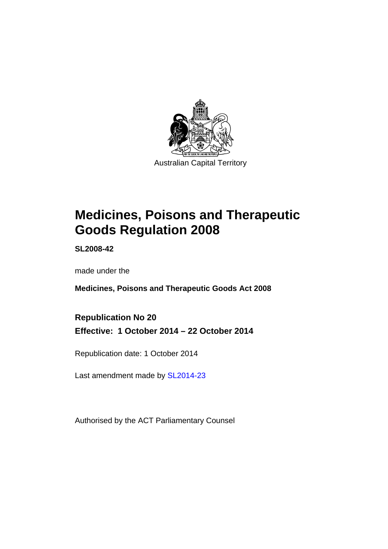

# **Medicines, Poisons and Therapeutic Goods Regulation 2008**

**SL2008-42** 

made under the

**Medicines, Poisons and Therapeutic Goods Act 2008** 

**Republication No 20 Effective: 1 October 2014 – 22 October 2014** 

Republication date: 1 October 2014

Last amendment made by [SL2014-23](http://www.legislation.act.gov.au/sl/2014-23)

Authorised by the ACT Parliamentary Counsel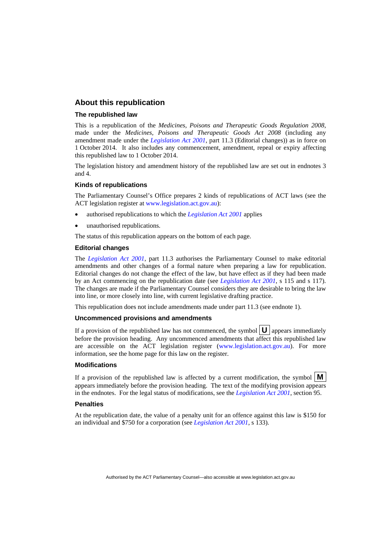### **About this republication**

#### **The republished law**

This is a republication of the *Medicines, Poisons and Therapeutic Goods Regulation 2008*, made under the *Medicines, Poisons and Therapeutic Goods Act 2008* (including any amendment made under the *[Legislation Act 2001](http://www.legislation.act.gov.au/a/2001-14)*, part 11.3 (Editorial changes)) as in force on 1 October 2014*.* It also includes any commencement, amendment, repeal or expiry affecting this republished law to 1 October 2014.

The legislation history and amendment history of the republished law are set out in endnotes 3 and 4.

#### **Kinds of republications**

The Parliamentary Counsel's Office prepares 2 kinds of republications of ACT laws (see the ACT legislation register at [www.legislation.act.gov.au](http://www.legislation.act.gov.au/)):

- authorised republications to which the *[Legislation Act 2001](http://www.legislation.act.gov.au/a/2001-14)* applies
- unauthorised republications.

The status of this republication appears on the bottom of each page.

#### **Editorial changes**

The *[Legislation Act 2001](http://www.legislation.act.gov.au/a/2001-14)*, part 11.3 authorises the Parliamentary Counsel to make editorial amendments and other changes of a formal nature when preparing a law for republication. Editorial changes do not change the effect of the law, but have effect as if they had been made by an Act commencing on the republication date (see *[Legislation Act 2001](http://www.legislation.act.gov.au/a/2001-14)*, s 115 and s 117). The changes are made if the Parliamentary Counsel considers they are desirable to bring the law into line, or more closely into line, with current legislative drafting practice.

This republication does not include amendments made under part 11.3 (see endnote 1).

#### **Uncommenced provisions and amendments**

If a provision of the republished law has not commenced, the symbol  $\mathbf{U}$  appears immediately before the provision heading. Any uncommenced amendments that affect this republished law are accessible on the ACT legislation register [\(www.legislation.act.gov.au\)](http://www.legislation.act.gov.au/). For more information, see the home page for this law on the register.

#### **Modifications**

If a provision of the republished law is affected by a current modification, the symbol  $\mathbf{M}$ appears immediately before the provision heading. The text of the modifying provision appears in the endnotes. For the legal status of modifications, see the *[Legislation Act 2001](http://www.legislation.act.gov.au/a/2001-14)*, section 95.

#### **Penalties**

At the republication date, the value of a penalty unit for an offence against this law is \$150 for an individual and \$750 for a corporation (see *[Legislation Act 2001](http://www.legislation.act.gov.au/a/2001-14)*, s 133).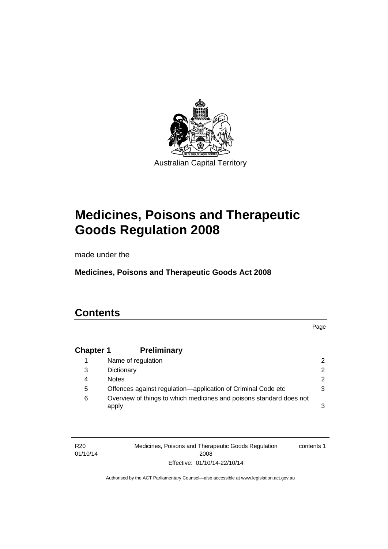

# **Medicines, Poisons and Therapeutic Goods Regulation 2008**

made under the

**Medicines, Poisons and Therapeutic Goods Act 2008** 

# **Contents**

Page

# **Chapter 1 [Preliminary](#page-25-0)**

|   | Name of regulation                                                           |   |
|---|------------------------------------------------------------------------------|---|
| 3 | Dictionary                                                                   |   |
| 4 | <b>Notes</b>                                                                 | 2 |
| 5 | Offences against regulation-application of Criminal Code etc                 |   |
| 6 | Overview of things to which medicines and poisons standard does not<br>apply |   |

| R <sub>20</sub> | Medicines, Poisons and Therapeutic Goods Regulation | contents 1 |
|-----------------|-----------------------------------------------------|------------|
| 01/10/14        | 2008                                                |            |
|                 | Effective: 01/10/14-22/10/14                        |            |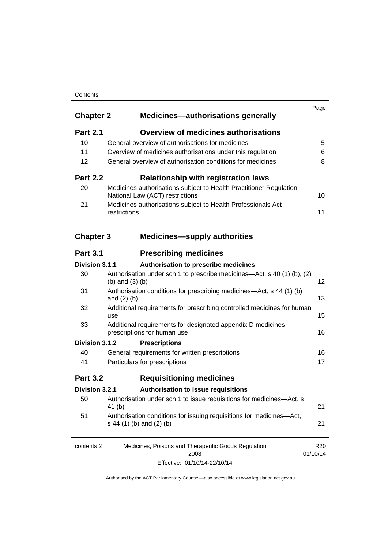#### **Contents**

| <b>Chapter 2</b> | <b>Medicines-authorisations generally</b>                                                             | Page                        |
|------------------|-------------------------------------------------------------------------------------------------------|-----------------------------|
| <b>Part 2.1</b>  | <b>Overview of medicines authorisations</b>                                                           |                             |
| 10               | General overview of authorisations for medicines                                                      | 5                           |
| 11               | Overview of medicines authorisations under this regulation                                            | 6                           |
| 12               | General overview of authorisation conditions for medicines                                            | 8                           |
| <b>Part 2.2</b>  | <b>Relationship with registration laws</b>                                                            |                             |
| 20               | Medicines authorisations subject to Health Practitioner Regulation<br>National Law (ACT) restrictions | 10                          |
| 21               | Medicines authorisations subject to Health Professionals Act<br>restrictions                          | 11                          |
| <b>Chapter 3</b> | <b>Medicines-supply authorities</b>                                                                   |                             |
| <b>Part 3.1</b>  | <b>Prescribing medicines</b>                                                                          |                             |
| Division 3.1.1   | Authorisation to prescribe medicines                                                                  |                             |
| 30               | Authorisation under sch 1 to prescribe medicines—Act, s 40 (1) (b), (2)<br>(b) and $(3)$ (b)          | 12                          |
| 31               | Authorisation conditions for prescribing medicines—Act, s 44 (1) (b)<br>and $(2)$ $(b)$               | 13                          |
| 32               | Additional requirements for prescribing controlled medicines for human<br>use                         | 15                          |
| 33               | Additional requirements for designated appendix D medicines<br>prescriptions for human use            | 16                          |
| Division 3.1.2   | <b>Prescriptions</b>                                                                                  |                             |
| 40               | General requirements for written prescriptions                                                        | 16                          |
| 41               | Particulars for prescriptions                                                                         | 17                          |
| <b>Part 3.2</b>  | <b>Requisitioning medicines</b>                                                                       |                             |
| Division 3.2.1   | Authorisation to issue requisitions                                                                   |                             |
| 50               | Authorisation under sch 1 to issue requisitions for medicines-Act, s<br>41 (b)                        | 21                          |
| 51               | Authorisation conditions for issuing requisitions for medicines-Act,<br>s 44 (1) (b) and (2) (b)      | 21                          |
| contents 2       | Medicines, Poisons and Therapeutic Goods Regulation<br>2008                                           | R <sub>20</sub><br>01/10/14 |

Effective: 01/10/14-22/10/14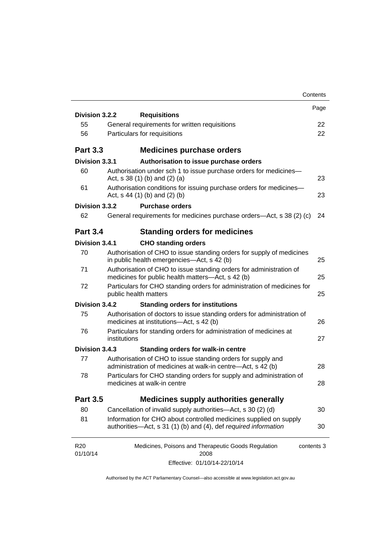|                             |                                                                                                                                      | Contents   |
|-----------------------------|--------------------------------------------------------------------------------------------------------------------------------------|------------|
| Division 3.2.2              |                                                                                                                                      | Page       |
| 55                          | <b>Requisitions</b><br>General requirements for written requisitions                                                                 | 22         |
| 56                          | Particulars for requisitions                                                                                                         | 22         |
|                             |                                                                                                                                      |            |
| <b>Part 3.3</b>             | <b>Medicines purchase orders</b>                                                                                                     |            |
| Division 3.3.1              | Authorisation to issue purchase orders                                                                                               |            |
| 60                          | Authorisation under sch 1 to issue purchase orders for medicines-<br>Act, $s$ 38 (1) (b) and (2) (a)                                 | 23         |
| 61                          | Authorisation conditions for issuing purchase orders for medicines-<br>Act, $s$ 44 (1) (b) and (2) (b)                               | 23         |
| Division 3.3.2              | <b>Purchase orders</b>                                                                                                               |            |
| 62                          | General requirements for medicines purchase orders—Act, s 38 (2) (c)                                                                 | 24         |
| <b>Part 3.4</b>             | <b>Standing orders for medicines</b>                                                                                                 |            |
| Division 3.4.1              | <b>CHO standing orders</b>                                                                                                           |            |
| 70                          | Authorisation of CHO to issue standing orders for supply of medicines<br>in public health emergencies—Act, s 42 (b)                  | 25         |
| 71                          | Authorisation of CHO to issue standing orders for administration of<br>medicines for public health matters-Act, s 42 (b)             | 25         |
| 72                          | Particulars for CHO standing orders for administration of medicines for<br>public health matters                                     | 25         |
| Division 3.4.2              | <b>Standing orders for institutions</b>                                                                                              |            |
| 75                          | Authorisation of doctors to issue standing orders for administration of<br>medicines at institutions-Act, s 42 (b)                   | 26         |
| 76                          | Particulars for standing orders for administration of medicines at<br>institutions                                                   | 27         |
| Division 3.4.3              | <b>Standing orders for walk-in centre</b>                                                                                            |            |
| 77                          | Authorisation of CHO to issue standing orders for supply and<br>administration of medicines at walk-in centre-Act, s 42 (b)          | 28         |
| 78                          | Particulars for CHO standing orders for supply and administration of<br>medicines at walk-in centre                                  | 28         |
| <b>Part 3.5</b>             | <b>Medicines supply authorities generally</b>                                                                                        |            |
| 80                          | Cancellation of invalid supply authorities—Act, s 30 (2) (d)                                                                         | 30         |
| 81                          | Information for CHO about controlled medicines supplied on supply<br>authorities-Act, s 31 (1) (b) and (4), def required information | 30         |
| R <sub>20</sub><br>01/10/14 | Medicines, Poisons and Therapeutic Goods Regulation<br>2008                                                                          | contents 3 |
|                             | Effective: 01/10/14-22/10/14                                                                                                         |            |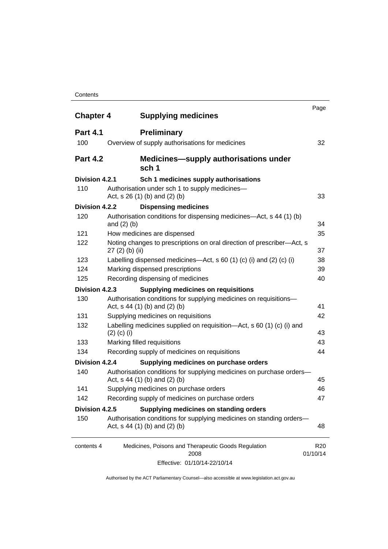#### **Contents**

| <b>Chapter 4</b> | <b>Supplying medicines</b>                                                                              | Page                        |
|------------------|---------------------------------------------------------------------------------------------------------|-----------------------------|
| <b>Part 4.1</b>  | <b>Preliminary</b>                                                                                      |                             |
| 100              | Overview of supply authorisations for medicines                                                         | 32                          |
| <b>Part 4.2</b>  | <b>Medicines—supply authorisations under</b><br>sch 1                                                   |                             |
| Division 4.2.1   | Sch 1 medicines supply authorisations                                                                   |                             |
| 110              | Authorisation under sch 1 to supply medicines-<br>Act, $s$ 26 (1) (b) and (2) (b)                       | 33                          |
| Division 4.2.2   | <b>Dispensing medicines</b>                                                                             |                             |
| 120              | Authorisation conditions for dispensing medicines—Act, s 44 (1) (b)<br>and $(2)$ $(b)$                  | 34                          |
| 121              | How medicines are dispensed                                                                             | 35                          |
| 122              | Noting changes to prescriptions on oral direction of prescriber-Act, s<br>$27(2)$ (b) (ii)              | 37                          |
| 123              | Labelling dispensed medicines—Act, s 60 (1) (c) (i) and (2) (c) (i)                                     | 38                          |
| 124              | Marking dispensed prescriptions                                                                         | 39                          |
| 125              | Recording dispensing of medicines                                                                       | 40                          |
| Division 4.2.3   | <b>Supplying medicines on requisitions</b>                                                              |                             |
| 130              | Authorisation conditions for supplying medicines on requisitions-<br>Act, $s$ 44 (1) (b) and (2) (b)    | 41                          |
| 131              | Supplying medicines on requisitions                                                                     | 42                          |
| 132              | Labelling medicines supplied on requisition—Act, s 60 (1) (c) (i) and<br>$(2)$ (c) (i)                  | 43                          |
| 133              | Marking filled requisitions                                                                             | 43                          |
| 134              | Recording supply of medicines on requisitions                                                           | 44                          |
| Division 4.2.4   | Supplying medicines on purchase orders                                                                  |                             |
| 140              | Authorisation conditions for supplying medicines on purchase orders-<br>Act, s 44 (1) (b) and (2) (b)   | 45                          |
| 141              | Supplying medicines on purchase orders                                                                  | 46                          |
| 142              | Recording supply of medicines on purchase orders                                                        | 47                          |
| Division 4.2.5   | Supplying medicines on standing orders                                                                  |                             |
| 150              | Authorisation conditions for supplying medicines on standing orders-<br>Act, $s$ 44 (1) (b) and (2) (b) | 48                          |
| contents 4       | Medicines, Poisons and Therapeutic Goods Regulation<br>2008                                             | R <sub>20</sub><br>01/10/14 |
|                  | Effective: 01/10/14-22/10/14                                                                            |                             |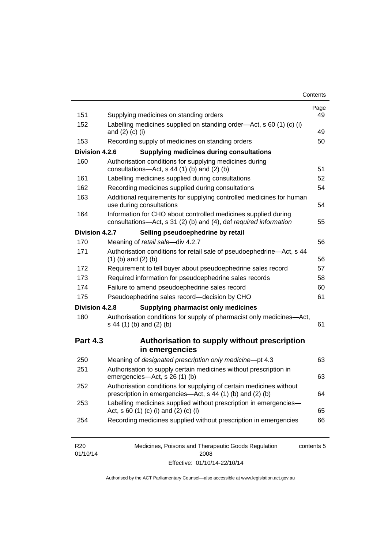| Contents |
|----------|
|----------|

| 151             | Supplying medicines on standing orders                                                                                              | Page<br>49 |
|-----------------|-------------------------------------------------------------------------------------------------------------------------------------|------------|
| 152             | Labelling medicines supplied on standing order-Act, s 60 (1) (c) (i)<br>and $(2)$ $(c)$ $(i)$                                       | 49         |
| 153             | Recording supply of medicines on standing orders                                                                                    | 50         |
| Division 4.2.6  | <b>Supplying medicines during consultations</b>                                                                                     |            |
| 160             | Authorisation conditions for supplying medicines during<br>consultations-Act, s 44 (1) (b) and (2) (b)                              | 51         |
| 161             | Labelling medicines supplied during consultations                                                                                   | 52         |
| 162             | Recording medicines supplied during consultations                                                                                   | 54         |
| 163             | Additional requirements for supplying controlled medicines for human<br>use during consultations                                    | 54         |
| 164             | Information for CHO about controlled medicines supplied during<br>consultations-Act, s 31 (2) (b) and (4), def required information | 55         |
| Division 4.2.7  | Selling pseudoephedrine by retail                                                                                                   |            |
| 170             | Meaning of retail sale-div 4.2.7                                                                                                    | 56         |
| 171             | Authorisation conditions for retail sale of pseudoephedrine-Act, s 44<br>$(1)$ (b) and $(2)$ (b)                                    | 56         |
| 172             | Requirement to tell buyer about pseudoephedrine sales record                                                                        | 57         |
| 173             | Required information for pseudoephedrine sales records                                                                              | 58         |
| 174             | Failure to amend pseudoephedrine sales record                                                                                       | 60         |
| 175             | Pseudoephedrine sales record-decision by CHO                                                                                        | 61         |
| Division 4.2.8  | <b>Supplying pharmacist only medicines</b>                                                                                          |            |
| 180             | Authorisation conditions for supply of pharmacist only medicines-Act,<br>s 44 (1) (b) and (2) (b)                                   | 61         |
| <b>Part 4.3</b> | Authorisation to supply without prescription                                                                                        |            |
|                 | in emergencies                                                                                                                      |            |
| 250             | Meaning of designated prescription only medicine-pt 4.3                                                                             | 63         |
|                 |                                                                                                                                     |            |
| 251             | Authorisation to supply certain medicines without prescription in<br>emergencies-Act, s 26 (1) (b)                                  |            |
| 252             | Authorisation conditions for supplying of certain medicines without<br>prescription in emergencies—Act, s 44 (1) (b) and (2) (b)    | 63<br>64   |
| 253             | Labelling medicines supplied without prescription in emergencies-<br>Act, s 60 (1) (c) (i) and (2) (c) (i)                          | 65         |

| R20      | Medicines, Poisons and Therapeutic Goods Regulation | contents 5 |
|----------|-----------------------------------------------------|------------|
| 01/10/14 | 2008                                                |            |
|          | Effective: 01/10/14-22/10/14                        |            |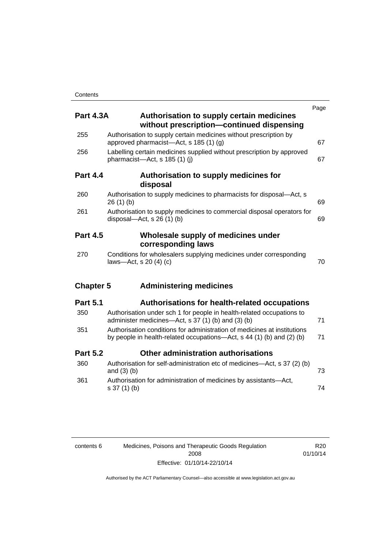| <b>Part 4.3A</b> | <b>Authorisation to supply certain medicines</b><br>without prescription-continued dispensing                                                     | Page |
|------------------|---------------------------------------------------------------------------------------------------------------------------------------------------|------|
| 255              | Authorisation to supply certain medicines without prescription by<br>approved pharmacist-Act, s 185 (1) (g)                                       | 67   |
| 256              | Labelling certain medicines supplied without prescription by approved<br>pharmacist-Act, s 185 (1) (j)                                            | 67   |
| <b>Part 4.4</b>  | Authorisation to supply medicines for<br>disposal                                                                                                 |      |
| 260              | Authorisation to supply medicines to pharmacists for disposal-Act, s<br>26(1)(b)                                                                  | 69   |
| 261              | Authorisation to supply medicines to commercial disposal operators for<br>disposal—Act, s $26(1)(b)$                                              | 69   |
| <b>Part 4.5</b>  | Wholesale supply of medicines under<br>corresponding laws                                                                                         |      |
| 270              | Conditions for wholesalers supplying medicines under corresponding<br>laws-Act, s 20 (4) (c)                                                      | 70   |
| <b>Chapter 5</b> | <b>Administering medicines</b>                                                                                                                    |      |
| <b>Part 5.1</b>  | <b>Authorisations for health-related occupations</b>                                                                                              |      |
| 350              | Authorisation under sch 1 for people in health-related occupations to<br>administer medicines—Act, s 37 (1) (b) and (3) (b)                       | 71   |
| 351              | Authorisation conditions for administration of medicines at institutions<br>by people in health-related occupations—Act, s 44 (1) (b) and (2) (b) | 71   |
| <b>Part 5.2</b>  | <b>Other administration authorisations</b>                                                                                                        |      |
| 360              | Authorisation for self-administration etc of medicines—Act, s 37 (2) (b)<br>and $(3)$ $(b)$                                                       | 73   |
| 361              | Authorisation for administration of medicines by assistants-Act,<br>s 37 (1) (b)                                                                  | 74   |

| contents 6 | Medicines, Poisons and Therapeutic Goods Regulation |
|------------|-----------------------------------------------------|
|            | 2008                                                |
|            | Effective: 01/10/14-22/10/14                        |

R20 01/10/14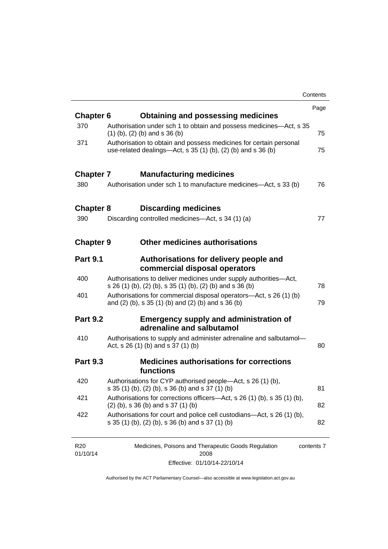|                  |                                                                                                                                       | Contents |
|------------------|---------------------------------------------------------------------------------------------------------------------------------------|----------|
|                  |                                                                                                                                       | Page     |
| <b>Chapter 6</b> | <b>Obtaining and possessing medicines</b>                                                                                             |          |
| 370              | Authorisation under sch 1 to obtain and possess medicines—Act, s 35<br>$(1)$ (b), (2) (b) and s 36 (b)                                | 75       |
| 371              | Authorisation to obtain and possess medicines for certain personal<br>use-related dealings—Act, s $35(1)(b)$ , $(2)(b)$ and s $36(b)$ | 75       |
| <b>Chapter 7</b> | <b>Manufacturing medicines</b>                                                                                                        |          |
| 380              | Authorisation under sch 1 to manufacture medicines—Act, s 33 (b)                                                                      | 76       |
| <b>Chapter 8</b> | <b>Discarding medicines</b>                                                                                                           |          |
| 390              | Discarding controlled medicines—Act, s 34 (1) (a)                                                                                     | 77       |
| <b>Chapter 9</b> | <b>Other medicines authorisations</b>                                                                                                 |          |
| <b>Part 9.1</b>  | Authorisations for delivery people and<br>commercial disposal operators                                                               |          |
| 400              | Authorisations to deliver medicines under supply authorities-Act,<br>s 26 (1) (b), (2) (b), s 35 (1) (b), (2) (b) and s 36 (b)        | 78       |
| 401              | Authorisations for commercial disposal operators-Act, s 26 (1) (b)<br>and (2) (b), s 35 (1) (b) and (2) (b) and s 36 (b)              | 79       |
| <b>Part 9.2</b>  | <b>Emergency supply and administration of</b><br>adrenaline and salbutamol                                                            |          |
| 410              | Authorisations to supply and administer adrenaline and salbutamol-<br>Act, s 26 (1) (b) and s 37 (1) (b)                              | 80       |
| <b>Part 9.3</b>  | <b>Medicines authorisations for corrections</b><br>functions                                                                          |          |
| 420              | Authorisations for CYP authorised people-Act, s 26 (1) (b),<br>s 35 (1) (b), (2) (b), s 36 (b) and s 37 (1) (b)                       | 81       |
| 421              | Authorisations for corrections officers—Act, s 26 (1) (b), s 35 (1) (b),<br>$(2)$ (b), s 36 (b) and s 37 (1) (b)                      | 82       |
| 422              | Authorisations for court and police cell custodians—Act, s 26 (1) (b),<br>s 35 (1) (b), (2) (b), s 36 (b) and s 37 (1) (b)            | 82       |
|                  |                                                                                                                                       |          |

| R <sub>20</sub> | Medicines, Poisons and Therapeutic Goods Regulation | contents 7 |
|-----------------|-----------------------------------------------------|------------|
| 01/10/14        | 2008                                                |            |
|                 | Effective: 01/10/14-22/10/14                        |            |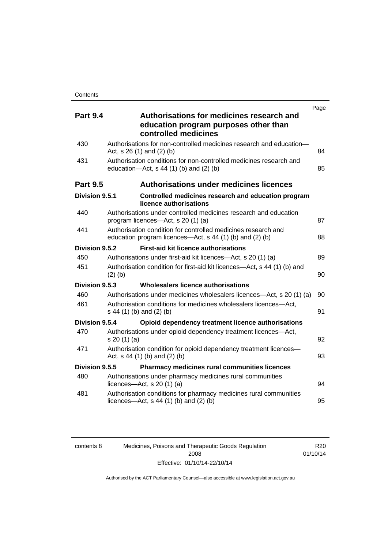| <b>Part 9.4</b> | Authorisations for medicines research and<br>education program purposes other than<br>controlled medicines                | Page |
|-----------------|---------------------------------------------------------------------------------------------------------------------------|------|
| 430             | Authorisations for non-controlled medicines research and education-<br>Act, $s$ 26 (1) and (2) (b)                        | 84   |
| 431             | Authorisation conditions for non-controlled medicines research and<br>education- $Act$ , s 44 (1) (b) and (2) (b)         | 85   |
| <b>Part 9.5</b> | <b>Authorisations under medicines licences</b>                                                                            |      |
| Division 9.5.1  | Controlled medicines research and education program<br>licence authorisations                                             |      |
| 440             | Authorisations under controlled medicines research and education<br>program licences—Act, s 20 (1) (a)                    | 87   |
| 441             | Authorisation condition for controlled medicines research and<br>education program licences—Act, s 44 (1) (b) and (2) (b) |      |
| Division 9.5.2  | <b>First-aid kit licence authorisations</b>                                                                               |      |
| 450             | Authorisations under first-aid kit licences—Act, s 20 (1) (a)                                                             | 89   |
| 451             | Authorisation condition for first-aid kit licences—Act, s 44 (1) (b) and<br>$(2)$ (b)                                     | 90   |
| Division 9.5.3  | Wholesalers licence authorisations                                                                                        |      |
| 460             | Authorisations under medicines wholesalers licences—Act, s 20 (1) (a)                                                     | 90   |
| 461             | Authorisation conditions for medicines wholesalers licences-Act,<br>s 44 (1) (b) and (2) (b)                              | 91   |
| Division 9.5.4  | Opioid dependency treatment licence authorisations                                                                        |      |
| 470             | Authorisations under opioid dependency treatment licences—Act,<br>s 20(1)(a)                                              | 92   |
| 471             | Authorisation condition for opioid dependency treatment licences-<br>Act, $s$ 44 (1) (b) and (2) (b)                      | 93   |
| Division 9.5.5  | <b>Pharmacy medicines rural communities licences</b>                                                                      |      |
| 480             | Authorisations under pharmacy medicines rural communities<br>licences- $-\text{Act}$ , s 20 (1) (a)                       | 94   |
| 481             | Authorisation conditions for pharmacy medicines rural communities<br>licences—Act, $s$ 44 (1) (b) and (2) (b)             | 95   |

| contents 8 |  |
|------------|--|
|            |  |

Medicines, Poisons and Therapeutic Goods Regulation 2008 Effective: 01/10/14-22/10/14

R20 01/10/14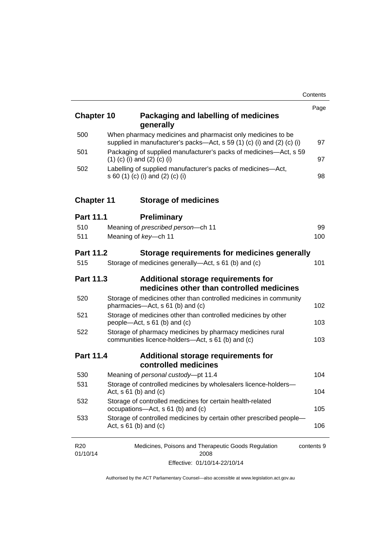| <b>Chapter 10</b>           | Packaging and labelling of medicines<br>generally                                                                                         | Page       |
|-----------------------------|-------------------------------------------------------------------------------------------------------------------------------------------|------------|
| 500                         | When pharmacy medicines and pharmacist only medicines to be<br>supplied in manufacturer's packs—Act, s 59 (1) (c) (i) and (2) (c) (i)     | 97         |
| 501                         | Packaging of supplied manufacturer's packs of medicines—Act, s 59<br>$(1)$ (c) (i) and (2) (c) (i)                                        | 97         |
| 502                         | Labelling of supplied manufacturer's packs of medicines-Act,<br>s 60 (1) (c) (i) and (2) (c) (i)                                          | 98         |
| <b>Chapter 11</b>           | <b>Storage of medicines</b>                                                                                                               |            |
| <b>Part 11.1</b>            | <b>Preliminary</b>                                                                                                                        |            |
| 510                         | Meaning of prescribed person-ch 11                                                                                                        | 99         |
| 511                         | Meaning of key-ch 11                                                                                                                      | 100        |
| <b>Part 11.2</b>            | Storage requirements for medicines generally                                                                                              |            |
| 515                         | Storage of medicines generally—Act, s 61 (b) and (c)                                                                                      | 101        |
| <b>Part 11.3</b>            | Additional storage requirements for<br>medicines other than controlled medicines                                                          |            |
| 520                         | Storage of medicines other than controlled medicines in community<br>pharmacies-Act, s 61 (b) and (c)                                     | 102        |
| 521                         | Storage of medicines other than controlled medicines by other<br>people-Act, s 61 (b) and (c)                                             | 103        |
| 522                         | Storage of pharmacy medicines by pharmacy medicines rural<br>communities licence-holders-Act, s 61 (b) and (c)                            | 103        |
| <b>Part 11.4</b>            | Additional storage requirements for<br>controlled medicines                                                                               |            |
| 530                         | Meaning of personal custody-pt 11.4                                                                                                       | 104        |
| 531                         | Storage of controlled medicines by wholesalers licence-holders-<br>Act, $s \ 61$ (b) and (c)                                              | 104        |
| 532                         | Storage of controlled medicines for certain health-related<br>occupations-Act, s 61 (b) and (c)                                           | 105        |
| 533                         | Storage of controlled medicines by certain other prescribed people-<br>Act, $s \ 61$ (b) and (c)                                          | 106        |
| R <sub>20</sub><br>01/10/14 | Medicines, Poisons and Therapeutic Goods Regulation<br>2008<br>$\overline{A}$ $\overline{A}$ $\overline{A}$ $\overline{A}$ $\overline{A}$ | contents 9 |

Effective: 01/10/14-22/10/14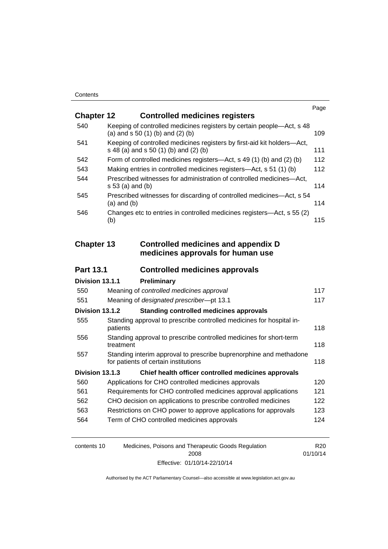|                   |                                                                                                                  | Page |
|-------------------|------------------------------------------------------------------------------------------------------------------|------|
| <b>Chapter 12</b> | <b>Controlled medicines registers</b>                                                                            |      |
| 540               | Keeping of controlled medicines registers by certain people-Act, s 48<br>(a) and $s$ 50 (1) (b) and (2) (b)      | 109  |
| 541               | Keeping of controlled medicines registers by first-aid kit holders-Act,<br>s 48 (a) and s 50 (1) (b) and (2) (b) | 111  |
| 542               | Form of controlled medicines registers—Act, s 49 (1) (b) and (2) (b)                                             | 112  |
| 543               | Making entries in controlled medicines registers—Act, s 51 (1) (b)                                               | 112  |
| 544               | Prescribed witnesses for administration of controlled medicines-Act,<br>s 53 (a) and (b)                         | 114  |
| 545               | Prescribed witnesses for discarding of controlled medicines—Act, s 54<br>$(a)$ and $(b)$                         | 114  |
| 546               | Changes etc to entries in controlled medicines registers-Act, s 55 (2)<br>(b)                                    | 115  |
| <b>Chapter 13</b> | <b>Controlled medicines and appendix D</b><br>medicines approvals for human use                                  |      |
| <b>Part 13.1</b>  | <b>Controlled medicines approvals</b>                                                                            |      |
| Division 13.1.1   | Preliminary                                                                                                      |      |
| 550               | Meaning of controlled medicines approval                                                                         | 117  |
| 551               | Meaning of designated prescriber-pt 13.1                                                                         | 117  |
| Division 13.1.2   | <b>Standing controlled medicines approvals</b>                                                                   |      |
| 555               | Standing approval to prescribe controlled medicines for hospital in-<br>patients                                 | 118  |
| 556               | Standing approval to prescribe controlled medicines for short-term<br>treatment                                  | 118  |
| 557               | Standing interim approval to prescribe buprenorphine and methadone<br>for patients of certain institutions       | 118  |
| Division 13.1.3   | Chief health officer controlled medicines approvals                                                              |      |
| 560               | Applications for CHO controlled medicines approvals                                                              | 120  |
| 561               | Requirements for CHO controlled medicines approval applications                                                  | 121  |
| 562               | CHO decision on applications to prescribe controlled medicines                                                   | 122  |
| 563               |                                                                                                                  |      |
| 564               | Restrictions on CHO power to approve applications for approvals                                                  | 123  |
|                   | Term of CHO controlled medicines approvals                                                                       | 124  |

| contents 10 | Medicines, Poisons and Therapeutic Goods Regulation | R <sub>20</sub> |
|-------------|-----------------------------------------------------|-----------------|
|             | 2008                                                | 01/10/14        |
|             | Effective: 01/10/14-22/10/14                        |                 |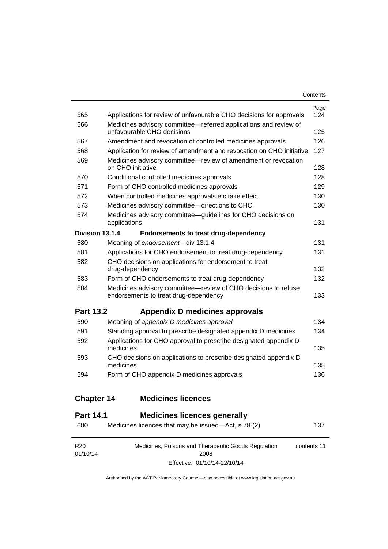| Contents |
|----------|
|----------|

| <b>Chapter 14</b> | <b>Medicines licences</b>                                                                               |             |
|-------------------|---------------------------------------------------------------------------------------------------------|-------------|
| 594               | Form of CHO appendix D medicines approvals                                                              | 136         |
| 593               | CHO decisions on applications to prescribe designated appendix D<br>medicines                           | 135         |
| 592               | Applications for CHO approval to prescribe designated appendix D<br>medicines                           | 135         |
|                   | Standing approval to prescribe designated appendix D medicines                                          |             |
| 590<br>591        | Meaning of appendix D medicines approval                                                                | 134<br>134  |
| <b>Part 13.2</b>  | Appendix D medicines approvals                                                                          |             |
| 584               | Medicines advisory committee-review of CHO decisions to refuse<br>endorsements to treat drug-dependency | 133         |
| 583               | Form of CHO endorsements to treat drug-dependency                                                       | 132         |
|                   | drug-dependency                                                                                         | 132         |
| 582               | CHO decisions on applications for endorsement to treat                                                  |             |
| 581               | Applications for CHO endorsement to treat drug-dependency                                               | 131         |
| 580               | <b>Endorsements to treat drug-dependency</b><br>Meaning of endorsement-div 13.1.4                       | 131         |
| Division 13.1.4   | applications                                                                                            | 131         |
| 574               | Medicines advisory committee-guidelines for CHO decisions on                                            |             |
| 573               | Medicines advisory committee-directions to CHO                                                          | 130         |
| 572               | When controlled medicines approvals etc take effect                                                     | 130         |
| 571               | Form of CHO controlled medicines approvals                                                              | 129         |
| 570               | on CHO initiative<br>Conditional controlled medicines approvals                                         | 128<br>128  |
| 569               | Medicines advisory committee-review of amendment or revocation                                          |             |
| 568               | Application for review of amendment and revocation on CHO initiative                                    | 127         |
| 567               | Amendment and revocation of controlled medicines approvals                                              | 126         |
| 566               | Medicines advisory committee—referred applications and review of<br>unfavourable CHO decisions          | 125         |
| 565               | Applications for review of unfavourable CHO decisions for approvals                                     | Page<br>124 |

# **Part 14.1 [Medicines licences generally](#page-160-1)**

| 600                         | Medicines licences that may be issued—Act, s 78 (2)         | 137         |
|-----------------------------|-------------------------------------------------------------|-------------|
| R <sub>20</sub><br>01/10/14 | Medicines, Poisons and Therapeutic Goods Regulation<br>2008 | contents 11 |
|                             | Effective: 01/10/14-22/10/14                                |             |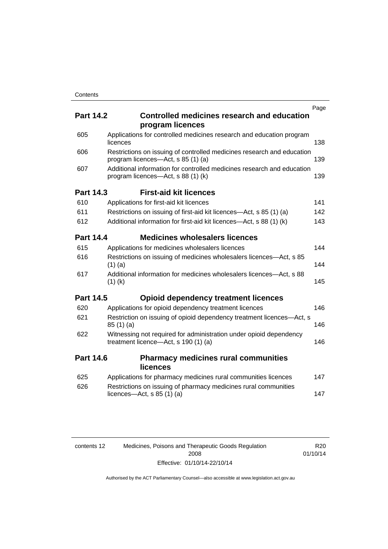|                  |                                                                                                              | Page |
|------------------|--------------------------------------------------------------------------------------------------------------|------|
| <b>Part 14.2</b> | <b>Controlled medicines research and education</b><br>program licences                                       |      |
| 605              | Applications for controlled medicines research and education program<br>licences                             | 138  |
| 606              | Restrictions on issuing of controlled medicines research and education<br>program licences-Act, s 85 (1) (a) | 139  |
| 607              | Additional information for controlled medicines research and education<br>program licences—Act, s 88 (1) (k) | 139  |
| <b>Part 14.3</b> | <b>First-aid kit licences</b>                                                                                |      |
| 610              | Applications for first-aid kit licences                                                                      | 141  |
| 611              | Restrictions on issuing of first-aid kit licences—Act, s 85 (1) (a)                                          | 142  |
| 612              | Additional information for first-aid kit licences—Act, s 88 (1) (k)                                          | 143  |
| <b>Part 14.4</b> | <b>Medicines wholesalers licences</b>                                                                        |      |
| 615              | Applications for medicines wholesalers licences                                                              | 144  |
| 616              | Restrictions on issuing of medicines wholesalers licences-Act, s 85<br>$(1)$ (a)                             | 144  |
| 617              | Additional information for medicines wholesalers licences—Act, s 88<br>$(1)$ (k)                             | 145  |
| <b>Part 14.5</b> | <b>Opioid dependency treatment licences</b>                                                                  |      |
| 620              | Applications for opioid dependency treatment licences                                                        | 146  |
| 621              | Restriction on issuing of opioid dependency treatment licences—Act, s<br>85(1)(a)                            | 146  |
| 622              | Witnessing not required for administration under opioid dependency<br>treatment licence-Act, s 190 (1) (a)   | 146  |
| <b>Part 14.6</b> | <b>Pharmacy medicines rural communities</b><br>licences                                                      |      |
| 625              | Applications for pharmacy medicines rural communities licences                                               | 147  |
| 626              | Restrictions on issuing of pharmacy medicines rural communities<br>licences- $-\text{Act}$ , s 85 (1) (a)    | 147  |
|                  |                                                                                                              |      |

| contents 12 | Medicines, Poisons and Therapeutic Goods Regulation |
|-------------|-----------------------------------------------------|
|             | 2008                                                |
|             | Effective: 01/10/14-22/10/14                        |

R20 01/10/14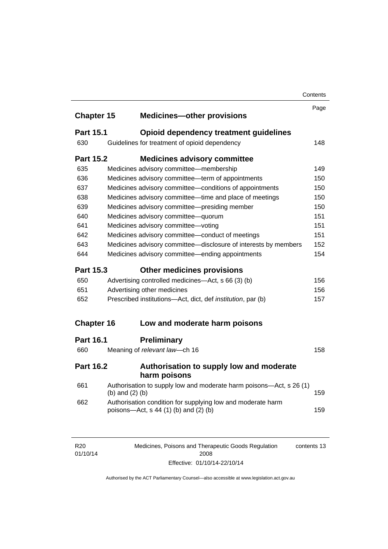|                   |                   |                                                                                                      | Contents |
|-------------------|-------------------|------------------------------------------------------------------------------------------------------|----------|
|                   |                   |                                                                                                      | Page     |
| <b>Chapter 15</b> |                   | <b>Medicines-other provisions</b>                                                                    |          |
| <b>Part 15.1</b>  |                   | Opioid dependency treatment guidelines                                                               |          |
| 630               |                   | Guidelines for treatment of opioid dependency                                                        | 148      |
| <b>Part 15.2</b>  |                   | <b>Medicines advisory committee</b>                                                                  |          |
| 635               |                   | Medicines advisory committee-membership                                                              | 149      |
| 636               |                   | Medicines advisory committee-term of appointments                                                    | 150      |
| 637               |                   | Medicines advisory committee-conditions of appointments                                              | 150      |
| 638               |                   | Medicines advisory committee-time and place of meetings                                              | 150      |
| 639               |                   | Medicines advisory committee-presiding member                                                        | 150      |
| 640               |                   | Medicines advisory committee-quorum                                                                  | 151      |
| 641               |                   | Medicines advisory committee-voting                                                                  | 151      |
| 642               |                   | Medicines advisory committee-conduct of meetings                                                     | 151      |
| 643               |                   | Medicines advisory committee-disclosure of interests by members                                      | 152      |
| 644               |                   | Medicines advisory committee—ending appointments                                                     | 154      |
| <b>Part 15.3</b>  |                   | <b>Other medicines provisions</b>                                                                    |          |
| 650               |                   | Advertising controlled medicines—Act, s 66 (3) (b)                                                   | 156      |
| 651               |                   | Advertising other medicines                                                                          | 156      |
| 652               |                   | Prescribed institutions-Act, dict, def <i>institution</i> , par (b)                                  | 157      |
| <b>Chapter 16</b> |                   | Low and moderate harm poisons                                                                        |          |
|                   |                   |                                                                                                      |          |
| <b>Part 16.1</b>  |                   | <b>Preliminary</b>                                                                                   |          |
| 660               |                   | Meaning of relevant law-ch 16                                                                        | 158      |
| <b>Part 16.2</b>  |                   | Authorisation to supply low and moderate<br>harm poisons                                             |          |
| 661               | (b) and $(2)$ (b) | Authorisation to supply low and moderate harm poisons-Act, s 26 (1)                                  | 159      |
| 662               |                   | Authorisation condition for supplying low and moderate harm<br>poisons—Act, s 44 (1) (b) and (2) (b) | 159      |
|                   |                   |                                                                                                      |          |
|                   |                   |                                                                                                      |          |

| R <sub>20</sub> | Medicines, Poisons and Therapeutic Goods Regulation | contents 13 |
|-----------------|-----------------------------------------------------|-------------|
| 01/10/14        | 2008                                                |             |
|                 | Effective: 01/10/14-22/10/14                        |             |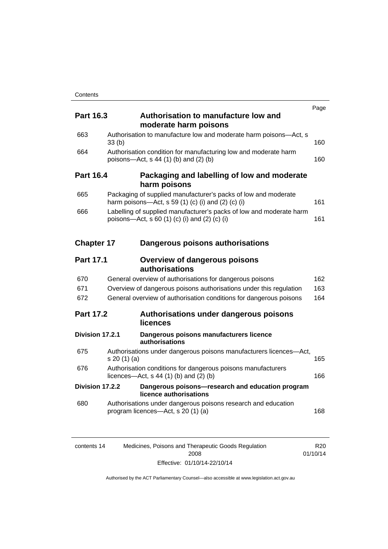| <b>Part 16.3</b>  |                 | Authorisation to manufacture low and                                                                                           | Page       |
|-------------------|-----------------|--------------------------------------------------------------------------------------------------------------------------------|------------|
|                   |                 | moderate harm poisons                                                                                                          |            |
| 663               | 33(b)           | Authorisation to manufacture low and moderate harm poisons-Act, s                                                              | 160        |
| 664               |                 | Authorisation condition for manufacturing low and moderate harm<br>poisons-Act, s 44 (1) (b) and (2) (b)                       | 160        |
| <b>Part 16.4</b>  |                 | Packaging and labelling of low and moderate<br>harm poisons                                                                    |            |
| 665               |                 | Packaging of supplied manufacturer's packs of low and moderate<br>harm poisons—Act, s 59 (1) (c) (i) and (2) (c) (i)           | 161        |
| 666               |                 | Labelling of supplied manufacturer's packs of low and moderate harm<br>poisons—Act, s 60 (1) (c) (i) and (2) (c) (i)           | 161        |
| <b>Chapter 17</b> |                 | Dangerous poisons authorisations                                                                                               |            |
| <b>Part 17.1</b>  |                 | <b>Overview of dangerous poisons</b><br>authorisations                                                                         |            |
| 670<br>671        |                 | General overview of authorisations for dangerous poisons<br>Overview of dangerous poisons authorisations under this regulation | 162<br>163 |
| 672               |                 | General overview of authorisation conditions for dangerous poisons                                                             | 164        |
| <b>Part 17.2</b>  |                 | Authorisations under dangerous poisons<br>licences                                                                             |            |
|                   | Division 17.2.1 | Dangerous poisons manufacturers licence<br>authorisations                                                                      |            |
| 675               | s 20(1)(a)      | Authorisations under dangerous poisons manufacturers licences-Act,                                                             | 165        |
| 676               |                 | Authorisation conditions for dangerous poisons manufacturers<br>licences—Act, $s$ 44 (1) (b) and (2) (b)                       | 166        |
|                   | Division 17.2.2 | Dangerous poisons-research and education program<br>licence authorisations                                                     |            |
| 680               |                 | Authorisations under dangerous poisons research and education<br>program licences—Act, s 20 (1) (a)                            | 168        |
|                   |                 |                                                                                                                                |            |

| contents 14 | Medicines, Poisons and Therapeutic Goods Regulation | R20.     |
|-------------|-----------------------------------------------------|----------|
|             | 2008                                                | 01/10/14 |
|             | Effective: 01/10/14-22/10/14                        |          |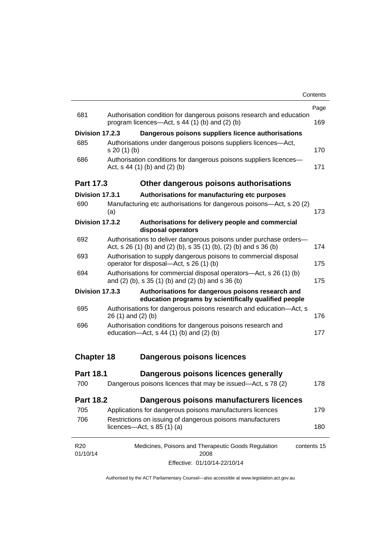|                   |                                                                                                                                         | Page |
|-------------------|-----------------------------------------------------------------------------------------------------------------------------------------|------|
| 681               | Authorisation condition for dangerous poisons research and education<br>program licences—Act, $s$ 44 (1) (b) and (2) (b)                | 169  |
| Division 17.2.3   | Dangerous poisons suppliers licence authorisations                                                                                      |      |
| 685               | Authorisations under dangerous poisons suppliers licences—Act,<br>$s 20(1)$ (b)                                                         | 170  |
| 686               | Authorisation conditions for dangerous poisons suppliers licences-<br>Act, $s$ 44 (1) (b) and (2) (b)                                   | 171  |
| <b>Part 17.3</b>  | Other dangerous poisons authorisations                                                                                                  |      |
| Division 17.3.1   | Authorisations for manufacturing etc purposes                                                                                           |      |
| 690               | Manufacturing etc authorisations for dangerous poisons-Act, s 20 (2)<br>(a)                                                             | 173  |
| Division 17.3.2   | Authorisations for delivery people and commercial<br>disposal operators                                                                 |      |
| 692               | Authorisations to deliver dangerous poisons under purchase orders-<br>Act, s 26 (1) (b) and (2) (b), s 35 (1) (b), (2) (b) and s 36 (b) | 174  |
| 693               | Authorisation to supply dangerous poisons to commercial disposal<br>operator for disposal-Act, s 26 (1) (b)                             | 175  |
| 694               | Authorisations for commercial disposal operators—Act, s 26 (1) (b)<br>and (2) (b), s 35 (1) (b) and (2) (b) and s 36 (b)                | 175  |
| Division 17.3.3   | Authorisations for dangerous poisons research and<br>education programs by scientifically qualified people                              |      |
| 695               | Authorisations for dangerous poisons research and education-Act, s<br>$26(1)$ and $(2)(b)$                                              | 176  |
| 696               | Authorisation conditions for dangerous poisons research and<br>education- $Act$ , s 44 (1) (b) and (2) (b)                              | 177  |
| <b>Chapter 18</b> | <b>Dangerous poisons licences</b>                                                                                                       |      |
| <b>Part 18.1</b>  | Dangerous poisons licences generally                                                                                                    |      |
| 700               | Dangerous poisons licences that may be issued-Act, s 78 (2)                                                                             | 178  |
| <b>Part 18.2</b>  | Dangerous poisons manufacturers licences                                                                                                |      |
| 705               | Applications for dangerous poisons manufacturers licences                                                                               | 179  |
| 706               | Restrictions on issuing of dangerous poisons manufacturers<br>licences- $-\text{Act}, s 85 (1) (a)$                                     | 180  |
| R <sub>20</sub>   | Medicines, Poisons and Therapeutic Goods Regulation<br>contents 15                                                                      |      |

Effective: 01/10/14-22/10/14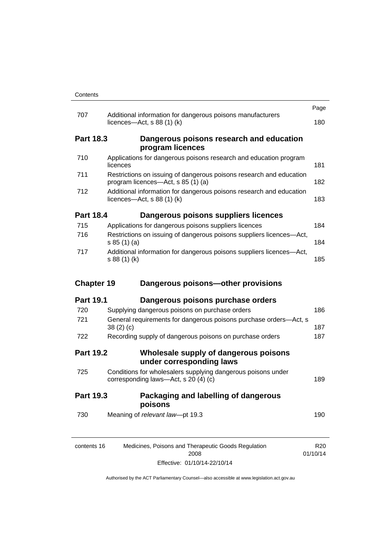|                   |                                                                                                           | Page |
|-------------------|-----------------------------------------------------------------------------------------------------------|------|
| 707               | Additional information for dangerous poisons manufacturers<br>licences—Act, $s$ 88 (1) (k)                | 180  |
| <b>Part 18.3</b>  | Dangerous poisons research and education<br>program licences                                              |      |
| 710               | Applications for dangerous poisons research and education program<br>licences                             | 181  |
| 711               | Restrictions on issuing of dangerous poisons research and education<br>program licences—Act, s 85 (1) (a) | 182  |
| 712               | Additional information for dangerous poisons research and education<br>licences—Act, $s$ 88 (1) (k)       | 183  |
| <b>Part 18.4</b>  | Dangerous poisons suppliers licences                                                                      |      |
| 715               | Applications for dangerous poisons suppliers licences                                                     | 184  |
| 716               | Restrictions on issuing of dangerous poisons suppliers licences-Act,<br>s 85(1)(a)                        | 184  |
| 717               | Additional information for dangerous poisons suppliers licences-Act,<br>s 88 (1) (k)                      | 185  |
| <b>Chapter 19</b> | Dangerous poisons-other provisions                                                                        |      |
| <b>Part 19.1</b>  | Dangerous poisons purchase orders                                                                         |      |
| 720               | Supplying dangerous poisons on purchase orders                                                            | 186  |
| 721               | General requirements for dangerous poisons purchase orders-Act, s<br>38(2)(c)                             | 187  |
| 722               | Recording supply of dangerous poisons on purchase orders                                                  | 187  |
| <b>Part 19.2</b>  | Wholesale supply of dangerous poisons<br>under corresponding laws                                         |      |
| 725               |                                                                                                           |      |
|                   | Conditions for wholesalers supplying dangerous poisons under<br>corresponding laws-Act, s 20 (4) (c)      | 189  |
| <b>Part 19.3</b>  | Packaging and labelling of dangerous<br>poisons                                                           |      |
| 730               | Meaning of relevant law-pt 19.3                                                                           | 190  |

Effective: 01/10/14-22/10/14

01/10/14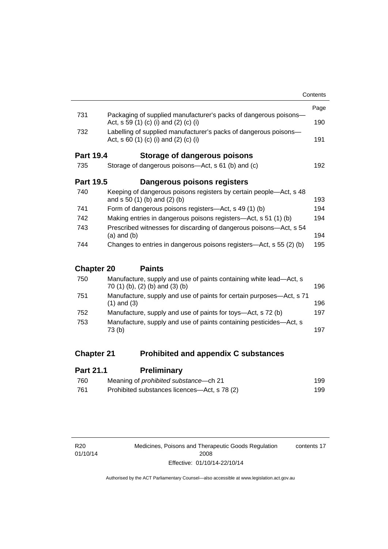|                   |                                                                                                             | Contents |
|-------------------|-------------------------------------------------------------------------------------------------------------|----------|
|                   |                                                                                                             | Page     |
| 731               | Packaging of supplied manufacturer's packs of dangerous poisons-<br>Act, s 59 (1) (c) (i) and (2) (c) (i)   | 190      |
| 732               | Labelling of supplied manufacturer's packs of dangerous poisons-<br>Act, s $60$ (1) (c) (i) and (2) (c) (i) | 191      |
| <b>Part 19.4</b>  | Storage of dangerous poisons                                                                                |          |
| 735               | Storage of dangerous poisons—Act, s 61 (b) and (c)                                                          | 192      |
| <b>Part 19.5</b>  | Dangerous poisons registers                                                                                 |          |
| 740               | Keeping of dangerous poisons registers by certain people—Act, s 48<br>and $s 50 (1) (b)$ and $(2) (b)$      | 193      |
| 741               | Form of dangerous poisons registers—Act, s 49 (1) (b)                                                       | 194      |
| 742               | Making entries in dangerous poisons registers—Act, s 51 (1) (b)                                             | 194      |
| 743               | Prescribed witnesses for discarding of dangerous poisons—Act, s 54<br>$(a)$ and $(b)$                       | 194      |
| 744               | Changes to entries in dangerous poisons registers—Act, s 55 (2) (b)                                         | 195      |
| <b>Chapter 20</b> | <b>Paints</b>                                                                                               |          |
| 750               | Manufacture, supply and use of paints containing white lead—Act s                                           |          |

| 750 | Manufacture, supply and use of paints containing white lead—Act, s<br>70 (1) (b), (2) (b) and (3) (b) | 196 |
|-----|-------------------------------------------------------------------------------------------------------|-----|
| 751 | Manufacture, supply and use of paints for certain purposes—Act, s 71<br>$(1)$ and $(3)$               | 196 |
| 752 | Manufacture, supply and use of paints for toys—Act, s 72 (b)                                          | 197 |
| 753 | Manufacture, supply and use of paints containing pesticides-Act, s<br>73 (b)                          | 197 |
|     |                                                                                                       |     |

# **Chapter 21 [Prohibited and appendix C substances](#page-222-0)**

| <b>Part 21.1</b> | <b>Preliminary</b>                           |     |
|------------------|----------------------------------------------|-----|
| 760              | Meaning of <i>prohibited</i> substance—ch 21 | 199 |
| 761              | Prohibited substances licences—Act, s 78 (2) | 199 |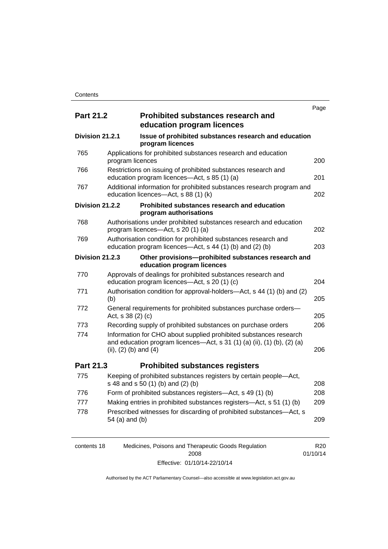|                  |                           |                                                                                                                                              | Page |
|------------------|---------------------------|----------------------------------------------------------------------------------------------------------------------------------------------|------|
| <b>Part 21.2</b> |                           | <b>Prohibited substances research and</b><br>education program licences                                                                      |      |
| Division 21.2.1  |                           | Issue of prohibited substances research and education<br>program licences                                                                    |      |
| 765              | program licences          | Applications for prohibited substances research and education                                                                                | 200  |
| 766              |                           | Restrictions on issuing of prohibited substances research and<br>education program licences-Act, s 85 (1) (a)                                | 201  |
| 767              |                           | Additional information for prohibited substances research program and<br>education licences-Act, s 88 (1) (k)                                | 202  |
| Division 21.2.2  |                           | Prohibited substances research and education<br>program authorisations                                                                       |      |
| 768              |                           | Authorisations under prohibited substances research and education<br>program licences—Act, s 20 (1) (a)                                      | 202  |
| 769              |                           | Authorisation condition for prohibited substances research and<br>education program licences—Act, s 44 (1) (b) and (2) (b)                   | 203  |
| Division 21.2.3  |                           | Other provisions-prohibited substances research and<br>education program licences                                                            |      |
| 770              |                           | Approvals of dealings for prohibited substances research and<br>education program licences—Act, s 20 (1) (c)                                 | 204  |
| 771              | (b)                       | Authorisation condition for approval-holders—Act, s 44 (1) (b) and (2)                                                                       | 205  |
| 772              | Act, s 38 (2) (c)         | General requirements for prohibited substances purchase orders-                                                                              | 205  |
| 773              |                           | Recording supply of prohibited substances on purchase orders                                                                                 | 206  |
| 774              | (ii), $(2)$ (b) and $(4)$ | Information for CHO about supplied prohibited substances research<br>and education program licences-Act, s 31 (1) (a) (ii), (1) (b), (2) (a) | 206  |
| Part 21.3        |                           | <b>Prohibited substances registers</b>                                                                                                       |      |
| 775              |                           | Keeping of prohibited substances registers by certain people-Act,<br>s 48 and s 50 (1) (b) and (2) (b)                                       | 208  |
| 776              |                           | Form of prohibited substances registers-Act, s 49 (1) (b)                                                                                    | 208  |
| 777              |                           | Making entries in prohibited substances registers-Act, s 51 (1) (b)                                                                          | 209  |
| 778              | 54 (a) and (b)            | Prescribed witnesses for discarding of prohibited substances-Act, s                                                                          | 209  |

| contents 18 | Medicines, Poisons and Therapeutic Goods Regulation | R20      |
|-------------|-----------------------------------------------------|----------|
|             | 2008                                                | 01/10/14 |
|             | Effective: 01/10/14-22/10/14                        |          |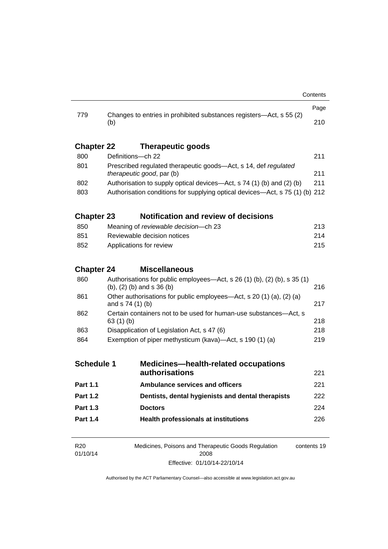| 779               |                                                                                                                |                                                                                          | Page        |  |  |
|-------------------|----------------------------------------------------------------------------------------------------------------|------------------------------------------------------------------------------------------|-------------|--|--|
|                   | (b)                                                                                                            | Changes to entries in prohibited substances registers—Act, s 55 (2)                      | 210         |  |  |
| <b>Chapter 22</b> |                                                                                                                | <b>Therapeutic goods</b>                                                                 |             |  |  |
| 800               |                                                                                                                | Definitions-ch 22                                                                        |             |  |  |
| 801               | Prescribed regulated therapeutic goods-Act, s 14, def regulated<br>therapeutic good, par (b)                   |                                                                                          |             |  |  |
| 802               |                                                                                                                | Authorisation to supply optical devices—Act, s 74 (1) (b) and (2) (b)                    |             |  |  |
| 803               |                                                                                                                | Authorisation conditions for supplying optical devices—Act, s 75 (1) (b) 212             |             |  |  |
| <b>Chapter 23</b> |                                                                                                                | <b>Notification and review of decisions</b>                                              |             |  |  |
| 850               |                                                                                                                | Meaning of reviewable decision-ch 23                                                     |             |  |  |
| 851               |                                                                                                                | Reviewable decision notices                                                              | 214         |  |  |
| 852               |                                                                                                                | 215<br>Applications for review                                                           |             |  |  |
| <b>Chapter 24</b> |                                                                                                                | <b>Miscellaneous</b>                                                                     |             |  |  |
| 860               | Authorisations for public employees—Act, s 26 (1) (b), (2) (b), s 35 (1)<br>$(b)$ , $(2)$ $(b)$ and s 36 $(b)$ |                                                                                          | 216         |  |  |
| 861               |                                                                                                                | Other authorisations for public employees—Act, s 20 (1) (a), (2) (a)<br>and s 74 (1) (b) |             |  |  |
| 862               |                                                                                                                | Certain containers not to be used for human-use substances—Act, s<br>63(1)(b)            |             |  |  |
| 863               |                                                                                                                | Disapplication of Legislation Act, s 47 (6)                                              |             |  |  |
| 864               | Exemption of piper methysticum (kava)—Act, s 190 (1) (a)                                                       |                                                                                          | 219         |  |  |
| <b>Schedule 1</b> |                                                                                                                | <b>Medicines—health-related occupations</b>                                              |             |  |  |
|                   |                                                                                                                | authorisations                                                                           | 221         |  |  |
| <b>Part 1.1</b>   |                                                                                                                | <b>Ambulance services and officers</b>                                                   | 221         |  |  |
| Part 1.2          |                                                                                                                | Dentists, dental hygienists and dental therapists                                        | 222         |  |  |
| <b>Part 1.3</b>   |                                                                                                                | <b>Doctors</b>                                                                           | 224         |  |  |
| <b>Part 1.4</b>   |                                                                                                                | <b>Health professionals at institutions</b>                                              | 226         |  |  |
| R <sub>20</sub>   |                                                                                                                | Medicines, Poisons and Therapeutic Goods Regulation                                      | contents 19 |  |  |

2008 Effective: 01/10/14-22/10/14

01/10/14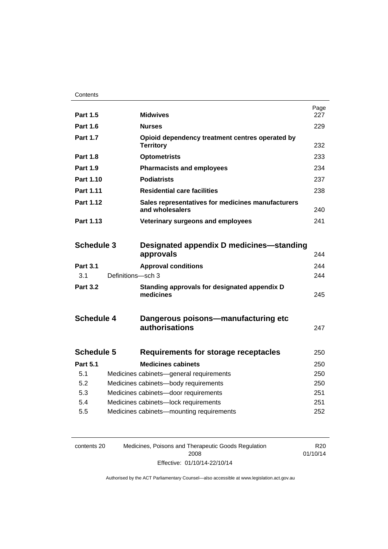| <b>Part 1.5</b>   |                   | <b>Midwives</b>                                                      | Page<br>227 |
|-------------------|-------------------|----------------------------------------------------------------------|-------------|
| <b>Part 1.6</b>   |                   | <b>Nurses</b>                                                        | 229         |
| <b>Part 1.7</b>   |                   | Opioid dependency treatment centres operated by<br><b>Territory</b>  | 232         |
| <b>Part 1.8</b>   |                   | <b>Optometrists</b>                                                  | 233         |
| <b>Part 1.9</b>   |                   | <b>Pharmacists and employees</b>                                     | 234         |
| Part 1.10         |                   | <b>Podiatrists</b>                                                   | 237         |
| <b>Part 1.11</b>  |                   | <b>Residential care facilities</b>                                   | 238         |
| Part 1.12         |                   | Sales representatives for medicines manufacturers<br>and wholesalers | 240         |
| Part 1.13         |                   | Veterinary surgeons and employees                                    | 241         |
|                   |                   |                                                                      |             |
| <b>Schedule 3</b> |                   | Designated appendix D medicines—standing                             |             |
|                   |                   | approvals                                                            | 244         |
| <b>Part 3.1</b>   |                   | <b>Approval conditions</b>                                           | 244         |
| 3.1               | Definitions-sch 3 |                                                                      | 244         |
| <b>Part 3.2</b>   |                   | Standing approvals for designated appendix D<br>medicines            | 245         |
| <b>Schedule 4</b> |                   | Dangerous poisons—manufacturing etc<br>authorisations                | 247         |
| <b>Schedule 5</b> |                   | <b>Requirements for storage receptacles</b>                          | 250         |
| <b>Part 5.1</b>   |                   | <b>Medicines cabinets</b>                                            | 250         |
| 5.1               |                   | Medicines cabinets-general requirements                              | 250         |
| 5.2               |                   | Medicines cabinets-body requirements                                 | 250         |
| 5.3               |                   | Medicines cabinets-door requirements                                 | 251         |
| 5.4               |                   | Medicines cabinets-lock requirements                                 | 251         |
| 5.5               |                   | Medicines cabinets-mounting requirements                             | 252         |
|                   |                   |                                                                      |             |

| contents 20 | Medicines, Poisons and Therapeutic Goods Regulation | R <sub>20</sub> |
|-------------|-----------------------------------------------------|-----------------|
|             | 2008                                                | 01/10/14        |
|             | Effective: 01/10/14-22/10/14                        |                 |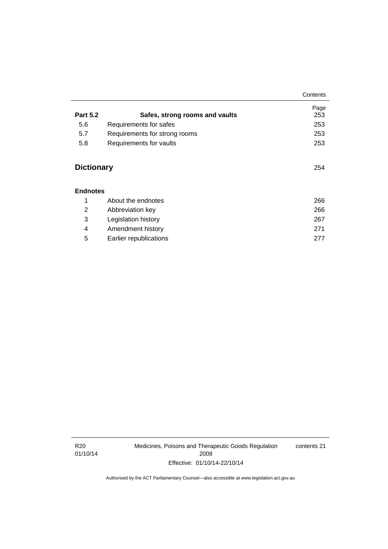#### **[Endnotes](#page-289-0)**

|   | About the endnotes     | 266 |
|---|------------------------|-----|
| 2 | Abbreviation key       | 266 |
| 3 | Legislation history    | 267 |
| 4 | Amendment history      | 271 |
| 5 | Earlier republications | 277 |

**Contents**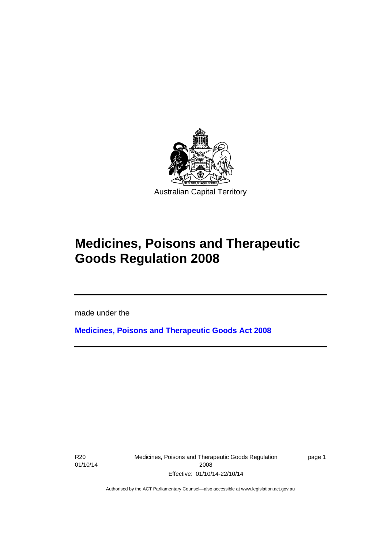

# **Medicines, Poisons and Therapeutic Goods Regulation 2008**

made under the

**[Medicines, Poisons and Therapeutic Goods Act 2008](http://www.legislation.act.gov.au/a/2008-26)**

R20 01/10/14

l

Medicines, Poisons and Therapeutic Goods Regulation 2008 Effective: 01/10/14-22/10/14

page 1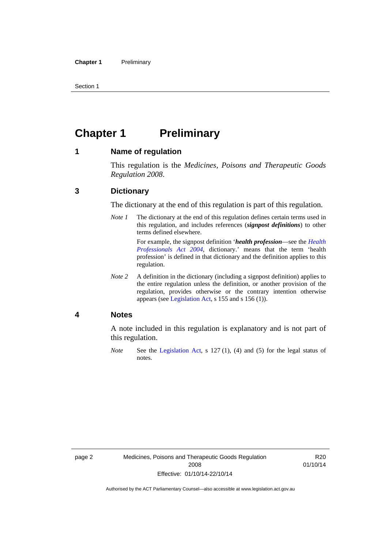Section 1

# <span id="page-25-0"></span>**Chapter 1 Preliminary**

### <span id="page-25-1"></span>**1 Name of regulation**

This regulation is the *Medicines, Poisons and Therapeutic Goods Regulation 2008*.

### <span id="page-25-2"></span>**3 Dictionary**

The dictionary at the end of this regulation is part of this regulation.

*Note 1* The dictionary at the end of this regulation defines certain terms used in this regulation, and includes references (*signpost definitions*) to other terms defined elsewhere. For example, the signpost definition '*health profession*—see the *[Health](http://www.legislation.act.gov.au/a/2004-38)* 

*[Professionals Act 2004](http://www.legislation.act.gov.au/a/2004-38)*, dictionary.' means that the term 'health profession' is defined in that dictionary and the definition applies to this regulation.

*Note 2* A definition in the dictionary (including a signpost definition) applies to the entire regulation unless the definition, or another provision of the regulation, provides otherwise or the contrary intention otherwise appears (see [Legislation Act,](http://www.legislation.act.gov.au/a/2001-14) s 155 and s 156 (1)).

### <span id="page-25-3"></span>**4 Notes**

A note included in this regulation is explanatory and is not part of this regulation.

*Note* See the [Legislation Act,](http://www.legislation.act.gov.au/a/2001-14) s 127 (1), (4) and (5) for the legal status of notes.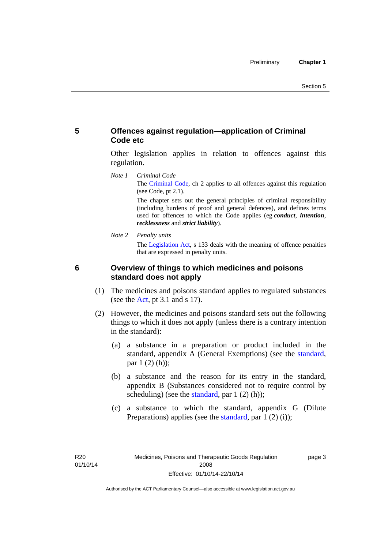### <span id="page-26-0"></span>**5 Offences against regulation—application of Criminal Code etc**

Other legislation applies in relation to offences against this regulation.

*Note 1 Criminal Code* The [Criminal Code](http://www.legislation.act.gov.au/a/2002-51), ch 2 applies to all offences against this regulation (see Code, pt 2.1).

> The chapter sets out the general principles of criminal responsibility (including burdens of proof and general defences), and defines terms used for offences to which the Code applies (eg *conduct*, *intention*, *recklessness* and *strict liability*).

*Note 2 Penalty units* 

The [Legislation Act](http://www.legislation.act.gov.au/a/2001-14), s 133 deals with the meaning of offence penalties that are expressed in penalty units.

## <span id="page-26-1"></span>**6 Overview of things to which medicines and poisons standard does not apply**

- (1) The medicines and poisons standard applies to regulated substances (see the [Act](http://www.legislation.act.gov.au/a/2008-26/default.asp), pt 3.1 and s 17).
- (2) However, the medicines and poisons standard sets out the following things to which it does not apply (unless there is a contrary intention in the standard):
	- (a) a substance in a preparation or product included in the standard, appendix A (General Exemptions) (see the [standard](http://www.comlaw.gov.au/Series/F2012L01200), par 1 (2) (h));
	- (b) a substance and the reason for its entry in the standard, appendix B (Substances considered not to require control by scheduling) (see the [standard,](http://www.comlaw.gov.au/Series/F2012L01200) par  $1(2)(h)$ );
	- (c) a substance to which the standard, appendix G (Dilute Preparations) applies (see the [standard,](http://www.comlaw.gov.au/Series/F2012L01200) par 1 (2) (i));

R20 01/10/14 page 3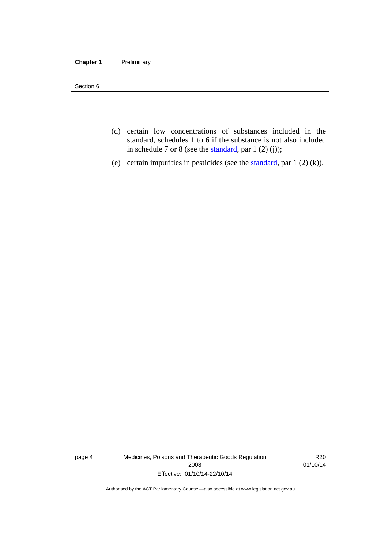#### **Chapter 1** Preliminary

Section 6

- (d) certain low concentrations of substances included in the standard, schedules 1 to 6 if the substance is not also included in schedule 7 or 8 (see the [standard,](http://www.comlaw.gov.au/Series/F2012L01200) par 1 (2) (j));
- (e) certain impurities in pesticides (see the [standard,](http://www.comlaw.gov.au/Series/F2012L01200) par  $1(2)(k)$ ).

page 4 Medicines, Poisons and Therapeutic Goods Regulation 2008 Effective: 01/10/14-22/10/14

R20 01/10/14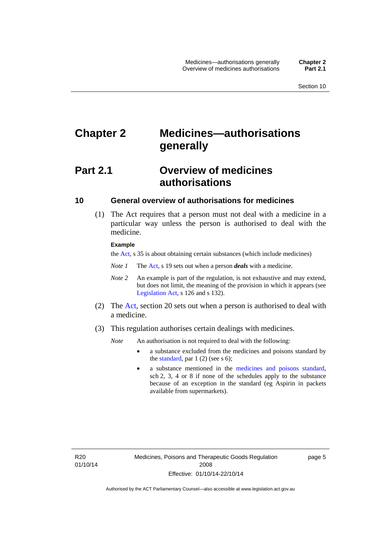# <span id="page-28-0"></span>**Chapter 2 Medicines—authorisations generally**

# <span id="page-28-1"></span>**Part 2.1 Overview of medicines authorisations**

### <span id="page-28-2"></span>**10 General overview of authorisations for medicines**

 (1) The Act requires that a person must not deal with a medicine in a particular way unless the person is authorised to deal with the medicine.

#### **Example**

the [Act](http://www.legislation.act.gov.au/a/2008-26/default.asp), s 35 is about obtaining certain substances (which include medicines)

- *Note 1* The [Act,](http://www.legislation.act.gov.au/a/2008-26/default.asp) s 19 sets out when a person *deals* with a medicine.
- *Note 2* An example is part of the regulation, is not exhaustive and may extend, but does not limit, the meaning of the provision in which it appears (see [Legislation Act,](http://www.legislation.act.gov.au/a/2001-14) s 126 and s 132).
- (2) The [Act](http://www.legislation.act.gov.au/a/2008-26/default.asp), section 20 sets out when a person is authorised to deal with a medicine.
- (3) This regulation authorises certain dealings with medicines.

*Note* An authorisation is not required to deal with the following:

- a substance excluded from the medicines and poisons standard by the [standard,](http://www.comlaw.gov.au/Series/F2012L01200) par  $1(2)$  (see s 6);
- a substance mentioned in the [medicines and poisons standard,](http://www.comlaw.gov.au/Series/F2012L01200) sch 2, 3, 4 or 8 if none of the schedules apply to the substance because of an exception in the standard (eg Aspirin in packets available from supermarkets).

R20 01/10/14 page 5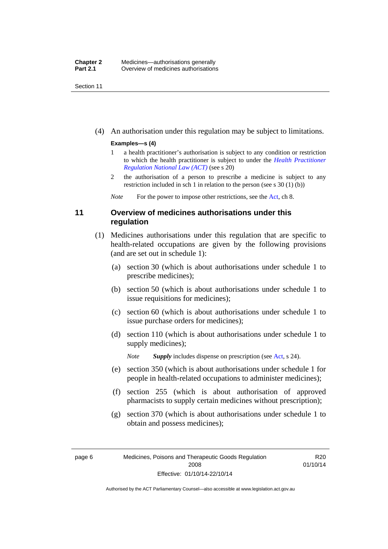Section 11

(4) An authorisation under this regulation may be subject to limitations.

#### **Examples—s (4)**

- 1 a health practitioner's authorisation is subject to any condition or restriction to which the health practitioner is subject to under the *[Health Practitioner](http://www.legislation.act.gov.au/a/db_39269/default.asp)  [Regulation National Law \(ACT\)](http://www.legislation.act.gov.au/a/db_39269/default.asp)* (see s 20)
- 2 the authorisation of a person to prescribe a medicine is subject to any restriction included in sch 1 in relation to the person (see s 30 (1) (b))

*Note* For the power to impose other restrictions, see the [Act](http://www.legislation.act.gov.au/a/2008-26/default.asp), ch 8.

### <span id="page-29-0"></span>**11 Overview of medicines authorisations under this regulation**

- (1) Medicines authorisations under this regulation that are specific to health-related occupations are given by the following provisions (and are set out in schedule 1):
	- (a) section 30 (which is about authorisations under schedule 1 to prescribe medicines);
	- (b) section 50 (which is about authorisations under schedule 1 to issue requisitions for medicines);
	- (c) section 60 (which is about authorisations under schedule 1 to issue purchase orders for medicines);
	- (d) section 110 (which is about authorisations under schedule 1 to supply medicines);

*Note Supply* includes dispense on prescription (see [Act,](http://www.legislation.act.gov.au/a/2008-26/default.asp) s 24).

- (e) section 350 (which is about authorisations under schedule 1 for people in health-related occupations to administer medicines);
- (f) section 255 (which is about authorisation of approved pharmacists to supply certain medicines without prescription);
- (g) section 370 (which is about authorisations under schedule 1 to obtain and possess medicines);

R20 01/10/14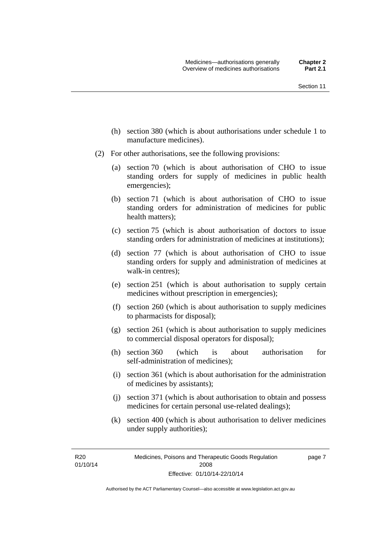- (h) section 380 (which is about authorisations under schedule 1 to manufacture medicines).
- (2) For other authorisations, see the following provisions:
	- (a) section 70 (which is about authorisation of CHO to issue standing orders for supply of medicines in public health emergencies);
	- (b) section 71 (which is about authorisation of CHO to issue standing orders for administration of medicines for public health matters);
	- (c) section 75 (which is about authorisation of doctors to issue standing orders for administration of medicines at institutions);
	- (d) section 77 (which is about authorisation of CHO to issue standing orders for supply and administration of medicines at walk-in centres);
	- (e) section 251 (which is about authorisation to supply certain medicines without prescription in emergencies);
	- (f) section 260 (which is about authorisation to supply medicines to pharmacists for disposal);
	- (g) section 261 (which is about authorisation to supply medicines to commercial disposal operators for disposal);
	- (h) section 360 (which is about authorisation for self-administration of medicines);
	- (i) section 361 (which is about authorisation for the administration of medicines by assistants);
	- (j) section 371 (which is about authorisation to obtain and possess medicines for certain personal use-related dealings);
	- (k) section 400 (which is about authorisation to deliver medicines under supply authorities);

R20 01/10/14 page 7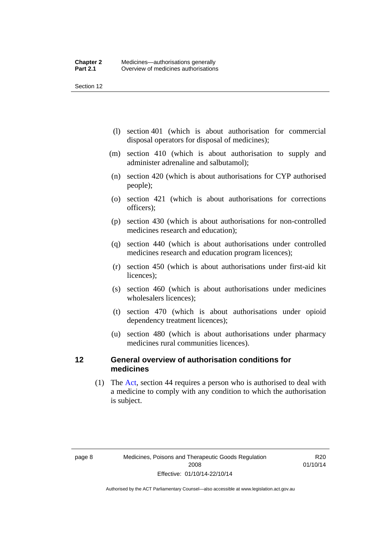Section 12

- (l) section 401 (which is about authorisation for commercial disposal operators for disposal of medicines);
- (m) section 410 (which is about authorisation to supply and administer adrenaline and salbutamol);
- (n) section 420 (which is about authorisations for CYP authorised people);
- (o) section 421 (which is about authorisations for corrections officers);
- (p) section 430 (which is about authorisations for non-controlled medicines research and education);
- (q) section 440 (which is about authorisations under controlled medicines research and education program licences);
- (r) section 450 (which is about authorisations under first-aid kit licences);
- (s) section 460 (which is about authorisations under medicines wholesalers licences);
- (t) section 470 (which is about authorisations under opioid dependency treatment licences);
- (u) section 480 (which is about authorisations under pharmacy medicines rural communities licences).

### <span id="page-31-0"></span>**12 General overview of authorisation conditions for medicines**

 (1) The [Act](http://www.legislation.act.gov.au/a/2008-26/default.asp), section 44 requires a person who is authorised to deal with a medicine to comply with any condition to which the authorisation is subject.

R20 01/10/14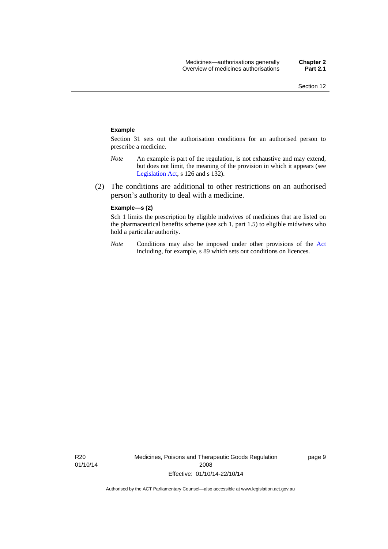#### **Example**

Section 31 sets out the authorisation conditions for an authorised person to prescribe a medicine.

- *Note* An example is part of the regulation, is not exhaustive and may extend, but does not limit, the meaning of the provision in which it appears (see [Legislation Act,](http://www.legislation.act.gov.au/a/2001-14) s 126 and s 132).
- (2) The conditions are additional to other restrictions on an authorised person's authority to deal with a medicine.

#### **Example—s (2)**

Sch 1 limits the prescription by eligible midwives of medicines that are listed on the pharmaceutical benefits scheme (see sch 1, part 1.5) to eligible midwives who hold a particular authority.

*Note* Conditions may also be imposed under other provisions of the [Act](http://www.legislation.act.gov.au/a/2008-26/default.asp) including, for example, s 89 which sets out conditions on licences.

R20 01/10/14 Medicines, Poisons and Therapeutic Goods Regulation 2008 Effective: 01/10/14-22/10/14

page 9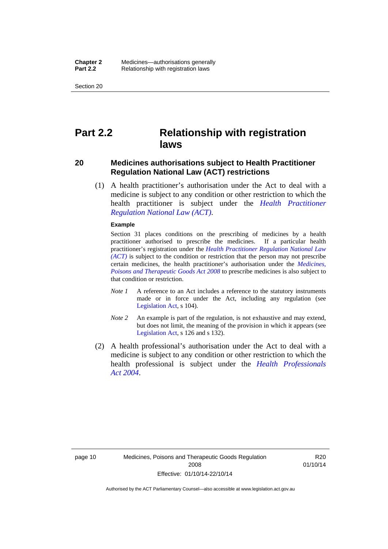Section 20

# <span id="page-33-0"></span>**Part 2.2 Relationship with registration laws**

### <span id="page-33-1"></span>**20 Medicines authorisations subject to Health Practitioner Regulation National Law (ACT) restrictions**

 (1) A health practitioner's authorisation under the Act to deal with a medicine is subject to any condition or other restriction to which the health practitioner is subject under the *[Health Practitioner](http://www.legislation.act.gov.au/a/db_39269/default.asp)  [Regulation National Law \(ACT\)](http://www.legislation.act.gov.au/a/db_39269/default.asp)*.

#### **Example**

Section 31 places conditions on the prescribing of medicines by a health practitioner authorised to prescribe the medicines. If a particular health practitioner's registration under the *[Health Practitioner Regulation National Law](http://www.legislation.act.gov.au/a/db_39269/default.asp)  [\(ACT\)](http://www.legislation.act.gov.au/a/db_39269/default.asp)* is subject to the condition or restriction that the person may not prescribe certain medicines, the health practitioner's authorisation under the *[Medicines,](http://www.legislation.act.gov.au/a/2008-26)  [Poisons and Therapeutic Goods Act 2008](http://www.legislation.act.gov.au/a/2008-26)* to prescribe medicines is also subject to that condition or restriction.

- *Note 1* A reference to an Act includes a reference to the statutory instruments made or in force under the Act, including any regulation (see [Legislation Act,](http://www.legislation.act.gov.au/a/2001-14) s 104).
- *Note 2* An example is part of the regulation, is not exhaustive and may extend, but does not limit, the meaning of the provision in which it appears (see [Legislation Act,](http://www.legislation.act.gov.au/a/2001-14) s 126 and s 132).
- (2) A health professional's authorisation under the Act to deal with a medicine is subject to any condition or other restriction to which the health professional is subject under the *[Health Professionals](http://www.legislation.act.gov.au/a/2004-38)  [Act 2004](http://www.legislation.act.gov.au/a/2004-38)*.

R<sub>20</sub> 01/10/14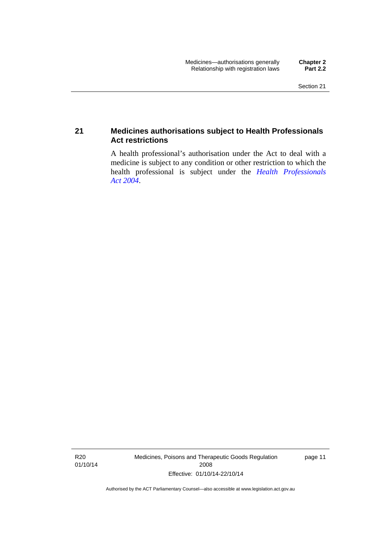### <span id="page-34-0"></span>**21 Medicines authorisations subject to Health Professionals Act restrictions**

A health professional's authorisation under the Act to deal with a medicine is subject to any condition or other restriction to which the health professional is subject under the *[Health Professionals](http://www.legislation.act.gov.au/a/2004-38)  [Act 2004](http://www.legislation.act.gov.au/a/2004-38)*.

R20 01/10/14 Medicines, Poisons and Therapeutic Goods Regulation 2008 Effective: 01/10/14-22/10/14

page 11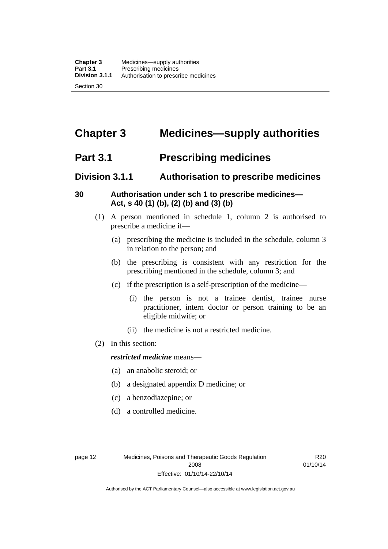# <span id="page-35-0"></span>**Chapter 3 Medicines—supply authorities**

# <span id="page-35-1"></span>**Part 3.1 Prescribing medicines**

# <span id="page-35-2"></span>**Division 3.1.1 Authorisation to prescribe medicines**

### <span id="page-35-3"></span>**30 Authorisation under sch 1 to prescribe medicines— Act, s 40 (1) (b), (2) (b) and (3) (b)**

- (1) A person mentioned in schedule 1, column 2 is authorised to prescribe a medicine if—
	- (a) prescribing the medicine is included in the schedule, column 3 in relation to the person; and
	- (b) the prescribing is consistent with any restriction for the prescribing mentioned in the schedule, column 3; and
	- (c) if the prescription is a self-prescription of the medicine—
		- (i) the person is not a trainee dentist, trainee nurse practitioner, intern doctor or person training to be an eligible midwife; or
		- (ii) the medicine is not a restricted medicine.
- (2) In this section:

### *restricted medicine* means—

- (a) an anabolic steroid; or
- (b) a designated appendix D medicine; or
- (c) a benzodiazepine; or
- (d) a controlled medicine.

R20 01/10/14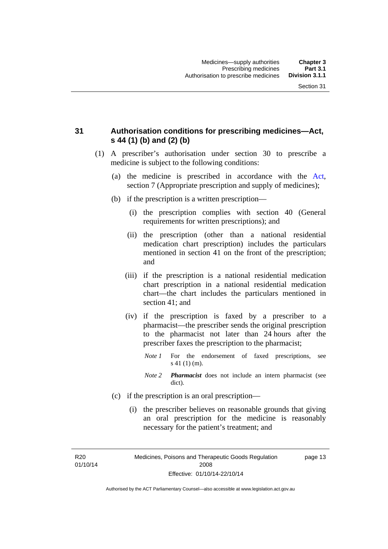# **31 Authorisation conditions for prescribing medicines—Act, s 44 (1) (b) and (2) (b)**

- (1) A prescriber's authorisation under section 30 to prescribe a medicine is subject to the following conditions:
	- (a) the medicine is prescribed in accordance with the [Act](http://www.legislation.act.gov.au/a/2008-26/default.asp), section 7 (Appropriate prescription and supply of medicines);
	- (b) if the prescription is a written prescription—
		- (i) the prescription complies with section 40 (General requirements for written prescriptions); and
		- (ii) the prescription (other than a national residential medication chart prescription) includes the particulars mentioned in section 41 on the front of the prescription; and
		- (iii) if the prescription is a national residential medication chart prescription in a national residential medication chart––the chart includes the particulars mentioned in section 41; and
		- (iv) if the prescription is faxed by a prescriber to a pharmacist—the prescriber sends the original prescription to the pharmacist not later than 24 hours after the prescriber faxes the prescription to the pharmacist;
			- *Note 1* For the endorsement of faxed prescriptions, see s 41 (1) (m).
			- *Note 2 Pharmacist* does not include an intern pharmacist (see dict).
	- (c) if the prescription is an oral prescription—
		- (i) the prescriber believes on reasonable grounds that giving an oral prescription for the medicine is reasonably necessary for the patient's treatment; and

R20 01/10/14 Medicines, Poisons and Therapeutic Goods Regulation 2008 Effective: 01/10/14-22/10/14

page 13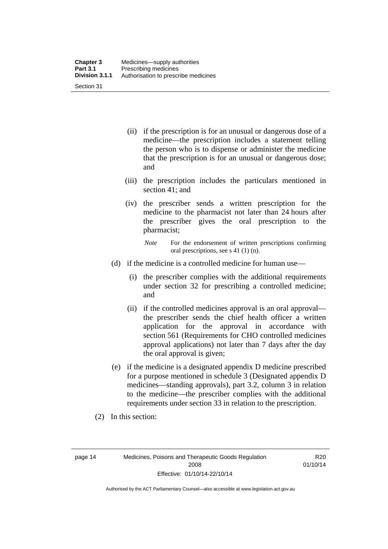| <b>Chapter 3</b> | Medicines—supply authorities         |
|------------------|--------------------------------------|
| <b>Part 3.1</b>  | Prescribing medicines                |
| Division 3.1.1   | Authorisation to prescribe medicines |
| Section 31       |                                      |

- (ii) if the prescription is for an unusual or dangerous dose of a medicine—the prescription includes a statement telling the person who is to dispense or administer the medicine that the prescription is for an unusual or dangerous dose; and
- (iii) the prescription includes the particulars mentioned in section 41; and
- (iv) the prescriber sends a written prescription for the medicine to the pharmacist not later than 24 hours after the prescriber gives the oral prescription to the pharmacist;

- (d) if the medicine is a controlled medicine for human use—
	- (i) the prescriber complies with the additional requirements under section 32 for prescribing a controlled medicine; and
	- (ii) if the controlled medicines approval is an oral approval the prescriber sends the chief health officer a written application for the approval in accordance with section 561 (Requirements for CHO controlled medicines approval applications) not later than 7 days after the day the oral approval is given;
- (e) if the medicine is a designated appendix D medicine prescribed for a purpose mentioned in schedule 3 (Designated appendix D medicines—standing approvals), part 3.2, column 3 in relation to the medicine—the prescriber complies with the additional requirements under section 33 in relation to the prescription.
- (2) In this section:

page 14 Medicines, Poisons and Therapeutic Goods Regulation 2008 Effective: 01/10/14-22/10/14

R20 01/10/14

*Note* For the endorsement of written prescriptions confirming oral prescriptions, see s 41 (1) (n).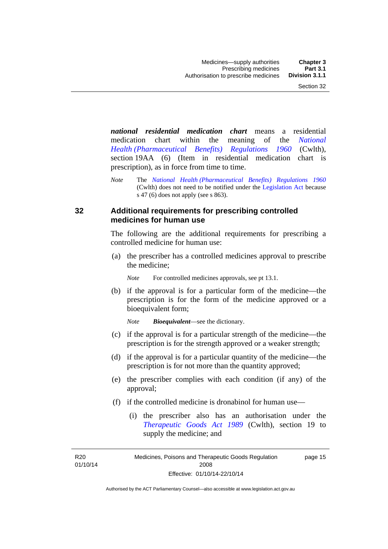*national residential medication chart* means a residential medication chart within the meaning of the *[National](http://www.comlaw.gov.au/Series/F1996B02844)  [Health \(Pharmaceutical Benefits\) Regulations 1960](http://www.comlaw.gov.au/Series/F1996B02844)* (Cwlth), section 19AA (6) (Item in residential medication chart is prescription), as in force from time to time.

*Note* The *[National Health \(Pharmaceutical Benefits\) Regulations 1960](http://www.comlaw.gov.au/Series/F1996B02844)* (Cwlth) does not need to be notified under the [Legislation Act](http://www.legislation.act.gov.au/a/2001-14) because s 47 (6) does not apply (see s 863).

### **32 Additional requirements for prescribing controlled medicines for human use**

The following are the additional requirements for prescribing a controlled medicine for human use:

 (a) the prescriber has a controlled medicines approval to prescribe the medicine;

*Note* For controlled medicines approvals, see pt 13.1.

 (b) if the approval is for a particular form of the medicine—the prescription is for the form of the medicine approved or a bioequivalent form;

*Note Bioequivalent*—see the dictionary.

- (c) if the approval is for a particular strength of the medicine—the prescription is for the strength approved or a weaker strength;
- (d) if the approval is for a particular quantity of the medicine—the prescription is for not more than the quantity approved;
- (e) the prescriber complies with each condition (if any) of the approval;
- (f) if the controlled medicine is dronabinol for human use—
	- (i) the prescriber also has an authorisation under the *[Therapeutic Goods Act 1989](http://www.comlaw.gov.au/Series/C2004A03952)* (Cwlth), section 19 to supply the medicine; and

R20 01/10/14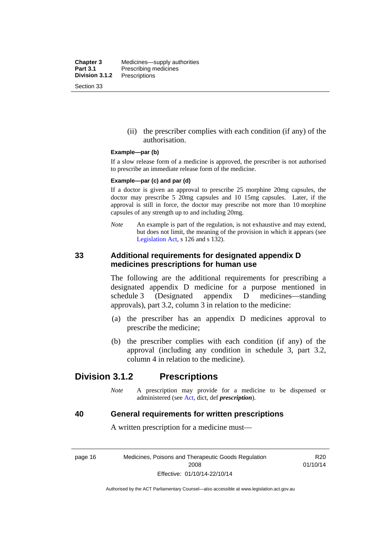**Chapter 3** Medicines—supply authorities<br>**Part 3.1** Prescribing medicines **Part 3.1** Prescribing medicines<br>**Division 3.1.2** Prescriptions **Division 3.1.2** Prescriptions Section 33

> (ii) the prescriber complies with each condition (if any) of the authorisation.

#### **Example—par (b)**

If a slow release form of a medicine is approved, the prescriber is not authorised to prescribe an immediate release form of the medicine.

#### **Example—par (c) and par (d)**

If a doctor is given an approval to prescribe 25 morphine 20mg capsules, the doctor may prescribe 5 20mg capsules and 10 15mg capsules. Later, if the approval is still in force, the doctor may prescribe not more than 10 morphine capsules of any strength up to and including 20mg.

*Note* An example is part of the regulation, is not exhaustive and may extend, but does not limit, the meaning of the provision in which it appears (see [Legislation Act,](http://www.legislation.act.gov.au/a/2001-14) s 126 and s 132).

### **33 Additional requirements for designated appendix D medicines prescriptions for human use**

The following are the additional requirements for prescribing a designated appendix D medicine for a purpose mentioned in schedule 3 (Designated appendix D medicines—standing approvals), part 3.2, column 3 in relation to the medicine:

- (a) the prescriber has an appendix D medicines approval to prescribe the medicine;
- (b) the prescriber complies with each condition (if any) of the approval (including any condition in schedule 3, part 3.2, column 4 in relation to the medicine).

# **Division 3.1.2 Prescriptions**

*Note* A prescription may provide for a medicine to be dispensed or administered (see [Act](http://www.legislation.act.gov.au/a/2008-26/default.asp), dict, def *prescription*).

### **40 General requirements for written prescriptions**

A written prescription for a medicine must—

page 16 Medicines, Poisons and Therapeutic Goods Regulation 2008 Effective: 01/10/14-22/10/14

R20 01/10/14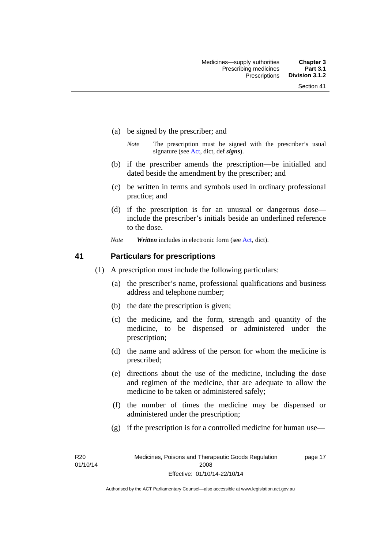- (a) be signed by the prescriber; and
	- *Note* The prescription must be signed with the prescriber's usual signature (see [Act](http://www.legislation.act.gov.au/a/2008-26/default.asp), dict, def *signs*).
- (b) if the prescriber amends the prescription—be initialled and dated beside the amendment by the prescriber; and
- (c) be written in terms and symbols used in ordinary professional practice; and
- (d) if the prescription is for an unusual or dangerous dose include the prescriber's initials beside an underlined reference to the dose.
- *Note Written* includes in electronic form (see [Act,](http://www.legislation.act.gov.au/a/2008-26/default.asp) dict).

### **41 Particulars for prescriptions**

- (1) A prescription must include the following particulars:
	- (a) the prescriber's name, professional qualifications and business address and telephone number;
	- (b) the date the prescription is given;
	- (c) the medicine, and the form, strength and quantity of the medicine, to be dispensed or administered under the prescription;
	- (d) the name and address of the person for whom the medicine is prescribed;
	- (e) directions about the use of the medicine, including the dose and regimen of the medicine, that are adequate to allow the medicine to be taken or administered safely;
	- (f) the number of times the medicine may be dispensed or administered under the prescription;
	- (g) if the prescription is for a controlled medicine for human use—

R20 01/10/14 page 17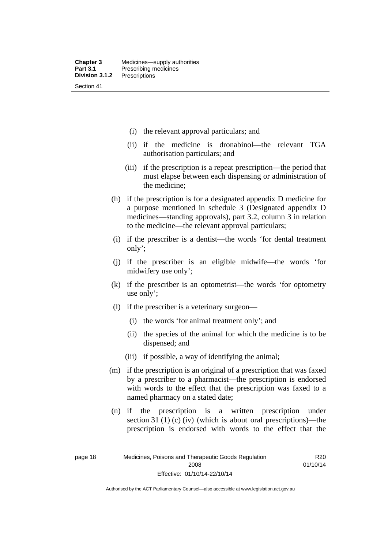- (i) the relevant approval particulars; and
- (ii) if the medicine is dronabinol—the relevant TGA authorisation particulars; and
- (iii) if the prescription is a repeat prescription—the period that must elapse between each dispensing or administration of the medicine;
- (h) if the prescription is for a designated appendix D medicine for a purpose mentioned in schedule 3 (Designated appendix D medicines—standing approvals), part 3.2, column 3 in relation to the medicine—the relevant approval particulars;
- (i) if the prescriber is a dentist—the words 'for dental treatment only';
- (j) if the prescriber is an eligible midwife—the words 'for midwifery use only';
- (k) if the prescriber is an optometrist—the words 'for optometry use only';
- (l) if the prescriber is a veterinary surgeon—
	- (i) the words 'for animal treatment only'; and
	- (ii) the species of the animal for which the medicine is to be dispensed; and
	- (iii) if possible, a way of identifying the animal;
- (m) if the prescription is an original of a prescription that was faxed by a prescriber to a pharmacist—the prescription is endorsed with words to the effect that the prescription was faxed to a named pharmacy on a stated date;
- (n) if the prescription is a written prescription under section 31 (1) (c) (iv) (which is about oral prescriptions)—the prescription is endorsed with words to the effect that the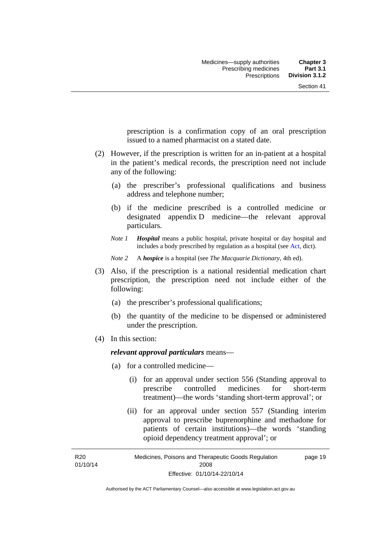prescription is a confirmation copy of an oral prescription issued to a named pharmacist on a stated date.

- (2) However, if the prescription is written for an in-patient at a hospital in the patient's medical records, the prescription need not include any of the following:
	- (a) the prescriber's professional qualifications and business address and telephone number;
	- (b) if the medicine prescribed is a controlled medicine or designated appendix D medicine—the relevant approval particulars.
	- *Note 1 Hospital* means a public hospital, private hospital or day hospital and includes a body prescribed by regulation as a hospital (see [Act,](http://www.legislation.act.gov.au/a/2008-26/default.asp) dict).

*Note 2* A *hospice* is a hospital (see *The Macquarie Dictionary*, 4th ed).

- (3) Also, if the prescription is a national residential medication chart prescription, the prescription need not include either of the following:
	- (a) the prescriber's professional qualifications;
	- (b) the quantity of the medicine to be dispensed or administered under the prescription.
- (4) In this section:

### *relevant approval particulars* means—

- (a) for a controlled medicine—
	- (i) for an approval under section 556 (Standing approval to prescribe controlled medicines for short-term treatment)—the words 'standing short-term approval'; or
	- (ii) for an approval under section 557 (Standing interim approval to prescribe buprenorphine and methadone for patients of certain institutions)—the words 'standing opioid dependency treatment approval'; or

R20 01/10/14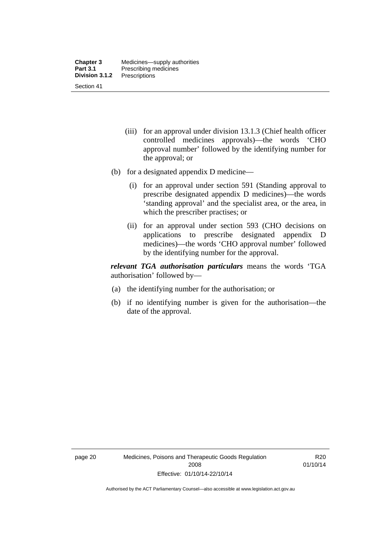- (iii) for an approval under division 13.1.3 (Chief health officer controlled medicines approvals)—the words 'CHO approval number' followed by the identifying number for the approval; or
- (b) for a designated appendix D medicine—
	- (i) for an approval under section 591 (Standing approval to prescribe designated appendix D medicines)—the words 'standing approval' and the specialist area, or the area, in which the prescriber practises; or
	- (ii) for an approval under section 593 (CHO decisions on applications to prescribe designated appendix D medicines)—the words 'CHO approval number' followed by the identifying number for the approval.

*relevant TGA authorisation particulars* means the words 'TGA authorisation' followed by—

- (a) the identifying number for the authorisation; or
- (b) if no identifying number is given for the authorisation—the date of the approval.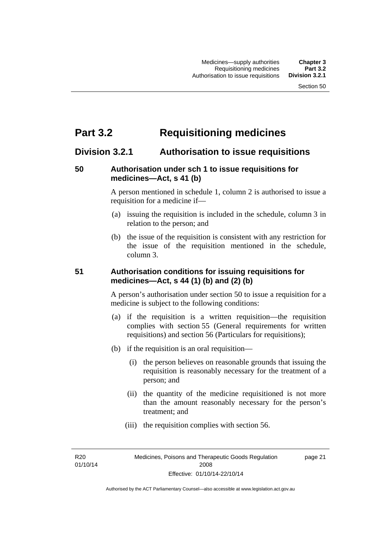# **Part 3.2 Requisitioning medicines**

# **Division 3.2.1 Authorisation to issue requisitions**

# **50 Authorisation under sch 1 to issue requisitions for medicines—Act, s 41 (b)**

A person mentioned in schedule 1, column 2 is authorised to issue a requisition for a medicine if—

- (a) issuing the requisition is included in the schedule, column 3 in relation to the person; and
- (b) the issue of the requisition is consistent with any restriction for the issue of the requisition mentioned in the schedule, column 3.

# **51 Authorisation conditions for issuing requisitions for medicines—Act, s 44 (1) (b) and (2) (b)**

A person's authorisation under section 50 to issue a requisition for a medicine is subject to the following conditions:

- (a) if the requisition is a written requisition—the requisition complies with section 55 (General requirements for written requisitions) and section 56 (Particulars for requisitions);
- (b) if the requisition is an oral requisition—
	- (i) the person believes on reasonable grounds that issuing the requisition is reasonably necessary for the treatment of a person; and
	- (ii) the quantity of the medicine requisitioned is not more than the amount reasonably necessary for the person's treatment; and
	- (iii) the requisition complies with section 56.

R20 01/10/14 page 21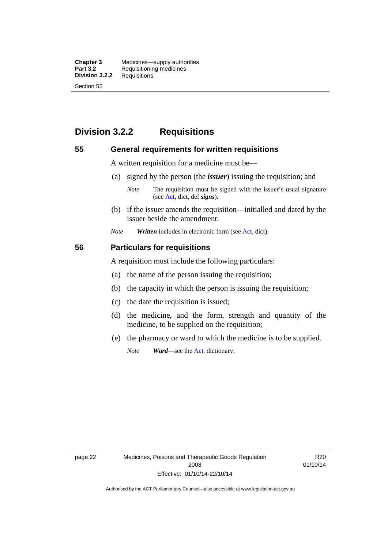**Chapter 3** Medicines—supply authorities<br>**Part 3.2** Requisitioning medicines **Requisitioning medicines**<br>Requisitions **Division 3.2.2** Section 55

# **Division 3.2.2 Requisitions**

### **55 General requirements for written requisitions**

A written requisition for a medicine must be—

(a) signed by the person (the *issuer*) issuing the requisition; and

 (b) if the issuer amends the requisition—initialled and dated by the issuer beside the amendment.

*Note Written* includes in electronic form (see [Act,](http://www.legislation.act.gov.au/a/2008-26/default.asp) dict).

### **56 Particulars for requisitions**

A requisition must include the following particulars:

- (a) the name of the person issuing the requisition;
- (b) the capacity in which the person is issuing the requisition;
- (c) the date the requisition is issued;
- (d) the medicine, and the form, strength and quantity of the medicine, to be supplied on the requisition;
- (e) the pharmacy or ward to which the medicine is to be supplied.

*Note Ward*—see the [Act](http://www.legislation.act.gov.au/a/2008-26/default.asp), dictionary.

page 22 Medicines, Poisons and Therapeutic Goods Regulation 2008 Effective: 01/10/14-22/10/14

R20 01/10/14

*Note* The requisition must be signed with the issuer's usual signature (see [Act](http://www.legislation.act.gov.au/a/2008-26/default.asp), dict, def *signs*).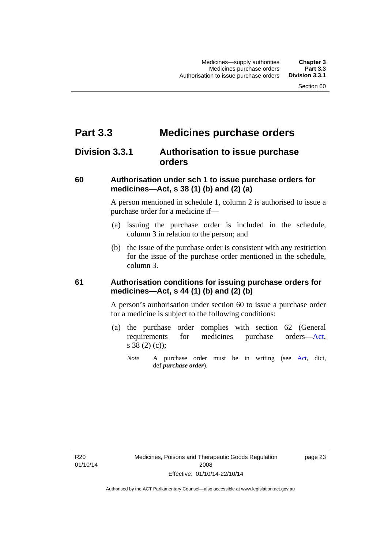# **Part 3.3 Medicines purchase orders**

# **Division 3.3.1 Authorisation to issue purchase orders**

## **60 Authorisation under sch 1 to issue purchase orders for medicines—Act, s 38 (1) (b) and (2) (a)**

A person mentioned in schedule 1, column 2 is authorised to issue a purchase order for a medicine if—

- (a) issuing the purchase order is included in the schedule, column 3 in relation to the person; and
- (b) the issue of the purchase order is consistent with any restriction for the issue of the purchase order mentioned in the schedule, column 3.

## **61 Authorisation conditions for issuing purchase orders for medicines—Act, s 44 (1) (b) and (2) (b)**

A person's authorisation under section 60 to issue a purchase order for a medicine is subject to the following conditions:

- (a) the purchase order complies with section 62 (General requirements for medicines purchase orders[—Act](http://www.legislation.act.gov.au/a/2008-26/default.asp), s 38 (2) (c));
	- *Note* A purchase order must be in writing (see [Act,](http://www.legislation.act.gov.au/a/2008-26/default.asp) dict, def *purchase order*).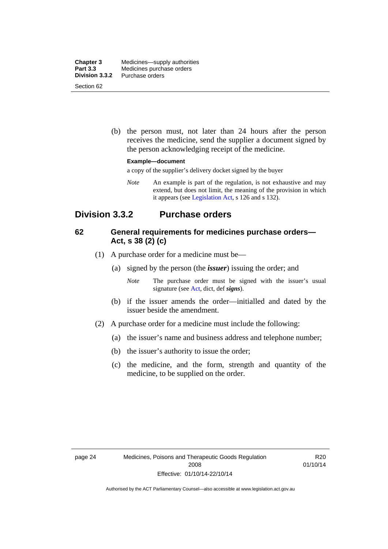| <b>Chapter 3</b> | Medicines—supply authorities |
|------------------|------------------------------|
| <b>Part 3.3</b>  | Medicines purchase orders    |
| Division 3.3.2   | Purchase orders              |
| Section 62       |                              |

 (b) the person must, not later than 24 hours after the person receives the medicine, send the supplier a document signed by the person acknowledging receipt of the medicine.

#### **Example—document**

a copy of the supplier's delivery docket signed by the buyer

*Note* An example is part of the regulation, is not exhaustive and may extend, but does not limit, the meaning of the provision in which it appears (see [Legislation Act,](http://www.legislation.act.gov.au/a/2001-14) s 126 and s 132).

# **Division 3.3.2 Purchase orders**

## **62 General requirements for medicines purchase orders— Act, s 38 (2) (c)**

- (1) A purchase order for a medicine must be—
	- (a) signed by the person (the *issuer*) issuing the order; and
		- *Note* The purchase order must be signed with the issuer's usual signature (see [Act](http://www.legislation.act.gov.au/a/2008-26/default.asp), dict, def *signs*).
	- (b) if the issuer amends the order—initialled and dated by the issuer beside the amendment.
- (2) A purchase order for a medicine must include the following:
	- (a) the issuer's name and business address and telephone number;
	- (b) the issuer's authority to issue the order;
	- (c) the medicine, and the form, strength and quantity of the medicine, to be supplied on the order.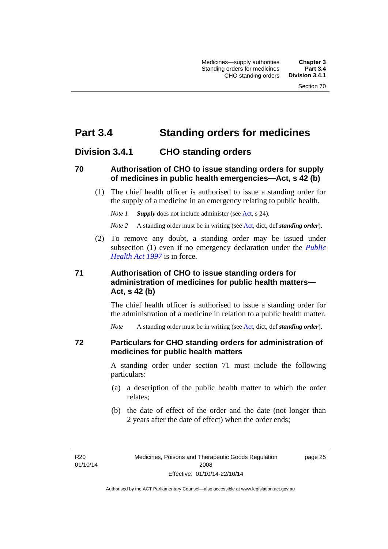# **Part 3.4 Standing orders for medicines**

# **Division 3.4.1 CHO standing orders**

## **70 Authorisation of CHO to issue standing orders for supply of medicines in public health emergencies—Act, s 42 (b)**

 (1) The chief health officer is authorised to issue a standing order for the supply of a medicine in an emergency relating to public health.

*Note 1 Supply* does not include administer (see [Act,](http://www.legislation.act.gov.au/a/2008-26/default.asp) s 24).

*Note 2* A standing order must be in writing (see [Act](http://www.legislation.act.gov.au/a/2008-26/default.asp), dict, def *standing order*).

 (2) To remove any doubt, a standing order may be issued under subsection (1) even if no emergency declaration under the *[Public](http://www.legislation.act.gov.au/a/1997-69)  [Health Act 1997](http://www.legislation.act.gov.au/a/1997-69)* is in force.

# **71 Authorisation of CHO to issue standing orders for administration of medicines for public health matters— Act, s 42 (b)**

The chief health officer is authorised to issue a standing order for the administration of a medicine in relation to a public health matter.

*Note* A standing order must be in writing (see [Act](http://www.legislation.act.gov.au/a/2008-26/default.asp), dict, def *standing order*).

### **72 Particulars for CHO standing orders for administration of medicines for public health matters**

A standing order under section 71 must include the following particulars:

- (a) a description of the public health matter to which the order relates;
- (b) the date of effect of the order and the date (not longer than 2 years after the date of effect) when the order ends;

R<sub>20</sub> 01/10/14 page 25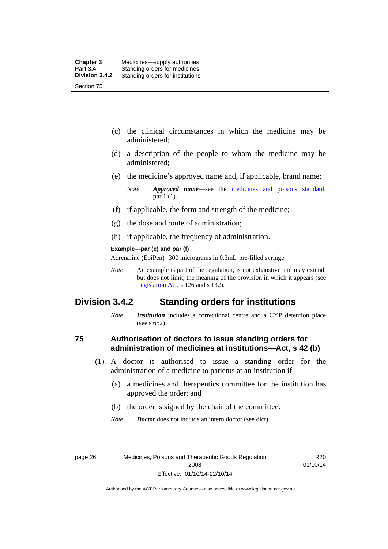- (c) the clinical circumstances in which the medicine may be administered;
- (d) a description of the people to whom the medicine may be administered;
- (e) the medicine's approved name and, if applicable, brand name;

- (f) if applicable, the form and strength of the medicine;
- (g) the dose and route of administration;
- (h) if applicable, the frequency of administration.

#### **Example—par (e) and par (f)**

Adrenaline (EpiPen) 300 micrograms in 0.3mL pre-filled syringe

*Note* An example is part of the regulation, is not exhaustive and may extend, but does not limit, the meaning of the provision in which it appears (see [Legislation Act,](http://www.legislation.act.gov.au/a/2001-14) s 126 and s 132).

# **Division 3.4.2 Standing orders for institutions**

*Note Institution* includes a correctional centre and a CYP detention place (see s 652).

### **75 Authorisation of doctors to issue standing orders for administration of medicines at institutions—Act, s 42 (b)**

- (1) A doctor is authorised to issue a standing order for the administration of a medicine to patients at an institution if—
	- (a) a medicines and therapeutics committee for the institution has approved the order; and
	- (b) the order is signed by the chair of the committee.
	- *Note Doctor* does not include an intern doctor (see dict).

R20 01/10/14

*Note Approved name*—see the [medicines and poisons standard,](http://www.comlaw.gov.au/Series/F2012L01200) par 1 (1).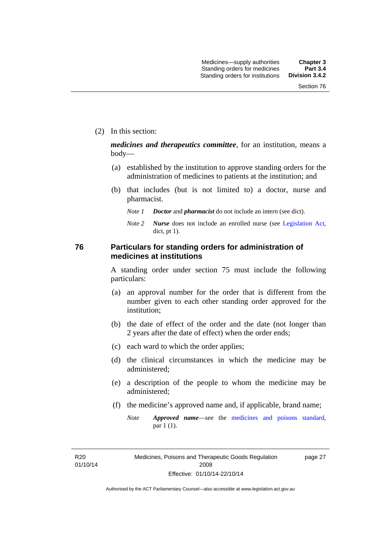(2) In this section:

*medicines and therapeutics committee*, for an institution, means a body—

- (a) established by the institution to approve standing orders for the administration of medicines to patients at the institution; and
- (b) that includes (but is not limited to) a doctor, nurse and pharmacist.
	- *Note 1 Doctor* and *pharmacist* do not include an intern (see dict).
	- *Note 2 Nurse* does not include an enrolled nurse (see [Legislation Act,](http://www.legislation.act.gov.au/a/2001-14) dict, pt 1).

## **76 Particulars for standing orders for administration of medicines at institutions**

A standing order under section 75 must include the following particulars:

- (a) an approval number for the order that is different from the number given to each other standing order approved for the institution;
- (b) the date of effect of the order and the date (not longer than 2 years after the date of effect) when the order ends;
- (c) each ward to which the order applies;
- (d) the clinical circumstances in which the medicine may be administered;
- (e) a description of the people to whom the medicine may be administered;
- (f) the medicine's approved name and, if applicable, brand name;
	- *Note Approved name*—see the [medicines and poisons standard,](http://www.comlaw.gov.au/Series/F2012L01200) par 1 (1).

R20 01/10/14 page 27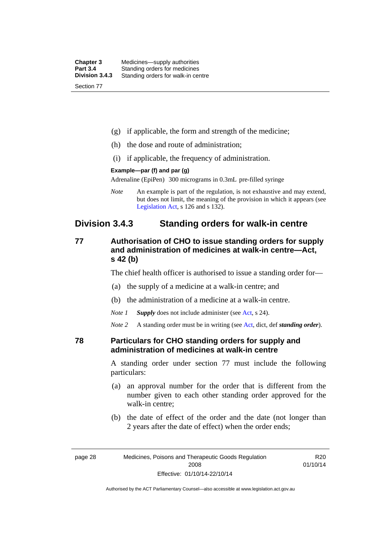| <b>Chapter 3</b> | Medicines—supply authorities       |
|------------------|------------------------------------|
| <b>Part 3.4</b>  | Standing orders for medicines      |
| Division 3.4.3   | Standing orders for walk-in centre |
| Section 77       |                                    |

- (g) if applicable, the form and strength of the medicine;
- (h) the dose and route of administration;
- (i) if applicable, the frequency of administration.

#### **Example—par (f) and par (g)**

Adrenaline (EpiPen) 300 micrograms in 0.3mL pre-filled syringe

*Note* An example is part of the regulation, is not exhaustive and may extend, but does not limit, the meaning of the provision in which it appears (see [Legislation Act,](http://www.legislation.act.gov.au/a/2001-14) s 126 and s 132).

# **Division 3.4.3 Standing orders for walk-in centre**

# **77 Authorisation of CHO to issue standing orders for supply and administration of medicines at walk-in centre—Act, s 42 (b)**

The chief health officer is authorised to issue a standing order for—

- (a) the supply of a medicine at a walk-in centre; and
- (b) the administration of a medicine at a walk-in centre.

*Note 1 Supply* does not include administer (see [Act,](http://www.legislation.act.gov.au/a/2008-26/default.asp) s 24).

*Note 2* A standing order must be in writing (see [Act](http://www.legislation.act.gov.au/a/2008-26/default.asp), dict, def *standing order*).

### **78 Particulars for CHO standing orders for supply and administration of medicines at walk-in centre**

A standing order under section 77 must include the following particulars:

- (a) an approval number for the order that is different from the number given to each other standing order approved for the walk-in centre;
- (b) the date of effect of the order and the date (not longer than 2 years after the date of effect) when the order ends;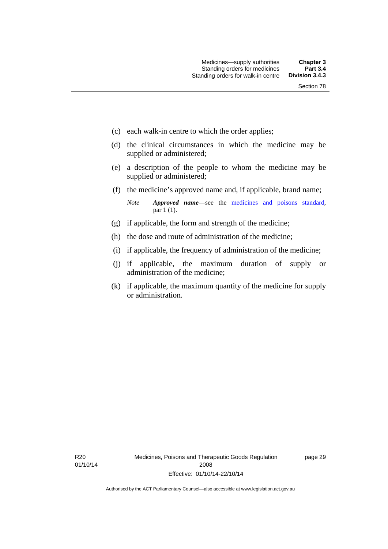- (c) each walk-in centre to which the order applies;
- (d) the clinical circumstances in which the medicine may be supplied or administered;
- (e) a description of the people to whom the medicine may be supplied or administered;
- (f) the medicine's approved name and, if applicable, brand name;

*Note Approved name*—see the [medicines and poisons standard,](http://www.comlaw.gov.au/Series/F2012L01200) par 1 (1).

- (g) if applicable, the form and strength of the medicine;
- (h) the dose and route of administration of the medicine;
- (i) if applicable, the frequency of administration of the medicine;
- (j) if applicable, the maximum duration of supply or administration of the medicine;
- (k) if applicable, the maximum quantity of the medicine for supply or administration.

page 29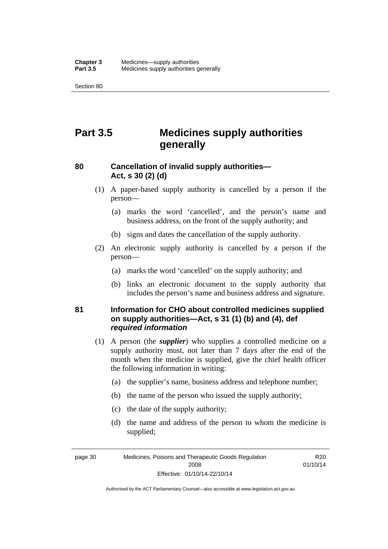Section 80

# **Part 3.5 Medicines supply authorities generally**

# **80 Cancellation of invalid supply authorities— Act, s 30 (2) (d)**

- (1) A paper-based supply authority is cancelled by a person if the person—
	- (a) marks the word 'cancelled', and the person's name and business address, on the front of the supply authority; and
	- (b) signs and dates the cancellation of the supply authority.
- (2) An electronic supply authority is cancelled by a person if the person—
	- (a) marks the word 'cancelled' on the supply authority; and
	- (b) links an electronic document to the supply authority that includes the person's name and business address and signature.

# **81 Information for CHO about controlled medicines supplied on supply authorities—Act, s 31 (1) (b) and (4), def**  *required information*

- (1) A person (the *supplier*) who supplies a controlled medicine on a supply authority must, not later than 7 days after the end of the month when the medicine is supplied, give the chief health officer the following information in writing:
	- (a) the supplier's name, business address and telephone number;
	- (b) the name of the person who issued the supply authority;
	- (c) the date of the supply authority;
	- (d) the name and address of the person to whom the medicine is supplied;

page 30 Medicines, Poisons and Therapeutic Goods Regulation 2008 Effective: 01/10/14-22/10/14

R<sub>20</sub> 01/10/14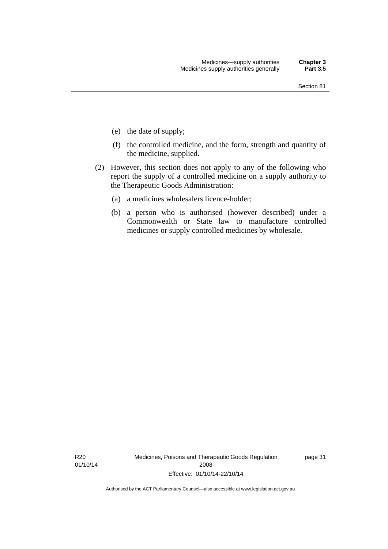- (e) the date of supply;
- (f) the controlled medicine, and the form, strength and quantity of the medicine, supplied.
- (2) However, this section does not apply to any of the following who report the supply of a controlled medicine on a supply authority to the Therapeutic Goods Administration:
	- (a) a medicines wholesalers licence-holder;
	- (b) a person who is authorised (however described) under a Commonwealth or State law to manufacture controlled medicines or supply controlled medicines by wholesale.

R20 01/10/14 Medicines, Poisons and Therapeutic Goods Regulation 2008 Effective: 01/10/14-22/10/14

page 31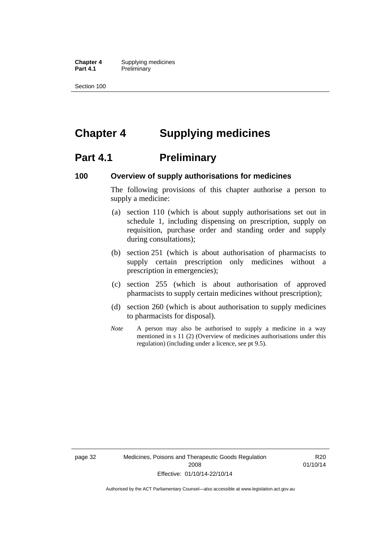**Chapter 4** Supplying medicines **Part 4.1** Preliminary

Section 100

# **Chapter 4 Supplying medicines**

# **Part 4.1** Preliminary

### **100 Overview of supply authorisations for medicines**

The following provisions of this chapter authorise a person to supply a medicine:

- (a) section 110 (which is about supply authorisations set out in schedule 1, including dispensing on prescription, supply on requisition, purchase order and standing order and supply during consultations);
- (b) section 251 (which is about authorisation of pharmacists to supply certain prescription only medicines without a prescription in emergencies);
- (c) section 255 (which is about authorisation of approved pharmacists to supply certain medicines without prescription);
- (d) section 260 (which is about authorisation to supply medicines to pharmacists for disposal).
- *Note* A person may also be authorised to supply a medicine in a way mentioned in s 11 (2) (Overview of medicines authorisations under this regulation) (including under a licence, see pt 9.5).

page 32 Medicines, Poisons and Therapeutic Goods Regulation 2008 Effective: 01/10/14-22/10/14

R20 01/10/14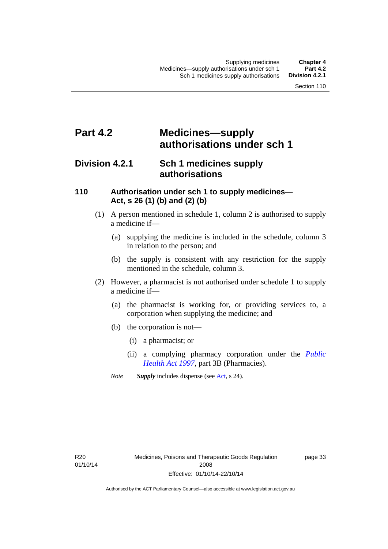# **Part 4.2 Medicines—supply authorisations under sch 1**

# **Division 4.2.1 Sch 1 medicines supply authorisations**

## **110 Authorisation under sch 1 to supply medicines— Act, s 26 (1) (b) and (2) (b)**

- (1) A person mentioned in schedule 1, column 2 is authorised to supply a medicine if—
	- (a) supplying the medicine is included in the schedule, column 3 in relation to the person; and
	- (b) the supply is consistent with any restriction for the supply mentioned in the schedule, column 3.
- (2) However, a pharmacist is not authorised under schedule 1 to supply a medicine if—
	- (a) the pharmacist is working for, or providing services to, a corporation when supplying the medicine; and
	- (b) the corporation is not—
		- (i) a pharmacist; or
		- (ii) a complying pharmacy corporation under the *[Public](http://www.legislation.act.gov.au/a/1997-69)  [Health Act 1997](http://www.legislation.act.gov.au/a/1997-69)*, part 3B (Pharmacies).
	- *Note Supply* includes dispense (see [Act,](http://www.legislation.act.gov.au/a/2008-26/default.asp) s 24).

R20 01/10/14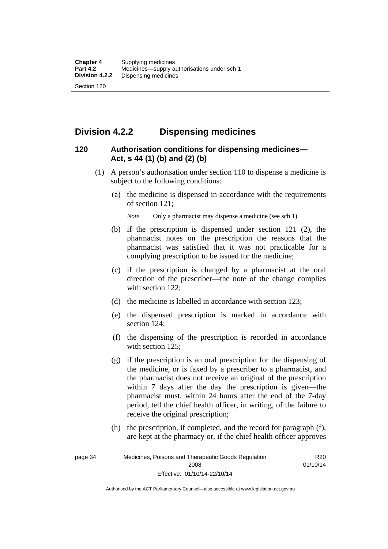# **Division 4.2.2 Dispensing medicines**

# **120 Authorisation conditions for dispensing medicines— Act, s 44 (1) (b) and (2) (b)**

- (1) A person's authorisation under section 110 to dispense a medicine is subject to the following conditions:
	- (a) the medicine is dispensed in accordance with the requirements of section 121;

*Note* Only a pharmacist may dispense a medicine (see sch 1).

- (b) if the prescription is dispensed under section 121 (2), the pharmacist notes on the prescription the reasons that the pharmacist was satisfied that it was not practicable for a complying prescription to be issued for the medicine;
- (c) if the prescription is changed by a pharmacist at the oral direction of the prescriber—the note of the change complies with section 122:
- (d) the medicine is labelled in accordance with section 123;
- (e) the dispensed prescription is marked in accordance with section 124;
- (f) the dispensing of the prescription is recorded in accordance with section 125:
- (g) if the prescription is an oral prescription for the dispensing of the medicine, or is faxed by a prescriber to a pharmacist, and the pharmacist does not receive an original of the prescription within 7 days after the day the prescription is given—the pharmacist must, within 24 hours after the end of the 7-day period, tell the chief health officer, in writing, of the failure to receive the original prescription;
- (h) the prescription, if completed, and the record for paragraph (f), are kept at the pharmacy or, if the chief health officer approves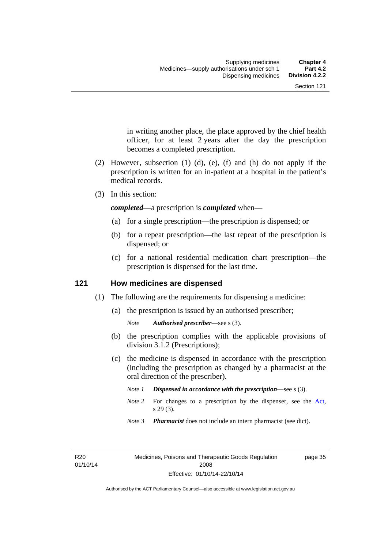in writing another place, the place approved by the chief health officer, for at least 2 years after the day the prescription becomes a completed prescription.

- (2) However, subsection (1) (d), (e), (f) and (h) do not apply if the prescription is written for an in-patient at a hospital in the patient's medical records.
- (3) In this section:

*completed*—a prescription is *completed* when—

- (a) for a single prescription—the prescription is dispensed; or
- (b) for a repeat prescription—the last repeat of the prescription is dispensed; or
- (c) for a national residential medication chart prescription––the prescription is dispensed for the last time.

## **121 How medicines are dispensed**

- (1) The following are the requirements for dispensing a medicine:
	- (a) the prescription is issued by an authorised prescriber;

- (b) the prescription complies with the applicable provisions of division 3.1.2 (Prescriptions);
- (c) the medicine is dispensed in accordance with the prescription (including the prescription as changed by a pharmacist at the oral direction of the prescriber).
	- *Note 1 Dispensed in accordance with the prescription*—see s (3).
	- *Note* 2 For changes to a prescription by the dispenser, see the [Act,](http://www.legislation.act.gov.au/a/2008-26/default.asp) s 29 (3).
	- *Note 3 Pharmacist* does not include an intern pharmacist (see dict).

R20 01/10/14 page 35

*Note Authorised prescriber*—see s (3).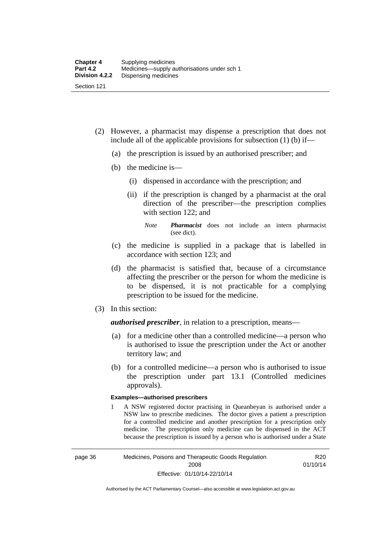- (2) However, a pharmacist may dispense a prescription that does not include all of the applicable provisions for subsection (1) (b) if—
	- (a) the prescription is issued by an authorised prescriber; and
	- (b) the medicine is—
		- (i) dispensed in accordance with the prescription; and
		- (ii) if the prescription is changed by a pharmacist at the oral direction of the prescriber—the prescription complies with section 122; and

*Note Pharmacist* does not include an intern pharmacist (see dict).

- (c) the medicine is supplied in a package that is labelled in accordance with section 123; and
- (d) the pharmacist is satisfied that, because of a circumstance affecting the prescriber or the person for whom the medicine is to be dispensed, it is not practicable for a complying prescription to be issued for the medicine.
- (3) In this section:

*authorised prescriber*, in relation to a prescription, means—

- (a) for a medicine other than a controlled medicine—a person who is authorised to issue the prescription under the Act or another territory law; and
- (b) for a controlled medicine—a person who is authorised to issue the prescription under part 13.1 (Controlled medicines approvals).

#### **Examples—authorised prescribers**

1 A NSW registered doctor practising in Queanbeyan is authorised under a NSW law to prescribe medicines. The doctor gives a patient a prescription for a controlled medicine and another prescription for a prescription only medicine. The prescription only medicine can be dispensed in the ACT because the prescription is issued by a person who is authorised under a State

R20 01/10/14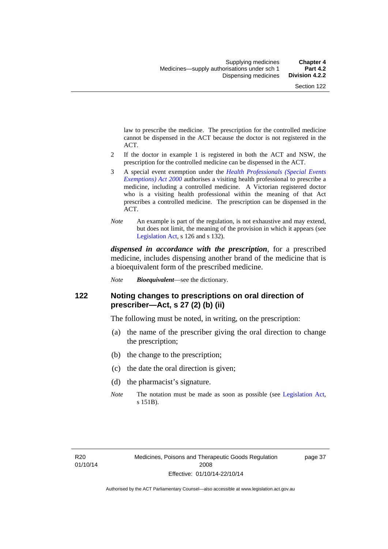law to prescribe the medicine. The prescription for the controlled medicine cannot be dispensed in the ACT because the doctor is not registered in the ACT.

- 2 If the doctor in example 1 is registered in both the ACT and NSW, the prescription for the controlled medicine can be dispensed in the ACT.
- 3 A special event exemption under the *[Health Professionals \(Special Events](http://www.legislation.act.gov.au/a/2000-25)  [Exemptions\) Act 2000](http://www.legislation.act.gov.au/a/2000-25)* authorises a visiting health professional to prescribe a medicine, including a controlled medicine. A Victorian registered doctor who is a visiting health professional within the meaning of that Act prescribes a controlled medicine. The prescription can be dispensed in the ACT.
- *Note* An example is part of the regulation, is not exhaustive and may extend, but does not limit, the meaning of the provision in which it appears (see [Legislation Act,](http://www.legislation.act.gov.au/a/2001-14) s 126 and s 132).

*dispensed in accordance with the prescription*, for a prescribed medicine, includes dispensing another brand of the medicine that is a bioequivalent form of the prescribed medicine.

*Note Bioequivalent*—see the dictionary.

## **122 Noting changes to prescriptions on oral direction of prescriber—Act, s 27 (2) (b) (ii)**

The following must be noted, in writing, on the prescription:

- (a) the name of the prescriber giving the oral direction to change the prescription;
- (b) the change to the prescription;
- (c) the date the oral direction is given;
- (d) the pharmacist's signature.
- *Note* The notation must be made as soon as possible (see [Legislation Act,](http://www.legislation.act.gov.au/a/2001-14) s 151B).

page 37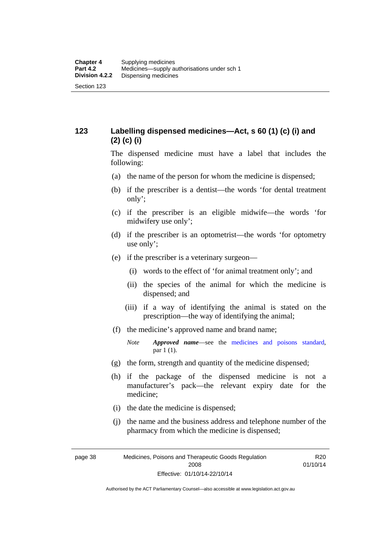# **123 Labelling dispensed medicines—Act, s 60 (1) (c) (i) and (2) (c) (i)**

The dispensed medicine must have a label that includes the following:

- (a) the name of the person for whom the medicine is dispensed;
- (b) if the prescriber is a dentist—the words 'for dental treatment only';
- (c) if the prescriber is an eligible midwife—the words 'for midwifery use only';
- (d) if the prescriber is an optometrist—the words 'for optometry use only';
- (e) if the prescriber is a veterinary surgeon—
	- (i) words to the effect of 'for animal treatment only'; and
	- (ii) the species of the animal for which the medicine is dispensed; and
	- (iii) if a way of identifying the animal is stated on the prescription—the way of identifying the animal;
- (f) the medicine's approved name and brand name;
	- *Note Approved name*—see the [medicines and poisons standard,](http://www.comlaw.gov.au/Series/F2012L01200) par 1 (1).
- (g) the form, strength and quantity of the medicine dispensed;
- (h) if the package of the dispensed medicine is not a manufacturer's pack—the relevant expiry date for the medicine;
- (i) the date the medicine is dispensed;
- (j) the name and the business address and telephone number of the pharmacy from which the medicine is dispensed;

page 38 Medicines, Poisons and Therapeutic Goods Regulation 2008 Effective: 01/10/14-22/10/14

R20 01/10/14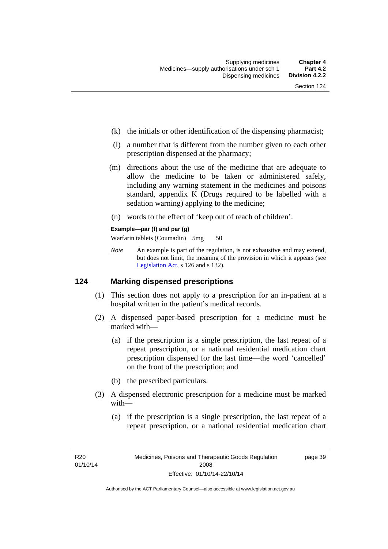- (k) the initials or other identification of the dispensing pharmacist;
- (l) a number that is different from the number given to each other prescription dispensed at the pharmacy;
- (m) directions about the use of the medicine that are adequate to allow the medicine to be taken or administered safely, including any warning statement in the medicines and poisons standard, appendix K (Drugs required to be labelled with a sedation warning) applying to the medicine;
- (n) words to the effect of 'keep out of reach of children'.

### **Example—par (f) and par (g)**

Warfarin tablets (Coumadin) 5mg 50

*Note* An example is part of the regulation, is not exhaustive and may extend, but does not limit, the meaning of the provision in which it appears (see [Legislation Act,](http://www.legislation.act.gov.au/a/2001-14) s 126 and s 132).

### **124 Marking dispensed prescriptions**

- (1) This section does not apply to a prescription for an in-patient at a hospital written in the patient's medical records.
- (2) A dispensed paper-based prescription for a medicine must be marked with—
	- (a) if the prescription is a single prescription, the last repeat of a repeat prescription, or a national residential medication chart prescription dispensed for the last time––the word 'cancelled' on the front of the prescription; and
	- (b) the prescribed particulars.
- (3) A dispensed electronic prescription for a medicine must be marked with—
	- (a) if the prescription is a single prescription, the last repeat of a repeat prescription, or a national residential medication chart

page 39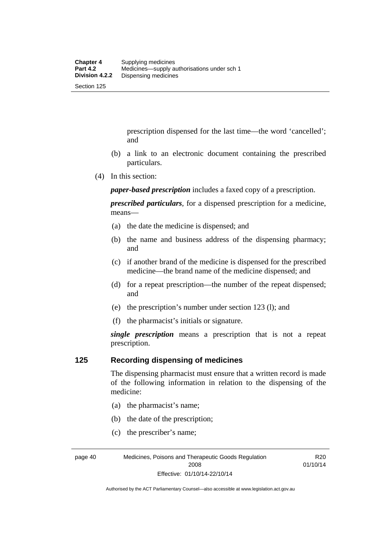prescription dispensed for the last time––the word 'cancelled'; and

- (b) a link to an electronic document containing the prescribed particulars.
- (4) In this section:

*paper-based prescription* includes a faxed copy of a prescription.

*prescribed particulars*, for a dispensed prescription for a medicine, means—

- (a) the date the medicine is dispensed; and
- (b) the name and business address of the dispensing pharmacy; and
- (c) if another brand of the medicine is dispensed for the prescribed medicine—the brand name of the medicine dispensed; and
- (d) for a repeat prescription—the number of the repeat dispensed; and
- (e) the prescription's number under section 123 (l); and
- (f) the pharmacist's initials or signature.

*single prescription* means a prescription that is not a repeat prescription.

### **125 Recording dispensing of medicines**

The dispensing pharmacist must ensure that a written record is made of the following information in relation to the dispensing of the medicine:

- (a) the pharmacist's name;
- (b) the date of the prescription;
- (c) the prescriber's name;

page 40 Medicines, Poisons and Therapeutic Goods Regulation 2008 Effective: 01/10/14-22/10/14

R20 01/10/14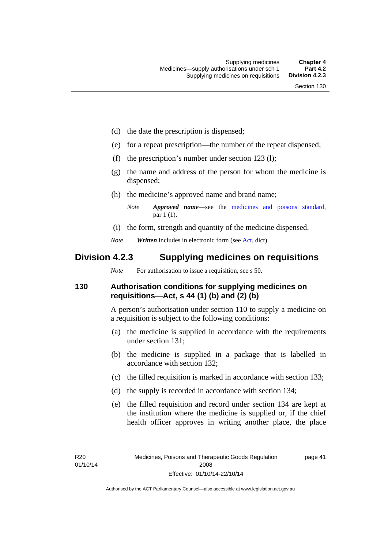- (d) the date the prescription is dispensed;
- (e) for a repeat prescription—the number of the repeat dispensed;
- (f) the prescription's number under section 123 (l);
- (g) the name and address of the person for whom the medicine is dispensed;
- (h) the medicine's approved name and brand name;

- (i) the form, strength and quantity of the medicine dispensed.
- *Note Written* includes in electronic form (see [Act,](http://www.legislation.act.gov.au/a/2008-26/default.asp) dict).

# **Division 4.2.3 Supplying medicines on requisitions**

*Note* For authorisation to issue a requisition, see s 50.

### **130 Authorisation conditions for supplying medicines on requisitions—Act, s 44 (1) (b) and (2) (b)**

A person's authorisation under section 110 to supply a medicine on a requisition is subject to the following conditions:

- (a) the medicine is supplied in accordance with the requirements under section 131;
- (b) the medicine is supplied in a package that is labelled in accordance with section 132;
- (c) the filled requisition is marked in accordance with section 133;
- (d) the supply is recorded in accordance with section 134;
- (e) the filled requisition and record under section 134 are kept at the institution where the medicine is supplied or, if the chief health officer approves in writing another place, the place

page 41

*Note Approved name*—see the [medicines and poisons standard,](http://www.comlaw.gov.au/Series/F2012L01200) par 1 (1).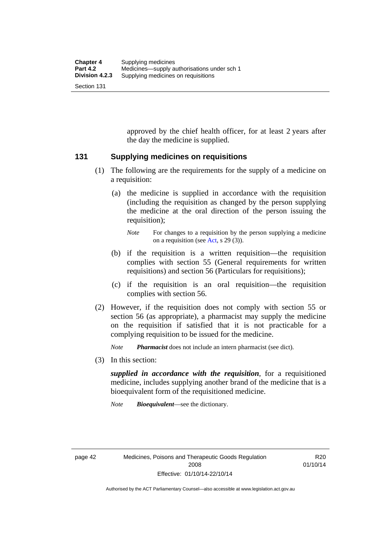approved by the chief health officer, for at least 2 years after the day the medicine is supplied.

### **131 Supplying medicines on requisitions**

- (1) The following are the requirements for the supply of a medicine on a requisition:
	- (a) the medicine is supplied in accordance with the requisition (including the requisition as changed by the person supplying the medicine at the oral direction of the person issuing the requisition);

- (b) if the requisition is a written requisition—the requisition complies with section 55 (General requirements for written requisitions) and section 56 (Particulars for requisitions);
- (c) if the requisition is an oral requisition—the requisition complies with section 56.
- (2) However, if the requisition does not comply with section 55 or section 56 (as appropriate), a pharmacist may supply the medicine on the requisition if satisfied that it is not practicable for a complying requisition to be issued for the medicine.

*Note Pharmacist* does not include an intern pharmacist (see dict).

(3) In this section:

*supplied in accordance with the requisition*, for a requisitioned medicine, includes supplying another brand of the medicine that is a bioequivalent form of the requisitioned medicine.

*Note Bioequivalent*—see the dictionary.

R20 01/10/14

*Note* For changes to a requisition by the person supplying a medicine on a requisition (see [Act,](http://www.legislation.act.gov.au/a/2008-26/default.asp) s 29 (3)).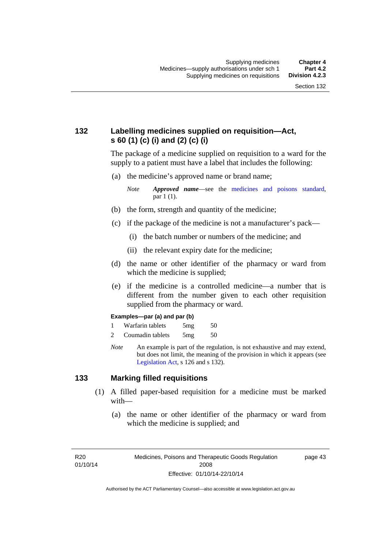# **132 Labelling medicines supplied on requisition—Act, s 60 (1) (c) (i) and (2) (c) (i)**

The package of a medicine supplied on requisition to a ward for the supply to a patient must have a label that includes the following:

(a) the medicine's approved name or brand name;

*Note Approved name*—see the [medicines and poisons standard,](http://www.comlaw.gov.au/Series/F2012L01200) par 1 (1).

- (b) the form, strength and quantity of the medicine;
- (c) if the package of the medicine is not a manufacturer's pack—
	- (i) the batch number or numbers of the medicine; and
	- (ii) the relevant expiry date for the medicine;
- (d) the name or other identifier of the pharmacy or ward from which the medicine is supplied;
- (e) if the medicine is a controlled medicine—a number that is different from the number given to each other requisition supplied from the pharmacy or ward.

#### **Examples—par (a) and par (b)**

- 1 Warfarin tablets 5mg 50
- 2 Coumadin tablets 5mg 50
- *Note* An example is part of the regulation, is not exhaustive and may extend, but does not limit, the meaning of the provision in which it appears (see [Legislation Act,](http://www.legislation.act.gov.au/a/2001-14) s 126 and s 132).

### **133 Marking filled requisitions**

- (1) A filled paper-based requisition for a medicine must be marked with—
	- (a) the name or other identifier of the pharmacy or ward from which the medicine is supplied; and

R20 01/10/14 page 43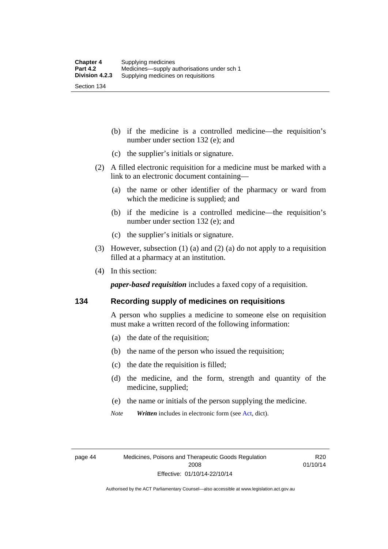(b) if the medicine is a controlled medicine—the requisition's number under section 132 (e); and

- (c) the supplier's initials or signature.
- (2) A filled electronic requisition for a medicine must be marked with a link to an electronic document containing—
	- (a) the name or other identifier of the pharmacy or ward from which the medicine is supplied; and
	- (b) if the medicine is a controlled medicine—the requisition's number under section 132 (e); and
	- (c) the supplier's initials or signature.
- (3) However, subsection (1) (a) and (2) (a) do not apply to a requisition filled at a pharmacy at an institution.
- (4) In this section:

*paper-based requisition* includes a faxed copy of a requisition.

### **134 Recording supply of medicines on requisitions**

A person who supplies a medicine to someone else on requisition must make a written record of the following information:

- (a) the date of the requisition;
- (b) the name of the person who issued the requisition;
- (c) the date the requisition is filled;
- (d) the medicine, and the form, strength and quantity of the medicine, supplied;
- (e) the name or initials of the person supplying the medicine.
- *Note Written* includes in electronic form (see [Act,](http://www.legislation.act.gov.au/a/2008-26/default.asp) dict).

R20 01/10/14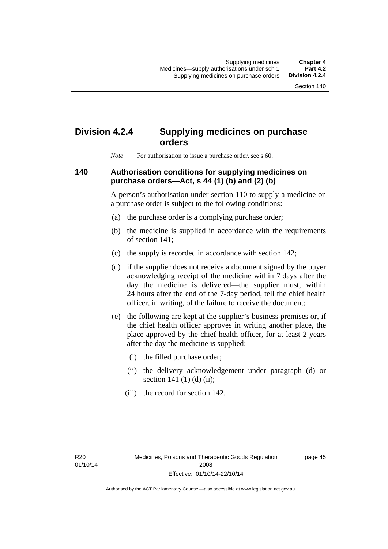# **Division 4.2.4 Supplying medicines on purchase orders**

*Note* For authorisation to issue a purchase order, see s 60.

## **140 Authorisation conditions for supplying medicines on purchase orders—Act, s 44 (1) (b) and (2) (b)**

A person's authorisation under section 110 to supply a medicine on a purchase order is subject to the following conditions:

- (a) the purchase order is a complying purchase order;
- (b) the medicine is supplied in accordance with the requirements of section 141;
- (c) the supply is recorded in accordance with section 142;
- (d) if the supplier does not receive a document signed by the buyer acknowledging receipt of the medicine within 7 days after the day the medicine is delivered—the supplier must, within 24 hours after the end of the 7-day period, tell the chief health officer, in writing, of the failure to receive the document;
- (e) the following are kept at the supplier's business premises or, if the chief health officer approves in writing another place, the place approved by the chief health officer, for at least 2 years after the day the medicine is supplied:
	- (i) the filled purchase order;
	- (ii) the delivery acknowledgement under paragraph (d) or section 141 $(1)$  $(d)$  $(ii)$ ;
	- (iii) the record for section 142.

R20 01/10/14 page 45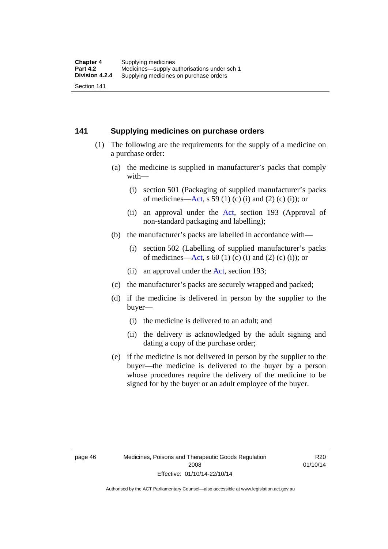### **141 Supplying medicines on purchase orders**

- (1) The following are the requirements for the supply of a medicine on a purchase order:
	- (a) the medicine is supplied in manufacturer's packs that comply with—
		- (i) section 501 (Packaging of supplied manufacturer's packs of medicines—[Act](http://www.legislation.act.gov.au/a/2008-26/default.asp), s 59 (1) (c) (i) and (2) (c) (i)); or
		- (ii) an approval under the [Act](http://www.legislation.act.gov.au/a/2008-26/default.asp), section 193 (Approval of non-standard packaging and labelling);
	- (b) the manufacturer's packs are labelled in accordance with—
		- (i) section 502 (Labelling of supplied manufacturer's packs of medicines—[Act](http://www.legislation.act.gov.au/a/2008-26/default.asp), s  $60(1)$  (c) (i) and (2) (c) (i)); or
		- (ii) an approval under the [Act,](http://www.legislation.act.gov.au/a/2008-26/default.asp) section 193;
	- (c) the manufacturer's packs are securely wrapped and packed;
	- (d) if the medicine is delivered in person by the supplier to the buyer—
		- (i) the medicine is delivered to an adult; and
		- (ii) the delivery is acknowledged by the adult signing and dating a copy of the purchase order;
	- (e) if the medicine is not delivered in person by the supplier to the buyer—the medicine is delivered to the buyer by a person whose procedures require the delivery of the medicine to be signed for by the buyer or an adult employee of the buyer.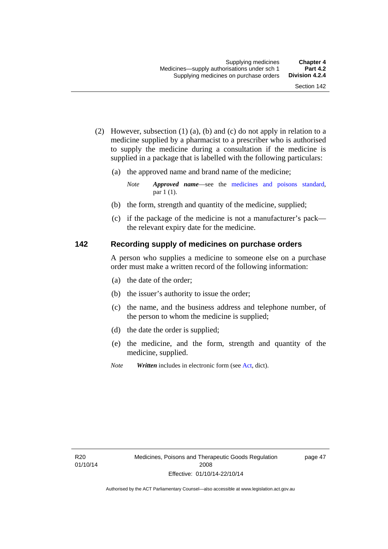- (2) However, subsection (1) (a), (b) and (c) do not apply in relation to a medicine supplied by a pharmacist to a prescriber who is authorised to supply the medicine during a consultation if the medicine is supplied in a package that is labelled with the following particulars:
	- (a) the approved name and brand name of the medicine;

*Note Approved name*—see the [medicines and poisons standard,](http://www.comlaw.gov.au/Series/F2012L01200) par 1 (1).

- (b) the form, strength and quantity of the medicine, supplied;
- (c) if the package of the medicine is not a manufacturer's pack the relevant expiry date for the medicine.

## **142 Recording supply of medicines on purchase orders**

A person who supplies a medicine to someone else on a purchase order must make a written record of the following information:

- (a) the date of the order;
- (b) the issuer's authority to issue the order;
- (c) the name, and the business address and telephone number, of the person to whom the medicine is supplied;
- (d) the date the order is supplied;
- (e) the medicine, and the form, strength and quantity of the medicine, supplied.
- *Note Written* includes in electronic form (see [Act,](http://www.legislation.act.gov.au/a/2008-26/default.asp) dict).

page 47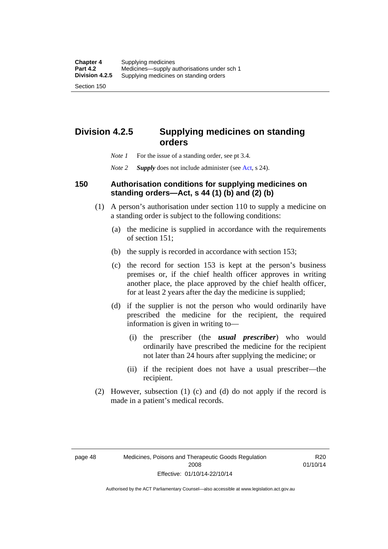# **orders**

- *Note 1* For the issue of a standing order, see pt 3.4.
- *Note 2 Supply* does not include administer (see [Act,](http://www.legislation.act.gov.au/a/2008-26/default.asp) s 24).

**Division 4.2.5 Supplying medicines on standing** 

## **150 Authorisation conditions for supplying medicines on standing orders—Act, s 44 (1) (b) and (2) (b)**

- (1) A person's authorisation under section 110 to supply a medicine on a standing order is subject to the following conditions:
	- (a) the medicine is supplied in accordance with the requirements of section 151;
	- (b) the supply is recorded in accordance with section 153;
	- (c) the record for section 153 is kept at the person's business premises or, if the chief health officer approves in writing another place, the place approved by the chief health officer, for at least 2 years after the day the medicine is supplied;
	- (d) if the supplier is not the person who would ordinarily have prescribed the medicine for the recipient, the required information is given in writing to—
		- (i) the prescriber (the *usual prescriber*) who would ordinarily have prescribed the medicine for the recipient not later than 24 hours after supplying the medicine; or
		- (ii) if the recipient does not have a usual prescriber—the recipient.
- (2) However, subsection (1) (c) and (d) do not apply if the record is made in a patient's medical records.

R20 01/10/14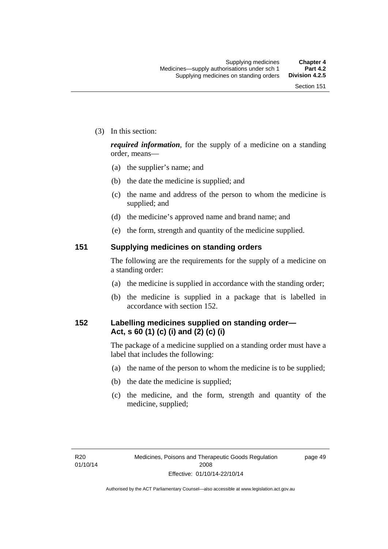(3) In this section:

*required information*, for the supply of a medicine on a standing order, means—

- (a) the supplier's name; and
- (b) the date the medicine is supplied; and
- (c) the name and address of the person to whom the medicine is supplied; and
- (d) the medicine's approved name and brand name; and
- (e) the form, strength and quantity of the medicine supplied.

### **151 Supplying medicines on standing orders**

The following are the requirements for the supply of a medicine on a standing order:

- (a) the medicine is supplied in accordance with the standing order;
- (b) the medicine is supplied in a package that is labelled in accordance with section 152.

## **152 Labelling medicines supplied on standing order— Act, s 60 (1) (c) (i) and (2) (c) (i)**

The package of a medicine supplied on a standing order must have a label that includes the following:

- (a) the name of the person to whom the medicine is to be supplied;
- (b) the date the medicine is supplied;
- (c) the medicine, and the form, strength and quantity of the medicine, supplied;

page 49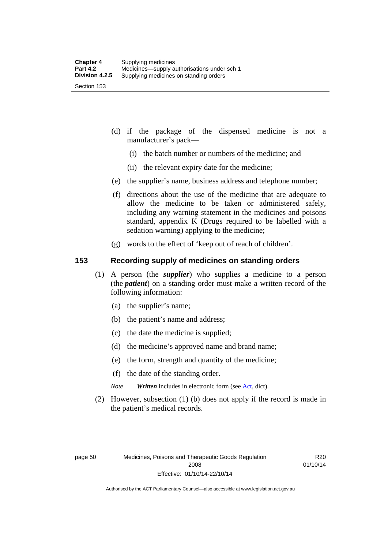- (d) if the package of the dispensed medicine is not a manufacturer's pack—
	- (i) the batch number or numbers of the medicine; and
	- (ii) the relevant expiry date for the medicine;
- (e) the supplier's name, business address and telephone number;
- (f) directions about the use of the medicine that are adequate to allow the medicine to be taken or administered safely, including any warning statement in the medicines and poisons standard, appendix K (Drugs required to be labelled with a sedation warning) applying to the medicine;
- (g) words to the effect of 'keep out of reach of children'.

### **153 Recording supply of medicines on standing orders**

- (1) A person (the *supplier*) who supplies a medicine to a person (the *patient*) on a standing order must make a written record of the following information:
	- (a) the supplier's name;
	- (b) the patient's name and address;
	- (c) the date the medicine is supplied;
	- (d) the medicine's approved name and brand name;
	- (e) the form, strength and quantity of the medicine;
	- (f) the date of the standing order.
	- *Note Written* includes in electronic form (see [Act,](http://www.legislation.act.gov.au/a/2008-26/default.asp) dict).
- (2) However, subsection (1) (b) does not apply if the record is made in the patient's medical records.

R20 01/10/14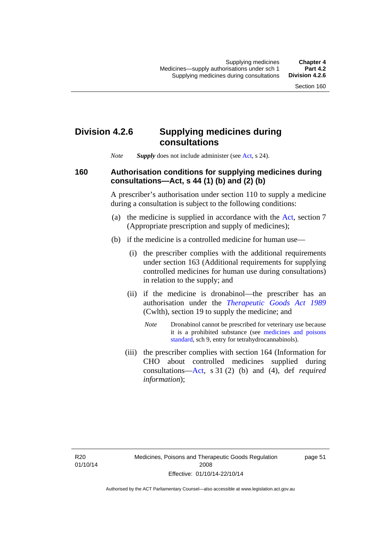## **Division 4.2.6 Supplying medicines during consultations**

*Note Supply* does not include administer (see [Act,](http://www.legislation.act.gov.au/a/2008-26/default.asp) s 24).

### **160 Authorisation conditions for supplying medicines during consultations—Act, s 44 (1) (b) and (2) (b)**

A prescriber's authorisation under section 110 to supply a medicine during a consultation is subject to the following conditions:

- (a) the medicine is supplied in accordance with the [Act](http://www.legislation.act.gov.au/a/2008-26/default.asp), section 7 (Appropriate prescription and supply of medicines);
- (b) if the medicine is a controlled medicine for human use—
	- (i) the prescriber complies with the additional requirements under section 163 (Additional requirements for supplying controlled medicines for human use during consultations) in relation to the supply; and
	- (ii) if the medicine is dronabinol—the prescriber has an authorisation under the *[Therapeutic Goods Act 1989](http://www.comlaw.gov.au/Series/C2004A03952)* (Cwlth), section 19 to supply the medicine; and
		- *Note* Dronabinol cannot be prescribed for veterinary use because it is a prohibited substance (see [medicines and poisons](http://www.comlaw.gov.au/Series/F2012L01200)  [standard,](http://www.comlaw.gov.au/Series/F2012L01200) sch 9, entry for tetrahydrocannabinols).
	- (iii) the prescriber complies with section 164 (Information for CHO about controlled medicines supplied during consultations[—Act,](http://www.legislation.act.gov.au/a/2008-26/default.asp) s 31 (2) (b) and (4), def *required information*);

page 51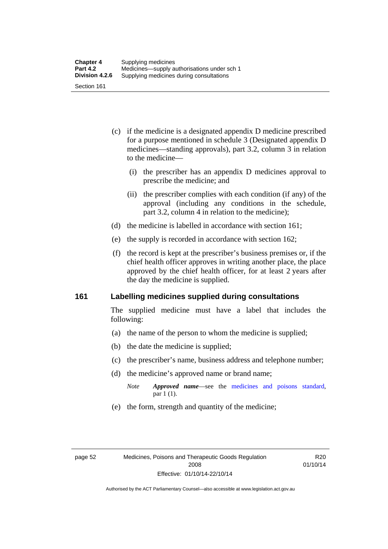- (c) if the medicine is a designated appendix D medicine prescribed for a purpose mentioned in schedule 3 (Designated appendix D medicines—standing approvals), part 3.2, column 3 in relation to the medicine—
	- (i) the prescriber has an appendix D medicines approval to prescribe the medicine; and
	- (ii) the prescriber complies with each condition (if any) of the approval (including any conditions in the schedule, part 3.2, column 4 in relation to the medicine);
- (d) the medicine is labelled in accordance with section 161;
- (e) the supply is recorded in accordance with section 162;
- (f) the record is kept at the prescriber's business premises or, if the chief health officer approves in writing another place, the place approved by the chief health officer, for at least 2 years after the day the medicine is supplied.

### **161 Labelling medicines supplied during consultations**

The supplied medicine must have a label that includes the following:

- (a) the name of the person to whom the medicine is supplied;
- (b) the date the medicine is supplied;
- (c) the prescriber's name, business address and telephone number;
- (d) the medicine's approved name or brand name;
	- *Note Approved name*—see the [medicines and poisons standard,](http://www.comlaw.gov.au/Series/F2012L01200) par 1 (1).
- (e) the form, strength and quantity of the medicine;

R20 01/10/14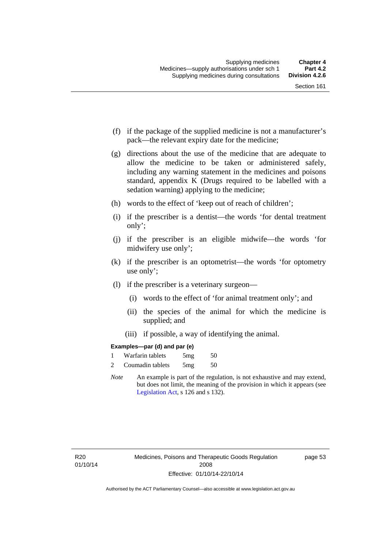- (f) if the package of the supplied medicine is not a manufacturer's pack—the relevant expiry date for the medicine;
- (g) directions about the use of the medicine that are adequate to allow the medicine to be taken or administered safely, including any warning statement in the medicines and poisons standard, appendix K (Drugs required to be labelled with a sedation warning) applying to the medicine;
- (h) words to the effect of 'keep out of reach of children';
- (i) if the prescriber is a dentist—the words 'for dental treatment only';
- (j) if the prescriber is an eligible midwife—the words 'for midwifery use only';
- (k) if the prescriber is an optometrist—the words 'for optometry use only';
- (l) if the prescriber is a veterinary surgeon—
	- (i) words to the effect of 'for animal treatment only'; and
	- (ii) the species of the animal for which the medicine is supplied; and
	- (iii) if possible, a way of identifying the animal.

### **Examples—par (d) and par (e)**

|                | Warfarin tablets | 5mg | 50 |
|----------------|------------------|-----|----|
| $\overline{c}$ | Coumadin tablets | 5mg | 50 |

*Note* An example is part of the regulation, is not exhaustive and may extend, but does not limit, the meaning of the provision in which it appears (see [Legislation Act,](http://www.legislation.act.gov.au/a/2001-14) s 126 and s 132).

page 53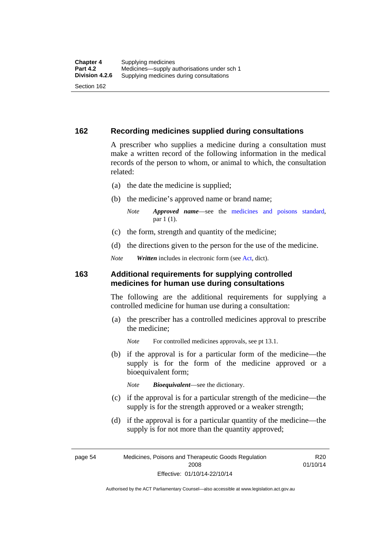### **162 Recording medicines supplied during consultations**

A prescriber who supplies a medicine during a consultation must make a written record of the following information in the medical records of the person to whom, or animal to which, the consultation related:

- (a) the date the medicine is supplied;
- (b) the medicine's approved name or brand name;

*Note Approved name*—see the [medicines and poisons standard,](http://www.comlaw.gov.au/Series/F2012L01200) par 1 (1).

- (c) the form, strength and quantity of the medicine;
- (d) the directions given to the person for the use of the medicine.

*Note Written* includes in electronic form (see [Act,](http://www.legislation.act.gov.au/a/2008-26/default.asp) dict).

### **163 Additional requirements for supplying controlled medicines for human use during consultations**

The following are the additional requirements for supplying a controlled medicine for human use during a consultation:

- (a) the prescriber has a controlled medicines approval to prescribe the medicine;
	- *Note* For controlled medicines approvals, see pt 13.1.
- (b) if the approval is for a particular form of the medicine—the supply is for the form of the medicine approved or a bioequivalent form;

*Note Bioequivalent*—see the dictionary.

- (c) if the approval is for a particular strength of the medicine—the supply is for the strength approved or a weaker strength;
- (d) if the approval is for a particular quantity of the medicine—the supply is for not more than the quantity approved;

page 54 Medicines, Poisons and Therapeutic Goods Regulation 2008 Effective: 01/10/14-22/10/14

R<sub>20</sub> 01/10/14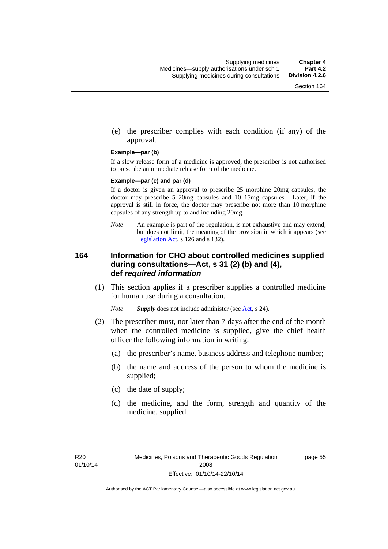(e) the prescriber complies with each condition (if any) of the approval.

#### **Example—par (b)**

If a slow release form of a medicine is approved, the prescriber is not authorised to prescribe an immediate release form of the medicine.

#### **Example—par (c) and par (d)**

If a doctor is given an approval to prescribe 25 morphine 20mg capsules, the doctor may prescribe 5 20mg capsules and 10 15mg capsules. Later, if the approval is still in force, the doctor may prescribe not more than 10 morphine capsules of any strength up to and including 20mg.

*Note* An example is part of the regulation, is not exhaustive and may extend, but does not limit, the meaning of the provision in which it appears (see [Legislation Act,](http://www.legislation.act.gov.au/a/2001-14) s 126 and s 132).

### **164 Information for CHO about controlled medicines supplied during consultations—Act, s 31 (2) (b) and (4), def** *required information*

 (1) This section applies if a prescriber supplies a controlled medicine for human use during a consultation.

*Note Supply* does not include administer (see [Act,](http://www.legislation.act.gov.au/a/2008-26/default.asp) s 24).

- (2) The prescriber must, not later than 7 days after the end of the month when the controlled medicine is supplied, give the chief health officer the following information in writing:
	- (a) the prescriber's name, business address and telephone number;
	- (b) the name and address of the person to whom the medicine is supplied;
	- (c) the date of supply;
	- (d) the medicine, and the form, strength and quantity of the medicine, supplied.

page 55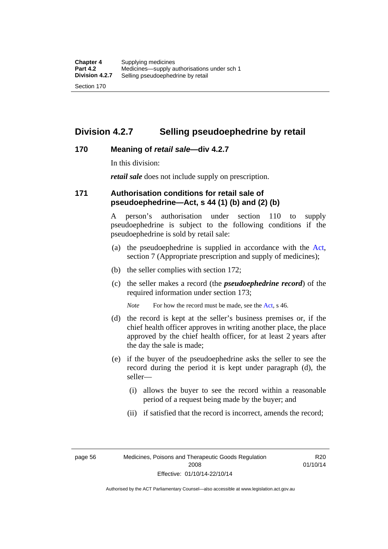## **Division 4.2.7 Selling pseudoephedrine by retail**

### **170 Meaning of** *retail sale***—div 4.2.7**

In this division:

*retail sale* does not include supply on prescription.

### **171 Authorisation conditions for retail sale of pseudoephedrine—Act, s 44 (1) (b) and (2) (b)**

A person's authorisation under section 110 to supply pseudoephedrine is subject to the following conditions if the pseudoephedrine is sold by retail sale:

- (a) the pseudoephedrine is supplied in accordance with the [Act](http://www.legislation.act.gov.au/a/2008-26/default.asp), section 7 (Appropriate prescription and supply of medicines);
- (b) the seller complies with section 172;
- (c) the seller makes a record (the *pseudoephedrine record*) of the required information under section 173;

*Note* For how the record must be made, see the [Act,](http://www.legislation.act.gov.au/a/2008-26/default.asp) s 46.

- (d) the record is kept at the seller's business premises or, if the chief health officer approves in writing another place, the place approved by the chief health officer, for at least 2 years after the day the sale is made;
- (e) if the buyer of the pseudoephedrine asks the seller to see the record during the period it is kept under paragraph (d), the seller—
	- (i) allows the buyer to see the record within a reasonable period of a request being made by the buyer; and
	- (ii) if satisfied that the record is incorrect, amends the record;

page 56 Medicines, Poisons and Therapeutic Goods Regulation 2008 Effective: 01/10/14-22/10/14

R20 01/10/14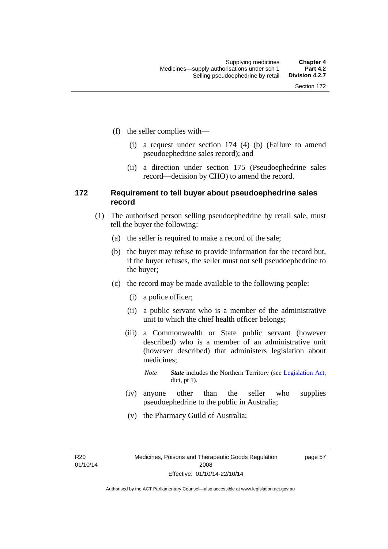- (f) the seller complies with—
	- (i) a request under section 174 (4) (b) (Failure to amend pseudoephedrine sales record); and
	- (ii) a direction under section 175 (Pseudoephedrine sales record—decision by CHO) to amend the record.

### **172 Requirement to tell buyer about pseudoephedrine sales record**

- (1) The authorised person selling pseudoephedrine by retail sale, must tell the buyer the following:
	- (a) the seller is required to make a record of the sale;
	- (b) the buyer may refuse to provide information for the record but, if the buyer refuses, the seller must not sell pseudoephedrine to the buyer;
	- (c) the record may be made available to the following people:
		- (i) a police officer;
		- (ii) a public servant who is a member of the administrative unit to which the chief health officer belongs;
		- (iii) a Commonwealth or State public servant (however described) who is a member of an administrative unit (however described) that administers legislation about medicines;
			- *Note State* includes the Northern Territory (see [Legislation Act,](http://www.legislation.act.gov.au/a/2001-14) dict, pt 1).
		- (iv) anyone other than the seller who supplies pseudoephedrine to the public in Australia;
		- (v) the Pharmacy Guild of Australia;

R20 01/10/14 page 57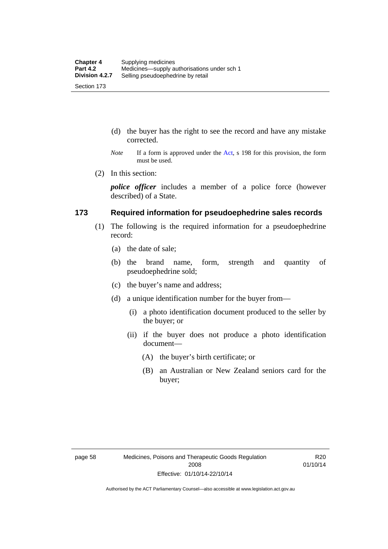- (d) the buyer has the right to see the record and have any mistake corrected.
- *Note* If a form is approved under the [Act](http://www.legislation.act.gov.au/a/2008-26/default.asp), s 198 for this provision, the form must be used.
- (2) In this section:

*police officer* includes a member of a police force (however described) of a State.

### **173 Required information for pseudoephedrine sales records**

- (1) The following is the required information for a pseudoephedrine record:
	- (a) the date of sale;
	- (b) the brand name, form, strength and quantity of pseudoephedrine sold;
	- (c) the buyer's name and address;
	- (d) a unique identification number for the buyer from—
		- (i) a photo identification document produced to the seller by the buyer; or
		- (ii) if the buyer does not produce a photo identification document—
			- (A) the buyer's birth certificate; or
			- (B) an Australian or New Zealand seniors card for the buyer;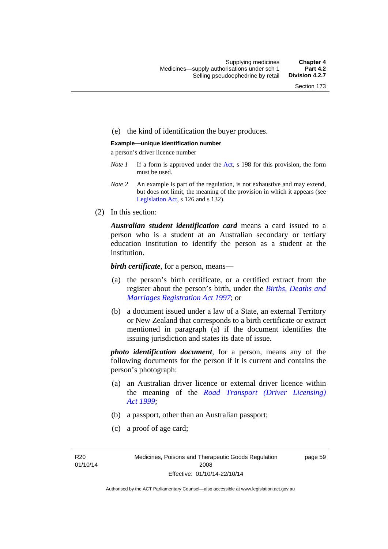### (e) the kind of identification the buyer produces.

#### **Example—unique identification number**

a person's driver licence number

- *Note 1* If a form is approved under the [Act](http://www.legislation.act.gov.au/a/2008-26/default.asp), s 198 for this provision, the form must be used.
- *Note 2* An example is part of the regulation, is not exhaustive and may extend, but does not limit, the meaning of the provision in which it appears (see [Legislation Act,](http://www.legislation.act.gov.au/a/2001-14) s 126 and s 132).
- (2) In this section:

*Australian student identification card* means a card issued to a person who is a student at an Australian secondary or tertiary education institution to identify the person as a student at the institution.

*birth certificate*, for a person, means—

- (a) the person's birth certificate, or a certified extract from the register about the person's birth, under the *[Births, Deaths and](http://www.legislation.act.gov.au/a/1997-112)  [Marriages Registration Act 1997](http://www.legislation.act.gov.au/a/1997-112)*; or
- (b) a document issued under a law of a State, an external Territory or New Zealand that corresponds to a birth certificate or extract mentioned in paragraph (a) if the document identifies the issuing jurisdiction and states its date of issue.

*photo identification document*, for a person, means any of the following documents for the person if it is current and contains the person's photograph:

- (a) an Australian driver licence or external driver licence within the meaning of the *[Road Transport \(Driver Licensing\)](http://www.legislation.act.gov.au/a/1999-78)  [Act 1999](http://www.legislation.act.gov.au/a/1999-78)*;
- (b) a passport, other than an Australian passport;
- (c) a proof of age card;

R20 01/10/14 page 59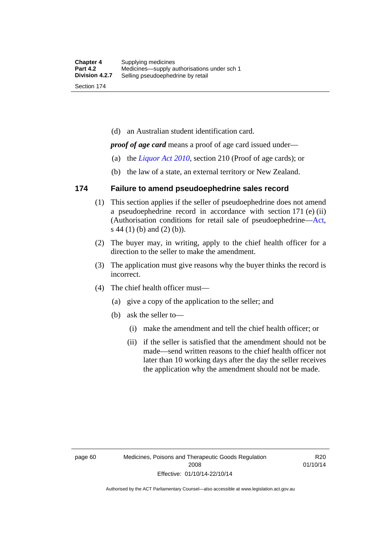(d) an Australian student identification card.

*proof of age card* means a proof of age card issued under—

- (a) the *[Liquor Act 2010](http://www.legislation.act.gov.au/a/2010-35)*, section 210 (Proof of age cards); or
- (b) the law of a state, an external territory or New Zealand.

### **174 Failure to amend pseudoephedrine sales record**

- (1) This section applies if the seller of pseudoephedrine does not amend a pseudoephedrine record in accordance with section 171 (e) (ii) (Authorisation conditions for retail sale of pseudoephedrine—[Act](http://www.legislation.act.gov.au/a/2008-26/default.asp), s 44 (1) (b) and (2) (b)).
- (2) The buyer may, in writing, apply to the chief health officer for a direction to the seller to make the amendment.
- (3) The application must give reasons why the buyer thinks the record is incorrect.
- (4) The chief health officer must—
	- (a) give a copy of the application to the seller; and
	- (b) ask the seller to—
		- (i) make the amendment and tell the chief health officer; or
		- (ii) if the seller is satisfied that the amendment should not be made—send written reasons to the chief health officer not later than 10 working days after the day the seller receives the application why the amendment should not be made.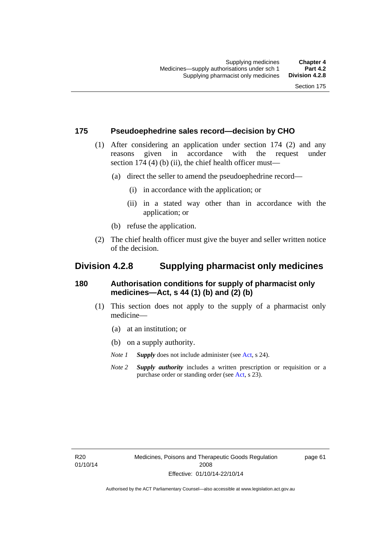### **175 Pseudoephedrine sales record—decision by CHO**

- (1) After considering an application under section 174 (2) and any reasons given in accordance with the request under section 174  $(4)$  (b)  $(ii)$ , the chief health officer must—
	- (a) direct the seller to amend the pseudoephedrine record—
		- (i) in accordance with the application; or
		- (ii) in a stated way other than in accordance with the application; or
	- (b) refuse the application.
- (2) The chief health officer must give the buyer and seller written notice of the decision.

## **Division 4.2.8 Supplying pharmacist only medicines**

### **180 Authorisation conditions for supply of pharmacist only medicines—Act, s 44 (1) (b) and (2) (b)**

- (1) This section does not apply to the supply of a pharmacist only medicine—
	- (a) at an institution; or
	- (b) on a supply authority.
	- *Note 1 Supply* does not include administer (see [Act,](http://www.legislation.act.gov.au/a/2008-26/default.asp) s 24).
	- *Note 2 Supply authority* includes a written prescription or requisition or a purchase order or standing order (see [Act,](http://www.legislation.act.gov.au/a/2008-26/default.asp) s 23).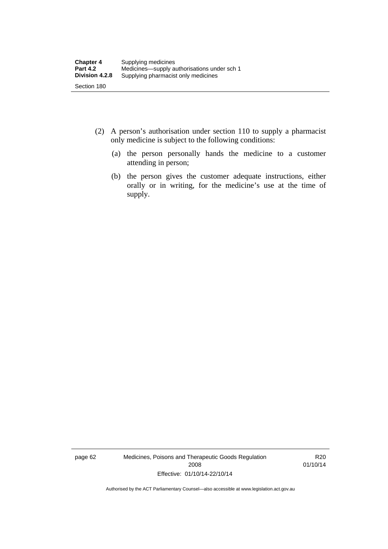- (2) A person's authorisation under section 110 to supply a pharmacist only medicine is subject to the following conditions:
	- (a) the person personally hands the medicine to a customer attending in person;
	- (b) the person gives the customer adequate instructions, either orally or in writing, for the medicine's use at the time of supply.

page 62 Medicines, Poisons and Therapeutic Goods Regulation 2008 Effective: 01/10/14-22/10/14

R20 01/10/14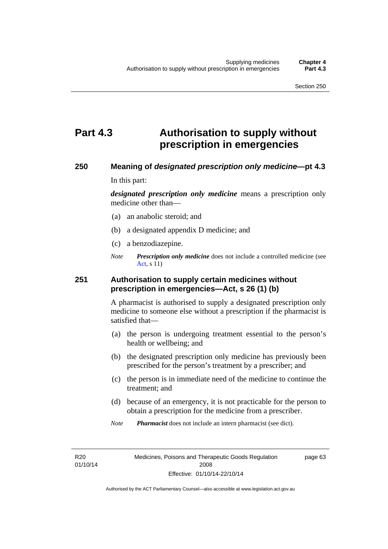# **Part 4.3 Authorisation to supply without prescription in emergencies**

### **250 Meaning of** *designated prescription only medicine***—pt 4.3**

In this part:

*designated prescription only medicine* means a prescription only medicine other than—

- (a) an anabolic steroid; and
- (b) a designated appendix D medicine; and
- (c) a benzodiazepine.
- *Note Prescription only medicine* does not include a controlled medicine (see [Act](http://www.legislation.act.gov.au/a/2008-26/default.asp), s 11)

### **251 Authorisation to supply certain medicines without prescription in emergencies—Act, s 26 (1) (b)**

A pharmacist is authorised to supply a designated prescription only medicine to someone else without a prescription if the pharmacist is satisfied that—

- (a) the person is undergoing treatment essential to the person's health or wellbeing; and
- (b) the designated prescription only medicine has previously been prescribed for the person's treatment by a prescriber; and
- (c) the person is in immediate need of the medicine to continue the treatment; and
- (d) because of an emergency, it is not practicable for the person to obtain a prescription for the medicine from a prescriber.
- *Note Pharmacist* does not include an intern pharmacist (see dict).

R20 01/10/14 page 63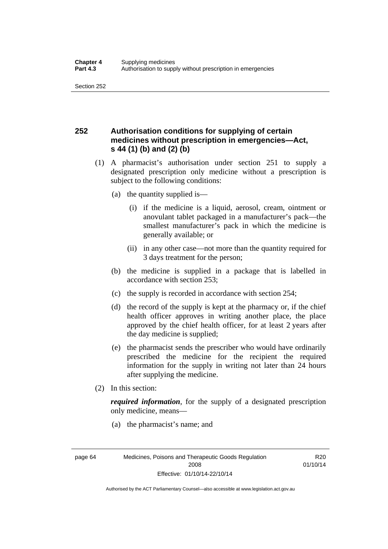## **252 Authorisation conditions for supplying of certain medicines without prescription in emergencies—Act, s 44 (1) (b) and (2) (b)**

- (1) A pharmacist's authorisation under section 251 to supply a designated prescription only medicine without a prescription is subject to the following conditions:
	- (a) the quantity supplied is—
		- (i) if the medicine is a liquid, aerosol, cream, ointment or anovulant tablet packaged in a manufacturer's pack—the smallest manufacturer's pack in which the medicine is generally available; or
		- (ii) in any other case—not more than the quantity required for 3 days treatment for the person;
	- (b) the medicine is supplied in a package that is labelled in accordance with section 253;
	- (c) the supply is recorded in accordance with section 254;
	- (d) the record of the supply is kept at the pharmacy or, if the chief health officer approves in writing another place, the place approved by the chief health officer, for at least 2 years after the day medicine is supplied;
	- (e) the pharmacist sends the prescriber who would have ordinarily prescribed the medicine for the recipient the required information for the supply in writing not later than 24 hours after supplying the medicine.
- (2) In this section:

*required information*, for the supply of a designated prescription only medicine, means—

(a) the pharmacist's name; and

R<sub>20</sub> 01/10/14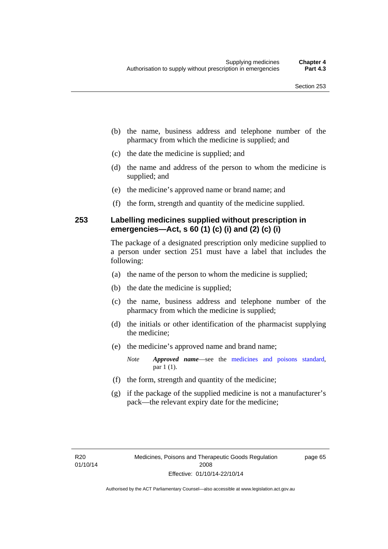- (b) the name, business address and telephone number of the pharmacy from which the medicine is supplied; and
- (c) the date the medicine is supplied; and
- (d) the name and address of the person to whom the medicine is supplied; and
- (e) the medicine's approved name or brand name; and
- (f) the form, strength and quantity of the medicine supplied.

### **253 Labelling medicines supplied without prescription in emergencies—Act, s 60 (1) (c) (i) and (2) (c) (i)**

The package of a designated prescription only medicine supplied to a person under section 251 must have a label that includes the following:

- (a) the name of the person to whom the medicine is supplied;
- (b) the date the medicine is supplied;
- (c) the name, business address and telephone number of the pharmacy from which the medicine is supplied;
- (d) the initials or other identification of the pharmacist supplying the medicine;
- (e) the medicine's approved name and brand name;

*Note Approved name*—see the [medicines and poisons standard,](http://www.comlaw.gov.au/Series/F2012L01200) par 1 (1).

- (f) the form, strength and quantity of the medicine;
- (g) if the package of the supplied medicine is not a manufacturer's pack—the relevant expiry date for the medicine;

page 65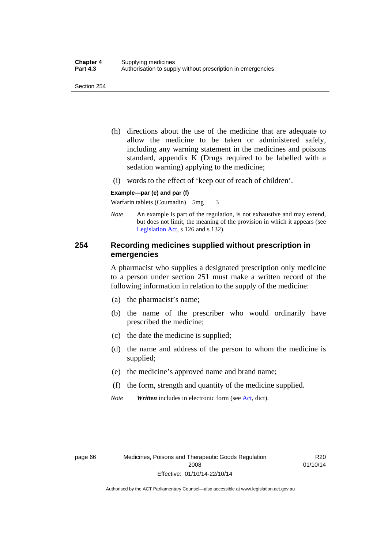- (h) directions about the use of the medicine that are adequate to allow the medicine to be taken or administered safely, including any warning statement in the medicines and poisons standard, appendix K (Drugs required to be labelled with a sedation warning) applying to the medicine;
- (i) words to the effect of 'keep out of reach of children'.

### **Example—par (e) and par (f)**

Warfarin tablets (Coumadin) 5mg 3

*Note* An example is part of the regulation, is not exhaustive and may extend, but does not limit, the meaning of the provision in which it appears (see [Legislation Act,](http://www.legislation.act.gov.au/a/2001-14) s 126 and s 132).

### **254 Recording medicines supplied without prescription in emergencies**

A pharmacist who supplies a designated prescription only medicine to a person under section 251 must make a written record of the following information in relation to the supply of the medicine:

- (a) the pharmacist's name;
- (b) the name of the prescriber who would ordinarily have prescribed the medicine;
- (c) the date the medicine is supplied;
- (d) the name and address of the person to whom the medicine is supplied;
- (e) the medicine's approved name and brand name;
- (f) the form, strength and quantity of the medicine supplied.
- *Note Written* includes in electronic form (see [Act,](http://www.legislation.act.gov.au/a/2008-26/default.asp) dict).

R20 01/10/14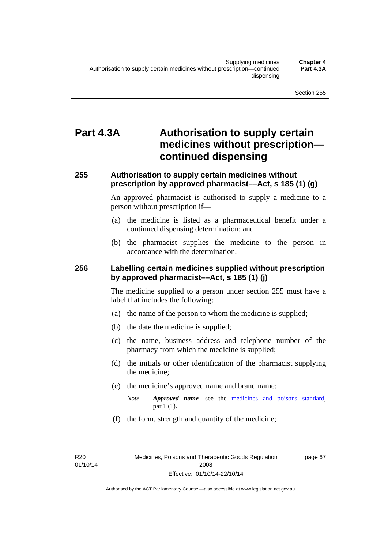# **Part 4.3A Authorisation to supply certain medicines without prescription continued dispensing**

### **255 Authorisation to supply certain medicines without prescription by approved pharmacist––Act, s 185 (1) (g)**

An approved pharmacist is authorised to supply a medicine to a person without prescription if––

- (a) the medicine is listed as a pharmaceutical benefit under a continued dispensing determination; and
- (b) the pharmacist supplies the medicine to the person in accordance with the determination.

### **256 Labelling certain medicines supplied without prescription by approved pharmacist––Act, s 185 (1) (j)**

The medicine supplied to a person under section 255 must have a label that includes the following:

- (a) the name of the person to whom the medicine is supplied;
- (b) the date the medicine is supplied;
- (c) the name, business address and telephone number of the pharmacy from which the medicine is supplied;
- (d) the initials or other identification of the pharmacist supplying the medicine;
- (e) the medicine's approved name and brand name;
	- *Note Approved name––*see the [medicines and poisons standard,](http://www.comlaw.gov.au/Series/F2012L01200) par 1 (1).
- (f) the form, strength and quantity of the medicine;

R20 01/10/14 page 67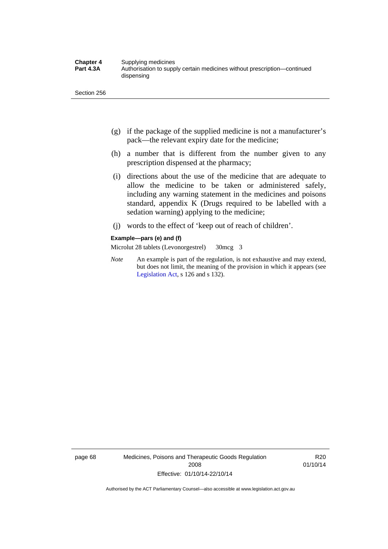- (g) if the package of the supplied medicine is not a manufacturer's pack—the relevant expiry date for the medicine;
- (h) a number that is different from the number given to any prescription dispensed at the pharmacy;
- (i) directions about the use of the medicine that are adequate to allow the medicine to be taken or administered safely, including any warning statement in the medicines and poisons standard, appendix K (Drugs required to be labelled with a sedation warning) applying to the medicine;
- (j) words to the effect of 'keep out of reach of children'.

#### **Example—pars (e) and (f)**

Microlut 28 tablets (Levonorgestrel) 30mcg 3

*Note* An example is part of the regulation, is not exhaustive and may extend, but does not limit, the meaning of the provision in which it appears (see [Legislation Act,](http://www.legislation.act.gov.au/a/2001-14) s 126 and s 132).

page 68 Medicines, Poisons and Therapeutic Goods Regulation 2008 Effective: 01/10/14-22/10/14

R20 01/10/14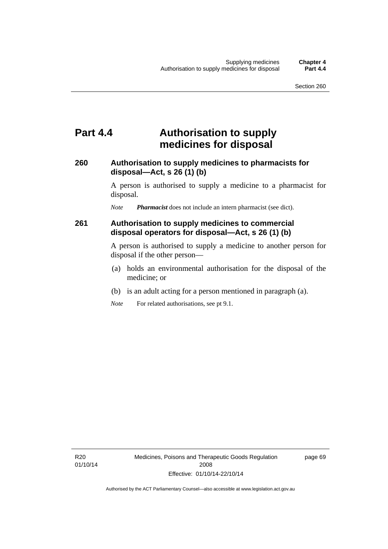# **Part 4.4 Authorisation to supply medicines for disposal**

### **260 Authorisation to supply medicines to pharmacists for disposal—Act, s 26 (1) (b)**

A person is authorised to supply a medicine to a pharmacist for disposal.

*Note Pharmacist* does not include an intern pharmacist (see dict).

### **261 Authorisation to supply medicines to commercial disposal operators for disposal—Act, s 26 (1) (b)**

A person is authorised to supply a medicine to another person for disposal if the other person—

- (a) holds an environmental authorisation for the disposal of the medicine; or
- (b) is an adult acting for a person mentioned in paragraph (a).
- *Note* For related authorisations, see pt 9.1.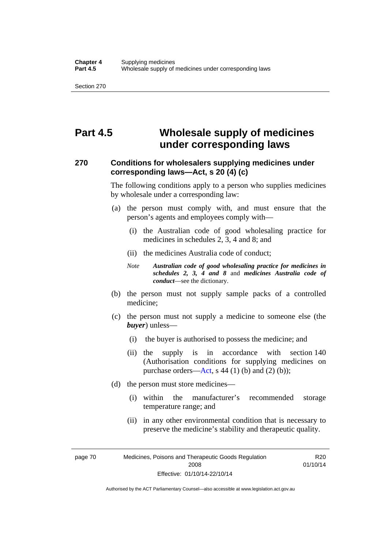# **Part 4.5 Wholesale supply of medicines under corresponding laws**

### **270 Conditions for wholesalers supplying medicines under corresponding laws—Act, s 20 (4) (c)**

The following conditions apply to a person who supplies medicines by wholesale under a corresponding law:

- (a) the person must comply with, and must ensure that the person's agents and employees comply with—
	- (i) the Australian code of good wholesaling practice for medicines in schedules 2, 3, 4 and 8; and
	- (ii) the medicines Australia code of conduct;
	- *Note Australian code of good wholesaling practice for medicines in schedules 2, 3, 4 and 8* and *medicines Australia code of conduct*—see the dictionary.
- (b) the person must not supply sample packs of a controlled medicine;
- (c) the person must not supply a medicine to someone else (the *buyer*) unless—
	- (i) the buyer is authorised to possess the medicine; and
	- (ii) the supply is in accordance with section 140 (Authorisation conditions for supplying medicines on purchase orders—[Act,](http://www.legislation.act.gov.au/a/2008-26/default.asp) s 44 (1) (b) and (2) (b));
- (d) the person must store medicines—
	- (i) within the manufacturer's recommended storage temperature range; and
	- (ii) in any other environmental condition that is necessary to preserve the medicine's stability and therapeutic quality.

R20 01/10/14

page 70 Medicines, Poisons and Therapeutic Goods Regulation 2008 Effective: 01/10/14-22/10/14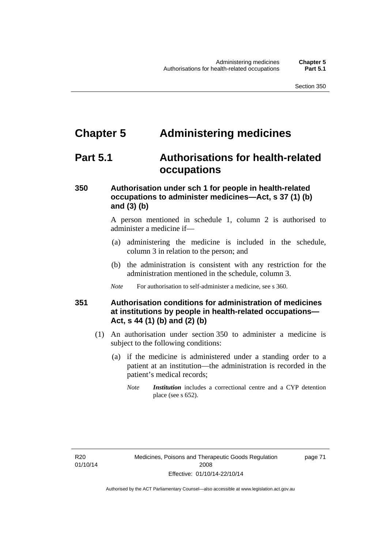# **Chapter 5 Administering medicines**

# **Part 5.1 Authorisations for health-related occupations**

## **350 Authorisation under sch 1 for people in health-related occupations to administer medicines—Act, s 37 (1) (b) and (3) (b)**

A person mentioned in schedule 1, column 2 is authorised to administer a medicine if—

- (a) administering the medicine is included in the schedule, column 3 in relation to the person; and
- (b) the administration is consistent with any restriction for the administration mentioned in the schedule, column 3.
- *Note* For authorisation to self-administer a medicine, see s 360.

## **351 Authorisation conditions for administration of medicines at institutions by people in health-related occupations— Act, s 44 (1) (b) and (2) (b)**

- (1) An authorisation under section 350 to administer a medicine is subject to the following conditions:
	- (a) if the medicine is administered under a standing order to a patient at an institution—the administration is recorded in the patient's medical records;
		- *Note Institution* includes a correctional centre and a CYP detention place (see s 652).

page 71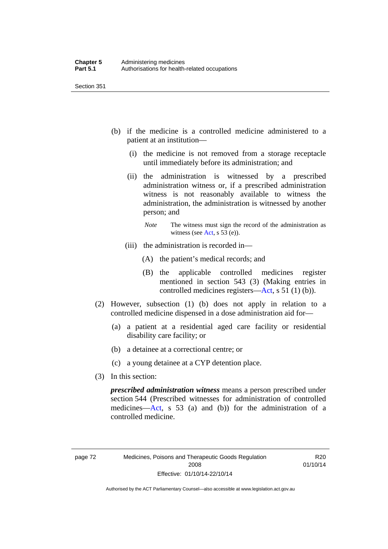- (b) if the medicine is a controlled medicine administered to a patient at an institution—
	- (i) the medicine is not removed from a storage receptacle until immediately before its administration; and
	- (ii) the administration is witnessed by a prescribed administration witness or, if a prescribed administration witness is not reasonably available to witness the administration, the administration is witnessed by another person; and
		- *Note* The witness must sign the record of the administration as witness (see [Act,](http://www.legislation.act.gov.au/a/2008-26/default.asp) s 53 (e)).
	- (iii) the administration is recorded in—
		- (A) the patient's medical records; and
		- (B) the applicable controlled medicines register mentioned in section 543 (3) (Making entries in controlled medicines registers[—Act](http://www.legislation.act.gov.au/a/2008-26/default.asp), s 51 (1) (b)).
- (2) However, subsection (1) (b) does not apply in relation to a controlled medicine dispensed in a dose administration aid for—
	- (a) a patient at a residential aged care facility or residential disability care facility; or
	- (b) a detainee at a correctional centre; or
	- (c) a young detainee at a CYP detention place.
- (3) In this section:

*prescribed administration witness* means a person prescribed under section 544 (Prescribed witnesses for administration of controlled medicines—[Act](http://www.legislation.act.gov.au/a/2008-26/default.asp), s 53 (a) and (b)) for the administration of a controlled medicine.

R20 01/10/14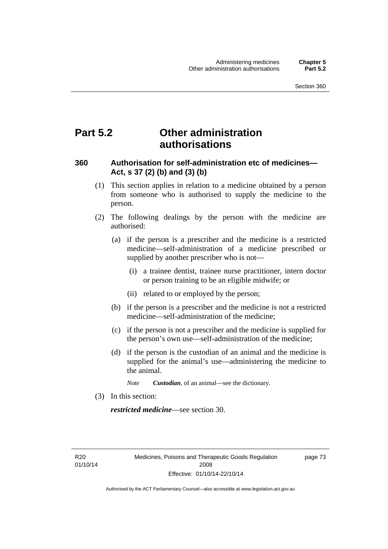# **Part 5.2 Other administration authorisations**

### **360 Authorisation for self-administration etc of medicines— Act, s 37 (2) (b) and (3) (b)**

- (1) This section applies in relation to a medicine obtained by a person from someone who is authorised to supply the medicine to the person.
- (2) The following dealings by the person with the medicine are authorised:
	- (a) if the person is a prescriber and the medicine is a restricted medicine—self-administration of a medicine prescribed or supplied by another prescriber who is not—
		- (i) a trainee dentist, trainee nurse practitioner, intern doctor or person training to be an eligible midwife; or
		- (ii) related to or employed by the person;
	- (b) if the person is a prescriber and the medicine is not a restricted medicine—self-administration of the medicine;
	- (c) if the person is not a prescriber and the medicine is supplied for the person's own use—self-administration of the medicine;
	- (d) if the person is the custodian of an animal and the medicine is supplied for the animal's use—administering the medicine to the animal.
		- *Note Custodian*, of an animal—see the dictionary.
- (3) In this section:

*restricted medicine*—see section 30.

R20 01/10/14 page 73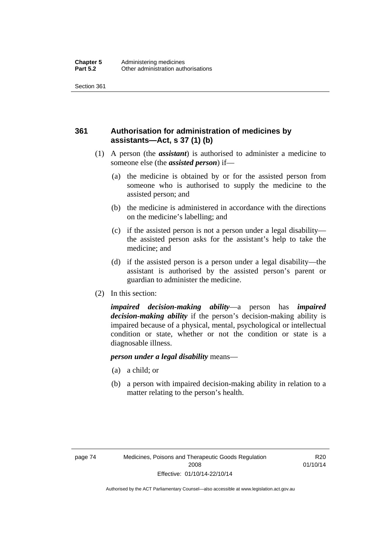## **361 Authorisation for administration of medicines by assistants—Act, s 37 (1) (b)**

- (1) A person (the *assistant*) is authorised to administer a medicine to someone else (the *assisted person*) if—
	- (a) the medicine is obtained by or for the assisted person from someone who is authorised to supply the medicine to the assisted person; and
	- (b) the medicine is administered in accordance with the directions on the medicine's labelling; and
	- (c) if the assisted person is not a person under a legal disability the assisted person asks for the assistant's help to take the medicine; and
	- (d) if the assisted person is a person under a legal disability—the assistant is authorised by the assisted person's parent or guardian to administer the medicine.
- (2) In this section:

*impaired decision-making ability*—a person has *impaired decision-making ability* if the person's decision-making ability is impaired because of a physical, mental, psychological or intellectual condition or state, whether or not the condition or state is a diagnosable illness.

### *person under a legal disability* means—

- (a) a child; or
- (b) a person with impaired decision-making ability in relation to a matter relating to the person's health.

R20 01/10/14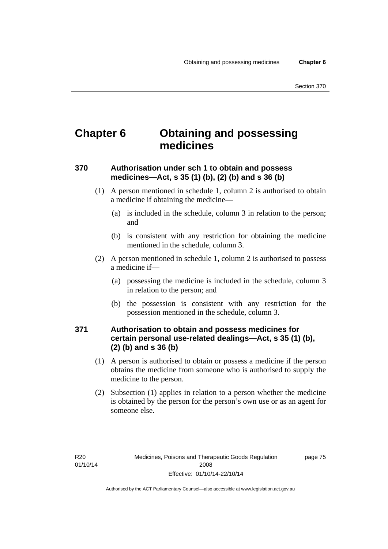# **Chapter 6 Obtaining and possessing medicines**

## **370 Authorisation under sch 1 to obtain and possess medicines—Act, s 35 (1) (b), (2) (b) and s 36 (b)**

- (1) A person mentioned in schedule 1, column 2 is authorised to obtain a medicine if obtaining the medicine—
	- (a) is included in the schedule, column 3 in relation to the person; and
	- (b) is consistent with any restriction for obtaining the medicine mentioned in the schedule, column 3.
- (2) A person mentioned in schedule 1, column 2 is authorised to possess a medicine if—
	- (a) possessing the medicine is included in the schedule, column 3 in relation to the person; and
	- (b) the possession is consistent with any restriction for the possession mentioned in the schedule, column 3.

## **371 Authorisation to obtain and possess medicines for certain personal use-related dealings—Act, s 35 (1) (b), (2) (b) and s 36 (b)**

- (1) A person is authorised to obtain or possess a medicine if the person obtains the medicine from someone who is authorised to supply the medicine to the person.
- (2) Subsection (1) applies in relation to a person whether the medicine is obtained by the person for the person's own use or as an agent for someone else.

page 75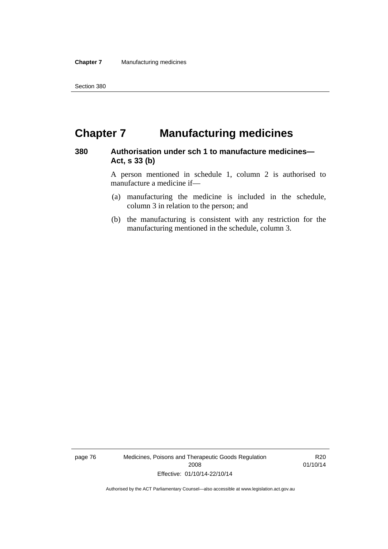# **Chapter 7 Manufacturing medicines**

### **380 Authorisation under sch 1 to manufacture medicines— Act, s 33 (b)**

A person mentioned in schedule 1, column 2 is authorised to manufacture a medicine if—

- (a) manufacturing the medicine is included in the schedule, column 3 in relation to the person; and
- (b) the manufacturing is consistent with any restriction for the manufacturing mentioned in the schedule, column 3.

page 76 Medicines, Poisons and Therapeutic Goods Regulation 2008 Effective: 01/10/14-22/10/14

R20 01/10/14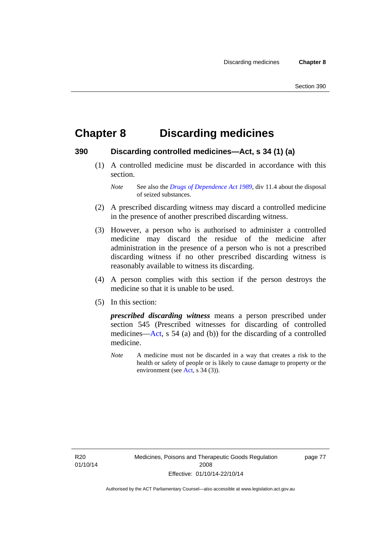# **Chapter 8 Discarding medicines**

### **390 Discarding controlled medicines—Act, s 34 (1) (a)**

 (1) A controlled medicine must be discarded in accordance with this section.

*Note* See also the *[Drugs of Dependence Act 1989](http://www.legislation.act.gov.au/a/alt_a1989-11co)*, div 11.4 about the disposal of seized substances.

- (2) A prescribed discarding witness may discard a controlled medicine in the presence of another prescribed discarding witness.
- (3) However, a person who is authorised to administer a controlled medicine may discard the residue of the medicine after administration in the presence of a person who is not a prescribed discarding witness if no other prescribed discarding witness is reasonably available to witness its discarding.
- (4) A person complies with this section if the person destroys the medicine so that it is unable to be used.
- (5) In this section:

*prescribed discarding witness* means a person prescribed under section 545 (Prescribed witnesses for discarding of controlled medicines—[Act](http://www.legislation.act.gov.au/a/2008-26/default.asp), s 54 (a) and (b)) for the discarding of a controlled medicine.

*Note* A medicine must not be discarded in a way that creates a risk to the health or safety of people or is likely to cause damage to property or the environment (see [Act](http://www.legislation.act.gov.au/a/2008-26/default.asp), s 34 (3)).

R20 01/10/14 page 77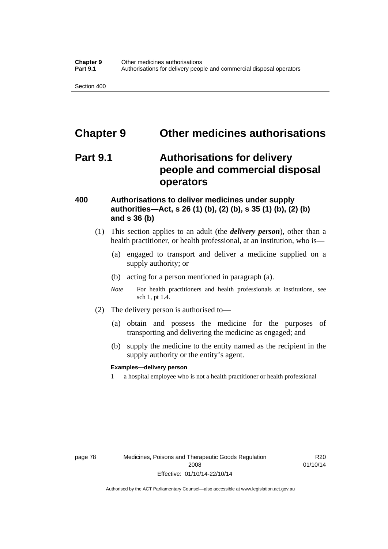# **Chapter 9 Other medicines authorisations**

# **Part 9.1 Authorisations for delivery people and commercial disposal operators**

### **400 Authorisations to deliver medicines under supply authorities—Act, s 26 (1) (b), (2) (b), s 35 (1) (b), (2) (b) and s 36 (b)**

- (1) This section applies to an adult (the *delivery person*), other than a health practitioner, or health professional, at an institution, who is—
	- (a) engaged to transport and deliver a medicine supplied on a supply authority; or
	- (b) acting for a person mentioned in paragraph (a).
	- *Note* For health practitioners and health professionals at institutions, see sch 1, pt 1.4.
- (2) The delivery person is authorised to—
	- (a) obtain and possess the medicine for the purposes of transporting and delivering the medicine as engaged; and
	- (b) supply the medicine to the entity named as the recipient in the supply authority or the entity's agent.

### **Examples—delivery person**

1 a hospital employee who is not a health practitioner or health professional

R20 01/10/14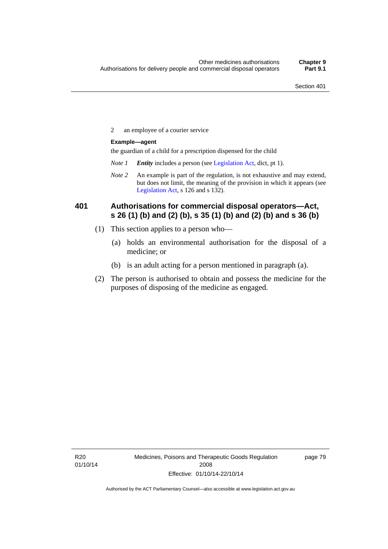2 an employee of a courier service

### **Example—agent**

the guardian of a child for a prescription dispensed for the child

- *Note 1 Entity* includes a person (see [Legislation Act,](http://www.legislation.act.gov.au/a/2001-14) dict, pt 1).
- *Note 2* An example is part of the regulation, is not exhaustive and may extend, but does not limit, the meaning of the provision in which it appears (see [Legislation Act,](http://www.legislation.act.gov.au/a/2001-14) s 126 and s 132).

### **401 Authorisations for commercial disposal operators—Act, s 26 (1) (b) and (2) (b), s 35 (1) (b) and (2) (b) and s 36 (b)**

- (1) This section applies to a person who—
	- (a) holds an environmental authorisation for the disposal of a medicine; or
	- (b) is an adult acting for a person mentioned in paragraph (a).
- (2) The person is authorised to obtain and possess the medicine for the purposes of disposing of the medicine as engaged.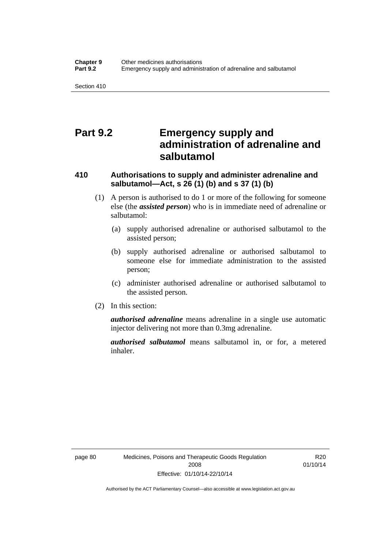# **Part 9.2 Emergency supply and administration of adrenaline and salbutamol**

## **410 Authorisations to supply and administer adrenaline and salbutamol—Act, s 26 (1) (b) and s 37 (1) (b)**

- (1) A person is authorised to do 1 or more of the following for someone else (the *assisted person*) who is in immediate need of adrenaline or salbutamol:
	- (a) supply authorised adrenaline or authorised salbutamol to the assisted person;
	- (b) supply authorised adrenaline or authorised salbutamol to someone else for immediate administration to the assisted person;
	- (c) administer authorised adrenaline or authorised salbutamol to the assisted person.
- (2) In this section:

*authorised adrenaline* means adrenaline in a single use automatic injector delivering not more than 0.3mg adrenaline.

*authorised salbutamol* means salbutamol in, or for, a metered inhaler.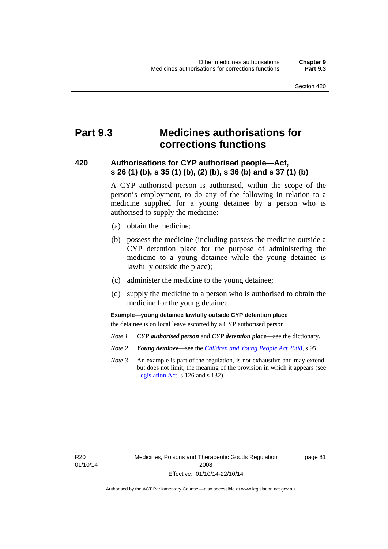# **Part 9.3 Medicines authorisations for corrections functions**

### **420 Authorisations for CYP authorised people—Act, s 26 (1) (b), s 35 (1) (b), (2) (b), s 36 (b) and s 37 (1) (b)**

A CYP authorised person is authorised, within the scope of the person's employment, to do any of the following in relation to a medicine supplied for a young detainee by a person who is authorised to supply the medicine:

- (a) obtain the medicine;
- (b) possess the medicine (including possess the medicine outside a CYP detention place for the purpose of administering the medicine to a young detainee while the young detainee is lawfully outside the place);
- (c) administer the medicine to the young detainee;
- (d) supply the medicine to a person who is authorised to obtain the medicine for the young detainee.

### **Example—young detainee lawfully outside CYP detention place**

the detainee is on local leave escorted by a CYP authorised person

- *Note 1 CYP authorised person* and *CYP detention place*—see the dictionary.
- *Note 2 Young detainee*—see the *[Children and Young People Act 2008](http://www.legislation.act.gov.au/a/2008-19)*, s 95.
- *Note 3* An example is part of the regulation, is not exhaustive and may extend, but does not limit, the meaning of the provision in which it appears (see [Legislation Act,](http://www.legislation.act.gov.au/a/2001-14) s 126 and s 132).

R20 01/10/14 page 81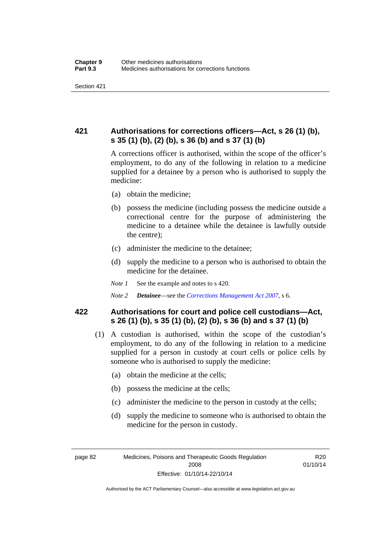## **421 Authorisations for corrections officers—Act, s 26 (1) (b), s 35 (1) (b), (2) (b), s 36 (b) and s 37 (1) (b)**

A corrections officer is authorised, within the scope of the officer's employment, to do any of the following in relation to a medicine supplied for a detainee by a person who is authorised to supply the medicine:

- (a) obtain the medicine;
- (b) possess the medicine (including possess the medicine outside a correctional centre for the purpose of administering the medicine to a detainee while the detainee is lawfully outside the centre);
- (c) administer the medicine to the detainee;
- (d) supply the medicine to a person who is authorised to obtain the medicine for the detainee.
- *Note 1* See the example and notes to s 420.
- *Note 2 Detainee*—see the *[Corrections Management Act 2007](http://www.legislation.act.gov.au/a/2007-15)*, s 6.

### **422 Authorisations for court and police cell custodians—Act, s 26 (1) (b), s 35 (1) (b), (2) (b), s 36 (b) and s 37 (1) (b)**

- (1) A custodian is authorised, within the scope of the custodian's employment, to do any of the following in relation to a medicine supplied for a person in custody at court cells or police cells by someone who is authorised to supply the medicine:
	- (a) obtain the medicine at the cells;
	- (b) possess the medicine at the cells;
	- (c) administer the medicine to the person in custody at the cells;
	- (d) supply the medicine to someone who is authorised to obtain the medicine for the person in custody.

R20 01/10/14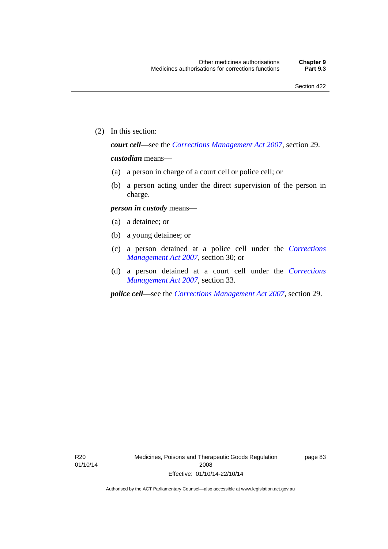(2) In this section:

*court cell*—see the *[Corrections Management Act 2007](http://www.legislation.act.gov.au/a/2007-15)*, section 29.

### *custodian* means—

- (a) a person in charge of a court cell or police cell; or
- (b) a person acting under the direct supervision of the person in charge.

### *person in custody* means—

- (a) a detainee; or
- (b) a young detainee; or
- (c) a person detained at a police cell under the *[Corrections](http://www.legislation.act.gov.au/a/2007-15)  [Management Act 2007](http://www.legislation.act.gov.au/a/2007-15)*, section 30; or
- (d) a person detained at a court cell under the *[Corrections](http://www.legislation.act.gov.au/a/2007-15)  [Management Act 2007](http://www.legislation.act.gov.au/a/2007-15)*, section 33.

*police cell*—see the *[Corrections Management Act 2007](http://www.legislation.act.gov.au/a/2007-15)*, section 29.

page 83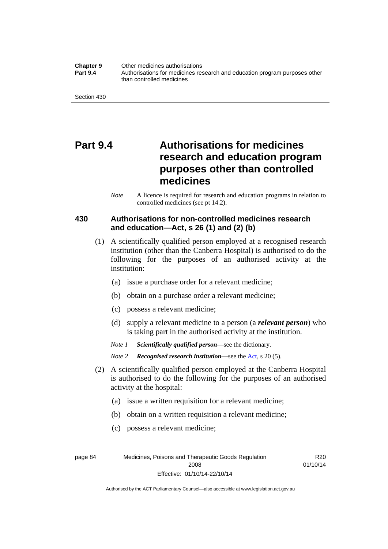**Chapter 9** Other medicines authorisations **Part 9.4** • **Authorisations for medicines research and education program purposes other** than controlled medicines

Section 430

# **Part 9.4 Authorisations for medicines research and education program purposes other than controlled medicines**

*Note* A licence is required for research and education programs in relation to controlled medicines (see pt 14.2).

### **430 Authorisations for non-controlled medicines research and education—Act, s 26 (1) and (2) (b)**

- (1) A scientifically qualified person employed at a recognised research institution (other than the Canberra Hospital) is authorised to do the following for the purposes of an authorised activity at the institution:
	- (a) issue a purchase order for a relevant medicine;
	- (b) obtain on a purchase order a relevant medicine;
	- (c) possess a relevant medicine;
	- (d) supply a relevant medicine to a person (a *relevant person*) who is taking part in the authorised activity at the institution.
	- *Note 1 Scientifically qualified person*—see the dictionary.

*Note 2 Recognised research institution*—see the [Act](http://www.legislation.act.gov.au/a/2008-26/default.asp), s 20 (5).

- (2) A scientifically qualified person employed at the Canberra Hospital is authorised to do the following for the purposes of an authorised activity at the hospital:
	- (a) issue a written requisition for a relevant medicine;
	- (b) obtain on a written requisition a relevant medicine;
	- (c) possess a relevant medicine;

page 84 Medicines, Poisons and Therapeutic Goods Regulation 2008 Effective: 01/10/14-22/10/14

R20 01/10/14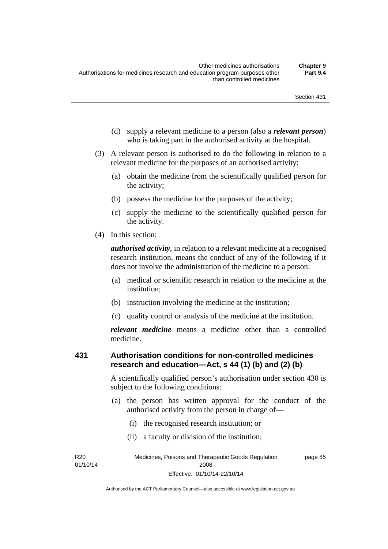- (d) supply a relevant medicine to a person (also a *relevant person*) who is taking part in the authorised activity at the hospital.
- (3) A relevant person is authorised to do the following in relation to a relevant medicine for the purposes of an authorised activity:
	- (a) obtain the medicine from the scientifically qualified person for the activity;
	- (b) possess the medicine for the purposes of the activity;
	- (c) supply the medicine to the scientifically qualified person for the activity.
- (4) In this section:

*authorised activity*, in relation to a relevant medicine at a recognised research institution, means the conduct of any of the following if it does not involve the administration of the medicine to a person:

- (a) medical or scientific research in relation to the medicine at the institution;
- (b) instruction involving the medicine at the institution;
- (c) quality control or analysis of the medicine at the institution.

*relevant medicine* means a medicine other than a controlled medicine.

#### **431 Authorisation conditions for non-controlled medicines research and education—Act, s 44 (1) (b) and (2) (b)**

A scientifically qualified person's authorisation under section 430 is subject to the following conditions:

- (a) the person has written approval for the conduct of the authorised activity from the person in charge of—
	- (i) the recognised research institution; or
	- (ii) a faculty or division of the institution;

R20 01/10/14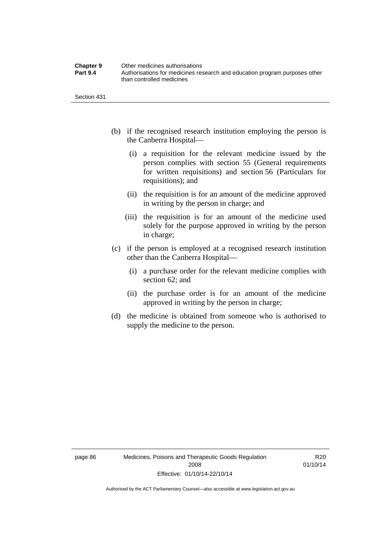| <b>Chapter 9</b> | Other medicines authorisations                                             |
|------------------|----------------------------------------------------------------------------|
| <b>Part 9.4</b>  | Authorisations for medicines research and education program purposes other |
|                  | than controlled medicines                                                  |

Section 431

- (b) if the recognised research institution employing the person is the Canberra Hospital—
	- (i) a requisition for the relevant medicine issued by the person complies with section 55 (General requirements for written requisitions) and section 56 (Particulars for requisitions); and
	- (ii) the requisition is for an amount of the medicine approved in writing by the person in charge; and
	- (iii) the requisition is for an amount of the medicine used solely for the purpose approved in writing by the person in charge;
- (c) if the person is employed at a recognised research institution other than the Canberra Hospital—
	- (i) a purchase order for the relevant medicine complies with section 62; and
	- (ii) the purchase order is for an amount of the medicine approved in writing by the person in charge;
- (d) the medicine is obtained from someone who is authorised to supply the medicine to the person.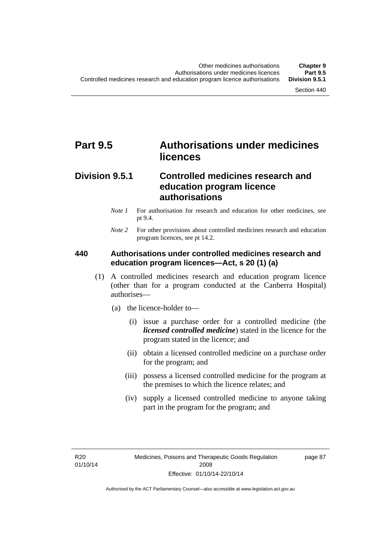# **Part 9.5 Authorisations under medicines licences**

## **Division 9.5.1 Controlled medicines research and education program licence authorisations**

- *Note 1* For authorisation for research and education for other medicines, see pt 9.4.
- *Note 2* For other provisions about controlled medicines research and education program licences, see pt 14.2.

### **440 Authorisations under controlled medicines research and education program licences—Act, s 20 (1) (a)**

- (1) A controlled medicines research and education program licence (other than for a program conducted at the Canberra Hospital) authorises—
	- (a) the licence-holder to—
		- (i) issue a purchase order for a controlled medicine (the *licensed controlled medicine*) stated in the licence for the program stated in the licence; and
		- (ii) obtain a licensed controlled medicine on a purchase order for the program; and
		- (iii) possess a licensed controlled medicine for the program at the premises to which the licence relates; and
		- (iv) supply a licensed controlled medicine to anyone taking part in the program for the program; and

R20 01/10/14 page 87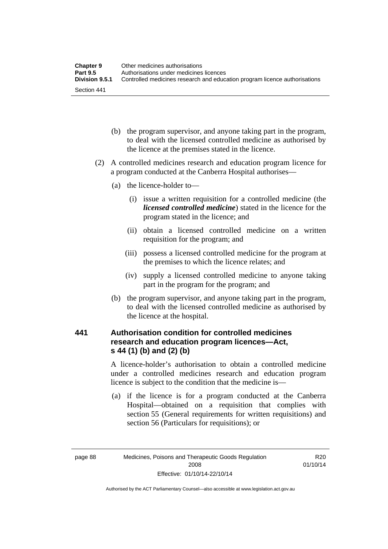| <b>Chapter 9</b> | Other medicines authorisations                                             |
|------------------|----------------------------------------------------------------------------|
| <b>Part 9.5</b>  | Authorisations under medicines licences                                    |
| Division 9.5.1   | Controlled medicines research and education program licence authorisations |
| Section 441      |                                                                            |

- (b) the program supervisor, and anyone taking part in the program, to deal with the licensed controlled medicine as authorised by the licence at the premises stated in the licence.
- (2) A controlled medicines research and education program licence for a program conducted at the Canberra Hospital authorises—
	- (a) the licence-holder to—
		- (i) issue a written requisition for a controlled medicine (the *licensed controlled medicine*) stated in the licence for the program stated in the licence; and
		- (ii) obtain a licensed controlled medicine on a written requisition for the program; and
		- (iii) possess a licensed controlled medicine for the program at the premises to which the licence relates; and
		- (iv) supply a licensed controlled medicine to anyone taking part in the program for the program; and
	- (b) the program supervisor, and anyone taking part in the program, to deal with the licensed controlled medicine as authorised by the licence at the hospital.

### **441 Authorisation condition for controlled medicines research and education program licences—Act, s 44 (1) (b) and (2) (b)**

A licence-holder's authorisation to obtain a controlled medicine under a controlled medicines research and education program licence is subject to the condition that the medicine is—

 (a) if the licence is for a program conducted at the Canberra Hospital—obtained on a requisition that complies with section 55 (General requirements for written requisitions) and section 56 (Particulars for requisitions); or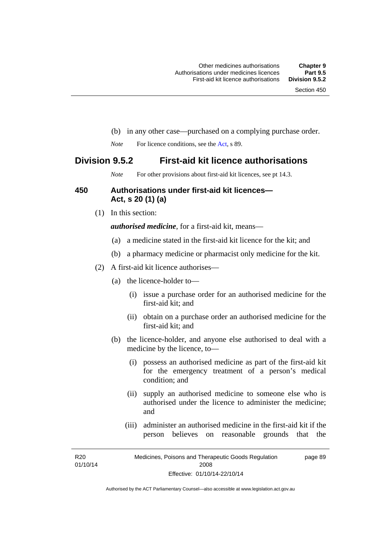- (b) in any other case—purchased on a complying purchase order.
- *Note* For licence conditions, see the [Act](http://www.legislation.act.gov.au/a/2008-26/default.asp), s 89.

### **Division 9.5.2 First-aid kit licence authorisations**

*Note* For other provisions about first-aid kit licences, see pt 14.3.

#### **450 Authorisations under first-aid kit licences— Act, s 20 (1) (a)**

(1) In this section:

*authorised medicine*, for a first-aid kit, means—

- (a) a medicine stated in the first-aid kit licence for the kit; and
- (b) a pharmacy medicine or pharmacist only medicine for the kit.
- (2) A first-aid kit licence authorises—
	- (a) the licence-holder to—
		- (i) issue a purchase order for an authorised medicine for the first-aid kit; and
		- (ii) obtain on a purchase order an authorised medicine for the first-aid kit; and
	- (b) the licence-holder, and anyone else authorised to deal with a medicine by the licence, to—
		- (i) possess an authorised medicine as part of the first-aid kit for the emergency treatment of a person's medical condition; and
		- (ii) supply an authorised medicine to someone else who is authorised under the licence to administer the medicine; and
		- (iii) administer an authorised medicine in the first-aid kit if the person believes on reasonable grounds that the

R20 01/10/14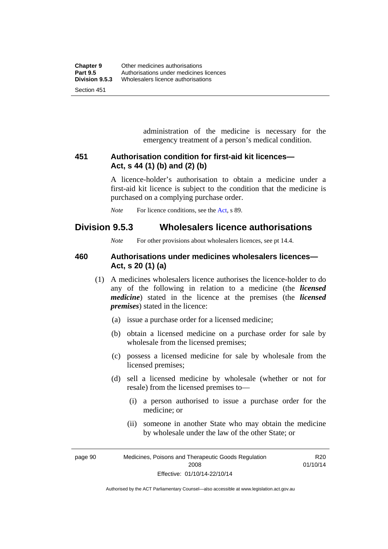administration of the medicine is necessary for the emergency treatment of a person's medical condition.

### **451 Authorisation condition for first-aid kit licences— Act, s 44 (1) (b) and (2) (b)**

A licence-holder's authorisation to obtain a medicine under a first-aid kit licence is subject to the condition that the medicine is purchased on a complying purchase order.

*Note* For licence conditions, see the [Act](http://www.legislation.act.gov.au/a/2008-26/default.asp), s 89.

## **Division 9.5.3 Wholesalers licence authorisations**

*Note* For other provisions about wholesalers licences, see pt 14.4.

### **460 Authorisations under medicines wholesalers licences— Act, s 20 (1) (a)**

- (1) A medicines wholesalers licence authorises the licence-holder to do any of the following in relation to a medicine (the *licensed medicine*) stated in the licence at the premises (the *licensed premises*) stated in the licence:
	- (a) issue a purchase order for a licensed medicine;
	- (b) obtain a licensed medicine on a purchase order for sale by wholesale from the licensed premises;
	- (c) possess a licensed medicine for sale by wholesale from the licensed premises;
	- (d) sell a licensed medicine by wholesale (whether or not for resale) from the licensed premises to—
		- (i) a person authorised to issue a purchase order for the medicine; or
		- (ii) someone in another State who may obtain the medicine by wholesale under the law of the other State; or

R20 01/10/14

page 90 Medicines, Poisons and Therapeutic Goods Regulation 2008 Effective: 01/10/14-22/10/14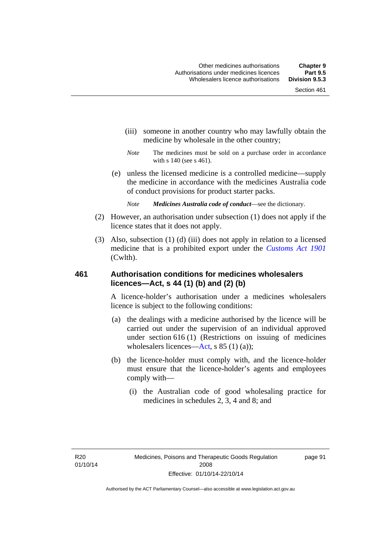- (iii) someone in another country who may lawfully obtain the medicine by wholesale in the other country;
- *Note* The medicines must be sold on a purchase order in accordance with s 140 (see s 461).
- (e) unless the licensed medicine is a controlled medicine—supply the medicine in accordance with the medicines Australia code of conduct provisions for product starter packs.
	- *Note Medicines Australia code of conduct*—see the dictionary.
- (2) However, an authorisation under subsection (1) does not apply if the licence states that it does not apply.
- (3) Also, subsection (1) (d) (iii) does not apply in relation to a licensed medicine that is a prohibited export under the *[Customs Act 1901](http://www.comlaw.gov.au/Series/C1901A00006)* (Cwlth).

#### **461 Authorisation conditions for medicines wholesalers licences—Act, s 44 (1) (b) and (2) (b)**

A licence-holder's authorisation under a medicines wholesalers licence is subject to the following conditions:

- (a) the dealings with a medicine authorised by the licence will be carried out under the supervision of an individual approved under section 616 (1) (Restrictions on issuing of medicines wholesalers licences[—Act,](http://www.legislation.act.gov.au/a/2008-26/default.asp) s 85 (1) (a));
- (b) the licence-holder must comply with, and the licence-holder must ensure that the licence-holder's agents and employees comply with—
	- (i) the Australian code of good wholesaling practice for medicines in schedules 2, 3, 4 and 8; and

page 91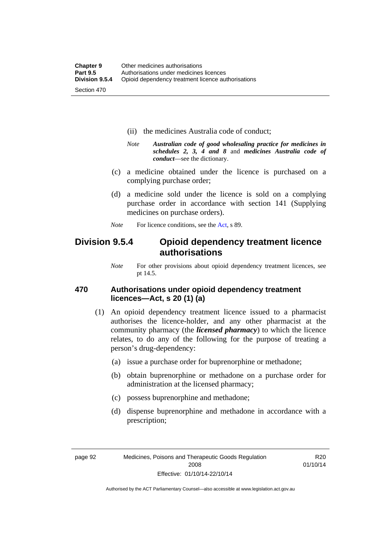- (ii) the medicines Australia code of conduct;
- *Note Australian code of good wholesaling practice for medicines in schedules 2, 3, 4 and 8* and *medicines Australia code of conduct*—see the dictionary.
- (c) a medicine obtained under the licence is purchased on a complying purchase order;
- (d) a medicine sold under the licence is sold on a complying purchase order in accordance with section 141 (Supplying medicines on purchase orders).
- *Note* For licence conditions, see the [Act](http://www.legislation.act.gov.au/a/2008-26/default.asp), s 89.

## **Division 9.5.4 Opioid dependency treatment licence authorisations**

*Note* For other provisions about opioid dependency treatment licences, see pt 14.5.

#### **470 Authorisations under opioid dependency treatment licences—Act, s 20 (1) (a)**

- (1) An opioid dependency treatment licence issued to a pharmacist authorises the licence-holder, and any other pharmacist at the community pharmacy (the *licensed pharmacy*) to which the licence relates, to do any of the following for the purpose of treating a person's drug-dependency:
	- (a) issue a purchase order for buprenorphine or methadone;
	- (b) obtain buprenorphine or methadone on a purchase order for administration at the licensed pharmacy;
	- (c) possess buprenorphine and methadone;
	- (d) dispense buprenorphine and methadone in accordance with a prescription;

R20 01/10/14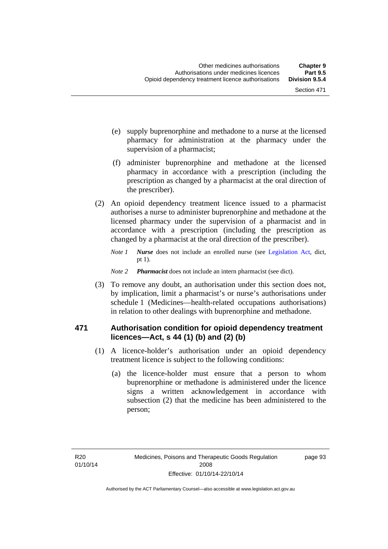- (e) supply buprenorphine and methadone to a nurse at the licensed pharmacy for administration at the pharmacy under the supervision of a pharmacist;
- (f) administer buprenorphine and methadone at the licensed pharmacy in accordance with a prescription (including the prescription as changed by a pharmacist at the oral direction of the prescriber).
- (2) An opioid dependency treatment licence issued to a pharmacist authorises a nurse to administer buprenorphine and methadone at the licensed pharmacy under the supervision of a pharmacist and in accordance with a prescription (including the prescription as changed by a pharmacist at the oral direction of the prescriber).
	- *Note 1 Nurse* does not include an enrolled nurse (see [Legislation Act,](http://www.legislation.act.gov.au/a/2001-14) dict, pt 1).
	- *Note 2 Pharmacist* does not include an intern pharmacist (see dict).
- (3) To remove any doubt, an authorisation under this section does not, by implication, limit a pharmacist's or nurse's authorisations under schedule 1 (Medicines—health-related occupations authorisations) in relation to other dealings with buprenorphine and methadone.

#### **471 Authorisation condition for opioid dependency treatment licences—Act, s 44 (1) (b) and (2) (b)**

- (1) A licence-holder's authorisation under an opioid dependency treatment licence is subject to the following conditions:
	- (a) the licence-holder must ensure that a person to whom buprenorphine or methadone is administered under the licence signs a written acknowledgement in accordance with subsection (2) that the medicine has been administered to the person;

page 93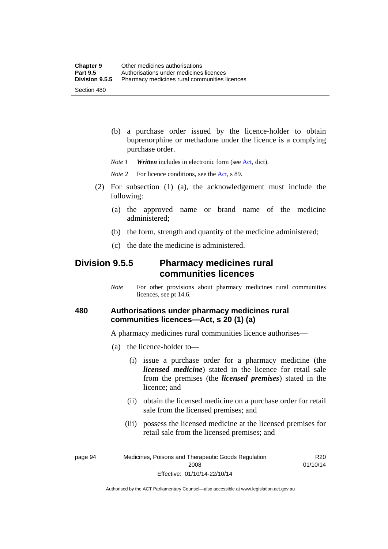(b) a purchase order issued by the licence-holder to obtain buprenorphine or methadone under the licence is a complying purchase order.

*Note 1 Written* includes in electronic form (see [Act,](http://www.legislation.act.gov.au/a/2008-26/default.asp) dict).

*Note* 2 For licence conditions, see the [Act](http://www.legislation.act.gov.au/a/2008-26/default.asp), s 89.

- (2) For subsection (1) (a), the acknowledgement must include the following:
	- (a) the approved name or brand name of the medicine administered;
	- (b) the form, strength and quantity of the medicine administered;
	- (c) the date the medicine is administered.

## **Division 9.5.5 Pharmacy medicines rural communities licences**

*Note* For other provisions about pharmacy medicines rural communities licences, see pt 14.6.

### **480 Authorisations under pharmacy medicines rural communities licences—Act, s 20 (1) (a)**

A pharmacy medicines rural communities licence authorises—

- (a) the licence-holder to—
	- (i) issue a purchase order for a pharmacy medicine (the *licensed medicine*) stated in the licence for retail sale from the premises (the *licensed premises*) stated in the licence; and
	- (ii) obtain the licensed medicine on a purchase order for retail sale from the licensed premises; and
	- (iii) possess the licensed medicine at the licensed premises for retail sale from the licensed premises; and

page 94 Medicines, Poisons and Therapeutic Goods Regulation 2008 Effective: 01/10/14-22/10/14

R20 01/10/14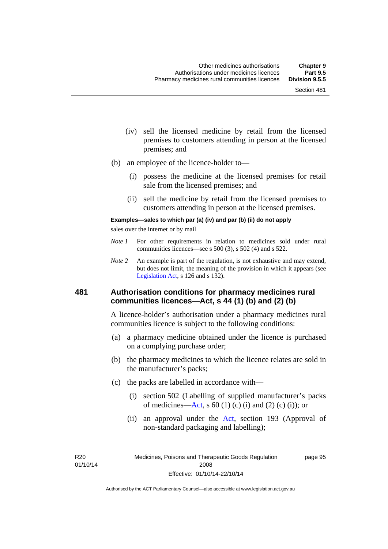- (iv) sell the licensed medicine by retail from the licensed premises to customers attending in person at the licensed premises; and
- (b) an employee of the licence-holder to—
	- (i) possess the medicine at the licensed premises for retail sale from the licensed premises; and
	- (ii) sell the medicine by retail from the licensed premises to customers attending in person at the licensed premises.

#### **Examples—sales to which par (a) (iv) and par (b) (ii) do not apply**

sales over the internet or by mail

- *Note 1* For other requirements in relation to medicines sold under rural communities licences—see s 500 (3), s 502 (4) and s 522.
- *Note 2* An example is part of the regulation, is not exhaustive and may extend, but does not limit, the meaning of the provision in which it appears (see [Legislation Act,](http://www.legislation.act.gov.au/a/2001-14) s 126 and s 132).

#### **481 Authorisation conditions for pharmacy medicines rural communities licences—Act, s 44 (1) (b) and (2) (b)**

A licence-holder's authorisation under a pharmacy medicines rural communities licence is subject to the following conditions:

- (a) a pharmacy medicine obtained under the licence is purchased on a complying purchase order;
- (b) the pharmacy medicines to which the licence relates are sold in the manufacturer's packs;
- (c) the packs are labelled in accordance with—
	- (i) section 502 (Labelling of supplied manufacturer's packs of medicines—[Act](http://www.legislation.act.gov.au/a/2008-26/default.asp), s  $60(1)$  (c) (i) and (2) (c) (i)); or
	- (ii) an approval under the [Act](http://www.legislation.act.gov.au/a/2008-26/default.asp), section 193 (Approval of non-standard packaging and labelling);

R20 01/10/14 page 95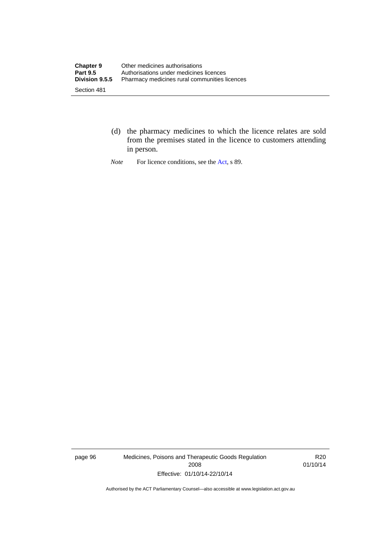- (d) the pharmacy medicines to which the licence relates are sold from the premises stated in the licence to customers attending in person.
- *Note* For licence conditions, see the [Act](http://www.legislation.act.gov.au/a/2008-26/default.asp), s 89.

page 96 Medicines, Poisons and Therapeutic Goods Regulation 2008 Effective: 01/10/14-22/10/14

R20 01/10/14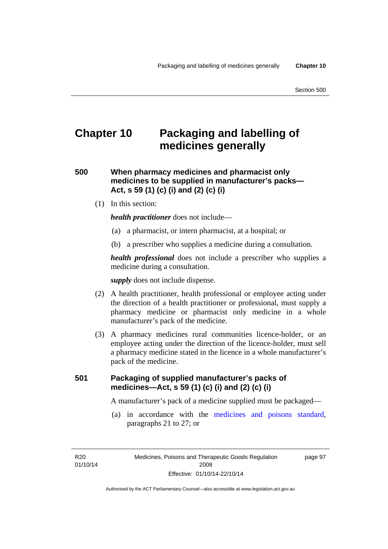# **Chapter 10 Packaging and labelling of medicines generally**

**500 When pharmacy medicines and pharmacist only medicines to be supplied in manufacturer's packs— Act, s 59 (1) (c) (i) and (2) (c) (i)** 

(1) In this section:

*health practitioner* does not include—

- (a) a pharmacist, or intern pharmacist, at a hospital; or
- (b) a prescriber who supplies a medicine during a consultation.

*health professional* does not include a prescriber who supplies a medicine during a consultation.

*supply* does not include dispense.

- (2) A health practitioner, health professional or employee acting under the direction of a health practitioner or professional, must supply a pharmacy medicine or pharmacist only medicine in a whole manufacturer's pack of the medicine.
- (3) A pharmacy medicines rural communities licence-holder, or an employee acting under the direction of the licence-holder, must sell a pharmacy medicine stated in the licence in a whole manufacturer's pack of the medicine.

### **501 Packaging of supplied manufacturer's packs of medicines—Act, s 59 (1) (c) (i) and (2) (c) (i)**

A manufacturer's pack of a medicine supplied must be packaged—

 (a) in accordance with the [medicines and poisons standard](http://www.comlaw.gov.au/Series/F2012L01200), paragraphs 21 to 27; or

R20 01/10/14 page 97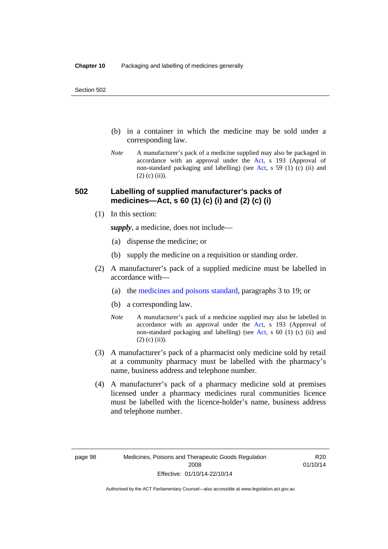- (b) in a container in which the medicine may be sold under a corresponding law.
- *Note* A manufacturer's pack of a medicine supplied may also be packaged in accordance with an approval under the [Act](http://www.legislation.act.gov.au/a/2008-26/default.asp), s 193 (Approval of non-standard packaging and labelling) (see [Act](http://www.legislation.act.gov.au/a/2008-26/default.asp), s 59 (1) (c) (ii) and  $(2)$  (c)  $(ii)$ ).

#### **502 Labelling of supplied manufacturer's packs of medicines—Act, s 60 (1) (c) (i) and (2) (c) (i)**

(1) In this section:

*supply*, a medicine, does not include—

- (a) dispense the medicine; or
- (b) supply the medicine on a requisition or standing order.
- (2) A manufacturer's pack of a supplied medicine must be labelled in accordance with—
	- (a) the [medicines and poisons standard](http://www.comlaw.gov.au/Series/F2012L01200), paragraphs 3 to 19; or
	- (b) a corresponding law.
	- *Note* A manufacturer's pack of a medicine supplied may also be labelled in accordance with an approval under the [Act](http://www.legislation.act.gov.au/a/2008-26/default.asp), s 193 (Approval of non-standard packaging and labelling) (see [Act](http://www.legislation.act.gov.au/a/2008-26/default.asp), s 60 (1) (c) (ii) and  $(2)$  (c) (ii)).
- (3) A manufacturer's pack of a pharmacist only medicine sold by retail at a community pharmacy must be labelled with the pharmacy's name, business address and telephone number.
- (4) A manufacturer's pack of a pharmacy medicine sold at premises licensed under a pharmacy medicines rural communities licence must be labelled with the licence-holder's name, business address and telephone number.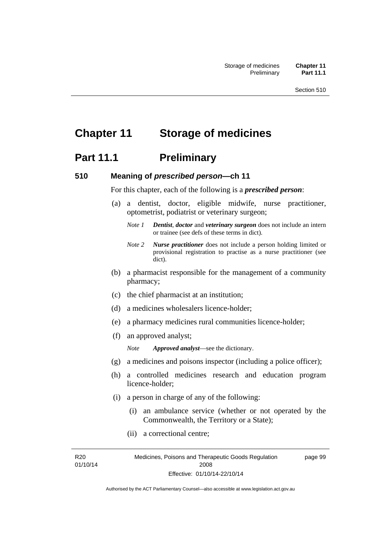# **Chapter 11 Storage of medicines**

## **Part 11.1** Preliminary

#### **510 Meaning of** *prescribed person***—ch 11**

For this chapter, each of the following is a *prescribed person*:

- (a) a dentist, doctor, eligible midwife, nurse practitioner, optometrist, podiatrist or veterinary surgeon;
	- *Note 1 Dentist*, *doctor* and *veterinary surgeon* does not include an intern or trainee (see defs of these terms in dict).
	- *Note 2 Nurse practitioner* does not include a person holding limited or provisional registration to practise as a nurse practitioner (see dict).
- (b) a pharmacist responsible for the management of a community pharmacy;
- (c) the chief pharmacist at an institution;
- (d) a medicines wholesalers licence-holder;
- (e) a pharmacy medicines rural communities licence-holder;
- (f) an approved analyst;

*Note Approved analyst*—see the dictionary.

- (g) a medicines and poisons inspector (including a police officer);
- (h) a controlled medicines research and education program licence-holder;
- (i) a person in charge of any of the following:
	- (i) an ambulance service (whether or not operated by the Commonwealth, the Territory or a State);
	- (ii) a correctional centre;

R20 01/10/14 page 99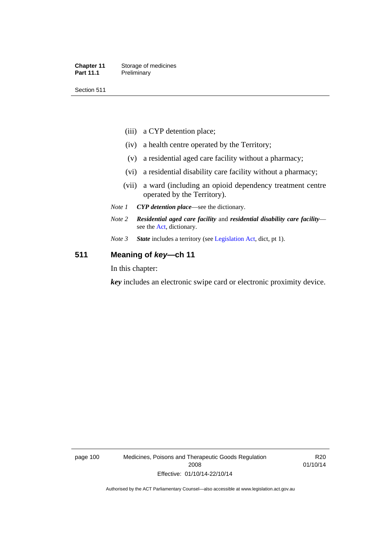#### **Chapter 11** Storage of medicines Part 11.1 Preliminary

Section 511

- (iii) a CYP detention place;
- (iv) a health centre operated by the Territory;
- (v) a residential aged care facility without a pharmacy;
- (vi) a residential disability care facility without a pharmacy;
- (vii) a ward (including an opioid dependency treatment centre operated by the Territory).
- *Note 1 CYP detention place*—see the dictionary.
- *Note 2 Residential aged care facility* and *residential disability care facility* see the [Act](http://www.legislation.act.gov.au/a/2008-26/default.asp), dictionary.
- *Note 3 State* includes a territory (see [Legislation Act,](http://www.legislation.act.gov.au/a/2001-14) dict, pt 1).

#### **511 Meaning of** *key***—ch 11**

In this chapter:

*key* includes an electronic swipe card or electronic proximity device.

page 100 Medicines, Poisons and Therapeutic Goods Regulation 2008 Effective: 01/10/14-22/10/14

R20 01/10/14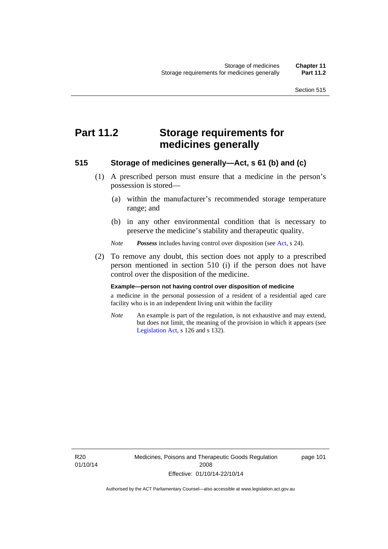# **Part 11.2 Storage requirements for medicines generally**

#### **515 Storage of medicines generally—Act, s 61 (b) and (c)**

- (1) A prescribed person must ensure that a medicine in the person's possession is stored—
	- (a) within the manufacturer's recommended storage temperature range; and
	- (b) in any other environmental condition that is necessary to preserve the medicine's stability and therapeutic quality.

*Note Possess* includes having control over disposition (see [Act,](http://www.legislation.act.gov.au/a/2008-26/default.asp) s 24).

 (2) To remove any doubt, this section does not apply to a prescribed person mentioned in section 510 (i) if the person does not have control over the disposition of the medicine.

#### **Example—person not having control over disposition of medicine**

a medicine in the personal possession of a resident of a residential aged care facility who is in an independent living unit within the facility

*Note* An example is part of the regulation, is not exhaustive and may extend, but does not limit, the meaning of the provision in which it appears (see [Legislation Act,](http://www.legislation.act.gov.au/a/2001-14) s 126 and s 132).

R20 01/10/14 Medicines, Poisons and Therapeutic Goods Regulation 2008 Effective: 01/10/14-22/10/14

page 101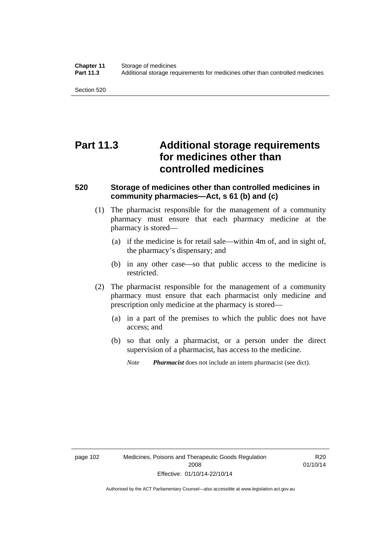Section 520

# **Part 11.3 Additional storage requirements for medicines other than controlled medicines**

#### **520 Storage of medicines other than controlled medicines in community pharmacies—Act, s 61 (b) and (c)**

- (1) The pharmacist responsible for the management of a community pharmacy must ensure that each pharmacy medicine at the pharmacy is stored—
	- (a) if the medicine is for retail sale—within 4m of, and in sight of, the pharmacy's dispensary; and
	- (b) in any other case—so that public access to the medicine is restricted.
- (2) The pharmacist responsible for the management of a community pharmacy must ensure that each pharmacist only medicine and prescription only medicine at the pharmacy is stored—
	- (a) in a part of the premises to which the public does not have access; and
	- (b) so that only a pharmacist, or a person under the direct supervision of a pharmacist, has access to the medicine.

*Note Pharmacist* does not include an intern pharmacist (see dict).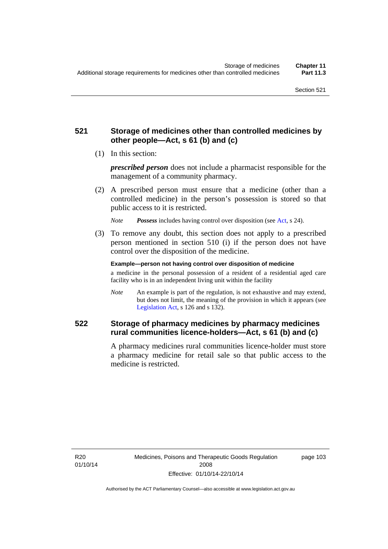### **521 Storage of medicines other than controlled medicines by other people—Act, s 61 (b) and (c)**

(1) In this section:

*prescribed person* does not include a pharmacist responsible for the management of a community pharmacy.

 (2) A prescribed person must ensure that a medicine (other than a controlled medicine) in the person's possession is stored so that public access to it is restricted.

*Note Possess* includes having control over disposition (see [Act,](http://www.legislation.act.gov.au/a/2008-26/default.asp) s 24).

 (3) To remove any doubt, this section does not apply to a prescribed person mentioned in section 510 (i) if the person does not have control over the disposition of the medicine.

**Example—person not having control over disposition of medicine** 

a medicine in the personal possession of a resident of a residential aged care facility who is in an independent living unit within the facility

*Note* An example is part of the regulation, is not exhaustive and may extend, but does not limit, the meaning of the provision in which it appears (see [Legislation Act,](http://www.legislation.act.gov.au/a/2001-14) s 126 and s 132).

### **522 Storage of pharmacy medicines by pharmacy medicines rural communities licence-holders—Act, s 61 (b) and (c)**

A pharmacy medicines rural communities licence-holder must store a pharmacy medicine for retail sale so that public access to the medicine is restricted.

R20 01/10/14 page 103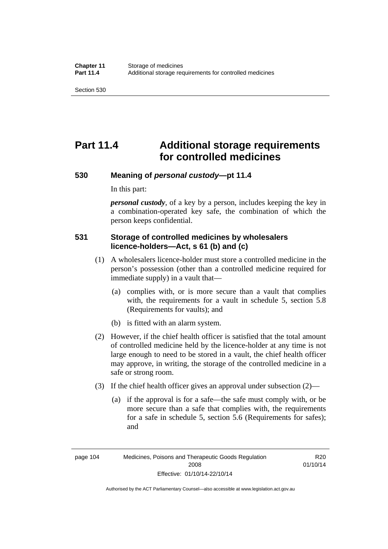# **Part 11.4 Additional storage requirements for controlled medicines**

#### **530 Meaning of** *personal custody***—pt 11.4**

In this part:

*personal custody*, of a key by a person, includes keeping the key in a combination-operated key safe, the combination of which the person keeps confidential.

### **531 Storage of controlled medicines by wholesalers licence-holders—Act, s 61 (b) and (c)**

- (1) A wholesalers licence-holder must store a controlled medicine in the person's possession (other than a controlled medicine required for immediate supply) in a vault that—
	- (a) complies with, or is more secure than a vault that complies with, the requirements for a vault in schedule 5, section 5.8 (Requirements for vaults); and
	- (b) is fitted with an alarm system.
- (2) However, if the chief health officer is satisfied that the total amount of controlled medicine held by the licence-holder at any time is not large enough to need to be stored in a vault, the chief health officer may approve, in writing, the storage of the controlled medicine in a safe or strong room.
- (3) If the chief health officer gives an approval under subsection (2)—
	- (a) if the approval is for a safe—the safe must comply with, or be more secure than a safe that complies with, the requirements for a safe in schedule 5, section 5.6 (Requirements for safes); and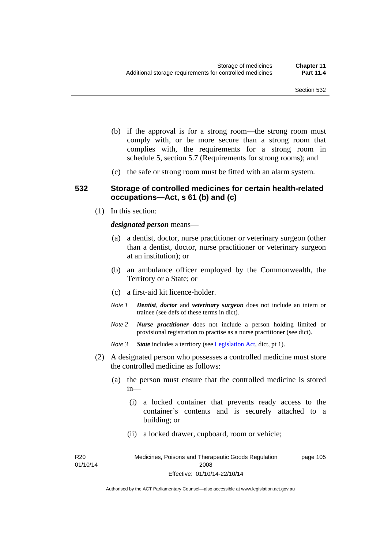- (b) if the approval is for a strong room—the strong room must comply with, or be more secure than a strong room that complies with, the requirements for a strong room in schedule 5, section 5.7 (Requirements for strong rooms); and
- (c) the safe or strong room must be fitted with an alarm system.

#### **532 Storage of controlled medicines for certain health-related occupations—Act, s 61 (b) and (c)**

(1) In this section:

#### *designated person* means—

- (a) a dentist, doctor, nurse practitioner or veterinary surgeon (other than a dentist, doctor, nurse practitioner or veterinary surgeon at an institution); or
- (b) an ambulance officer employed by the Commonwealth, the Territory or a State; or
- (c) a first-aid kit licence-holder.
- *Note 1 Dentist*, *doctor* and *veterinary surgeon* does not include an intern or trainee (see defs of these terms in dict).
- *Note 2 Nurse practitioner* does not include a person holding limited or provisional registration to practise as a nurse practitioner (see dict).
- *Note 3 State* includes a territory (see [Legislation Act,](http://www.legislation.act.gov.au/a/2001-14) dict, pt 1).
- (2) A designated person who possesses a controlled medicine must store the controlled medicine as follows:
	- (a) the person must ensure that the controlled medicine is stored in—
		- (i) a locked container that prevents ready access to the container's contents and is securely attached to a building; or
		- (ii) a locked drawer, cupboard, room or vehicle;

R20 01/10/14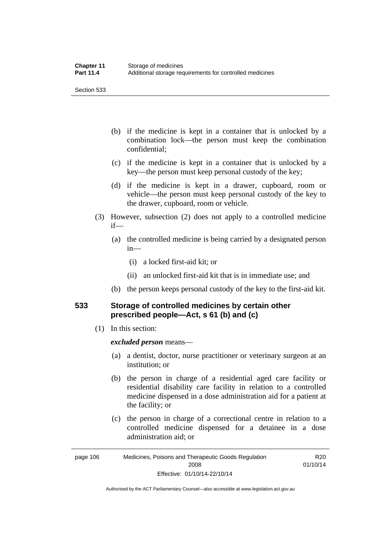Section 533

- (b) if the medicine is kept in a container that is unlocked by a combination lock—the person must keep the combination confidential;
- (c) if the medicine is kept in a container that is unlocked by a key—the person must keep personal custody of the key;
- (d) if the medicine is kept in a drawer, cupboard, room or vehicle—the person must keep personal custody of the key to the drawer, cupboard, room or vehicle.
- (3) However, subsection (2) does not apply to a controlled medicine if—
	- (a) the controlled medicine is being carried by a designated person in—
		- (i) a locked first-aid kit; or
		- (ii) an unlocked first-aid kit that is in immediate use; and
	- (b) the person keeps personal custody of the key to the first-aid kit.

### **533 Storage of controlled medicines by certain other prescribed people—Act, s 61 (b) and (c)**

(1) In this section:

#### *excluded person* means—

- (a) a dentist, doctor, nurse practitioner or veterinary surgeon at an institution; or
- (b) the person in charge of a residential aged care facility or residential disability care facility in relation to a controlled medicine dispensed in a dose administration aid for a patient at the facility; or
- (c) the person in charge of a correctional centre in relation to a controlled medicine dispensed for a detainee in a dose administration aid; or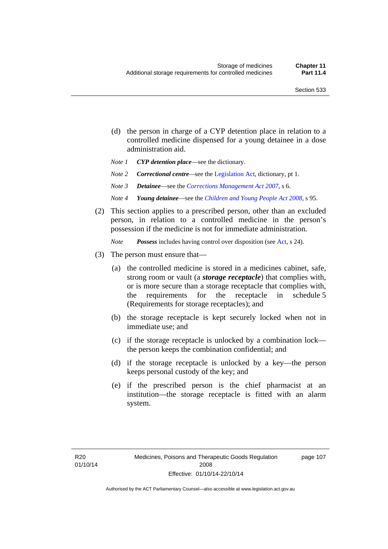- (d) the person in charge of a CYP detention place in relation to a controlled medicine dispensed for a young detainee in a dose administration aid.
- *Note 1 CYP detention place*—see the dictionary.
- *Note 2 Correctional centre—see the [Legislation Act](http://www.legislation.act.gov.au/a/2001-14), dictionary, pt 1.*
- *Note 3 Detainee*—see the *[Corrections Management Act 2007](http://www.legislation.act.gov.au/a/2007-15)*, s 6.
- *Note 4 Young detainee*—see the *[Children and Young People Act 2008](http://www.legislation.act.gov.au/a/2008-19)*, s 95.
- (2) This section applies to a prescribed person, other than an excluded person, in relation to a controlled medicine in the person's possession if the medicine is not for immediate administration.

*Note Possess* includes having control over disposition (see [Act,](http://www.legislation.act.gov.au/a/2008-26/default.asp) s 24).

- (3) The person must ensure that—
	- (a) the controlled medicine is stored in a medicines cabinet, safe, strong room or vault (a *storage receptacle*) that complies with, or is more secure than a storage receptacle that complies with, the requirements for the receptacle in schedule 5 (Requirements for storage receptacles); and
	- (b) the storage receptacle is kept securely locked when not in immediate use; and
	- (c) if the storage receptacle is unlocked by a combination lock the person keeps the combination confidential; and
	- (d) if the storage receptacle is unlocked by a key—the person keeps personal custody of the key; and
	- (e) if the prescribed person is the chief pharmacist at an institution—the storage receptacle is fitted with an alarm system.

page 107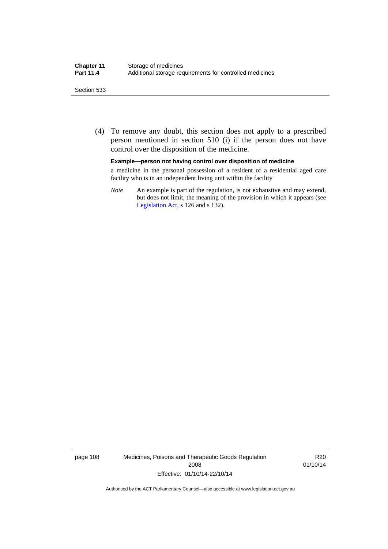#### Section 533

 (4) To remove any doubt, this section does not apply to a prescribed person mentioned in section 510 (i) if the person does not have control over the disposition of the medicine.

#### **Example—person not having control over disposition of medicine**

a medicine in the personal possession of a resident of a residential aged care facility who is in an independent living unit within the facility

*Note* An example is part of the regulation, is not exhaustive and may extend, but does not limit, the meaning of the provision in which it appears (see [Legislation Act,](http://www.legislation.act.gov.au/a/2001-14) s 126 and s 132).

page 108 Medicines, Poisons and Therapeutic Goods Regulation 2008 Effective: 01/10/14-22/10/14

R20 01/10/14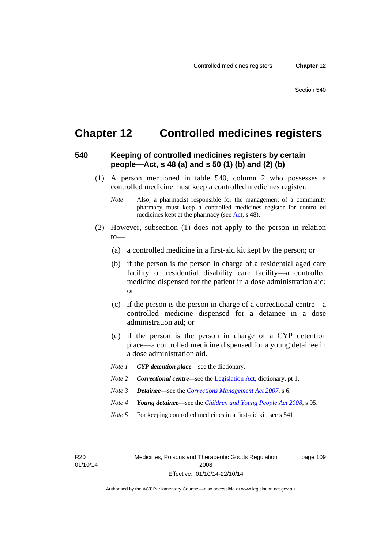page 109

# **Chapter 12 Controlled medicines registers**

#### **540 Keeping of controlled medicines registers by certain people—Act, s 48 (a) and s 50 (1) (b) and (2) (b)**

- (1) A person mentioned in table 540, column 2 who possesses a controlled medicine must keep a controlled medicines register.
	- *Note* Also, a pharmacist responsible for the management of a community pharmacy must keep a controlled medicines register for controlled medicines kept at the pharmacy (see [Act](http://www.legislation.act.gov.au/a/2008-26/default.asp), s 48).
- (2) However, subsection (1) does not apply to the person in relation  $to$ —
	- (a) a controlled medicine in a first-aid kit kept by the person; or
	- (b) if the person is the person in charge of a residential aged care facility or residential disability care facility—a controlled medicine dispensed for the patient in a dose administration aid; or
	- (c) if the person is the person in charge of a correctional centre—a controlled medicine dispensed for a detainee in a dose administration aid; or
	- (d) if the person is the person in charge of a CYP detention place—a controlled medicine dispensed for a young detainee in a dose administration aid.
	- *Note 1 CYP detention place*—see the dictionary.
	- *Note 2 Correctional centre—see the [Legislation Act](http://www.legislation.act.gov.au/a/2001-14), dictionary, pt 1.*
	- *Note 3 Detainee*—see the *[Corrections Management Act 2007](http://www.legislation.act.gov.au/a/2007-15)*, s 6.
	- *Note 4 Young detainee*—see the *[Children and Young People Act 2008](http://www.legislation.act.gov.au/a/2008-19)*, s 95.
	- *Note* 5 For keeping controlled medicines in a first-aid kit, see s 541.

R20 01/10/14 Medicines, Poisons and Therapeutic Goods Regulation 2008 Effective: 01/10/14-22/10/14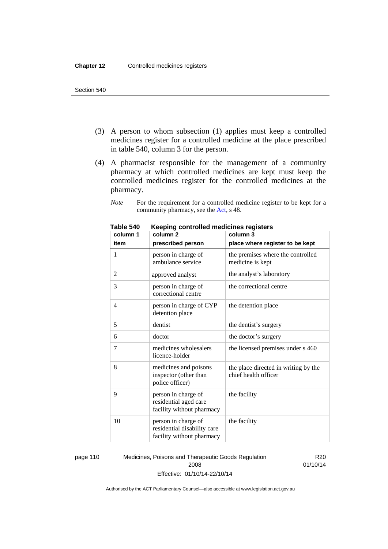- (3) A person to whom subsection (1) applies must keep a controlled medicines register for a controlled medicine at the place prescribed in table 540, column 3 for the person.
- (4) A pharmacist responsible for the management of a community pharmacy at which controlled medicines are kept must keep the controlled medicines register for the controlled medicines at the pharmacy.

*Note* For the requirement for a controlled medicine register to be kept for a community pharmacy, see the [Act,](http://www.legislation.act.gov.au/a/2008-26/default.asp) s 48.

| column 1 | column <sub>2</sub>                                                             | column 3                                                     |
|----------|---------------------------------------------------------------------------------|--------------------------------------------------------------|
| item     | prescribed person                                                               | place where register to be kept                              |
| 1        | person in charge of<br>ambulance service                                        | the premises where the controlled<br>medicine is kept        |
| 2        | approved analyst                                                                | the analyst's laboratory                                     |
| 3        | person in charge of<br>correctional centre                                      | the correctional centre                                      |
| 4        | person in charge of CYP<br>detention place                                      | the detention place                                          |
| 5        | dentist                                                                         | the dentist's surgery                                        |
| 6        | doctor                                                                          | the doctor's surgery                                         |
| 7        | medicines wholesalers<br>licence-holder                                         | the licensed premises under s 460                            |
| 8        | medicines and poisons<br>inspector (other than<br>police officer)               | the place directed in writing by the<br>chief health officer |
| 9        | person in charge of<br>residential aged care<br>facility without pharmacy       | the facility                                                 |
| 10       | person in charge of<br>residential disability care<br>facility without pharmacy | the facility                                                 |

**Table 540 Keeping controlled medicines registers** 

page 110 Medicines, Poisons and Therapeutic Goods Regulation 2008 Effective: 01/10/14-22/10/14

R20 01/10/14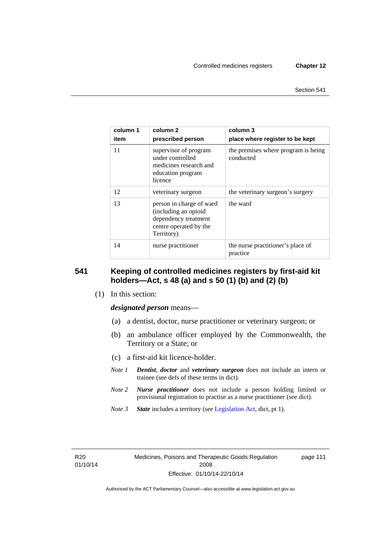| column 1<br>item | column 2<br>prescribed person                                                                                    | column 3<br>place where register to be kept      |
|------------------|------------------------------------------------------------------------------------------------------------------|--------------------------------------------------|
| 11               | supervisor of program<br>under controlled<br>medicines research and<br>education program<br>licence              | the premises where program is being<br>conducted |
| 12               | veterinary surgeon                                                                                               | the veterinary surgeon's surgery                 |
| 13               | person in charge of ward<br>(including an opioid<br>dependency treatment<br>centre operated by the<br>Territory) | the ward                                         |
| 14               | nurse practitioner                                                                                               | the nurse practitioner's place of<br>practice    |

#### **541 Keeping of controlled medicines registers by first-aid kit holders—Act, s 48 (a) and s 50 (1) (b) and (2) (b)**

(1) In this section:

*designated person* means—

- (a) a dentist, doctor, nurse practitioner or veterinary surgeon; or
- (b) an ambulance officer employed by the Commonwealth, the Territory or a State; or
- (c) a first-aid kit licence-holder.
- *Note 1 Dentist*, *doctor* and *veterinary surgeon* does not include an intern or trainee (see defs of these terms in dict).
- *Note 2 Nurse practitioner* does not include a person holding limited or provisional registration to practise as a nurse practitioner (see dict).
- *Note 3 State* includes a territory (see [Legislation Act,](http://www.legislation.act.gov.au/a/2001-14) dict, pt 1).

R20 01/10/14 page 111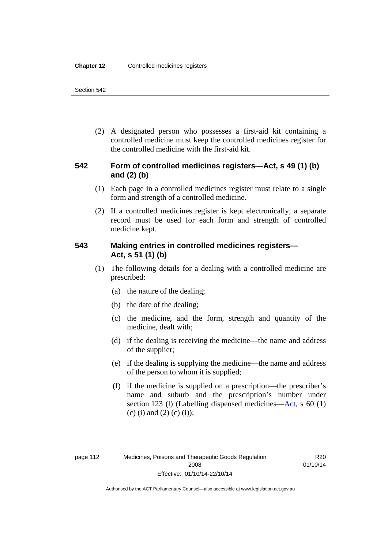(2) A designated person who possesses a first-aid kit containing a controlled medicine must keep the controlled medicines register for the controlled medicine with the first-aid kit.

### **542 Form of controlled medicines registers—Act, s 49 (1) (b) and (2) (b)**

- (1) Each page in a controlled medicines register must relate to a single form and strength of a controlled medicine.
- (2) If a controlled medicines register is kept electronically, a separate record must be used for each form and strength of controlled medicine kept.

### **543 Making entries in controlled medicines registers— Act, s 51 (1) (b)**

- (1) The following details for a dealing with a controlled medicine are prescribed:
	- (a) the nature of the dealing;
	- (b) the date of the dealing;
	- (c) the medicine, and the form, strength and quantity of the medicine, dealt with;
	- (d) if the dealing is receiving the medicine—the name and address of the supplier;
	- (e) if the dealing is supplying the medicine—the name and address of the person to whom it is supplied;
	- (f) if the medicine is supplied on a prescription—the prescriber's name and suburb and the prescription's number under section 123 (l) (Labelling dispensed medicines[—Act,](http://www.legislation.act.gov.au/a/2008-26/default.asp) s 60 (1) (c) (i) and (2) (c) (i));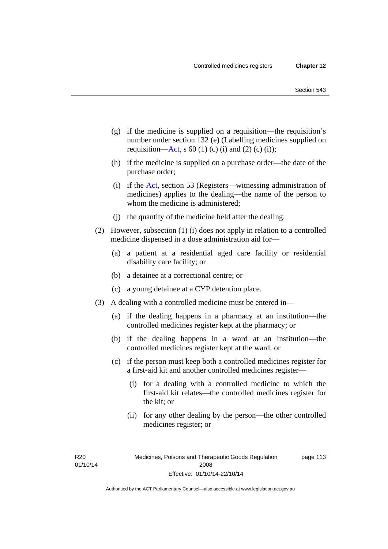- (g) if the medicine is supplied on a requisition—the requisition's number under section 132 (e) (Labelling medicines supplied on requisition[—Act,](http://www.legislation.act.gov.au/a/2008-26/default.asp) s 60 (1) (c) (i) and (2) (c) (i));
- (h) if the medicine is supplied on a purchase order—the date of the purchase order;
- (i) if the [Act,](http://www.legislation.act.gov.au/a/2008-26/default.asp) section 53 (Registers—witnessing administration of medicines) applies to the dealing—the name of the person to whom the medicine is administered;
- (j) the quantity of the medicine held after the dealing.
- (2) However, subsection (1) (i) does not apply in relation to a controlled medicine dispensed in a dose administration aid for—
	- (a) a patient at a residential aged care facility or residential disability care facility; or
	- (b) a detainee at a correctional centre; or
	- (c) a young detainee at a CYP detention place.
- (3) A dealing with a controlled medicine must be entered in—
	- (a) if the dealing happens in a pharmacy at an institution—the controlled medicines register kept at the pharmacy; or
	- (b) if the dealing happens in a ward at an institution—the controlled medicines register kept at the ward; or
	- (c) if the person must keep both a controlled medicines register for a first-aid kit and another controlled medicines register—
		- (i) for a dealing with a controlled medicine to which the first-aid kit relates—the controlled medicines register for the kit; or
		- (ii) for any other dealing by the person—the other controlled medicines register; or

R20 01/10/14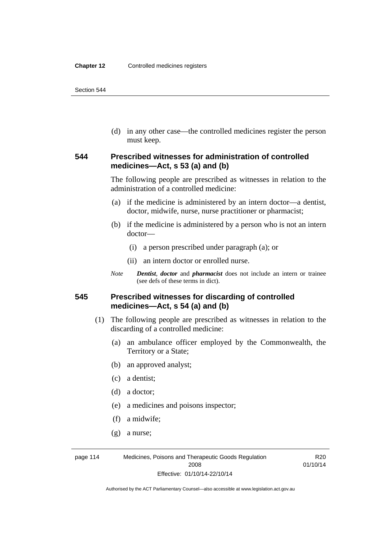(d) in any other case—the controlled medicines register the person must keep.

#### **544 Prescribed witnesses for administration of controlled medicines—Act, s 53 (a) and (b)**

The following people are prescribed as witnesses in relation to the administration of a controlled medicine:

- (a) if the medicine is administered by an intern doctor—a dentist, doctor, midwife, nurse, nurse practitioner or pharmacist;
- (b) if the medicine is administered by a person who is not an intern doctor—
	- (i) a person prescribed under paragraph (a); or
	- (ii) an intern doctor or enrolled nurse.
- *Note Dentist*, *doctor* and *pharmacist* does not include an intern or trainee (see defs of these terms in dict).

#### **545 Prescribed witnesses for discarding of controlled medicines—Act, s 54 (a) and (b)**

- (1) The following people are prescribed as witnesses in relation to the discarding of a controlled medicine:
	- (a) an ambulance officer employed by the Commonwealth, the Territory or a State;
	- (b) an approved analyst;
	- (c) a dentist;
	- (d) a doctor;
	- (e) a medicines and poisons inspector;
	- (f) a midwife;
	- (g) a nurse;

page 114 Medicines, Poisons and Therapeutic Goods Regulation 2008 Effective: 01/10/14-22/10/14

R20 01/10/14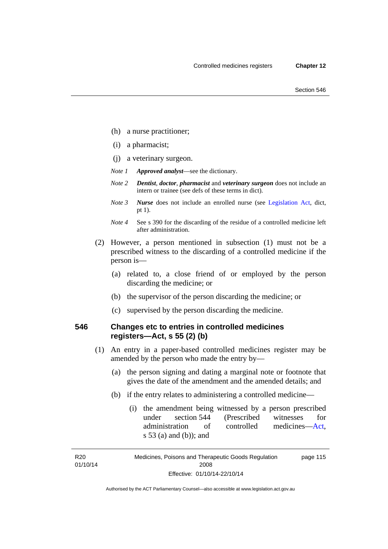- (h) a nurse practitioner;
- (i) a pharmacist;
- (j) a veterinary surgeon.
- *Note 1 Approved analyst*—see the dictionary.
- *Note 2 Dentist*, *doctor*, *pharmacist* and *veterinary surgeon* does not include an intern or trainee (see defs of these terms in dict).
- *Note 3 Nurse* does not include an enrolled nurse (see [Legislation Act,](http://www.legislation.act.gov.au/a/2001-14) dict, pt 1).
- *Note 4* See s 390 for the discarding of the residue of a controlled medicine left after administration.
- (2) However, a person mentioned in subsection (1) must not be a prescribed witness to the discarding of a controlled medicine if the person is—
	- (a) related to, a close friend of or employed by the person discarding the medicine; or
	- (b) the supervisor of the person discarding the medicine; or
	- (c) supervised by the person discarding the medicine.

#### **546 Changes etc to entries in controlled medicines registers—Act, s 55 (2) (b)**

- (1) An entry in a paper-based controlled medicines register may be amended by the person who made the entry by—
	- (a) the person signing and dating a marginal note or footnote that gives the date of the amendment and the amended details; and
	- (b) if the entry relates to administering a controlled medicine—
		- (i) the amendment being witnessed by a person prescribed under section 544 (Prescribed witnesses for administration of controlled medicines[—Act](http://www.legislation.act.gov.au/a/2008-26/default.asp), s 53 (a) and (b)); and

R20 01/10/14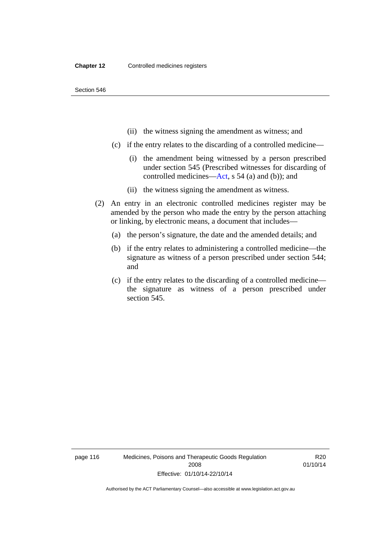- (ii) the witness signing the amendment as witness; and
- (c) if the entry relates to the discarding of a controlled medicine—
	- (i) the amendment being witnessed by a person prescribed under section 545 (Prescribed witnesses for discarding of controlled medicines[—Act,](http://www.legislation.act.gov.au/a/2008-26/default.asp) s 54 (a) and (b)); and
	- (ii) the witness signing the amendment as witness.
- (2) An entry in an electronic controlled medicines register may be amended by the person who made the entry by the person attaching or linking, by electronic means, a document that includes—
	- (a) the person's signature, the date and the amended details; and
	- (b) if the entry relates to administering a controlled medicine—the signature as witness of a person prescribed under section 544; and
	- (c) if the entry relates to the discarding of a controlled medicine the signature as witness of a person prescribed under section 545.

page 116 Medicines, Poisons and Therapeutic Goods Regulation 2008 Effective: 01/10/14-22/10/14

R20 01/10/14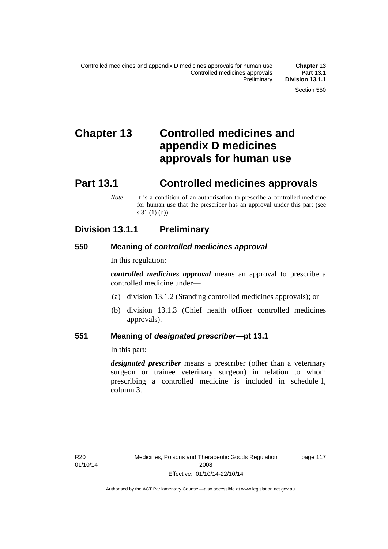# **Chapter 13 Controlled medicines and appendix D medicines approvals for human use**

# **Part 13.1 Controlled medicines approvals**

*Note* It is a condition of an authorisation to prescribe a controlled medicine for human use that the prescriber has an approval under this part (see s 31 (1) (d)).

## **Division 13.1.1 Preliminary**

#### **550 Meaning of** *controlled medicines approval*

In this regulation:

*controlled medicines approval* means an approval to prescribe a controlled medicine under—

- (a) division 13.1.2 (Standing controlled medicines approvals); or
- (b) division 13.1.3 (Chief health officer controlled medicines approvals).

#### **551 Meaning of** *designated prescriber***—pt 13.1**

In this part:

*designated prescriber* means a prescriber (other than a veterinary surgeon or trainee veterinary surgeon) in relation to whom prescribing a controlled medicine is included in schedule 1, column 3.

page 117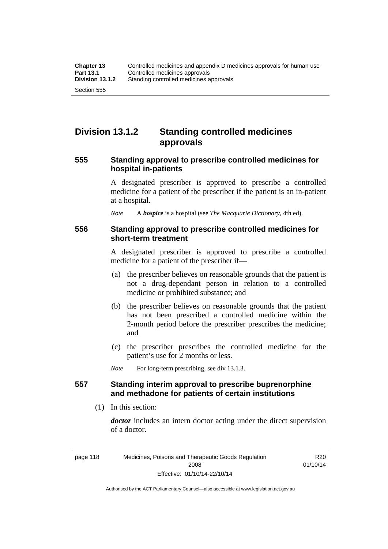## **Division 13.1.2 Standing controlled medicines approvals**

#### **555 Standing approval to prescribe controlled medicines for hospital in-patients**

A designated prescriber is approved to prescribe a controlled medicine for a patient of the prescriber if the patient is an in-patient at a hospital.

*Note* A *hospice* is a hospital (see *The Macquarie Dictionary*, 4th ed).

#### **556 Standing approval to prescribe controlled medicines for short-term treatment**

A designated prescriber is approved to prescribe a controlled medicine for a patient of the prescriber if—

- (a) the prescriber believes on reasonable grounds that the patient is not a drug-dependant person in relation to a controlled medicine or prohibited substance; and
- (b) the prescriber believes on reasonable grounds that the patient has not been prescribed a controlled medicine within the 2-month period before the prescriber prescribes the medicine; and
- (c) the prescriber prescribes the controlled medicine for the patient's use for 2 months or less.

*Note* For long-term prescribing, see div 13.1.3.

### **557 Standing interim approval to prescribe buprenorphine and methadone for patients of certain institutions**

(1) In this section:

*doctor* includes an intern doctor acting under the direct supervision of a doctor.

R20 01/10/14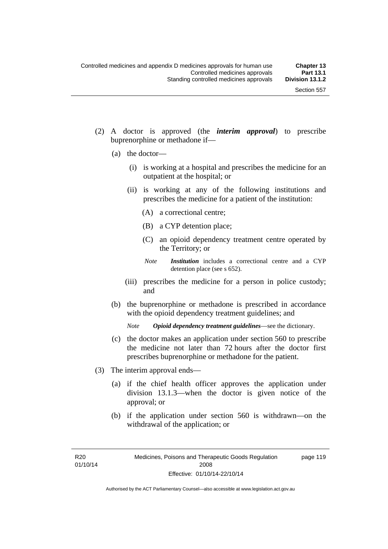- (2) A doctor is approved (the *interim approval*) to prescribe buprenorphine or methadone if—
	- (a) the doctor—
		- (i) is working at a hospital and prescribes the medicine for an outpatient at the hospital; or
		- (ii) is working at any of the following institutions and prescribes the medicine for a patient of the institution:
			- (A) a correctional centre;
			- (B) a CYP detention place;
			- (C) an opioid dependency treatment centre operated by the Territory; or
			- *Note Institution* includes a correctional centre and a CYP detention place (see s 652).
		- (iii) prescribes the medicine for a person in police custody; and
	- (b) the buprenorphine or methadone is prescribed in accordance with the opioid dependency treatment guidelines; and

*Note Opioid dependency treatment guidelines*—see the dictionary.

- (c) the doctor makes an application under section 560 to prescribe the medicine not later than 72 hours after the doctor first prescribes buprenorphine or methadone for the patient.
- (3) The interim approval ends—
	- (a) if the chief health officer approves the application under division 13.1.3—when the doctor is given notice of the approval; or
	- (b) if the application under section 560 is withdrawn—on the withdrawal of the application; or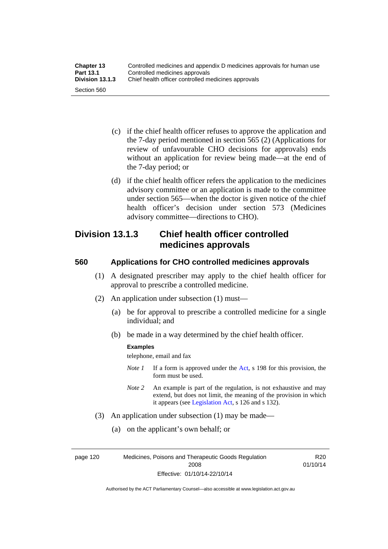| <b>Chapter 13</b> | Controlled medicines and appendix D medicines approvals for human use |
|-------------------|-----------------------------------------------------------------------|
| <b>Part 13.1</b>  | Controlled medicines approvals                                        |
| Division 13.1.3   | Chief health officer controlled medicines approvals                   |
| Section 560       |                                                                       |

- (c) if the chief health officer refuses to approve the application and the 7-day period mentioned in section 565 (2) (Applications for review of unfavourable CHO decisions for approvals) ends without an application for review being made—at the end of the 7-day period; or
- (d) if the chief health officer refers the application to the medicines advisory committee or an application is made to the committee under section 565—when the doctor is given notice of the chief health officer's decision under section 573 (Medicines advisory committee—directions to CHO).

## **Division 13.1.3 Chief health officer controlled medicines approvals**

### **560 Applications for CHO controlled medicines approvals**

- (1) A designated prescriber may apply to the chief health officer for approval to prescribe a controlled medicine.
- (2) An application under subsection (1) must—
	- (a) be for approval to prescribe a controlled medicine for a single individual; and
	- (b) be made in a way determined by the chief health officer.

#### **Examples**

telephone, email and fax

- *Note 1* If a form is approved under the [Act](http://www.legislation.act.gov.au/a/2008-26/default.asp), s 198 for this provision, the form must be used.
- *Note 2* An example is part of the regulation, is not exhaustive and may extend, but does not limit, the meaning of the provision in which it appears (see [Legislation Act,](http://www.legislation.act.gov.au/a/2001-14) s 126 and s 132).
- (3) An application under subsection (1) may be made—
	- (a) on the applicant's own behalf; or

page 120 Medicines, Poisons and Therapeutic Goods Regulation 2008 Effective: 01/10/14-22/10/14

R20 01/10/14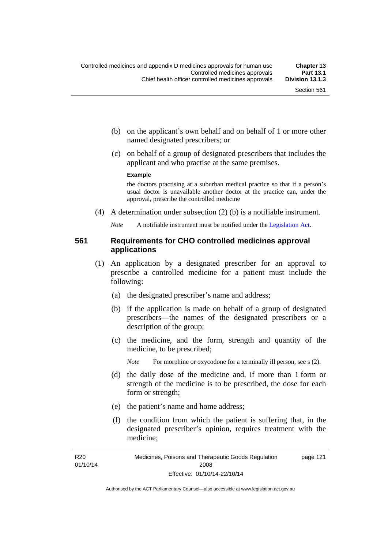- (b) on the applicant's own behalf and on behalf of 1 or more other named designated prescribers; or
- (c) on behalf of a group of designated prescribers that includes the applicant and who practise at the same premises.

#### **Example**

the doctors practising at a suburban medical practice so that if a person's usual doctor is unavailable another doctor at the practice can, under the approval, prescribe the controlled medicine

(4) A determination under subsection (2) (b) is a notifiable instrument.

*Note* A notifiable instrument must be notified under the [Legislation Act](http://www.legislation.act.gov.au/a/2001-14).

## **561 Requirements for CHO controlled medicines approval applications**

- (1) An application by a designated prescriber for an approval to prescribe a controlled medicine for a patient must include the following:
	- (a) the designated prescriber's name and address;
	- (b) if the application is made on behalf of a group of designated prescribers—the names of the designated prescribers or a description of the group;
	- (c) the medicine, and the form, strength and quantity of the medicine, to be prescribed;

*Note* For morphine or oxycodone for a terminally ill person, see s (2).

- (d) the daily dose of the medicine and, if more than 1 form or strength of the medicine is to be prescribed, the dose for each form or strength;
- (e) the patient's name and home address;
- (f) the condition from which the patient is suffering that, in the designated prescriber's opinion, requires treatment with the medicine;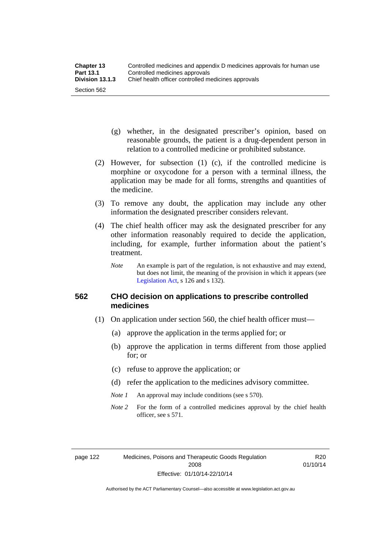- (g) whether, in the designated prescriber's opinion, based on reasonable grounds, the patient is a drug-dependent person in relation to a controlled medicine or prohibited substance.
- (2) However, for subsection (1) (c), if the controlled medicine is morphine or oxycodone for a person with a terminal illness, the application may be made for all forms, strengths and quantities of the medicine.
- (3) To remove any doubt, the application may include any other information the designated prescriber considers relevant.
- (4) The chief health officer may ask the designated prescriber for any other information reasonably required to decide the application, including, for example, further information about the patient's treatment.
	- *Note* An example is part of the regulation, is not exhaustive and may extend, but does not limit, the meaning of the provision in which it appears (see [Legislation Act,](http://www.legislation.act.gov.au/a/2001-14) s 126 and s 132).

## **562 CHO decision on applications to prescribe controlled medicines**

- (1) On application under section 560, the chief health officer must—
	- (a) approve the application in the terms applied for; or
	- (b) approve the application in terms different from those applied for; or
	- (c) refuse to approve the application; or
	- (d) refer the application to the medicines advisory committee.
	- *Note 1* An approval may include conditions (see s 570).
	- *Note* 2 For the form of a controlled medicines approval by the chief health officer, see s 571.

R20 01/10/14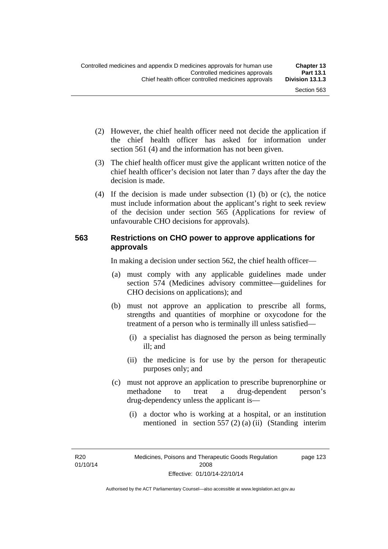- (2) However, the chief health officer need not decide the application if the chief health officer has asked for information under section 561 (4) and the information has not been given.
- (3) The chief health officer must give the applicant written notice of the chief health officer's decision not later than 7 days after the day the decision is made.
- (4) If the decision is made under subsection (1) (b) or (c), the notice must include information about the applicant's right to seek review of the decision under section 565 (Applications for review of unfavourable CHO decisions for approvals).

## **563 Restrictions on CHO power to approve applications for approvals**

In making a decision under section 562, the chief health officer—

- (a) must comply with any applicable guidelines made under section 574 (Medicines advisory committee—guidelines for CHO decisions on applications); and
- (b) must not approve an application to prescribe all forms, strengths and quantities of morphine or oxycodone for the treatment of a person who is terminally ill unless satisfied—
	- (i) a specialist has diagnosed the person as being terminally ill; and
	- (ii) the medicine is for use by the person for therapeutic purposes only; and
- (c) must not approve an application to prescribe buprenorphine or methadone to treat a drug-dependent person's drug-dependency unless the applicant is—
	- (i) a doctor who is working at a hospital, or an institution mentioned in section 557 (2) (a) (ii) (Standing interim

R20 01/10/14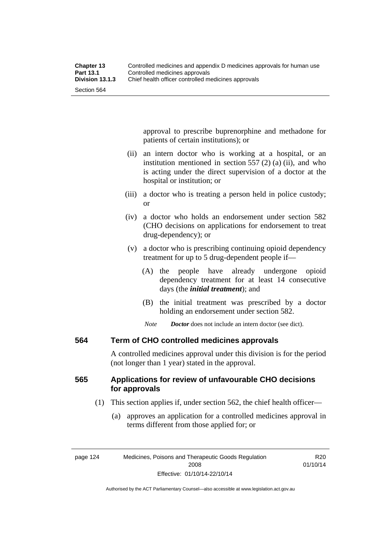approval to prescribe buprenorphine and methadone for patients of certain institutions); or

- (ii) an intern doctor who is working at a hospital, or an institution mentioned in section 557 (2) (a) (ii), and who is acting under the direct supervision of a doctor at the hospital or institution; or
- (iii) a doctor who is treating a person held in police custody; or
- (iv) a doctor who holds an endorsement under section 582 (CHO decisions on applications for endorsement to treat drug-dependency); or
- (v) a doctor who is prescribing continuing opioid dependency treatment for up to 5 drug-dependent people if—
	- (A) the people have already undergone opioid dependency treatment for at least 14 consecutive days (the *initial treatment*); and
	- (B) the initial treatment was prescribed by a doctor holding an endorsement under section 582.
	- *Note Doctor* does not include an intern doctor (see dict).

## **564 Term of CHO controlled medicines approvals**

A controlled medicines approval under this division is for the period (not longer than 1 year) stated in the approval.

# **565 Applications for review of unfavourable CHO decisions for approvals**

- (1) This section applies if, under section 562, the chief health officer—
	- (a) approves an application for a controlled medicines approval in terms different from those applied for; or

Authorised by the ACT Parliamentary Counsel—also accessible at www.legislation.act.gov.au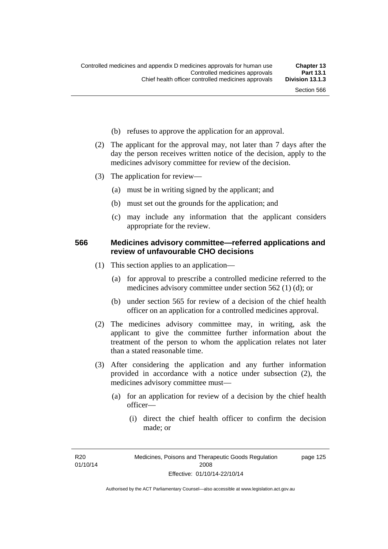- (b) refuses to approve the application for an approval.
- (2) The applicant for the approval may, not later than 7 days after the day the person receives written notice of the decision, apply to the medicines advisory committee for review of the decision.
- (3) The application for review—
	- (a) must be in writing signed by the applicant; and
	- (b) must set out the grounds for the application; and
	- (c) may include any information that the applicant considers appropriate for the review.

### **566 Medicines advisory committee—referred applications and review of unfavourable CHO decisions**

- (1) This section applies to an application—
	- (a) for approval to prescribe a controlled medicine referred to the medicines advisory committee under section 562 (1) (d); or
	- (b) under section 565 for review of a decision of the chief health officer on an application for a controlled medicines approval.
- (2) The medicines advisory committee may, in writing, ask the applicant to give the committee further information about the treatment of the person to whom the application relates not later than a stated reasonable time.
- (3) After considering the application and any further information provided in accordance with a notice under subsection (2), the medicines advisory committee must—
	- (a) for an application for review of a decision by the chief health officer—
		- (i) direct the chief health officer to confirm the decision made; or

R<sub>20</sub> 01/10/14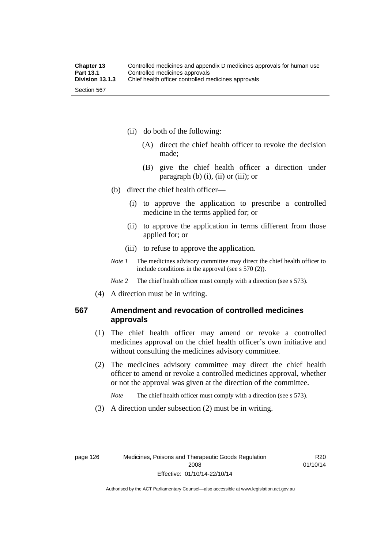- (ii) do both of the following:
	- (A) direct the chief health officer to revoke the decision made;
	- (B) give the chief health officer a direction under paragraph  $(b)$   $(i)$ ,  $(ii)$  or  $(iii)$ ; or
- (b) direct the chief health officer—
	- (i) to approve the application to prescribe a controlled medicine in the terms applied for; or
	- (ii) to approve the application in terms different from those applied for; or
	- (iii) to refuse to approve the application.
- *Note 1* The medicines advisory committee may direct the chief health officer to include conditions in the approval (see s 570 (2)).

*Note* 2 The chief health officer must comply with a direction (see s 573).

(4) A direction must be in writing.

# **567 Amendment and revocation of controlled medicines approvals**

- (1) The chief health officer may amend or revoke a controlled medicines approval on the chief health officer's own initiative and without consulting the medicines advisory committee.
- (2) The medicines advisory committee may direct the chief health officer to amend or revoke a controlled medicines approval, whether or not the approval was given at the direction of the committee.

*Note* The chief health officer must comply with a direction (see s 573).

(3) A direction under subsection (2) must be in writing.

R20 01/10/14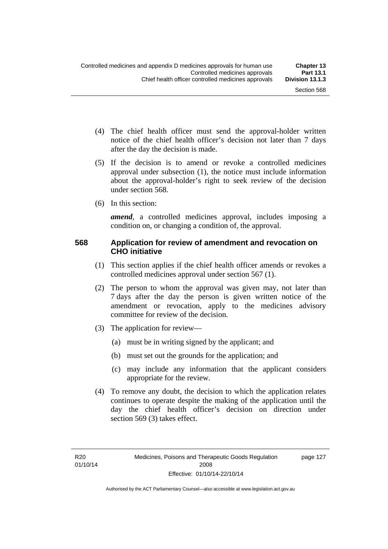page 127

- (4) The chief health officer must send the approval-holder written notice of the chief health officer's decision not later than 7 days after the day the decision is made.
- (5) If the decision is to amend or revoke a controlled medicines approval under subsection (1), the notice must include information about the approval-holder's right to seek review of the decision under section 568.
- (6) In this section:

*amend*, a controlled medicines approval, includes imposing a condition on, or changing a condition of, the approval.

### **568 Application for review of amendment and revocation on CHO initiative**

- (1) This section applies if the chief health officer amends or revokes a controlled medicines approval under section 567 (1).
- (2) The person to whom the approval was given may, not later than 7 days after the day the person is given written notice of the amendment or revocation, apply to the medicines advisory committee for review of the decision.
- (3) The application for review—
	- (a) must be in writing signed by the applicant; and
	- (b) must set out the grounds for the application; and
	- (c) may include any information that the applicant considers appropriate for the review.
- (4) To remove any doubt, the decision to which the application relates continues to operate despite the making of the application until the day the chief health officer's decision on direction under section 569 (3) takes effect.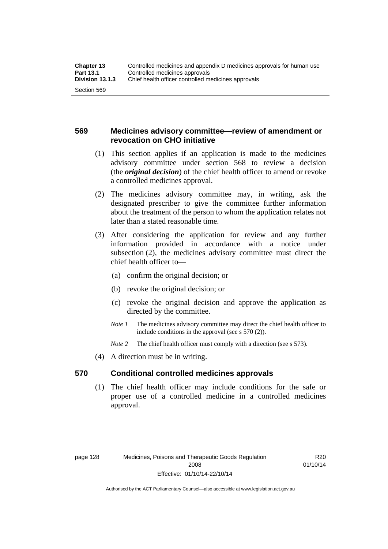# **569 Medicines advisory committee—review of amendment or revocation on CHO initiative**

- (1) This section applies if an application is made to the medicines advisory committee under section 568 to review a decision (the *original decision*) of the chief health officer to amend or revoke a controlled medicines approval.
- (2) The medicines advisory committee may, in writing, ask the designated prescriber to give the committee further information about the treatment of the person to whom the application relates not later than a stated reasonable time.
- (3) After considering the application for review and any further information provided in accordance with a notice under subsection (2), the medicines advisory committee must direct the chief health officer to—
	- (a) confirm the original decision; or
	- (b) revoke the original decision; or
	- (c) revoke the original decision and approve the application as directed by the committee.
	- *Note 1* The medicines advisory committee may direct the chief health officer to include conditions in the approval (see s 570 (2)).
	- *Note* 2 The chief health officer must comply with a direction (see s 573).
- (4) A direction must be in writing.

## **570 Conditional controlled medicines approvals**

(1) The chief health officer may include conditions for the safe or proper use of a controlled medicine in a controlled medicines approval.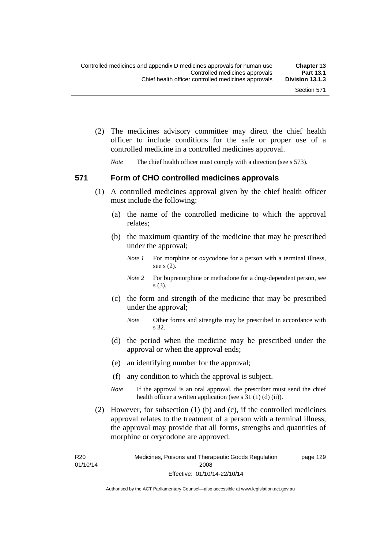(2) The medicines advisory committee may direct the chief health officer to include conditions for the safe or proper use of a controlled medicine in a controlled medicines approval.

*Note* The chief health officer must comply with a direction (see s 573).

#### **571 Form of CHO controlled medicines approvals**

- (1) A controlled medicines approval given by the chief health officer must include the following:
	- (a) the name of the controlled medicine to which the approval relates;
	- (b) the maximum quantity of the medicine that may be prescribed under the approval;
		- *Note 1* For morphine or oxycodone for a person with a terminal illness, see s (2).
		- *Note* 2 For buprenorphine or methadone for a drug-dependent person, see s (3).
	- (c) the form and strength of the medicine that may be prescribed under the approval;
		- *Note* Other forms and strengths may be prescribed in accordance with s 32.
	- (d) the period when the medicine may be prescribed under the approval or when the approval ends;
	- (e) an identifying number for the approval;

R<sub>20</sub>

- (f) any condition to which the approval is subject.
- *Note* If the approval is an oral approval, the prescriber must send the chief health officer a written application (see s  $31(1)(d)(ii)$ ).
- (2) However, for subsection (1) (b) and (c), if the controlled medicines approval relates to the treatment of a person with a terminal illness, the approval may provide that all forms, strengths and quantities of morphine or oxycodone are approved.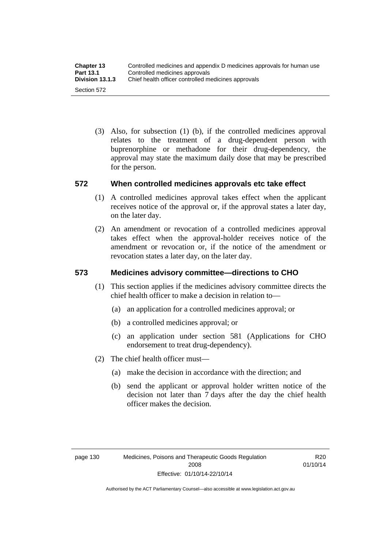(3) Also, for subsection (1) (b), if the controlled medicines approval relates to the treatment of a drug-dependent person with buprenorphine or methadone for their drug-dependency, the approval may state the maximum daily dose that may be prescribed for the person.

# **572 When controlled medicines approvals etc take effect**

- (1) A controlled medicines approval takes effect when the applicant receives notice of the approval or, if the approval states a later day, on the later day.
- (2) An amendment or revocation of a controlled medicines approval takes effect when the approval-holder receives notice of the amendment or revocation or, if the notice of the amendment or revocation states a later day, on the later day.

# **573 Medicines advisory committee—directions to CHO**

- (1) This section applies if the medicines advisory committee directs the chief health officer to make a decision in relation to—
	- (a) an application for a controlled medicines approval; or
	- (b) a controlled medicines approval; or
	- (c) an application under section 581 (Applications for CHO endorsement to treat drug-dependency).
- (2) The chief health officer must—
	- (a) make the decision in accordance with the direction; and
	- (b) send the applicant or approval holder written notice of the decision not later than 7 days after the day the chief health officer makes the decision.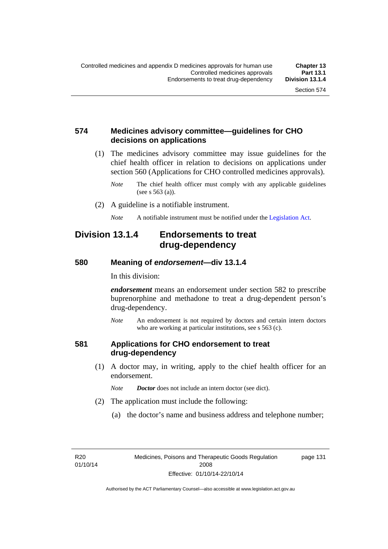# **574 Medicines advisory committee—guidelines for CHO decisions on applications**

 (1) The medicines advisory committee may issue guidelines for the chief health officer in relation to decisions on applications under section 560 (Applications for CHO controlled medicines approvals).

- (2) A guideline is a notifiable instrument.
	- *Note* A notifiable instrument must be notified under the [Legislation Act](http://www.legislation.act.gov.au/a/2001-14).

# **Division 13.1.4 Endorsements to treat drug-dependency**

#### **580 Meaning of** *endorsement***—div 13.1.4**

In this division:

*endorsement* means an endorsement under section 582 to prescribe buprenorphine and methadone to treat a drug-dependent person's drug-dependency.

*Note* An endorsement is not required by doctors and certain intern doctors who are working at particular institutions, see s 563 (c).

#### **581 Applications for CHO endorsement to treat drug-dependency**

 (1) A doctor may, in writing, apply to the chief health officer for an endorsement.

*Note Doctor* does not include an intern doctor (see dict).

- (2) The application must include the following:
	- (a) the doctor's name and business address and telephone number;

R<sub>20</sub> 01/10/14 page 131

*Note* The chief health officer must comply with any applicable guidelines (see s 563 (a)).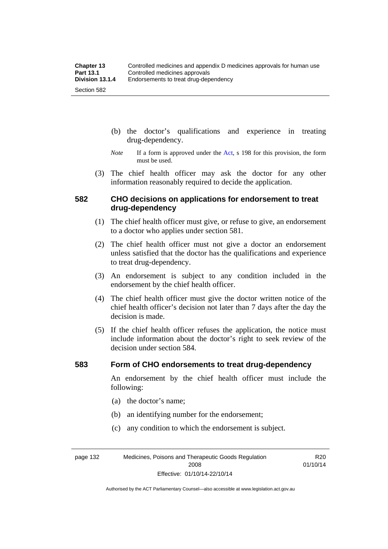- (b) the doctor's qualifications and experience in treating drug-dependency.
- *Note* If a form is approved under the [Act](http://www.legislation.act.gov.au/a/2008-26/default.asp), s 198 for this provision, the form must be used.
- (3) The chief health officer may ask the doctor for any other information reasonably required to decide the application.

# **582 CHO decisions on applications for endorsement to treat drug-dependency**

- (1) The chief health officer must give, or refuse to give, an endorsement to a doctor who applies under section 581.
- (2) The chief health officer must not give a doctor an endorsement unless satisfied that the doctor has the qualifications and experience to treat drug-dependency.
- (3) An endorsement is subject to any condition included in the endorsement by the chief health officer.
- (4) The chief health officer must give the doctor written notice of the chief health officer's decision not later than 7 days after the day the decision is made.
- (5) If the chief health officer refuses the application, the notice must include information about the doctor's right to seek review of the decision under section 584.

#### **583 Form of CHO endorsements to treat drug-dependency**

An endorsement by the chief health officer must include the following:

- (a) the doctor's name;
- (b) an identifying number for the endorsement;
- (c) any condition to which the endorsement is subject.

page 132 Medicines, Poisons and Therapeutic Goods Regulation 2008 Effective: 01/10/14-22/10/14

R20 01/10/14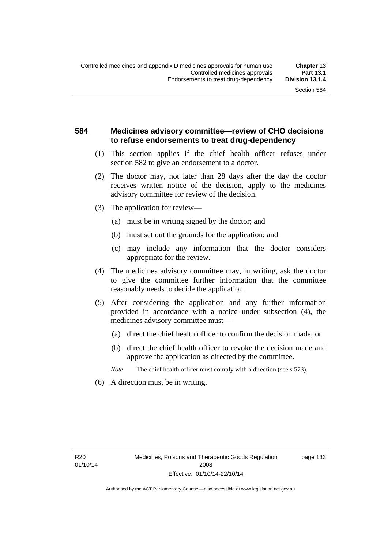# **584 Medicines advisory committee—review of CHO decisions to refuse endorsements to treat drug-dependency**

- (1) This section applies if the chief health officer refuses under section 582 to give an endorsement to a doctor.
- (2) The doctor may, not later than 28 days after the day the doctor receives written notice of the decision, apply to the medicines advisory committee for review of the decision.
- (3) The application for review—
	- (a) must be in writing signed by the doctor; and
	- (b) must set out the grounds for the application; and
	- (c) may include any information that the doctor considers appropriate for the review.
- (4) The medicines advisory committee may, in writing, ask the doctor to give the committee further information that the committee reasonably needs to decide the application.
- (5) After considering the application and any further information provided in accordance with a notice under subsection (4), the medicines advisory committee must—
	- (a) direct the chief health officer to confirm the decision made; or
	- (b) direct the chief health officer to revoke the decision made and approve the application as directed by the committee.
	- *Note* The chief health officer must comply with a direction (see s 573).
- (6) A direction must be in writing.

page 133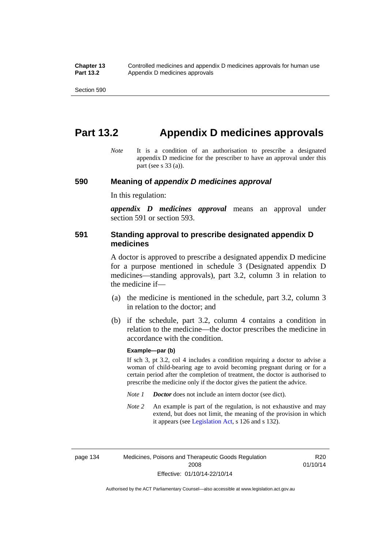# **Part 13.2 Appendix D medicines approvals**

*Note* It is a condition of an authorisation to prescribe a designated appendix D medicine for the prescriber to have an approval under this part (see s 33 (a)).

#### **590 Meaning of** *appendix D medicines approval*

In this regulation:

*appendix D medicines approval* means an approval under section 591 or section 593.

## **591 Standing approval to prescribe designated appendix D medicines**

A doctor is approved to prescribe a designated appendix D medicine for a purpose mentioned in schedule 3 (Designated appendix D medicines—standing approvals), part 3.2, column 3 in relation to the medicine if—

- (a) the medicine is mentioned in the schedule, part 3.2, column 3 in relation to the doctor; and
- (b) if the schedule, part 3.2, column 4 contains a condition in relation to the medicine—the doctor prescribes the medicine in accordance with the condition.

#### **Example—par (b)**

If sch 3, pt 3.2, col 4 includes a condition requiring a doctor to advise a woman of child-bearing age to avoid becoming pregnant during or for a certain period after the completion of treatment, the doctor is authorised to prescribe the medicine only if the doctor gives the patient the advice.

- *Note 1 Doctor* does not include an intern doctor (see dict).
- *Note 2* An example is part of the regulation, is not exhaustive and may extend, but does not limit, the meaning of the provision in which it appears (see [Legislation Act,](http://www.legislation.act.gov.au/a/2001-14) s 126 and s 132).

page 134 Medicines, Poisons and Therapeutic Goods Regulation 2008 Effective: 01/10/14-22/10/14

R20 01/10/14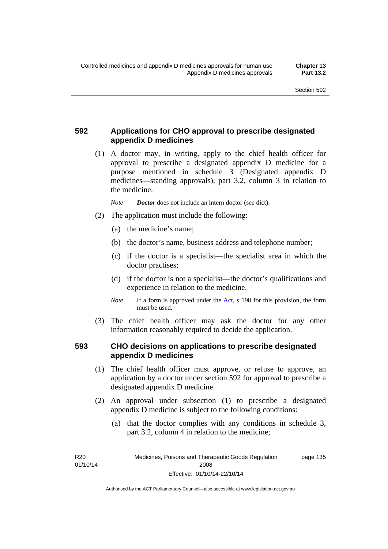# **592 Applications for CHO approval to prescribe designated appendix D medicines**

 (1) A doctor may, in writing, apply to the chief health officer for approval to prescribe a designated appendix D medicine for a purpose mentioned in schedule 3 (Designated appendix D medicines—standing approvals), part 3.2, column 3 in relation to the medicine.

*Note Doctor* does not include an intern doctor (see dict).

- (2) The application must include the following:
	- (a) the medicine's name;
	- (b) the doctor's name, business address and telephone number;
	- (c) if the doctor is a specialist—the specialist area in which the doctor practises;
	- (d) if the doctor is not a specialist—the doctor's qualifications and experience in relation to the medicine.
	- *Note* If a form is approved under the [Act](http://www.legislation.act.gov.au/a/2008-26/default.asp), s 198 for this provision, the form must be used.
- (3) The chief health officer may ask the doctor for any other information reasonably required to decide the application.

# **593 CHO decisions on applications to prescribe designated appendix D medicines**

- (1) The chief health officer must approve, or refuse to approve, an application by a doctor under section 592 for approval to prescribe a designated appendix D medicine.
- (2) An approval under subsection (1) to prescribe a designated appendix D medicine is subject to the following conditions:
	- (a) that the doctor complies with any conditions in schedule 3, part 3.2, column 4 in relation to the medicine;

R<sub>20</sub> 01/10/14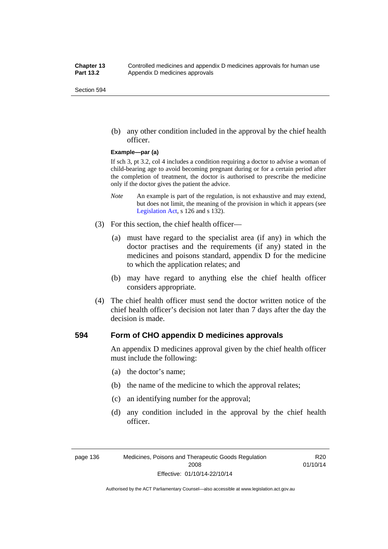(b) any other condition included in the approval by the chief health officer.

#### **Example—par (a)**

If sch 3, pt 3.2, col 4 includes a condition requiring a doctor to advise a woman of child-bearing age to avoid becoming pregnant during or for a certain period after the completion of treatment, the doctor is authorised to prescribe the medicine only if the doctor gives the patient the advice.

- *Note* An example is part of the regulation, is not exhaustive and may extend, but does not limit, the meaning of the provision in which it appears (see [Legislation Act,](http://www.legislation.act.gov.au/a/2001-14) s 126 and s 132).
- (3) For this section, the chief health officer—
	- (a) must have regard to the specialist area (if any) in which the doctor practises and the requirements (if any) stated in the medicines and poisons standard, appendix D for the medicine to which the application relates; and
	- (b) may have regard to anything else the chief health officer considers appropriate.
- (4) The chief health officer must send the doctor written notice of the chief health officer's decision not later than 7 days after the day the decision is made.

## **594 Form of CHO appendix D medicines approvals**

An appendix D medicines approval given by the chief health officer must include the following:

- (a) the doctor's name;
- (b) the name of the medicine to which the approval relates;
- (c) an identifying number for the approval;
- (d) any condition included in the approval by the chief health officer.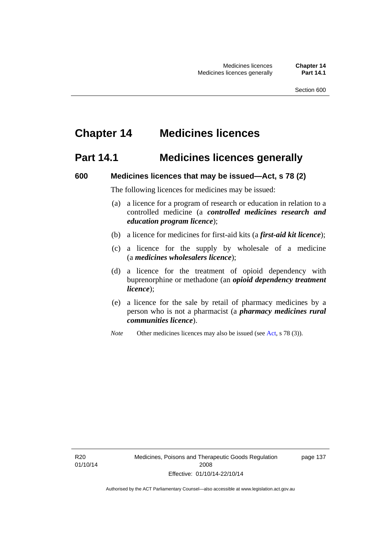# **Chapter 14 Medicines licences**

# **Part 14.1 Medicines licences generally**

### **600 Medicines licences that may be issued—Act, s 78 (2)**

The following licences for medicines may be issued:

- (a) a licence for a program of research or education in relation to a controlled medicine (a *controlled medicines research and education program licence*);
- (b) a licence for medicines for first-aid kits (a *first-aid kit licence*);
- (c) a licence for the supply by wholesale of a medicine (a *medicines wholesalers licence*);
- (d) a licence for the treatment of opioid dependency with buprenorphine or methadone (an *opioid dependency treatment licence*);
- (e) a licence for the sale by retail of pharmacy medicines by a person who is not a pharmacist (a *pharmacy medicines rural communities licence*).
- *Note* Other medicines licences may also be issued (see [Act,](http://www.legislation.act.gov.au/a/2008-26/default.asp) s 78 (3)).

R20 01/10/14 page 137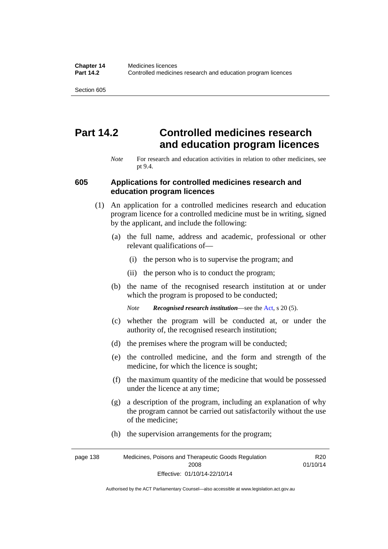# **Part 14.2 Controlled medicines research and education program licences**

*Note* For research and education activities in relation to other medicines, see pt 9.4.

#### **605 Applications for controlled medicines research and education program licences**

- (1) An application for a controlled medicines research and education program licence for a controlled medicine must be in writing, signed by the applicant, and include the following:
	- (a) the full name, address and academic, professional or other relevant qualifications of—
		- (i) the person who is to supervise the program; and
		- (ii) the person who is to conduct the program;
	- (b) the name of the recognised research institution at or under which the program is proposed to be conducted;
		- *Note Recognised research institution*—see the [Act](http://www.legislation.act.gov.au/a/2008-26/default.asp), s 20 (5).
	- (c) whether the program will be conducted at, or under the authority of, the recognised research institution;
	- (d) the premises where the program will be conducted;
	- (e) the controlled medicine, and the form and strength of the medicine, for which the licence is sought;
	- (f) the maximum quantity of the medicine that would be possessed under the licence at any time;
	- (g) a description of the program, including an explanation of why the program cannot be carried out satisfactorily without the use of the medicine;
	- (h) the supervision arrangements for the program;

page 138 Medicines, Poisons and Therapeutic Goods Regulation 2008 Effective: 01/10/14-22/10/14 R20 01/10/14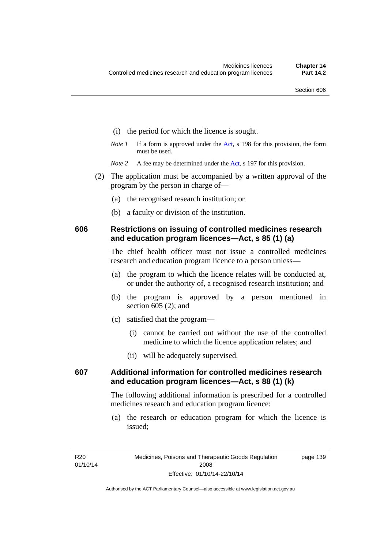- (i) the period for which the licence is sought.
- *Note 1* If a form is approved under the [Act](http://www.legislation.act.gov.au/a/2008-26/default.asp), s 198 for this provision, the form must be used.
- *Note* 2 A fee may be determined under the [Act,](http://www.legislation.act.gov.au/a/2008-26/default.asp) s 197 for this provision.
- (2) The application must be accompanied by a written approval of the program by the person in charge of—
	- (a) the recognised research institution; or
	- (b) a faculty or division of the institution.

## **606 Restrictions on issuing of controlled medicines research and education program licences—Act, s 85 (1) (a)**

The chief health officer must not issue a controlled medicines research and education program licence to a person unless—

- (a) the program to which the licence relates will be conducted at, or under the authority of, a recognised research institution; and
- (b) the program is approved by a person mentioned in section 605 (2); and
- (c) satisfied that the program—
	- (i) cannot be carried out without the use of the controlled medicine to which the licence application relates; and
	- (ii) will be adequately supervised.

# **607 Additional information for controlled medicines research and education program licences—Act, s 88 (1) (k)**

The following additional information is prescribed for a controlled medicines research and education program licence:

 (a) the research or education program for which the licence is issued;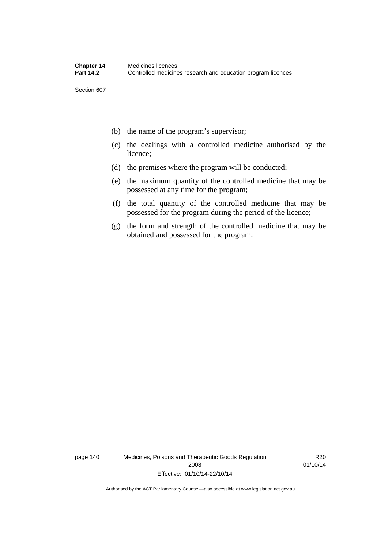- (b) the name of the program's supervisor;
- (c) the dealings with a controlled medicine authorised by the licence;
- (d) the premises where the program will be conducted;
- (e) the maximum quantity of the controlled medicine that may be possessed at any time for the program;
- (f) the total quantity of the controlled medicine that may be possessed for the program during the period of the licence;
- (g) the form and strength of the controlled medicine that may be obtained and possessed for the program.

page 140 Medicines, Poisons and Therapeutic Goods Regulation 2008 Effective: 01/10/14-22/10/14

R20 01/10/14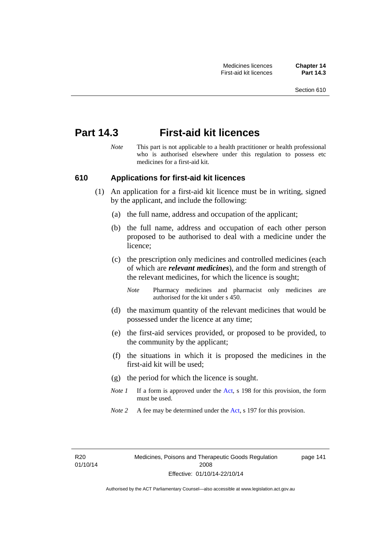# **Part 14.3 First-aid kit licences**

*Note* This part is not applicable to a health practitioner or health professional who is authorised elsewhere under this regulation to possess etc medicines for a first-aid kit.

## **610 Applications for first-aid kit licences**

- (1) An application for a first-aid kit licence must be in writing, signed by the applicant, and include the following:
	- (a) the full name, address and occupation of the applicant;
	- (b) the full name, address and occupation of each other person proposed to be authorised to deal with a medicine under the licence;
	- (c) the prescription only medicines and controlled medicines (each of which are *relevant medicines*), and the form and strength of the relevant medicines, for which the licence is sought;
		- *Note* Pharmacy medicines and pharmacist only medicines are authorised for the kit under s 450.
	- (d) the maximum quantity of the relevant medicines that would be possessed under the licence at any time;
	- (e) the first-aid services provided, or proposed to be provided, to the community by the applicant;
	- (f) the situations in which it is proposed the medicines in the first-aid kit will be used;
	- (g) the period for which the licence is sought.
	- *Note 1* If a form is approved under the [Act](http://www.legislation.act.gov.au/a/2008-26/default.asp), s 198 for this provision, the form must be used.
	- *Note 2* A fee may be determined under the [Act,](http://www.legislation.act.gov.au/a/2008-26/default.asp) s 197 for this provision.

page 141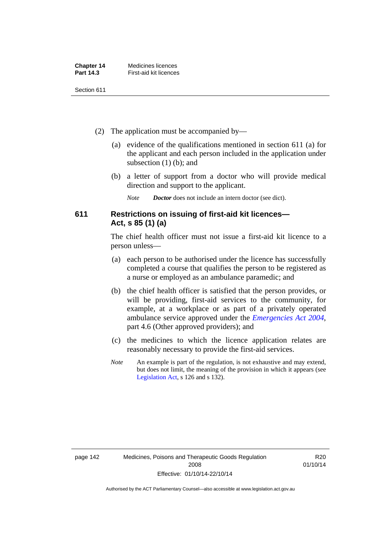| <b>Chapter 14</b> | Medicines licences     |
|-------------------|------------------------|
| <b>Part 14.3</b>  | First-aid kit licences |

- (2) The application must be accompanied by—
	- (a) evidence of the qualifications mentioned in section 611 (a) for the applicant and each person included in the application under subsection (1) (b); and
	- (b) a letter of support from a doctor who will provide medical direction and support to the applicant.
		- *Note Doctor* does not include an intern doctor (see dict).

# **611 Restrictions on issuing of first-aid kit licences— Act, s 85 (1) (a)**

The chief health officer must not issue a first-aid kit licence to a person unless—

- (a) each person to be authorised under the licence has successfully completed a course that qualifies the person to be registered as a nurse or employed as an ambulance paramedic; and
- (b) the chief health officer is satisfied that the person provides, or will be providing, first-aid services to the community, for example, at a workplace or as part of a privately operated ambulance service approved under the *[Emergencies Act 2004](http://www.legislation.act.gov.au/a/2004-28)*, part 4.6 (Other approved providers); and
- (c) the medicines to which the licence application relates are reasonably necessary to provide the first-aid services.
- *Note* An example is part of the regulation, is not exhaustive and may extend, but does not limit, the meaning of the provision in which it appears (see [Legislation Act,](http://www.legislation.act.gov.au/a/2001-14) s 126 and s 132).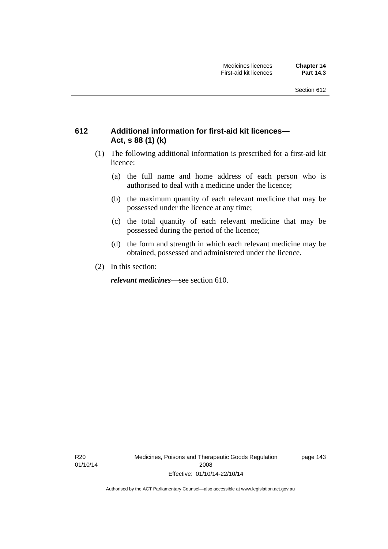# **612 Additional information for first-aid kit licences— Act, s 88 (1) (k)**

- (1) The following additional information is prescribed for a first-aid kit licence:
	- (a) the full name and home address of each person who is authorised to deal with a medicine under the licence;
	- (b) the maximum quantity of each relevant medicine that may be possessed under the licence at any time;
	- (c) the total quantity of each relevant medicine that may be possessed during the period of the licence;
	- (d) the form and strength in which each relevant medicine may be obtained, possessed and administered under the licence.
- (2) In this section:

*relevant medicines*—see section 610.

R20 01/10/14 Medicines, Poisons and Therapeutic Goods Regulation 2008 Effective: 01/10/14-22/10/14

page 143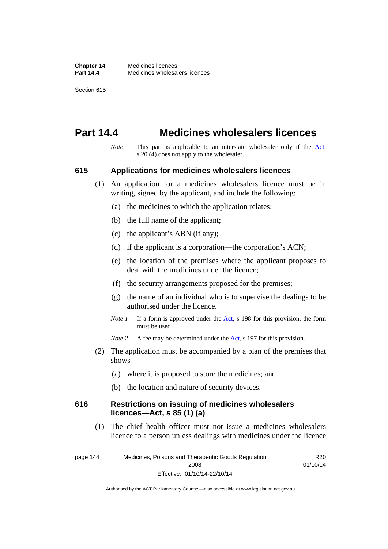# **Part 14.4 Medicines wholesalers licences**

*Note* This part is applicable to an interstate wholesaler only if the [Act,](http://www.legislation.act.gov.au/a/2008-26/default.asp) s 20 (4) does not apply to the wholesaler.

### **615 Applications for medicines wholesalers licences**

- (1) An application for a medicines wholesalers licence must be in writing, signed by the applicant, and include the following:
	- (a) the medicines to which the application relates;
	- (b) the full name of the applicant;
	- (c) the applicant's ABN (if any);
	- (d) if the applicant is a corporation—the corporation's ACN;
	- (e) the location of the premises where the applicant proposes to deal with the medicines under the licence;
	- (f) the security arrangements proposed for the premises;
	- (g) the name of an individual who is to supervise the dealings to be authorised under the licence.
	- *Note 1* If a form is approved under the [Act](http://www.legislation.act.gov.au/a/2008-26/default.asp), s 198 for this provision, the form must be used.
	- *Note* 2 A fee may be determined under the [Act,](http://www.legislation.act.gov.au/a/2008-26/default.asp) s 197 for this provision.
- (2) The application must be accompanied by a plan of the premises that shows—
	- (a) where it is proposed to store the medicines; and
	- (b) the location and nature of security devices.

### **616 Restrictions on issuing of medicines wholesalers licences—Act, s 85 (1) (a)**

 (1) The chief health officer must not issue a medicines wholesalers licence to a person unless dealings with medicines under the licence

page 144 Medicines, Poisons and Therapeutic Goods Regulation 2008 Effective: 01/10/14-22/10/14 R20 01/10/14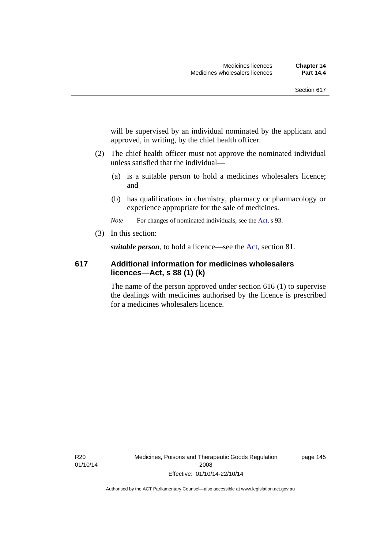will be supervised by an individual nominated by the applicant and approved, in writing, by the chief health officer.

- (2) The chief health officer must not approve the nominated individual unless satisfied that the individual—
	- (a) is a suitable person to hold a medicines wholesalers licence; and
	- (b) has qualifications in chemistry, pharmacy or pharmacology or experience appropriate for the sale of medicines.

*Note* For changes of nominated individuals, see the [Act,](http://www.legislation.act.gov.au/a/2008-26/default.asp) s 93.

(3) In this section:

*suitable person*, to hold a licence—see the [Act](http://www.legislation.act.gov.au/a/2008-26/default.asp), section 81.

# **617 Additional information for medicines wholesalers licences—Act, s 88 (1) (k)**

The name of the person approved under section 616 (1) to supervise the dealings with medicines authorised by the licence is prescribed for a medicines wholesalers licence.

R20 01/10/14 Medicines, Poisons and Therapeutic Goods Regulation 2008 Effective: 01/10/14-22/10/14

page 145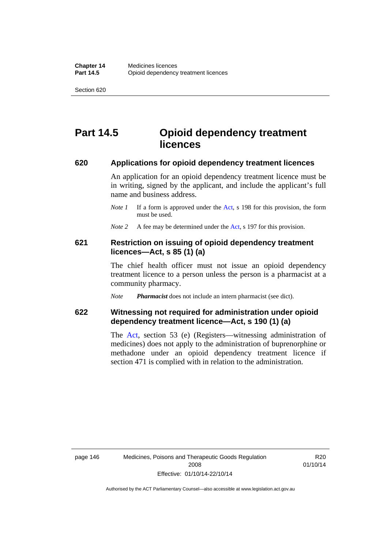# **Part 14.5 Opioid dependency treatment licences**

### **620 Applications for opioid dependency treatment licences**

An application for an opioid dependency treatment licence must be in writing, signed by the applicant, and include the applicant's full name and business address.

- *Note 1* If a form is approved under the [Act](http://www.legislation.act.gov.au/a/2008-26/default.asp), s 198 for this provision, the form must be used.
- *Note 2* A fee may be determined under the [Act,](http://www.legislation.act.gov.au/a/2008-26/default.asp) s 197 for this provision.

# **621 Restriction on issuing of opioid dependency treatment licences—Act, s 85 (1) (a)**

The chief health officer must not issue an opioid dependency treatment licence to a person unless the person is a pharmacist at a community pharmacy.

*Note Pharmacist* does not include an intern pharmacist (see dict).

# **622 Witnessing not required for administration under opioid dependency treatment licence—Act, s 190 (1) (a)**

The [Act,](http://www.legislation.act.gov.au/a/2008-26/default.asp) section 53 (e) (Registers—witnessing administration of medicines) does not apply to the administration of buprenorphine or methadone under an opioid dependency treatment licence if section 471 is complied with in relation to the administration.

R20 01/10/14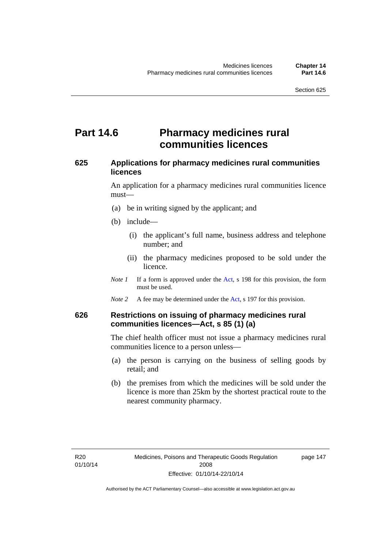# **Part 14.6 Pharmacy medicines rural communities licences**

# **625 Applications for pharmacy medicines rural communities licences**

An application for a pharmacy medicines rural communities licence must—

- (a) be in writing signed by the applicant; and
- (b) include—
	- (i) the applicant's full name, business address and telephone number; and
	- (ii) the pharmacy medicines proposed to be sold under the licence.
- *Note 1* If a form is approved under the [Act](http://www.legislation.act.gov.au/a/2008-26/default.asp), s 198 for this provision, the form must be used.
- *Note 2* A fee may be determined under the [Act,](http://www.legislation.act.gov.au/a/2008-26/default.asp) s 197 for this provision.

# **626 Restrictions on issuing of pharmacy medicines rural communities licences—Act, s 85 (1) (a)**

The chief health officer must not issue a pharmacy medicines rural communities licence to a person unless—

- (a) the person is carrying on the business of selling goods by retail; and
- (b) the premises from which the medicines will be sold under the licence is more than 25km by the shortest practical route to the nearest community pharmacy.

page 147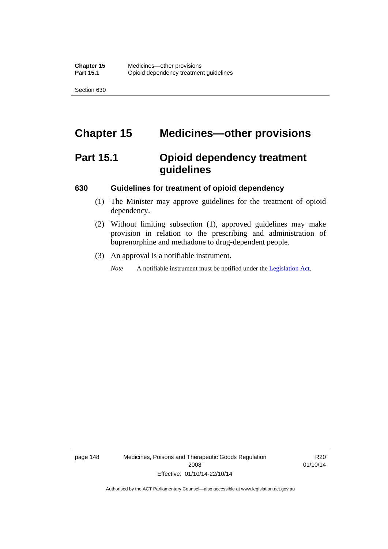# **Chapter 15 Medicines—other provisions**

# **Part 15.1 Opioid dependency treatment guidelines**

### **630 Guidelines for treatment of opioid dependency**

- (1) The Minister may approve guidelines for the treatment of opioid dependency.
- (2) Without limiting subsection (1), approved guidelines may make provision in relation to the prescribing and administration of buprenorphine and methadone to drug-dependent people.
- (3) An approval is a notifiable instrument.

*Note* A notifiable instrument must be notified under the [Legislation Act](http://www.legislation.act.gov.au/a/2001-14).

page 148 Medicines, Poisons and Therapeutic Goods Regulation 2008 Effective: 01/10/14-22/10/14

R20 01/10/14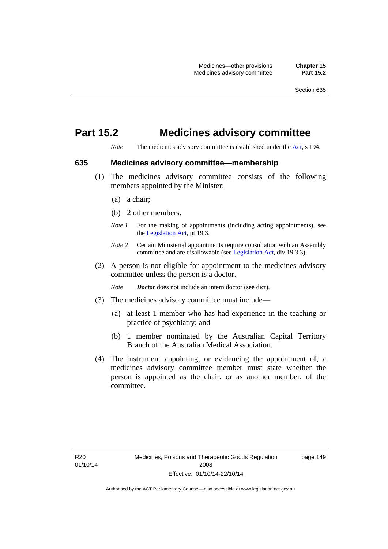# **Part 15.2 Medicines advisory committee**

*Note* The medicines advisory committee is established under the [Act](http://www.legislation.act.gov.au/a/2008-26/default.asp), s 194.

### **635 Medicines advisory committee—membership**

- (1) The medicines advisory committee consists of the following members appointed by the Minister:
	- (a) a chair;
	- (b) 2 other members.
	- *Note 1* For the making of appointments (including acting appointments), see the [Legislation Act,](http://www.legislation.act.gov.au/a/2001-14) pt 19.3.
	- *Note 2* Certain Ministerial appointments require consultation with an Assembly committee and are disallowable (see [Legislation Act,](http://www.legislation.act.gov.au/a/2001-14) div 19.3.3).
- (2) A person is not eligible for appointment to the medicines advisory committee unless the person is a doctor.

*Note Doctor* does not include an intern doctor (see dict).

- (3) The medicines advisory committee must include—
	- (a) at least 1 member who has had experience in the teaching or practice of psychiatry; and
	- (b) 1 member nominated by the Australian Capital Territory Branch of the Australian Medical Association.
- (4) The instrument appointing, or evidencing the appointment of, a medicines advisory committee member must state whether the person is appointed as the chair, or as another member, of the committee.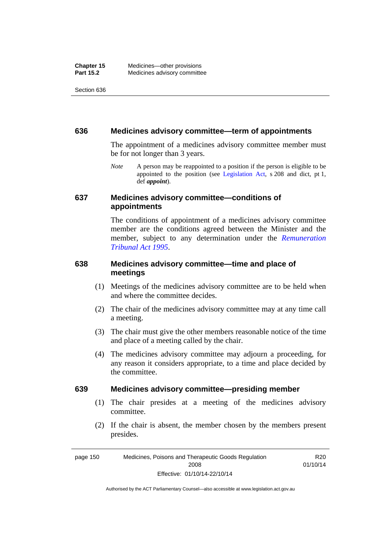#### **636 Medicines advisory committee—term of appointments**

The appointment of a medicines advisory committee member must be for not longer than 3 years.

*Note* A person may be reappointed to a position if the person is eligible to be appointed to the position (see [Legislation Act,](http://www.legislation.act.gov.au/a/2001-14) s 208 and dict, pt 1, def *appoint*).

## **637 Medicines advisory committee—conditions of appointments**

The conditions of appointment of a medicines advisory committee member are the conditions agreed between the Minister and the member, subject to any determination under the *[Remuneration](http://www.legislation.act.gov.au/a/1995-55)  [Tribunal Act 1995](http://www.legislation.act.gov.au/a/1995-55)*.

# **638 Medicines advisory committee—time and place of meetings**

- (1) Meetings of the medicines advisory committee are to be held when and where the committee decides.
- (2) The chair of the medicines advisory committee may at any time call a meeting.
- (3) The chair must give the other members reasonable notice of the time and place of a meeting called by the chair.
- (4) The medicines advisory committee may adjourn a proceeding, for any reason it considers appropriate, to a time and place decided by the committee.

#### **639 Medicines advisory committee—presiding member**

- (1) The chair presides at a meeting of the medicines advisory committee.
- (2) If the chair is absent, the member chosen by the members present presides.

page 150 Medicines, Poisons and Therapeutic Goods Regulation 2008 Effective: 01/10/14-22/10/14 R<sub>20</sub> 01/10/14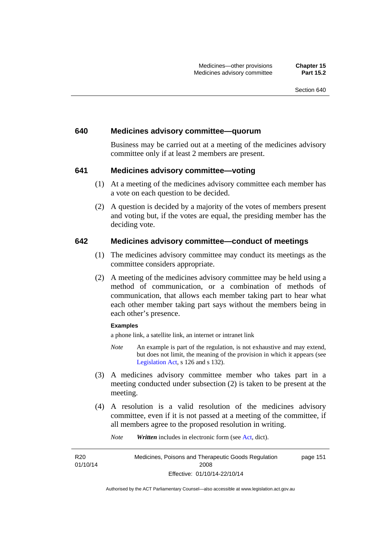#### **640 Medicines advisory committee—quorum**

Business may be carried out at a meeting of the medicines advisory committee only if at least 2 members are present.

### **641 Medicines advisory committee—voting**

- (1) At a meeting of the medicines advisory committee each member has a vote on each question to be decided.
- (2) A question is decided by a majority of the votes of members present and voting but, if the votes are equal, the presiding member has the deciding vote.

### **642 Medicines advisory committee—conduct of meetings**

- (1) The medicines advisory committee may conduct its meetings as the committee considers appropriate.
- (2) A meeting of the medicines advisory committee may be held using a method of communication, or a combination of methods of communication, that allows each member taking part to hear what each other member taking part says without the members being in each other's presence.

#### **Examples**

a phone link, a satellite link, an internet or intranet link

- *Note* An example is part of the regulation, is not exhaustive and may extend, but does not limit, the meaning of the provision in which it appears (see [Legislation Act,](http://www.legislation.act.gov.au/a/2001-14) s 126 and s 132).
- (3) A medicines advisory committee member who takes part in a meeting conducted under subsection (2) is taken to be present at the meeting.
- (4) A resolution is a valid resolution of the medicines advisory committee, even if it is not passed at a meeting of the committee, if all members agree to the proposed resolution in writing.

*Note Written* includes in electronic form (see [Act,](http://www.legislation.act.gov.au/a/2008-26/default.asp) dict).

R<sub>20</sub> 01/10/14 Medicines, Poisons and Therapeutic Goods Regulation 2008 Effective: 01/10/14-22/10/14 page 151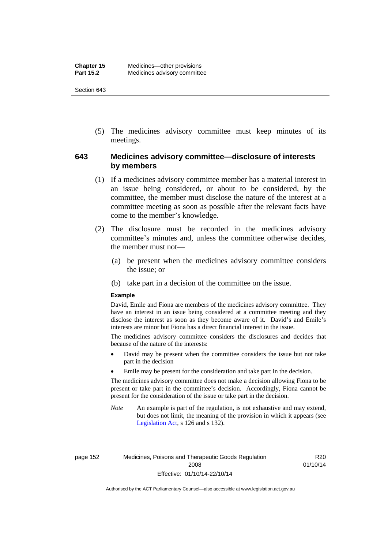(5) The medicines advisory committee must keep minutes of its meetings.

# **643 Medicines advisory committee—disclosure of interests by members**

- (1) If a medicines advisory committee member has a material interest in an issue being considered, or about to be considered, by the committee, the member must disclose the nature of the interest at a committee meeting as soon as possible after the relevant facts have come to the member's knowledge.
- (2) The disclosure must be recorded in the medicines advisory committee's minutes and, unless the committee otherwise decides, the member must not—
	- (a) be present when the medicines advisory committee considers the issue; or
	- (b) take part in a decision of the committee on the issue.

#### **Example**

David, Emile and Fiona are members of the medicines advisory committee. They have an interest in an issue being considered at a committee meeting and they disclose the interest as soon as they become aware of it. David's and Emile's interests are minor but Fiona has a direct financial interest in the issue.

The medicines advisory committee considers the disclosures and decides that because of the nature of the interests:

- David may be present when the committee considers the issue but not take part in the decision
- Emile may be present for the consideration and take part in the decision.

The medicines advisory committee does not make a decision allowing Fiona to be present or take part in the committee's decision. Accordingly, Fiona cannot be present for the consideration of the issue or take part in the decision.

*Note* An example is part of the regulation, is not exhaustive and may extend, but does not limit, the meaning of the provision in which it appears (see [Legislation Act,](http://www.legislation.act.gov.au/a/2001-14) s 126 and s 132).

page 152 Medicines, Poisons and Therapeutic Goods Regulation 2008 Effective: 01/10/14-22/10/14

R20 01/10/14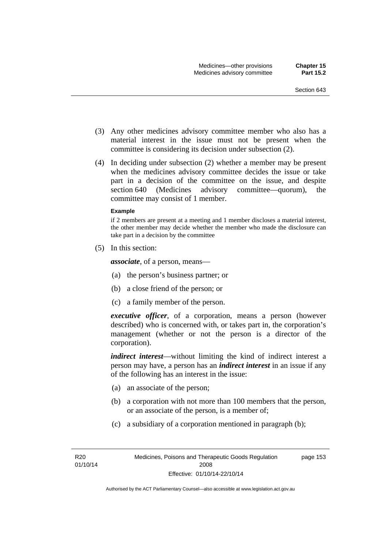- (3) Any other medicines advisory committee member who also has a material interest in the issue must not be present when the committee is considering its decision under subsection (2).
- (4) In deciding under subsection (2) whether a member may be present when the medicines advisory committee decides the issue or take part in a decision of the committee on the issue, and despite section 640 (Medicines advisory committee—quorum), the committee may consist of 1 member.

#### **Example**

if 2 members are present at a meeting and 1 member discloses a material interest, the other member may decide whether the member who made the disclosure can take part in a decision by the committee

(5) In this section:

*associate*, of a person, means—

- (a) the person's business partner; or
- (b) a close friend of the person; or
- (c) a family member of the person.

*executive officer*, of a corporation, means a person (however described) who is concerned with, or takes part in, the corporation's management (whether or not the person is a director of the corporation).

*indirect interest*—without limiting the kind of indirect interest a person may have, a person has an *indirect interest* in an issue if any of the following has an interest in the issue:

- (a) an associate of the person;
- (b) a corporation with not more than 100 members that the person, or an associate of the person, is a member of;
- (c) a subsidiary of a corporation mentioned in paragraph (b);

R<sub>20</sub> 01/10/14 page 153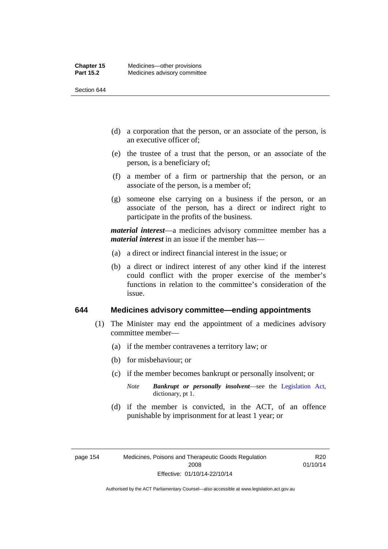- (d) a corporation that the person, or an associate of the person, is an executive officer of;
- (e) the trustee of a trust that the person, or an associate of the person, is a beneficiary of;
- (f) a member of a firm or partnership that the person, or an associate of the person, is a member of;
- (g) someone else carrying on a business if the person, or an associate of the person, has a direct or indirect right to participate in the profits of the business.

*material interest*—a medicines advisory committee member has a *material interest* in an issue if the member has—

- (a) a direct or indirect financial interest in the issue; or
- (b) a direct or indirect interest of any other kind if the interest could conflict with the proper exercise of the member's functions in relation to the committee's consideration of the issue.

#### **644 Medicines advisory committee—ending appointments**

- (1) The Minister may end the appointment of a medicines advisory committee member—
	- (a) if the member contravenes a territory law; or
	- (b) for misbehaviour; or
	- (c) if the member becomes bankrupt or personally insolvent; or
		- *Note Bankrupt or personally insolvent*—see the [Legislation Act,](http://www.legislation.act.gov.au/a/2001-14) dictionary, pt 1.
	- (d) if the member is convicted, in the ACT, of an offence punishable by imprisonment for at least 1 year; or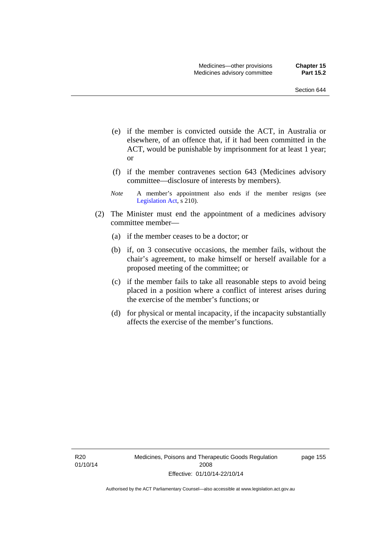- (e) if the member is convicted outside the ACT, in Australia or elsewhere, of an offence that, if it had been committed in the ACT, would be punishable by imprisonment for at least 1 year; or
- (f) if the member contravenes section 643 (Medicines advisory committee—disclosure of interests by members).
- *Note* A member's appointment also ends if the member resigns (see [Legislation Act,](http://www.legislation.act.gov.au/a/2001-14) s 210).
- (2) The Minister must end the appointment of a medicines advisory committee member—
	- (a) if the member ceases to be a doctor; or
	- (b) if, on 3 consecutive occasions, the member fails, without the chair's agreement, to make himself or herself available for a proposed meeting of the committee; or
	- (c) if the member fails to take all reasonable steps to avoid being placed in a position where a conflict of interest arises during the exercise of the member's functions; or
	- (d) for physical or mental incapacity, if the incapacity substantially affects the exercise of the member's functions.

R20 01/10/14 Medicines, Poisons and Therapeutic Goods Regulation 2008 Effective: 01/10/14-22/10/14

page 155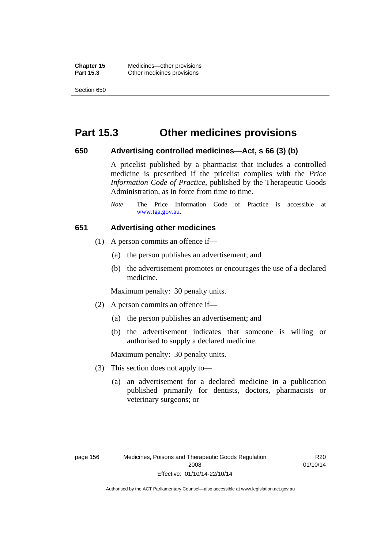**Chapter 15** Medicines—other provisions **Part 15.3 Other medicines provisions** 

Section 650

# **Part 15.3 Other medicines provisions**

### **650 Advertising controlled medicines—Act, s 66 (3) (b)**

A pricelist published by a pharmacist that includes a controlled medicine is prescribed if the pricelist complies with the *Price Information Code of Practice*, published by the Therapeutic Goods Administration, as in force from time to time.

## **651 Advertising other medicines**

- (1) A person commits an offence if—
	- (a) the person publishes an advertisement; and
	- (b) the advertisement promotes or encourages the use of a declared medicine.

Maximum penalty: 30 penalty units.

- (2) A person commits an offence if—
	- (a) the person publishes an advertisement; and
	- (b) the advertisement indicates that someone is willing or authorised to supply a declared medicine.

Maximum penalty: 30 penalty units.

- (3) This section does not apply to—
	- (a) an advertisement for a declared medicine in a publication published primarily for dentists, doctors, pharmacists or veterinary surgeons; or

*Note* The Price Information Code of Practice is accessible at [www.tga.gov.au.](http://www.tga.gov.au/)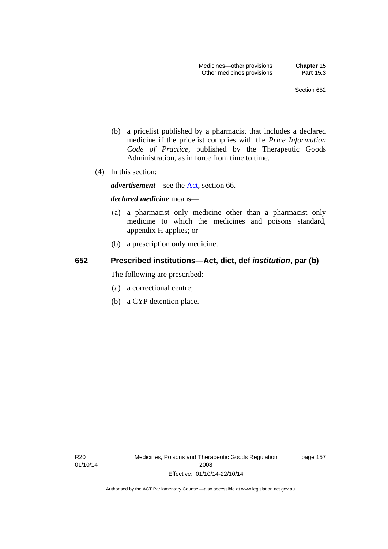- (b) a pricelist published by a pharmacist that includes a declared medicine if the pricelist complies with the *Price Information Code of Practice*, published by the Therapeutic Goods Administration, as in force from time to time.
- (4) In this section:

*advertisement*—see the [Act,](http://www.legislation.act.gov.au/a/2008-26/default.asp) section 66.

#### *declared medicine* means—

- (a) a pharmacist only medicine other than a pharmacist only medicine to which the medicines and poisons standard, appendix H applies; or
- (b) a prescription only medicine.

### **652 Prescribed institutions—Act, dict, def** *institution***, par (b)**

The following are prescribed:

- (a) a correctional centre;
- (b) a CYP detention place.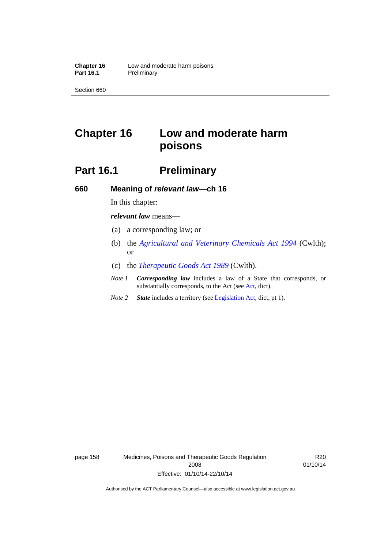# **Chapter 16 Low and moderate harm poisons**

# **Part 16.1** Preliminary

**660 Meaning of** *relevant law***—ch 16** 

In this chapter:

*relevant law* means—

- (a) a corresponding law; or
- (b) the *[Agricultural and Veterinary Chemicals Act 1994](http://www.comlaw.gov.au/Series/C2004A04712)* (Cwlth); or
- (c) the *[Therapeutic Goods Act 1989](http://www.comlaw.gov.au/Series/C2004A03952)* (Cwlth).
- *Note 1 Corresponding law* includes a law of a State that corresponds, or substantially corresponds, to the Act (see [Act](http://www.legislation.act.gov.au/a/2008-26/default.asp), dict).
- *Note 2 State* includes a territory (see [Legislation Act,](http://www.legislation.act.gov.au/a/2001-14) dict, pt 1).

page 158 Medicines, Poisons and Therapeutic Goods Regulation 2008 Effective: 01/10/14-22/10/14

R20 01/10/14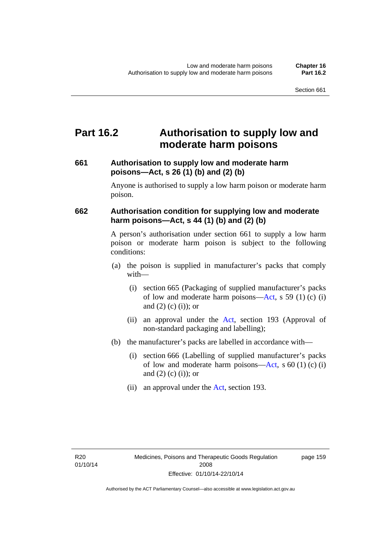## **Part 16.2 Authorisation to supply low and moderate harm poisons**

### **661 Authorisation to supply low and moderate harm poisons—Act, s 26 (1) (b) and (2) (b)**

Anyone is authorised to supply a low harm poison or moderate harm poison.

### **662 Authorisation condition for supplying low and moderate harm poisons—Act, s 44 (1) (b) and (2) (b)**

A person's authorisation under section 661 to supply a low harm poison or moderate harm poison is subject to the following conditions:

- (a) the poison is supplied in manufacturer's packs that comply with—
	- (i) section 665 (Packaging of supplied manufacturer's packs of low and moderate harm poisons—[Act](http://www.legislation.act.gov.au/a/2008-26/default.asp), s 59 (1) (c) (i) and  $(2)$  (c)  $(i)$ ; or
	- (ii) an approval under the [Act](http://www.legislation.act.gov.au/a/2008-26/default.asp), section 193 (Approval of non-standard packaging and labelling);
- (b) the manufacturer's packs are labelled in accordance with—
	- (i) section 666 (Labelling of supplied manufacturer's packs of low and moderate harm poisons—[Act](http://www.legislation.act.gov.au/a/2008-26/default.asp), s  $60(1)(c)(i)$ and  $(2)$   $(c)$   $(i)$ ; or
	- (ii) an approval under the [Act,](http://www.legislation.act.gov.au/a/2008-26/default.asp) section 193.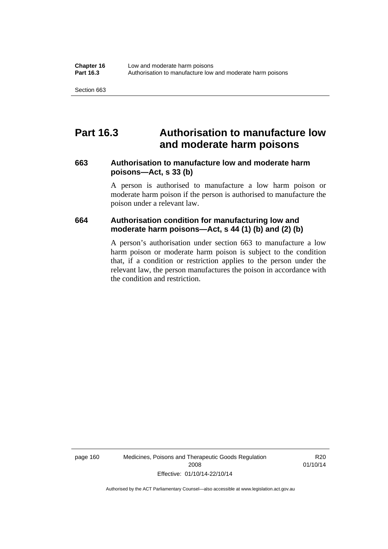## **Part 16.3 Authorisation to manufacture low and moderate harm poisons**

#### **663 Authorisation to manufacture low and moderate harm poisons—Act, s 33 (b)**

A person is authorised to manufacture a low harm poison or moderate harm poison if the person is authorised to manufacture the poison under a relevant law.

#### **664 Authorisation condition for manufacturing low and moderate harm poisons—Act, s 44 (1) (b) and (2) (b)**

A person's authorisation under section 663 to manufacture a low harm poison or moderate harm poison is subject to the condition that, if a condition or restriction applies to the person under the relevant law, the person manufactures the poison in accordance with the condition and restriction.

page 160 Medicines, Poisons and Therapeutic Goods Regulation 2008 Effective: 01/10/14-22/10/14

R20 01/10/14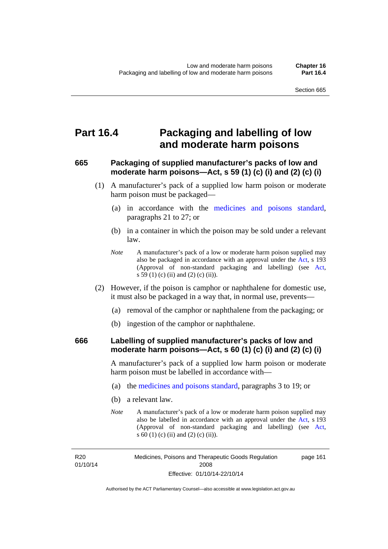## **Part 16.4 Packaging and labelling of low and moderate harm poisons**

### **665 Packaging of supplied manufacturer's packs of low and moderate harm poisons—Act, s 59 (1) (c) (i) and (2) (c) (i)**

- (1) A manufacturer's pack of a supplied low harm poison or moderate harm poison must be packaged—
	- (a) in accordance with the [medicines and poisons standard](http://www.comlaw.gov.au/Series/F2012L01200), paragraphs 21 to 27; or
	- (b) in a container in which the poison may be sold under a relevant law.
	- *Note* A manufacturer's pack of a low or moderate harm poison supplied may also be packaged in accordance with an approval under the [Act](http://www.legislation.act.gov.au/a/2008-26/default.asp), s 193 (Approval of non-standard packaging and labelling) (see [Act,](http://www.legislation.act.gov.au/a/2008-26/default.asp) s 59 (1) (c) (ii) and (2) (c) (ii)).
- (2) However, if the poison is camphor or naphthalene for domestic use, it must also be packaged in a way that, in normal use, prevents—
	- (a) removal of the camphor or naphthalene from the packaging; or
	- (b) ingestion of the camphor or naphthalene.

#### **666 Labelling of supplied manufacturer's packs of low and moderate harm poisons—Act, s 60 (1) (c) (i) and (2) (c) (i)**

A manufacturer's pack of a supplied low harm poison or moderate harm poison must be labelled in accordance with—

- (a) the [medicines and poisons standard](http://www.comlaw.gov.au/Series/F2012L01200), paragraphs 3 to 19; or
- (b) a relevant law.
- *Note* A manufacturer's pack of a low or moderate harm poison supplied may also be labelled in accordance with an approval under the [Act](http://www.legislation.act.gov.au/a/2008-26/default.asp), s 193 (Approval of non-standard packaging and labelling) (see [Act,](http://www.legislation.act.gov.au/a/2008-26/default.asp) s 60 (1) (c) (ii) and (2) (c) (ii)).

R20 01/10/14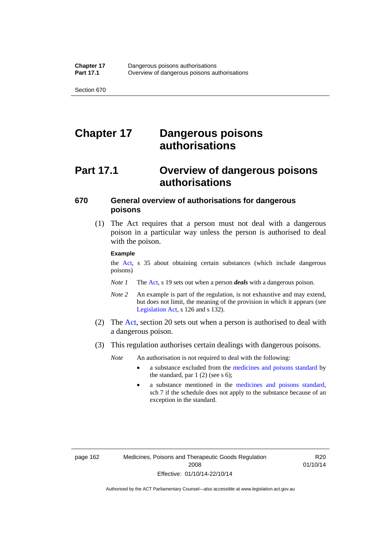# **Chapter 17 Dangerous poisons authorisations**

# **Part 17.1 Overview of dangerous poisons authorisations**

### **670 General overview of authorisations for dangerous poisons**

 (1) The Act requires that a person must not deal with a dangerous poison in a particular way unless the person is authorised to deal with the poison.

#### **Example**

the [Act,](http://www.legislation.act.gov.au/a/2008-26/default.asp) s 35 about obtaining certain substances (which include dangerous poisons)

- *Note 1* The [Act,](http://www.legislation.act.gov.au/a/2008-26/default.asp) s 19 sets out when a person *deals* with a dangerous poison.
- *Note 2* An example is part of the regulation, is not exhaustive and may extend, but does not limit, the meaning of the provision in which it appears (see [Legislation Act,](http://www.legislation.act.gov.au/a/2001-14) s 126 and s 132).
- (2) The [Act](http://www.legislation.act.gov.au/a/2008-26/default.asp), section 20 sets out when a person is authorised to deal with a dangerous poison.
- (3) This regulation authorises certain dealings with dangerous poisons.

*Note* An authorisation is not required to deal with the following:

- a substance excluded from the [medicines and poisons standard](http://www.comlaw.gov.au/Series/F2012L01200) by the standard, par  $1(2)$  (see s 6);
- a substance mentioned in the [medicines and poisons standard,](http://www.comlaw.gov.au/Series/F2012L01200) sch 7 if the schedule does not apply to the substance because of an exception in the standard.

R20 01/10/14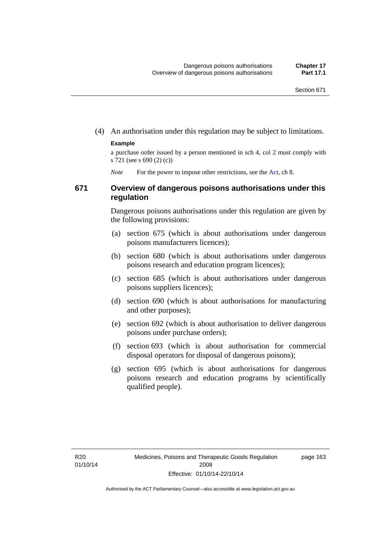(4) An authorisation under this regulation may be subject to limitations.

#### **Example**

a purchase order issued by a person mentioned in sch 4, col 2 must comply with s 721 (see s 690 (2) (c))

*Note* For the power to impose other restrictions, see the [Act](http://www.legislation.act.gov.au/a/2008-26/default.asp), ch 8.

#### **671 Overview of dangerous poisons authorisations under this regulation**

Dangerous poisons authorisations under this regulation are given by the following provisions:

- (a) section 675 (which is about authorisations under dangerous poisons manufacturers licences);
- (b) section 680 (which is about authorisations under dangerous poisons research and education program licences);
- (c) section 685 (which is about authorisations under dangerous poisons suppliers licences);
- (d) section 690 (which is about authorisations for manufacturing and other purposes);
- (e) section 692 (which is about authorisation to deliver dangerous poisons under purchase orders);
- (f) section 693 (which is about authorisation for commercial disposal operators for disposal of dangerous poisons);
- (g) section 695 (which is about authorisations for dangerous poisons research and education programs by scientifically qualified people).

page 163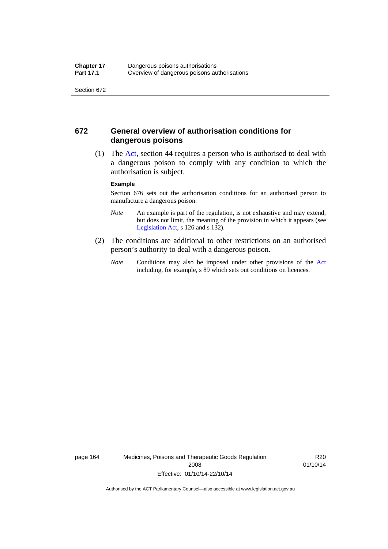#### **672 General overview of authorisation conditions for dangerous poisons**

 (1) The [Act](http://www.legislation.act.gov.au/a/2008-26/default.asp), section 44 requires a person who is authorised to deal with a dangerous poison to comply with any condition to which the authorisation is subject.

#### **Example**

Section 676 sets out the authorisation conditions for an authorised person to manufacture a dangerous poison.

- *Note* An example is part of the regulation, is not exhaustive and may extend, but does not limit, the meaning of the provision in which it appears (see [Legislation Act,](http://www.legislation.act.gov.au/a/2001-14) s 126 and s 132).
- (2) The conditions are additional to other restrictions on an authorised person's authority to deal with a dangerous poison.
	- *Note* Conditions may also be imposed under other provisions of the [Act](http://www.legislation.act.gov.au/a/2008-26/default.asp) including, for example, s 89 which sets out conditions on licences.

page 164 Medicines, Poisons and Therapeutic Goods Regulation 2008 Effective: 01/10/14-22/10/14

R20 01/10/14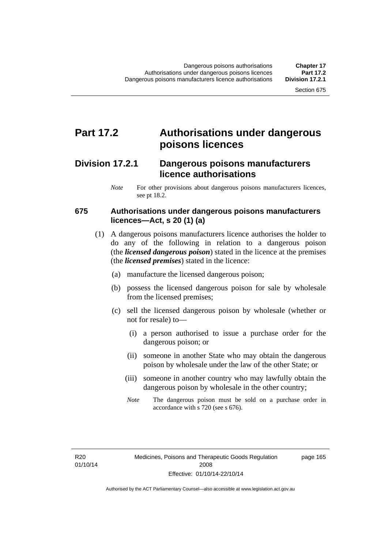### **Part 17.2 Authorisations under dangerous poisons licences**

### **Division 17.2.1 Dangerous poisons manufacturers licence authorisations**

*Note* For other provisions about dangerous poisons manufacturers licences, see pt 18.2.

#### **675 Authorisations under dangerous poisons manufacturers licences—Act, s 20 (1) (a)**

- (1) A dangerous poisons manufacturers licence authorises the holder to do any of the following in relation to a dangerous poison (the *licensed dangerous poison*) stated in the licence at the premises (the *licensed premises*) stated in the licence:
	- (a) manufacture the licensed dangerous poison;
	- (b) possess the licensed dangerous poison for sale by wholesale from the licensed premises;
	- (c) sell the licensed dangerous poison by wholesale (whether or not for resale) to—
		- (i) a person authorised to issue a purchase order for the dangerous poison; or
		- (ii) someone in another State who may obtain the dangerous poison by wholesale under the law of the other State; or
		- (iii) someone in another country who may lawfully obtain the dangerous poison by wholesale in the other country;
		- *Note* The dangerous poison must be sold on a purchase order in accordance with s 720 (see s 676).

R20 01/10/14 page 165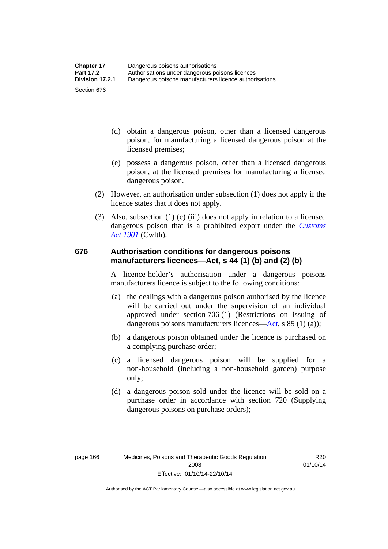- (d) obtain a dangerous poison, other than a licensed dangerous poison, for manufacturing a licensed dangerous poison at the licensed premises;
- (e) possess a dangerous poison, other than a licensed dangerous poison, at the licensed premises for manufacturing a licensed dangerous poison.
- (2) However, an authorisation under subsection (1) does not apply if the licence states that it does not apply.
- (3) Also, subsection (1) (c) (iii) does not apply in relation to a licensed dangerous poison that is a prohibited export under the *[Customs](http://www.comlaw.gov.au/Series/C1901A00006)  [Act 1901](http://www.comlaw.gov.au/Series/C1901A00006)* (Cwlth).

#### **676 Authorisation conditions for dangerous poisons manufacturers licences—Act, s 44 (1) (b) and (2) (b)**

A licence-holder's authorisation under a dangerous poisons manufacturers licence is subject to the following conditions:

- (a) the dealings with a dangerous poison authorised by the licence will be carried out under the supervision of an individual approved under section 706 (1) (Restrictions on issuing of dangerous poisons manufacturers licences[—Act,](http://www.legislation.act.gov.au/a/2008-26/default.asp) s 85 (1) (a));
- (b) a dangerous poison obtained under the licence is purchased on a complying purchase order;
- (c) a licensed dangerous poison will be supplied for a non-household (including a non-household garden) purpose only;
- (d) a dangerous poison sold under the licence will be sold on a purchase order in accordance with section 720 (Supplying dangerous poisons on purchase orders);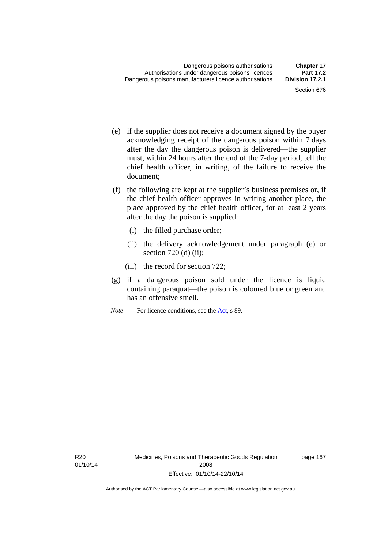- (e) if the supplier does not receive a document signed by the buyer acknowledging receipt of the dangerous poison within 7 days after the day the dangerous poison is delivered—the supplier must, within 24 hours after the end of the 7-day period, tell the chief health officer, in writing, of the failure to receive the document;
- (f) the following are kept at the supplier's business premises or, if the chief health officer approves in writing another place, the place approved by the chief health officer, for at least 2 years after the day the poison is supplied:
	- (i) the filled purchase order;
	- (ii) the delivery acknowledgement under paragraph (e) or section  $720$  (d) (ii);
	- (iii) the record for section 722;
- (g) if a dangerous poison sold under the licence is liquid containing paraquat—the poison is coloured blue or green and has an offensive smell.
- *Note* For licence conditions, see the [Act](http://www.legislation.act.gov.au/a/2008-26/default.asp), s 89.

page 167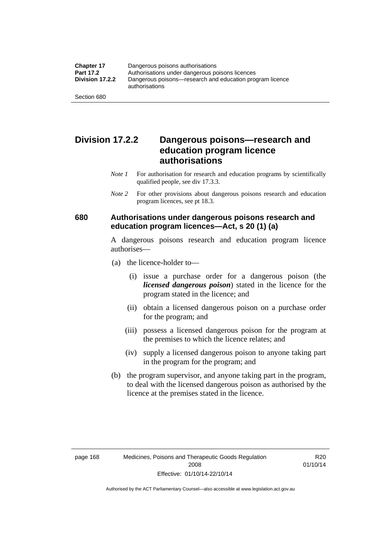### **Division 17.2.2 Dangerous poisons—research and education program licence authorisations**

- *Note 1* For authorisation for research and education programs by scientifically qualified people, see div 17.3.3.
- *Note 2* For other provisions about dangerous poisons research and education program licences, see pt 18.3.

#### **680 Authorisations under dangerous poisons research and education program licences—Act, s 20 (1) (a)**

A dangerous poisons research and education program licence authorises—

- (a) the licence-holder to—
	- (i) issue a purchase order for a dangerous poison (the *licensed dangerous poison*) stated in the licence for the program stated in the licence; and
	- (ii) obtain a licensed dangerous poison on a purchase order for the program; and
	- (iii) possess a licensed dangerous poison for the program at the premises to which the licence relates; and
	- (iv) supply a licensed dangerous poison to anyone taking part in the program for the program; and
- (b) the program supervisor, and anyone taking part in the program, to deal with the licensed dangerous poison as authorised by the licence at the premises stated in the licence.

Authorised by the ACT Parliamentary Counsel—also accessible at www.legislation.act.gov.au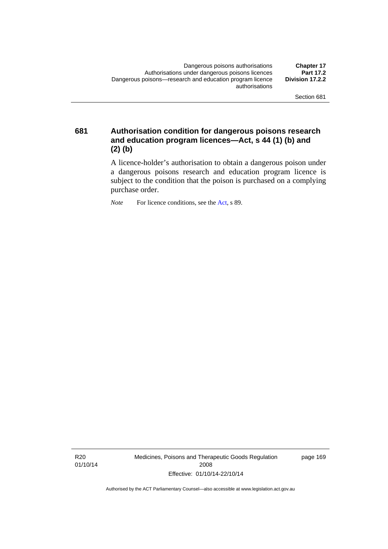**681 Authorisation condition for dangerous poisons research and education program licences—Act, s 44 (1) (b) and (2) (b)** 

> A licence-holder's authorisation to obtain a dangerous poison under a dangerous poisons research and education program licence is subject to the condition that the poison is purchased on a complying purchase order.

*Note* For licence conditions, see the [Act](http://www.legislation.act.gov.au/a/2008-26/default.asp), s 89.

R20 01/10/14 Medicines, Poisons and Therapeutic Goods Regulation 2008 Effective: 01/10/14-22/10/14

page 169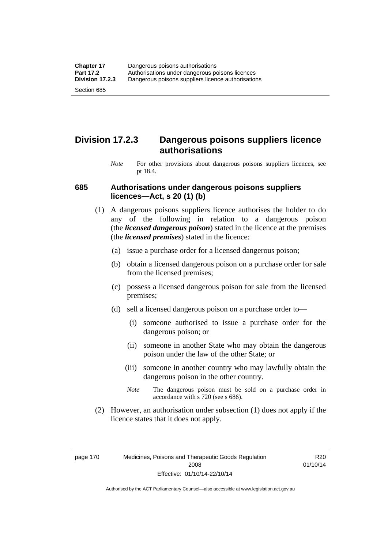### **Division 17.2.3 Dangerous poisons suppliers licence authorisations**

*Note* For other provisions about dangerous poisons suppliers licences, see pt 18.4.

#### **685 Authorisations under dangerous poisons suppliers licences—Act, s 20 (1) (b)**

- (1) A dangerous poisons suppliers licence authorises the holder to do any of the following in relation to a dangerous poison (the *licensed dangerous poison*) stated in the licence at the premises (the *licensed premises*) stated in the licence:
	- (a) issue a purchase order for a licensed dangerous poison;
	- (b) obtain a licensed dangerous poison on a purchase order for sale from the licensed premises;
	- (c) possess a licensed dangerous poison for sale from the licensed premises;
	- (d) sell a licensed dangerous poison on a purchase order to—
		- (i) someone authorised to issue a purchase order for the dangerous poison; or
		- (ii) someone in another State who may obtain the dangerous poison under the law of the other State; or
		- (iii) someone in another country who may lawfully obtain the dangerous poison in the other country.
		- *Note* The dangerous poison must be sold on a purchase order in accordance with s 720 (see s 686).
- (2) However, an authorisation under subsection (1) does not apply if the licence states that it does not apply.

page 170 Medicines, Poisons and Therapeutic Goods Regulation 2008 Effective: 01/10/14-22/10/14

R20 01/10/14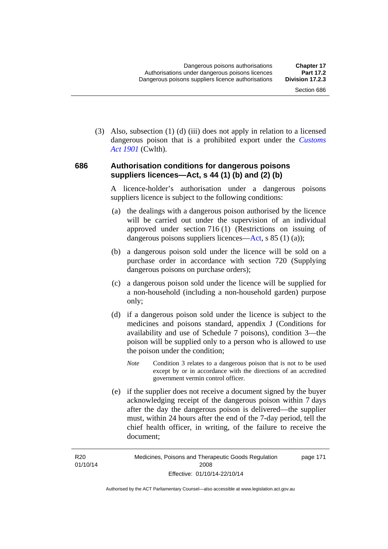(3) Also, subsection (1) (d) (iii) does not apply in relation to a licensed dangerous poison that is a prohibited export under the *[Customs](http://www.comlaw.gov.au/Series/C1901A00006)  [Act 1901](http://www.comlaw.gov.au/Series/C1901A00006)* (Cwlth).

#### **686 Authorisation conditions for dangerous poisons suppliers licences—Act, s 44 (1) (b) and (2) (b)**

A licence-holder's authorisation under a dangerous poisons suppliers licence is subject to the following conditions:

- (a) the dealings with a dangerous poison authorised by the licence will be carried out under the supervision of an individual approved under section 716 (1) (Restrictions on issuing of dangerous poisons suppliers licences—[Act](http://www.legislation.act.gov.au/a/2008-26/default.asp), s 85 (1) (a));
- (b) a dangerous poison sold under the licence will be sold on a purchase order in accordance with section 720 (Supplying dangerous poisons on purchase orders);
- (c) a dangerous poison sold under the licence will be supplied for a non-household (including a non-household garden) purpose only;
- (d) if a dangerous poison sold under the licence is subject to the medicines and poisons standard, appendix J (Conditions for availability and use of Schedule 7 poisons), condition 3—the poison will be supplied only to a person who is allowed to use the poison under the condition;
	- *Note* Condition 3 relates to a dangerous poison that is not to be used except by or in accordance with the directions of an accredited government vermin control officer.
- (e) if the supplier does not receive a document signed by the buyer acknowledging receipt of the dangerous poison within 7 days after the day the dangerous poison is delivered—the supplier must, within 24 hours after the end of the 7-day period, tell the chief health officer, in writing, of the failure to receive the document;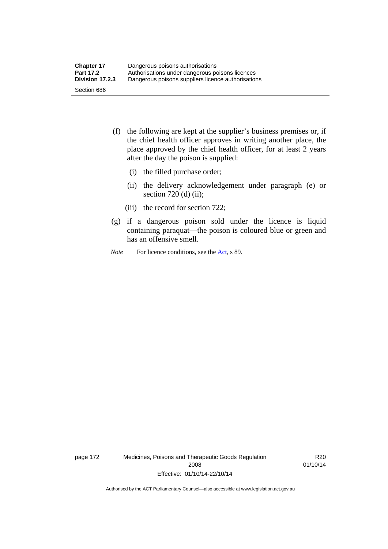- (f) the following are kept at the supplier's business premises or, if the chief health officer approves in writing another place, the place approved by the chief health officer, for at least 2 years after the day the poison is supplied:
	- (i) the filled purchase order;
	- (ii) the delivery acknowledgement under paragraph (e) or section 720 (d) (ii);
	- (iii) the record for section 722;
- (g) if a dangerous poison sold under the licence is liquid containing paraquat—the poison is coloured blue or green and has an offensive smell.
- *Note* For licence conditions, see the [Act](http://www.legislation.act.gov.au/a/2008-26/default.asp), s 89.

page 172 Medicines, Poisons and Therapeutic Goods Regulation 2008 Effective: 01/10/14-22/10/14

R20 01/10/14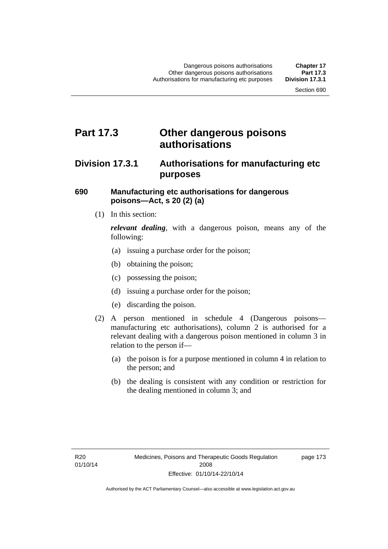### **Part 17.3 Other dangerous poisons authorisations**

### **Division 17.3.1 Authorisations for manufacturing etc purposes**

#### **690 Manufacturing etc authorisations for dangerous poisons—Act, s 20 (2) (a)**

(1) In this section:

*relevant dealing*, with a dangerous poison, means any of the following:

- (a) issuing a purchase order for the poison;
- (b) obtaining the poison;
- (c) possessing the poison;
- (d) issuing a purchase order for the poison;
- (e) discarding the poison.
- (2) A person mentioned in schedule 4 (Dangerous poisons manufacturing etc authorisations), column 2 is authorised for a relevant dealing with a dangerous poison mentioned in column 3 in relation to the person if—
	- (a) the poison is for a purpose mentioned in column 4 in relation to the person; and
	- (b) the dealing is consistent with any condition or restriction for the dealing mentioned in column 3; and

page 173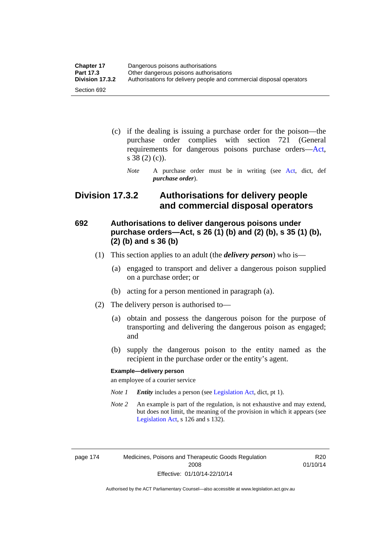| <b>Chapter 17</b> | Dangerous poisons authorisations                                     |
|-------------------|----------------------------------------------------------------------|
| <b>Part 17.3</b>  | Other dangerous poisons authorisations                               |
| Division 17.3.2   | Authorisations for delivery people and commercial disposal operators |
| Section 692       |                                                                      |

- (c) if the dealing is issuing a purchase order for the poison—the purchase order complies with section 721 (General requirements for dangerous poisons purchase orders[—Act](http://www.legislation.act.gov.au/a/2008-26/default.asp), s 38 (2) (c)).
	- *Note* A purchase order must be in writing (see [Act](http://www.legislation.act.gov.au/a/2008-26/default.asp), dict, def *purchase order*).

### **Division 17.3.2 Authorisations for delivery people and commercial disposal operators**

### **692 Authorisations to deliver dangerous poisons under purchase orders—Act, s 26 (1) (b) and (2) (b), s 35 (1) (b), (2) (b) and s 36 (b)**

- (1) This section applies to an adult (the *delivery person*) who is—
	- (a) engaged to transport and deliver a dangerous poison supplied on a purchase order; or
	- (b) acting for a person mentioned in paragraph (a).
- (2) The delivery person is authorised to—
	- (a) obtain and possess the dangerous poison for the purpose of transporting and delivering the dangerous poison as engaged; and
	- (b) supply the dangerous poison to the entity named as the recipient in the purchase order or the entity's agent.

#### **Example—delivery person**

an employee of a courier service

- *Note 1 Entity* includes a person (see [Legislation Act,](http://www.legislation.act.gov.au/a/2001-14) dict, pt 1).
- *Note 2* An example is part of the regulation, is not exhaustive and may extend, but does not limit, the meaning of the provision in which it appears (see [Legislation Act,](http://www.legislation.act.gov.au/a/2001-14) s 126 and s 132).

page 174 Medicines, Poisons and Therapeutic Goods Regulation 2008 Effective: 01/10/14-22/10/14

R20 01/10/14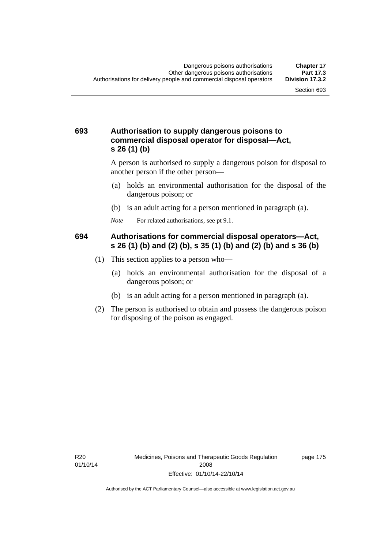#### **693 Authorisation to supply dangerous poisons to commercial disposal operator for disposal—Act, s 26 (1) (b)**

A person is authorised to supply a dangerous poison for disposal to another person if the other person—

- (a) holds an environmental authorisation for the disposal of the dangerous poison; or
- (b) is an adult acting for a person mentioned in paragraph (a).
- *Note* For related authorisations, see pt 9.1.

#### **694 Authorisations for commercial disposal operators—Act, s 26 (1) (b) and (2) (b), s 35 (1) (b) and (2) (b) and s 36 (b)**

- (1) This section applies to a person who—
	- (a) holds an environmental authorisation for the disposal of a dangerous poison; or
	- (b) is an adult acting for a person mentioned in paragraph (a).
- (2) The person is authorised to obtain and possess the dangerous poison for disposing of the poison as engaged.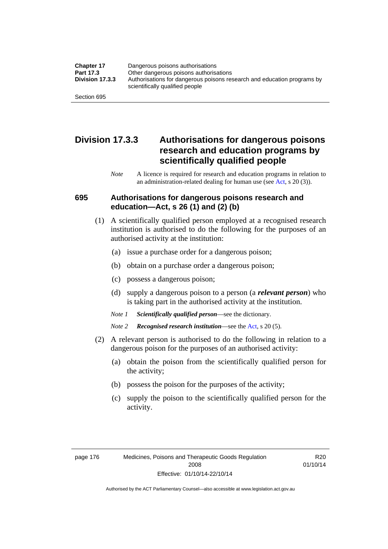| <b>Chapter 17</b> | Dangerous poisons authorisations                                                                           |
|-------------------|------------------------------------------------------------------------------------------------------------|
| Part 17.3         | Other dangerous poisons authorisations                                                                     |
| Division 17.3.3   | Authorisations for dangerous poisons research and education programs by<br>scientifically qualified people |
| Section 695       |                                                                                                            |

### **Division 17.3.3 Authorisations for dangerous poisons research and education programs by scientifically qualified people**

*Note* A licence is required for research and education programs in relation to an administration-related dealing for human use (see [Act](http://www.legislation.act.gov.au/a/2008-26/default.asp), s 20 (3)).

#### **695 Authorisations for dangerous poisons research and education—Act, s 26 (1) and (2) (b)**

- (1) A scientifically qualified person employed at a recognised research institution is authorised to do the following for the purposes of an authorised activity at the institution:
	- (a) issue a purchase order for a dangerous poison;
	- (b) obtain on a purchase order a dangerous poison;
	- (c) possess a dangerous poison;
	- (d) supply a dangerous poison to a person (a *relevant person*) who is taking part in the authorised activity at the institution.
	- *Note 1 Scientifically qualified person*—see the dictionary.
	- *Note 2 Recognised research institution*—see the [Act](http://www.legislation.act.gov.au/a/2008-26/default.asp), s 20 (5).
- (2) A relevant person is authorised to do the following in relation to a dangerous poison for the purposes of an authorised activity:
	- (a) obtain the poison from the scientifically qualified person for the activity;
	- (b) possess the poison for the purposes of the activity;
	- (c) supply the poison to the scientifically qualified person for the activity.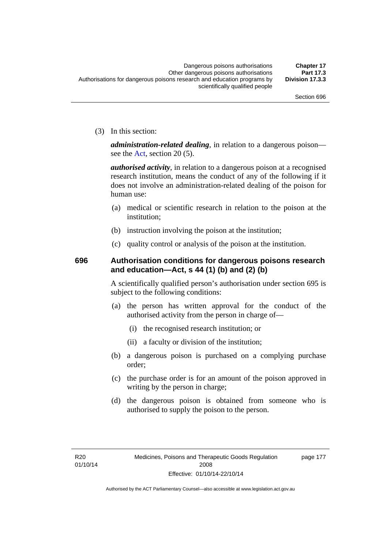(3) In this section:

*administration-related dealing*, in relation to a dangerous poison— see the [Act](http://www.legislation.act.gov.au/a/2008-26/default.asp), section 20 (5).

*authorised activity*, in relation to a dangerous poison at a recognised research institution, means the conduct of any of the following if it does not involve an administration-related dealing of the poison for human use:

- (a) medical or scientific research in relation to the poison at the institution;
- (b) instruction involving the poison at the institution;
- (c) quality control or analysis of the poison at the institution.

### **696 Authorisation conditions for dangerous poisons research and education—Act, s 44 (1) (b) and (2) (b)**

A scientifically qualified person's authorisation under section 695 is subject to the following conditions:

- (a) the person has written approval for the conduct of the authorised activity from the person in charge of—
	- (i) the recognised research institution; or
	- (ii) a faculty or division of the institution;
- (b) a dangerous poison is purchased on a complying purchase order;
- (c) the purchase order is for an amount of the poison approved in writing by the person in charge;
- (d) the dangerous poison is obtained from someone who is authorised to supply the poison to the person.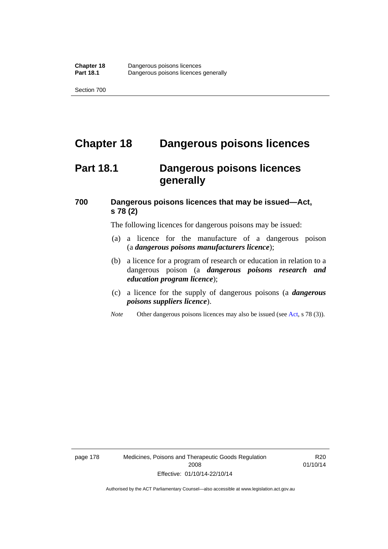# **Chapter 18 Dangerous poisons licences**

## **Part 18.1 Dangerous poisons licences generally**

### **700 Dangerous poisons licences that may be issued—Act, s 78 (2)**

The following licences for dangerous poisons may be issued:

- (a) a licence for the manufacture of a dangerous poison (a *dangerous poisons manufacturers licence*);
- (b) a licence for a program of research or education in relation to a dangerous poison (a *dangerous poisons research and education program licence*);
- (c) a licence for the supply of dangerous poisons (a *dangerous poisons suppliers licence*).
- *Note* Other dangerous poisons licences may also be issued (see [Act](http://www.legislation.act.gov.au/a/2008-26/default.asp), s 78 (3)).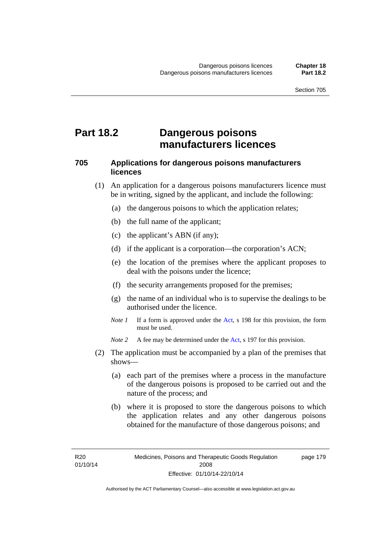### **Part 18.2 Dangerous poisons manufacturers licences**

#### **705 Applications for dangerous poisons manufacturers licences**

- (1) An application for a dangerous poisons manufacturers licence must be in writing, signed by the applicant, and include the following:
	- (a) the dangerous poisons to which the application relates;
	- (b) the full name of the applicant;
	- (c) the applicant's ABN (if any);
	- (d) if the applicant is a corporation—the corporation's ACN;
	- (e) the location of the premises where the applicant proposes to deal with the poisons under the licence;
	- (f) the security arrangements proposed for the premises;
	- (g) the name of an individual who is to supervise the dealings to be authorised under the licence.
	- *Note 1* If a form is approved under the [Act](http://www.legislation.act.gov.au/a/2008-26/default.asp), s 198 for this provision, the form must be used.

*Note 2* A fee may be determined under the [Act,](http://www.legislation.act.gov.au/a/2008-26/default.asp) s 197 for this provision.

- (2) The application must be accompanied by a plan of the premises that shows—
	- (a) each part of the premises where a process in the manufacture of the dangerous poisons is proposed to be carried out and the nature of the process; and
	- (b) where it is proposed to store the dangerous poisons to which the application relates and any other dangerous poisons obtained for the manufacture of those dangerous poisons; and

page 179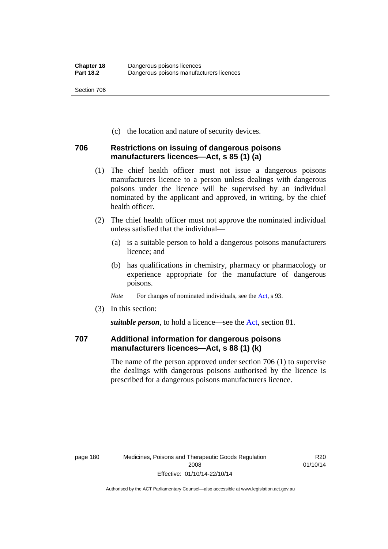(c) the location and nature of security devices.

#### **706 Restrictions on issuing of dangerous poisons manufacturers licences—Act, s 85 (1) (a)**

- (1) The chief health officer must not issue a dangerous poisons manufacturers licence to a person unless dealings with dangerous poisons under the licence will be supervised by an individual nominated by the applicant and approved, in writing, by the chief health officer.
- (2) The chief health officer must not approve the nominated individual unless satisfied that the individual—
	- (a) is a suitable person to hold a dangerous poisons manufacturers licence; and
	- (b) has qualifications in chemistry, pharmacy or pharmacology or experience appropriate for the manufacture of dangerous poisons.
	- *Note* For changes of nominated individuals, see the [Act,](http://www.legislation.act.gov.au/a/2008-26/default.asp) s 93.
- (3) In this section:

*suitable person*, to hold a licence—see the [Act](http://www.legislation.act.gov.au/a/2008-26/default.asp), section 81.

### **707 Additional information for dangerous poisons manufacturers licences—Act, s 88 (1) (k)**

The name of the person approved under section 706 (1) to supervise the dealings with dangerous poisons authorised by the licence is prescribed for a dangerous poisons manufacturers licence.

R20 01/10/14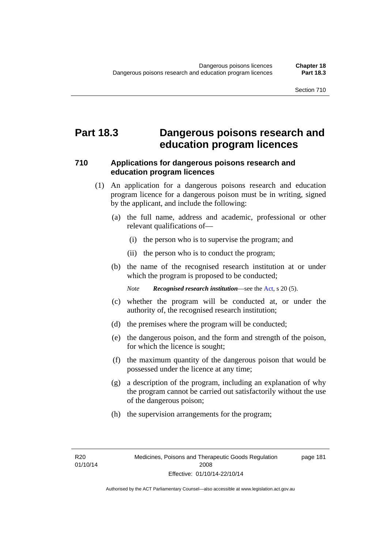### **Part 18.3 Dangerous poisons research and education program licences**

#### **710 Applications for dangerous poisons research and education program licences**

- (1) An application for a dangerous poisons research and education program licence for a dangerous poison must be in writing, signed by the applicant, and include the following:
	- (a) the full name, address and academic, professional or other relevant qualifications of—
		- (i) the person who is to supervise the program; and
		- (ii) the person who is to conduct the program;
	- (b) the name of the recognised research institution at or under which the program is proposed to be conducted;

*Note Recognised research institution*—see the [Act](http://www.legislation.act.gov.au/a/2008-26/default.asp), s 20 (5).

- (c) whether the program will be conducted at, or under the authority of, the recognised research institution;
- (d) the premises where the program will be conducted;
- (e) the dangerous poison, and the form and strength of the poison, for which the licence is sought;
- (f) the maximum quantity of the dangerous poison that would be possessed under the licence at any time;
- (g) a description of the program, including an explanation of why the program cannot be carried out satisfactorily without the use of the dangerous poison;
- (h) the supervision arrangements for the program;

page 181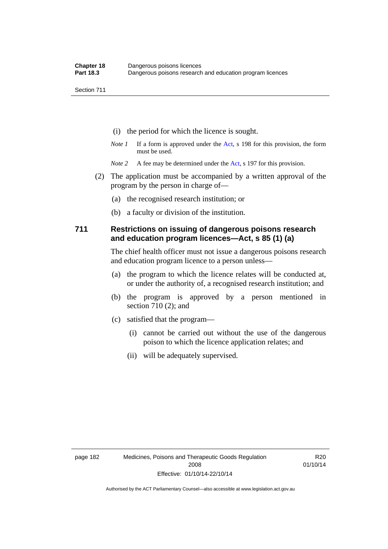- (i) the period for which the licence is sought.
- *Note 1* If a form is approved under the [Act](http://www.legislation.act.gov.au/a/2008-26/default.asp), s 198 for this provision, the form must be used.
- *Note* 2 A fee may be determined under the [Act,](http://www.legislation.act.gov.au/a/2008-26/default.asp) s 197 for this provision.
- (2) The application must be accompanied by a written approval of the program by the person in charge of—
	- (a) the recognised research institution; or
	- (b) a faculty or division of the institution.

#### **711 Restrictions on issuing of dangerous poisons research and education program licences—Act, s 85 (1) (a)**

The chief health officer must not issue a dangerous poisons research and education program licence to a person unless—

- (a) the program to which the licence relates will be conducted at, or under the authority of, a recognised research institution; and
- (b) the program is approved by a person mentioned in section 710 (2); and
- (c) satisfied that the program—
	- (i) cannot be carried out without the use of the dangerous poison to which the licence application relates; and
	- (ii) will be adequately supervised.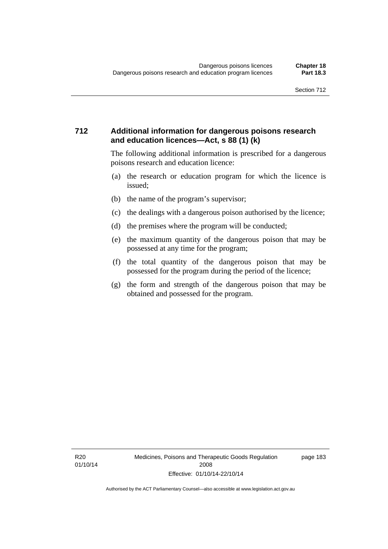#### **712 Additional information for dangerous poisons research and education licences—Act, s 88 (1) (k)**

The following additional information is prescribed for a dangerous poisons research and education licence:

- (a) the research or education program for which the licence is issued;
- (b) the name of the program's supervisor;
- (c) the dealings with a dangerous poison authorised by the licence;
- (d) the premises where the program will be conducted;
- (e) the maximum quantity of the dangerous poison that may be possessed at any time for the program;
- (f) the total quantity of the dangerous poison that may be possessed for the program during the period of the licence;
- (g) the form and strength of the dangerous poison that may be obtained and possessed for the program.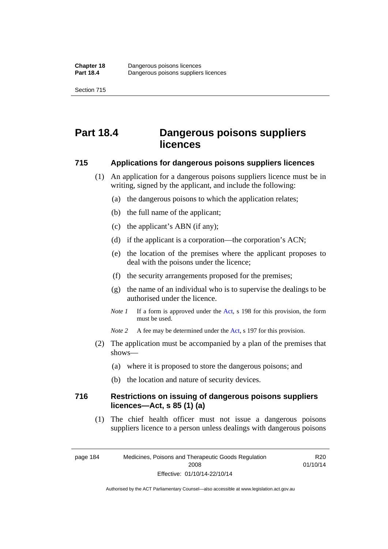# **Part 18.4 Dangerous poisons suppliers licences**

#### **715 Applications for dangerous poisons suppliers licences**

- (1) An application for a dangerous poisons suppliers licence must be in writing, signed by the applicant, and include the following:
	- (a) the dangerous poisons to which the application relates;
	- (b) the full name of the applicant;
	- (c) the applicant's ABN (if any);
	- (d) if the applicant is a corporation—the corporation's ACN;
	- (e) the location of the premises where the applicant proposes to deal with the poisons under the licence;
	- (f) the security arrangements proposed for the premises;
	- (g) the name of an individual who is to supervise the dealings to be authorised under the licence.
	- *Note 1* If a form is approved under the [Act](http://www.legislation.act.gov.au/a/2008-26/default.asp), s 198 for this provision, the form must be used.
	- *Note* 2 A fee may be determined under the [Act,](http://www.legislation.act.gov.au/a/2008-26/default.asp) s 197 for this provision.
- (2) The application must be accompanied by a plan of the premises that shows—
	- (a) where it is proposed to store the dangerous poisons; and
	- (b) the location and nature of security devices.

#### **716 Restrictions on issuing of dangerous poisons suppliers licences—Act, s 85 (1) (a)**

(1) The chief health officer must not issue a dangerous poisons suppliers licence to a person unless dealings with dangerous poisons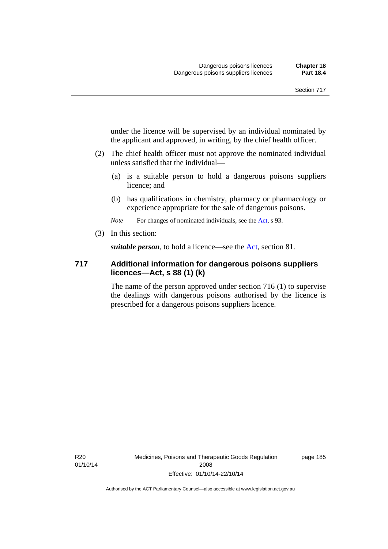under the licence will be supervised by an individual nominated by the applicant and approved, in writing, by the chief health officer.

- (2) The chief health officer must not approve the nominated individual unless satisfied that the individual—
	- (a) is a suitable person to hold a dangerous poisons suppliers licence; and
	- (b) has qualifications in chemistry, pharmacy or pharmacology or experience appropriate for the sale of dangerous poisons.

*Note* For changes of nominated individuals, see the [Act,](http://www.legislation.act.gov.au/a/2008-26/default.asp) s 93.

(3) In this section:

*suitable person*, to hold a licence—see the [Act](http://www.legislation.act.gov.au/a/2008-26/default.asp), section 81.

#### **717 Additional information for dangerous poisons suppliers licences—Act, s 88 (1) (k)**

The name of the person approved under section 716 (1) to supervise the dealings with dangerous poisons authorised by the licence is prescribed for a dangerous poisons suppliers licence.

R20 01/10/14 Medicines, Poisons and Therapeutic Goods Regulation 2008 Effective: 01/10/14-22/10/14

page 185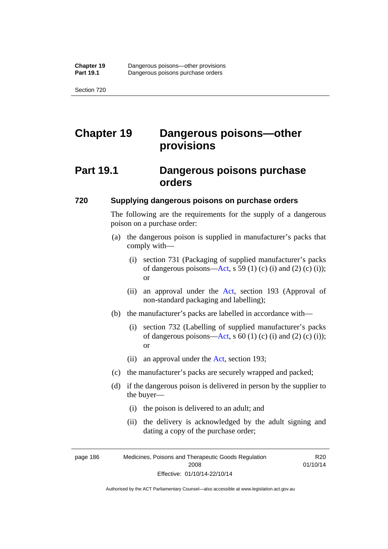# **Chapter 19 Dangerous poisons—other provisions**

## **Part 19.1 Dangerous poisons purchase orders**

#### **720 Supplying dangerous poisons on purchase orders**

The following are the requirements for the supply of a dangerous poison on a purchase order:

- (a) the dangerous poison is supplied in manufacturer's packs that comply with—
	- (i) section 731 (Packaging of supplied manufacturer's packs of dangerous poisons[—Act](http://www.legislation.act.gov.au/a/2008-26/default.asp), s 59 (1) (c) (i) and (2) (c) (i)); or
	- (ii) an approval under the [Act](http://www.legislation.act.gov.au/a/2008-26/default.asp), section 193 (Approval of non-standard packaging and labelling);
- (b) the manufacturer's packs are labelled in accordance with—
	- (i) section 732 (Labelling of supplied manufacturer's packs of dangerous poisons[—Act](http://www.legislation.act.gov.au/a/2008-26/default.asp), s  $60$  (1) (c) (i) and (2) (c) (i)); or
	- (ii) an approval under the [Act,](http://www.legislation.act.gov.au/a/2008-26/default.asp) section 193;
- (c) the manufacturer's packs are securely wrapped and packed;
- (d) if the dangerous poison is delivered in person by the supplier to the buyer—
	- (i) the poison is delivered to an adult; and
	- (ii) the delivery is acknowledged by the adult signing and dating a copy of the purchase order;

R20 01/10/14

page 186 Medicines, Poisons and Therapeutic Goods Regulation 2008 Effective: 01/10/14-22/10/14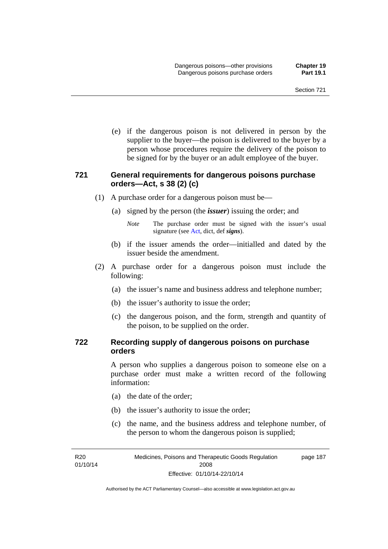(e) if the dangerous poison is not delivered in person by the supplier to the buyer—the poison is delivered to the buyer by a person whose procedures require the delivery of the poison to be signed for by the buyer or an adult employee of the buyer.

#### **721 General requirements for dangerous poisons purchase orders—Act, s 38 (2) (c)**

- (1) A purchase order for a dangerous poison must be—
	- (a) signed by the person (the *issuer*) issuing the order; and
		- *Note* The purchase order must be signed with the issuer's usual signature (see [Act](http://www.legislation.act.gov.au/a/2008-26/default.asp), dict, def *signs*).
	- (b) if the issuer amends the order—initialled and dated by the issuer beside the amendment.
- (2) A purchase order for a dangerous poison must include the following:
	- (a) the issuer's name and business address and telephone number;
	- (b) the issuer's authority to issue the order;
	- (c) the dangerous poison, and the form, strength and quantity of the poison, to be supplied on the order.

#### **722 Recording supply of dangerous poisons on purchase orders**

A person who supplies a dangerous poison to someone else on a purchase order must make a written record of the following information:

- (a) the date of the order;
- (b) the issuer's authority to issue the order;
- (c) the name, and the business address and telephone number, of the person to whom the dangerous poison is supplied;

R<sub>20</sub> 01/10/14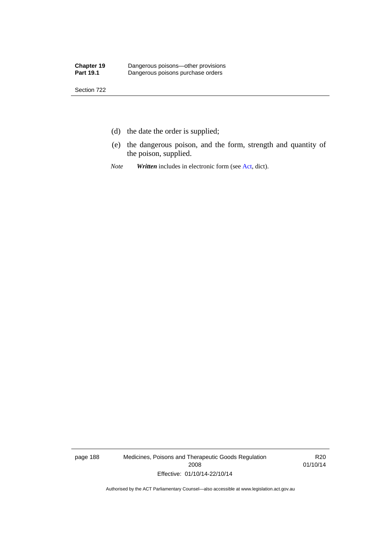- (d) the date the order is supplied;
- (e) the dangerous poison, and the form, strength and quantity of the poison, supplied.
- *Note Written* includes in electronic form (see [Act,](http://www.legislation.act.gov.au/a/2008-26/default.asp) dict).

page 188 Medicines, Poisons and Therapeutic Goods Regulation 2008 Effective: 01/10/14-22/10/14

R20 01/10/14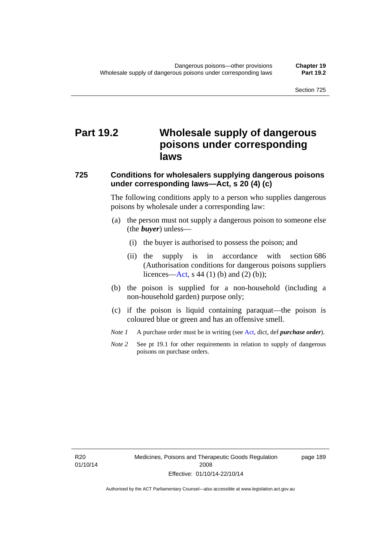# **Part 19.2 Wholesale supply of dangerous poisons under corresponding laws**

#### **725 Conditions for wholesalers supplying dangerous poisons under corresponding laws—Act, s 20 (4) (c)**

The following conditions apply to a person who supplies dangerous poisons by wholesale under a corresponding law:

- (a) the person must not supply a dangerous poison to someone else (the *buyer*) unless—
	- (i) the buyer is authorised to possess the poison; and
	- (ii) the supply is in accordance with section 686 (Authorisation conditions for dangerous poisons suppliers licences—[Act,](http://www.legislation.act.gov.au/a/2008-26/default.asp) s 44 (1) (b) and (2) (b));
- (b) the poison is supplied for a non-household (including a non-household garden) purpose only;
- (c) if the poison is liquid containing paraquat—the poison is coloured blue or green and has an offensive smell.
- *Note 1* A purchase order must be in writing (see [Act,](http://www.legislation.act.gov.au/a/2008-26/default.asp) dict, def *purchase order*).
- *Note* 2 See pt 19.1 for other requirements in relation to supply of dangerous poisons on purchase orders.

R20 01/10/14 page 189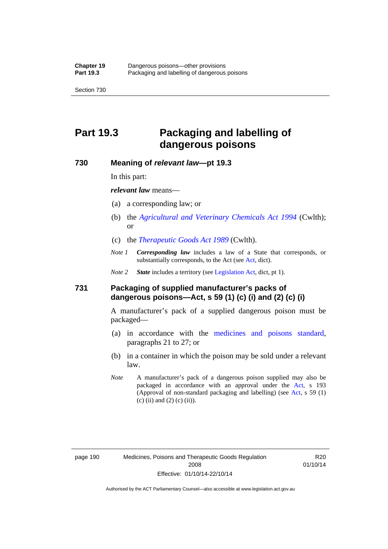# **Part 19.3 Packaging and labelling of dangerous poisons**

#### **730 Meaning of** *relevant law***—pt 19.3**

In this part:

*relevant law* means—

- (a) a corresponding law; or
- (b) the *[Agricultural and Veterinary Chemicals Act 1994](http://www.comlaw.gov.au/Series/C2004A04712)* (Cwlth); or
- (c) the *[Therapeutic Goods Act 1989](http://www.comlaw.gov.au/Series/C2004A03952)* (Cwlth).
- *Note 1 Corresponding law* includes a law of a State that corresponds, or substantially corresponds, to the [Act](http://www.legislation.act.gov.au/a/2008-26/default.asp) (see Act, dict).

*Note 2 State* includes a territory (see [Legislation Act,](http://www.legislation.act.gov.au/a/2001-14) dict, pt 1).

#### **731 Packaging of supplied manufacturer's packs of dangerous poisons—Act, s 59 (1) (c) (i) and (2) (c) (i)**

A manufacturer's pack of a supplied dangerous poison must be packaged—

- (a) in accordance with the [medicines and poisons standard](http://www.comlaw.gov.au/Series/F2012L01200), paragraphs 21 to 27; or
- (b) in a container in which the poison may be sold under a relevant law.
- *Note* A manufacturer's pack of a dangerous poison supplied may also be packaged in accordance with an approval under the [Act,](http://www.legislation.act.gov.au/a/2008-26/default.asp) s 193 (Approval of non-standard packaging and labelling) (see [Act](http://www.legislation.act.gov.au/a/2008-26/default.asp), s 59 (1)  $(c)$  (ii) and (2) (c) (ii)).

page 190 Medicines, Poisons and Therapeutic Goods Regulation 2008 Effective: 01/10/14-22/10/14

R20 01/10/14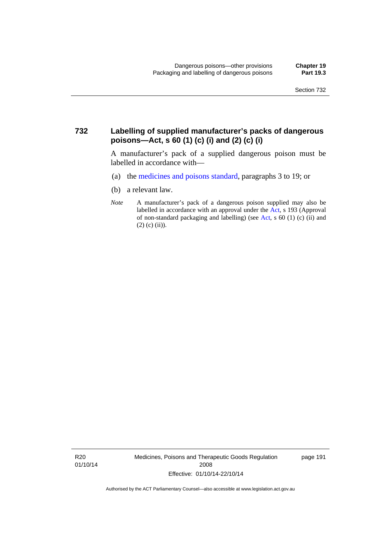#### **732 Labelling of supplied manufacturer's packs of dangerous poisons—Act, s 60 (1) (c) (i) and (2) (c) (i)**

A manufacturer's pack of a supplied dangerous poison must be labelled in accordance with—

- (a) the [medicines and poisons standard](http://www.comlaw.gov.au/Series/F2012L01200), paragraphs 3 to 19; or
- (b) a relevant law.
- *Note* A manufacturer's pack of a dangerous poison supplied may also be labelled in accordance with an approval under the [Act](http://www.legislation.act.gov.au/a/2008-26/default.asp), s 193 (Approval of non-standard packaging and labelling) (see [Act,](http://www.legislation.act.gov.au/a/2008-26/default.asp) s 60 (1) (c) (ii) and  $(2)$  (c) (ii)).

R20 01/10/14 Medicines, Poisons and Therapeutic Goods Regulation 2008 Effective: 01/10/14-22/10/14

page 191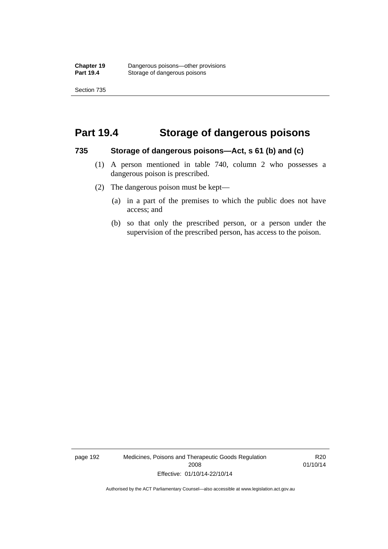### **Part 19.4 Storage of dangerous poisons**

#### **735 Storage of dangerous poisons—Act, s 61 (b) and (c)**

- (1) A person mentioned in table 740, column 2 who possesses a dangerous poison is prescribed.
- (2) The dangerous poison must be kept—
	- (a) in a part of the premises to which the public does not have access; and
	- (b) so that only the prescribed person, or a person under the supervision of the prescribed person, has access to the poison.

page 192 Medicines, Poisons and Therapeutic Goods Regulation 2008 Effective: 01/10/14-22/10/14

R20 01/10/14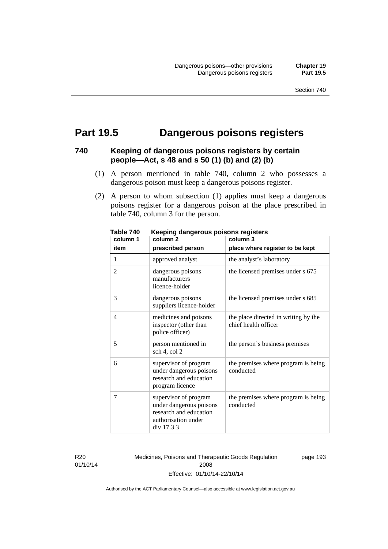# **Part 19.5 Dangerous poisons registers**

#### **740 Keeping of dangerous poisons registers by certain people—Act, s 48 and s 50 (1) (b) and (2) (b)**

- (1) A person mentioned in table 740, column 2 who possesses a dangerous poison must keep a dangerous poisons register.
- (2) A person to whom subsection (1) applies must keep a dangerous poisons register for a dangerous poison at the place prescribed in table 740, column 3 for the person.

| יז טושטו<br>column 1 | nooping aangoroas poisons registers<br>column <sub>2</sub>                                                      | column 3                                                     |
|----------------------|-----------------------------------------------------------------------------------------------------------------|--------------------------------------------------------------|
| item                 | prescribed person                                                                                               | place where register to be kept                              |
| 1                    | approved analyst                                                                                                | the analyst's laboratory                                     |
| $\overline{2}$       | dangerous poisons<br>manufacturers<br>licence-holder                                                            | the licensed premises under s 675                            |
| 3                    | dangerous poisons<br>suppliers licence-holder                                                                   | the licensed premises under s 685                            |
| $\overline{4}$       | medicines and poisons<br>inspector (other than<br>police officer)                                               | the place directed in writing by the<br>chief health officer |
| 5                    | person mentioned in<br>sch 4, col 2                                                                             | the person's business premises                               |
| 6                    | supervisor of program<br>under dangerous poisons<br>research and education<br>program licence                   | the premises where program is being<br>conducted             |
| 7                    | supervisor of program<br>under dangerous poisons<br>research and education<br>authorisation under<br>div 17.3.3 | the premises where program is being<br>conducted             |

**Table 740 Keeping dangerous poisons registers** 

R20 01/10/14 Medicines, Poisons and Therapeutic Goods Regulation 2008 Effective: 01/10/14-22/10/14

page 193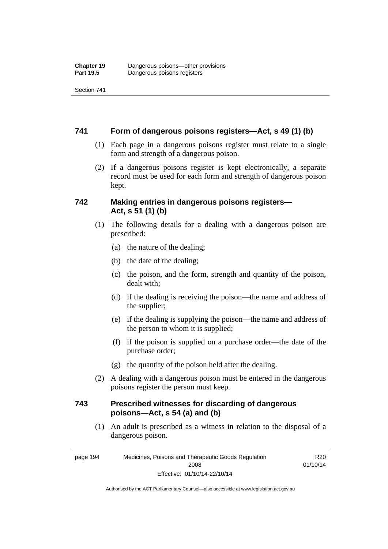Section 741

#### **741 Form of dangerous poisons registers—Act, s 49 (1) (b)**

- (1) Each page in a dangerous poisons register must relate to a single form and strength of a dangerous poison.
- (2) If a dangerous poisons register is kept electronically, a separate record must be used for each form and strength of dangerous poison kept.

#### **742 Making entries in dangerous poisons registers— Act, s 51 (1) (b)**

- (1) The following details for a dealing with a dangerous poison are prescribed:
	- (a) the nature of the dealing;
	- (b) the date of the dealing;
	- (c) the poison, and the form, strength and quantity of the poison, dealt with;
	- (d) if the dealing is receiving the poison—the name and address of the supplier;
	- (e) if the dealing is supplying the poison—the name and address of the person to whom it is supplied;
	- (f) if the poison is supplied on a purchase order—the date of the purchase order;
	- (g) the quantity of the poison held after the dealing.
- (2) A dealing with a dangerous poison must be entered in the dangerous poisons register the person must keep.

#### **743 Prescribed witnesses for discarding of dangerous poisons—Act, s 54 (a) and (b)**

 (1) An adult is prescribed as a witness in relation to the disposal of a dangerous poison.

page 194 Medicines, Poisons and Therapeutic Goods Regulation 2008 Effective: 01/10/14-22/10/14

R20 01/10/14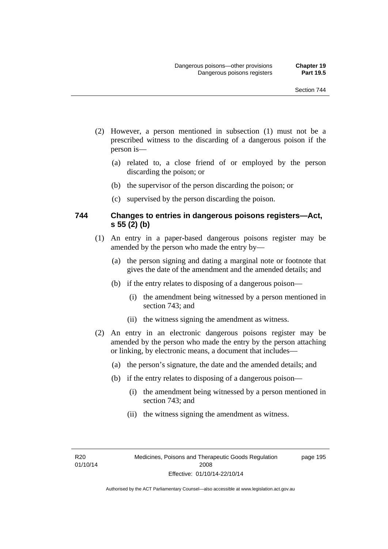- (2) However, a person mentioned in subsection (1) must not be a prescribed witness to the discarding of a dangerous poison if the person is—
	- (a) related to, a close friend of or employed by the person discarding the poison; or
	- (b) the supervisor of the person discarding the poison; or
	- (c) supervised by the person discarding the poison.

#### **744 Changes to entries in dangerous poisons registers—Act, s 55 (2) (b)**

- (1) An entry in a paper-based dangerous poisons register may be amended by the person who made the entry by—
	- (a) the person signing and dating a marginal note or footnote that gives the date of the amendment and the amended details; and
	- (b) if the entry relates to disposing of a dangerous poison—
		- (i) the amendment being witnessed by a person mentioned in section 743; and
		- (ii) the witness signing the amendment as witness.
- (2) An entry in an electronic dangerous poisons register may be amended by the person who made the entry by the person attaching or linking, by electronic means, a document that includes—
	- (a) the person's signature, the date and the amended details; and
	- (b) if the entry relates to disposing of a dangerous poison—
		- (i) the amendment being witnessed by a person mentioned in section 743; and
		- (ii) the witness signing the amendment as witness.

R20 01/10/14 page 195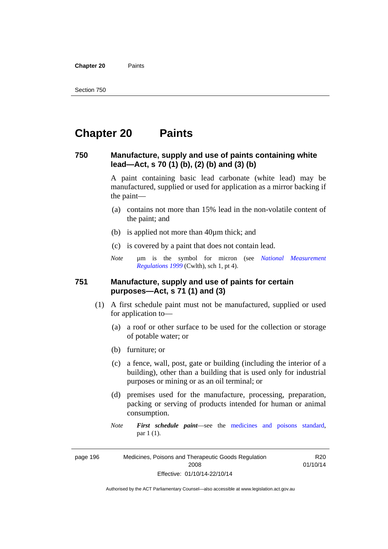**Chapter 20** Paints

# **Chapter 20 Paints**

#### **750 Manufacture, supply and use of paints containing white lead—Act, s 70 (1) (b), (2) (b) and (3) (b)**

A paint containing basic lead carbonate (white lead) may be manufactured, supplied or used for application as a mirror backing if the paint—

- (a) contains not more than 15% lead in the non-volatile content of the paint; and
- (b) is applied not more than 40µm thick; and
- (c) is covered by a paint that does not contain lead.
- *Note* um is the symbol for micron (see *National Measurement [Regulations 1999](http://www.comlaw.gov.au/Series/F1999B00110)* (Cwlth), sch 1, pt 4).

#### **751 Manufacture, supply and use of paints for certain purposes—Act, s 71 (1) and (3)**

- (1) A first schedule paint must not be manufactured, supplied or used for application to—
	- (a) a roof or other surface to be used for the collection or storage of potable water; or
	- (b) furniture; or
	- (c) a fence, wall, post, gate or building (including the interior of a building), other than a building that is used only for industrial purposes or mining or as an oil terminal; or
	- (d) premises used for the manufacture, processing, preparation, packing or serving of products intended for human or animal consumption.
	- *Note First schedule paint*—see the [medicines and poisons standard,](http://www.comlaw.gov.au/Series/F2012L01200) par 1 (1).

page 196 Medicines, Poisons and Therapeutic Goods Regulation 2008 Effective: 01/10/14-22/10/14

R20 01/10/14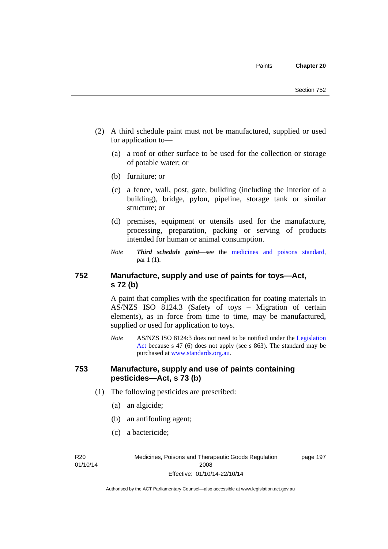- (2) A third schedule paint must not be manufactured, supplied or used for application to—
	- (a) a roof or other surface to be used for the collection or storage of potable water; or
	- (b) furniture; or
	- (c) a fence, wall, post, gate, building (including the interior of a building), bridge, pylon, pipeline, storage tank or similar structure; or
	- (d) premises, equipment or utensils used for the manufacture, processing, preparation, packing or serving of products intended for human or animal consumption.
	- *Note Third schedule paint*—see the [medicines and poisons standard,](http://www.comlaw.gov.au/Series/F2012L01200) par 1 (1).

#### **752 Manufacture, supply and use of paints for toys—Act, s 72 (b)**

A paint that complies with the specification for coating materials in AS/NZS ISO 8124.3 (Safety of toys – Migration of certain elements), as in force from time to time, may be manufactured, supplied or used for application to toys.

*Note* AS/NZS ISO 8124:3 does not need to be notified under the [Legislation](http://www.legislation.act.gov.au/a/2001-14)  [Act](http://www.legislation.act.gov.au/a/2001-14) because s 47 (6) does not apply (see s 863). The standard may be purchased at [www.standards.org.au.](http://www.standards.org.au/)

#### **753 Manufacture, supply and use of paints containing pesticides—Act, s 73 (b)**

- (1) The following pesticides are prescribed:
	- (a) an algicide;
	- (b) an antifouling agent;
	- (c) a bactericide;

R20 01/10/14 Medicines, Poisons and Therapeutic Goods Regulation 2008 Effective: 01/10/14-22/10/14

page 197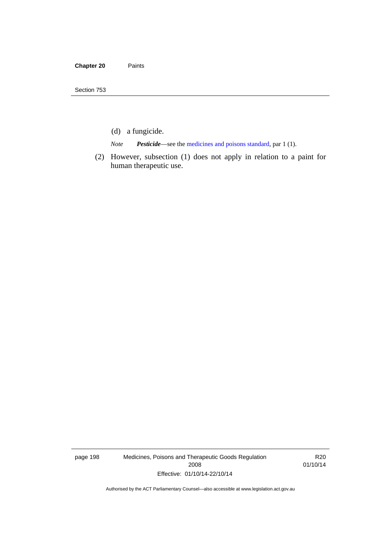- (d) a fungicide.
- *Note Pesticide*—see the [medicines and poisons standard,](http://www.comlaw.gov.au/Series/F2012L01200) par 1 (1).
- (2) However, subsection (1) does not apply in relation to a paint for human therapeutic use.

page 198 Medicines, Poisons and Therapeutic Goods Regulation 2008 Effective: 01/10/14-22/10/14

R20 01/10/14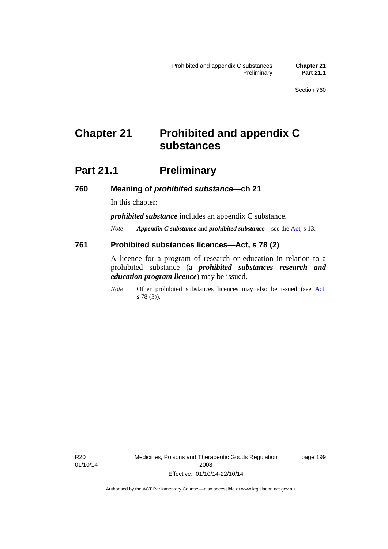# **Chapter 21 Prohibited and appendix C substances**

# **Part 21.1** Preliminary

**760 Meaning of** *prohibited substance***—ch 21** 

In this chapter:

*prohibited substance* includes an appendix C substance.

*Note Appendix C substance* and *prohibited substance*—see the [Act,](http://www.legislation.act.gov.au/a/2008-26/default.asp) s 13.

#### **761 Prohibited substances licences—Act, s 78 (2)**

A licence for a program of research or education in relation to a prohibited substance (a *prohibited substances research and education program licence*) may be issued.

*Note* Other prohibited substances licences may also be issued (see [Act,](http://www.legislation.act.gov.au/a/2008-26/default.asp) s 78 (3)).

R20 01/10/14 Medicines, Poisons and Therapeutic Goods Regulation 2008 Effective: 01/10/14-22/10/14

page 199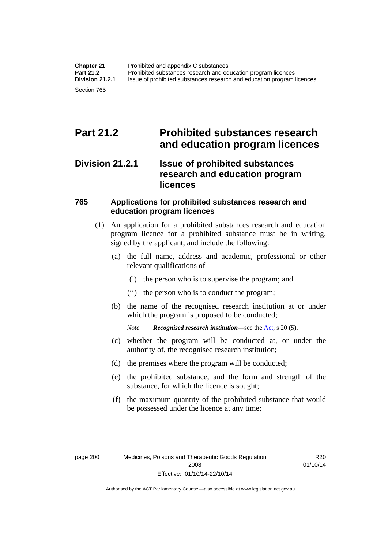# **Part 21.2 Prohibited substances research and education program licences**

### **Division 21.2.1 Issue of prohibited substances research and education program licences**

#### **765 Applications for prohibited substances research and education program licences**

- (1) An application for a prohibited substances research and education program licence for a prohibited substance must be in writing, signed by the applicant, and include the following:
	- (a) the full name, address and academic, professional or other relevant qualifications of—
		- (i) the person who is to supervise the program; and
		- (ii) the person who is to conduct the program;
	- (b) the name of the recognised research institution at or under which the program is proposed to be conducted;
		- *Note Recognised research institution*—see the [Act](http://www.legislation.act.gov.au/a/2008-26/default.asp), s 20 (5).
	- (c) whether the program will be conducted at, or under the authority of, the recognised research institution;
	- (d) the premises where the program will be conducted;
	- (e) the prohibited substance, and the form and strength of the substance, for which the licence is sought;
	- (f) the maximum quantity of the prohibited substance that would be possessed under the licence at any time;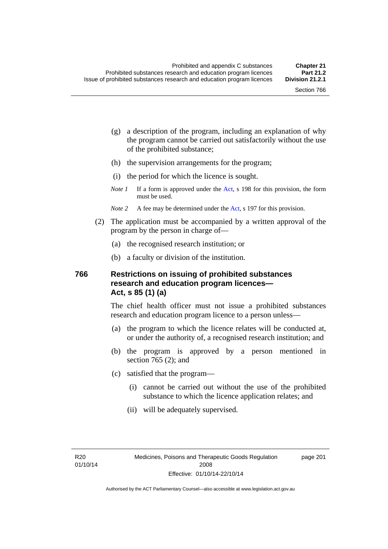- (g) a description of the program, including an explanation of why the program cannot be carried out satisfactorily without the use of the prohibited substance;
- (h) the supervision arrangements for the program;
- (i) the period for which the licence is sought.
- *Note 1* If a form is approved under the [Act](http://www.legislation.act.gov.au/a/2008-26/default.asp), s 198 for this provision, the form must be used.
- *Note* 2 A fee may be determined under the [Act,](http://www.legislation.act.gov.au/a/2008-26/default.asp) s 197 for this provision.
- (2) The application must be accompanied by a written approval of the program by the person in charge of—
	- (a) the recognised research institution; or
	- (b) a faculty or division of the institution.

#### **766 Restrictions on issuing of prohibited substances research and education program licences— Act, s 85 (1) (a)**

The chief health officer must not issue a prohibited substances research and education program licence to a person unless—

- (a) the program to which the licence relates will be conducted at, or under the authority of, a recognised research institution; and
- (b) the program is approved by a person mentioned in section 765 (2); and
- (c) satisfied that the program—
	- (i) cannot be carried out without the use of the prohibited substance to which the licence application relates; and
	- (ii) will be adequately supervised.

page 201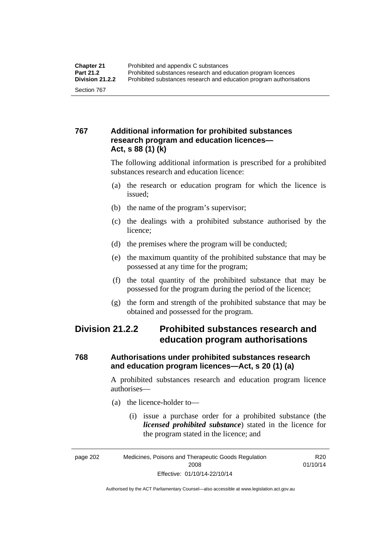#### **767 Additional information for prohibited substances research program and education licences— Act, s 88 (1) (k)**

The following additional information is prescribed for a prohibited substances research and education licence:

- (a) the research or education program for which the licence is issued;
- (b) the name of the program's supervisor;
- (c) the dealings with a prohibited substance authorised by the licence;
- (d) the premises where the program will be conducted;
- (e) the maximum quantity of the prohibited substance that may be possessed at any time for the program;
- (f) the total quantity of the prohibited substance that may be possessed for the program during the period of the licence;
- (g) the form and strength of the prohibited substance that may be obtained and possessed for the program.

## **Division 21.2.2 Prohibited substances research and education program authorisations**

#### **768 Authorisations under prohibited substances research and education program licences—Act, s 20 (1) (a)**

A prohibited substances research and education program licence authorises—

- (a) the licence-holder to—
	- (i) issue a purchase order for a prohibited substance (the *licensed prohibited substance*) stated in the licence for the program stated in the licence; and

R20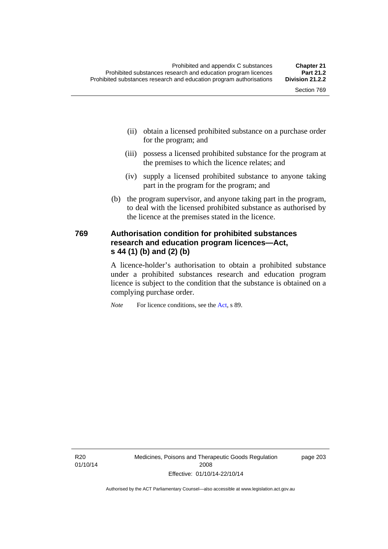- (ii) obtain a licensed prohibited substance on a purchase order for the program; and
- (iii) possess a licensed prohibited substance for the program at the premises to which the licence relates; and
- (iv) supply a licensed prohibited substance to anyone taking part in the program for the program; and
- (b) the program supervisor, and anyone taking part in the program, to deal with the licensed prohibited substance as authorised by the licence at the premises stated in the licence.

#### **769 Authorisation condition for prohibited substances research and education program licences—Act, s 44 (1) (b) and (2) (b)**

A licence-holder's authorisation to obtain a prohibited substance under a prohibited substances research and education program licence is subject to the condition that the substance is obtained on a complying purchase order.

*Note* For licence conditions, see the [Act](http://www.legislation.act.gov.au/a/2008-26/default.asp), s 89.

R20 01/10/14 Medicines, Poisons and Therapeutic Goods Regulation 2008 Effective: 01/10/14-22/10/14

page 203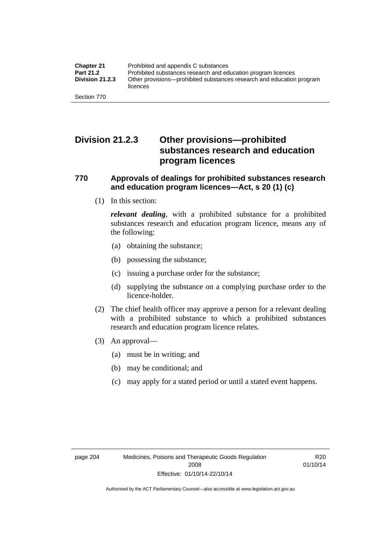## **Division 21.2.3 Other provisions—prohibited substances research and education program licences**

#### **770 Approvals of dealings for prohibited substances research and education program licences—Act, s 20 (1) (c)**

(1) In this section:

*relevant dealing*, with a prohibited substance for a prohibited substances research and education program licence, means any of the following:

- (a) obtaining the substance;
- (b) possessing the substance;
- (c) issuing a purchase order for the substance;
- (d) supplying the substance on a complying purchase order to the licence-holder.
- (2) The chief health officer may approve a person for a relevant dealing with a prohibited substance to which a prohibited substances research and education program licence relates.
- (3) An approval—
	- (a) must be in writing; and
	- (b) may be conditional; and
	- (c) may apply for a stated period or until a stated event happens.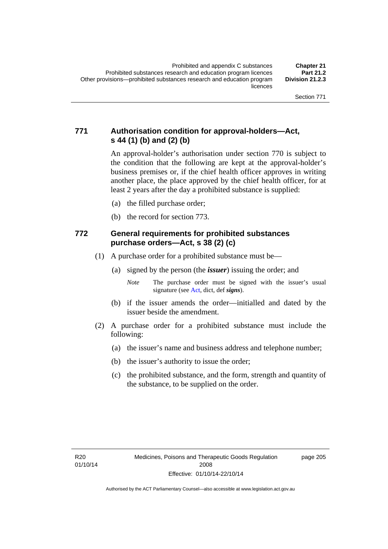#### **771 Authorisation condition for approval-holders—Act, s 44 (1) (b) and (2) (b)**

An approval-holder's authorisation under section 770 is subject to the condition that the following are kept at the approval-holder's business premises or, if the chief health officer approves in writing another place, the place approved by the chief health officer, for at least 2 years after the day a prohibited substance is supplied:

- (a) the filled purchase order;
- (b) the record for section 773.

#### **772 General requirements for prohibited substances purchase orders—Act, s 38 (2) (c)**

- (1) A purchase order for a prohibited substance must be—
	- (a) signed by the person (the *issuer*) issuing the order; and

- (b) if the issuer amends the order—initialled and dated by the issuer beside the amendment.
- (2) A purchase order for a prohibited substance must include the following:
	- (a) the issuer's name and business address and telephone number;
	- (b) the issuer's authority to issue the order;
	- (c) the prohibited substance, and the form, strength and quantity of the substance, to be supplied on the order.

*Note* The purchase order must be signed with the issuer's usual signature (see [Act](http://www.legislation.act.gov.au/a/2008-26/default.asp), dict, def *signs*).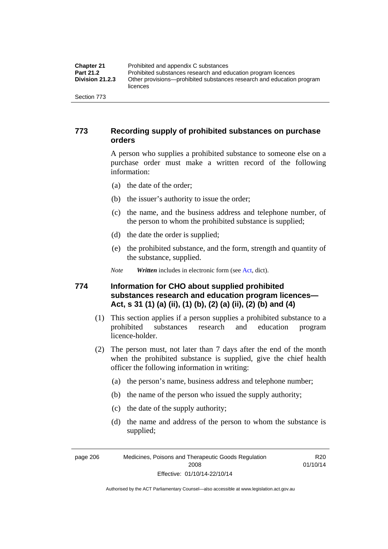| <b>Chapter 21</b>      | Prohibited and appendix C substances                                              |
|------------------------|-----------------------------------------------------------------------------------|
| <b>Part 21.2</b>       | Prohibited substances research and education program licences                     |
| <b>Division 21.2.3</b> | Other provisions—prohibited substances research and education program<br>licences |
| Section 773            |                                                                                   |

#### **773 Recording supply of prohibited substances on purchase orders**

A person who supplies a prohibited substance to someone else on a purchase order must make a written record of the following information:

- (a) the date of the order;
- (b) the issuer's authority to issue the order;
- (c) the name, and the business address and telephone number, of the person to whom the prohibited substance is supplied;
- (d) the date the order is supplied;
- (e) the prohibited substance, and the form, strength and quantity of the substance, supplied.
- *Note Written* includes in electronic form (see [Act,](http://www.legislation.act.gov.au/a/2008-26/default.asp) dict).

#### **774 Information for CHO about supplied prohibited substances research and education program licences— Act, s 31 (1) (a) (ii), (1) (b), (2) (a) (ii), (2) (b) and (4)**

- (1) This section applies if a person supplies a prohibited substance to a prohibited substances research and education program licence-holder.
- (2) The person must, not later than 7 days after the end of the month when the prohibited substance is supplied, give the chief health officer the following information in writing:
	- (a) the person's name, business address and telephone number;
	- (b) the name of the person who issued the supply authority;
	- (c) the date of the supply authority;
	- (d) the name and address of the person to whom the substance is supplied;

page 206 Medicines, Poisons and Therapeutic Goods Regulation 2008 Effective: 01/10/14-22/10/14

R20 01/10/14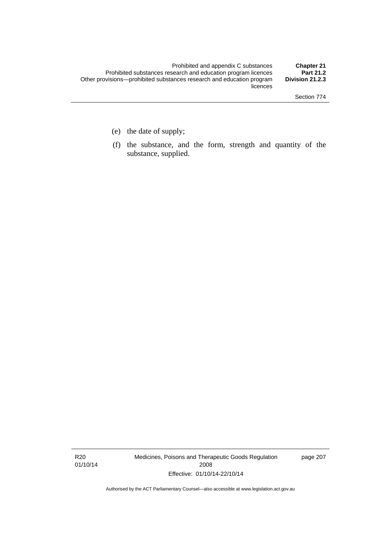- (e) the date of supply;
- (f) the substance, and the form, strength and quantity of the substance, supplied.

R20 01/10/14 Medicines, Poisons and Therapeutic Goods Regulation 2008 Effective: 01/10/14-22/10/14

page 207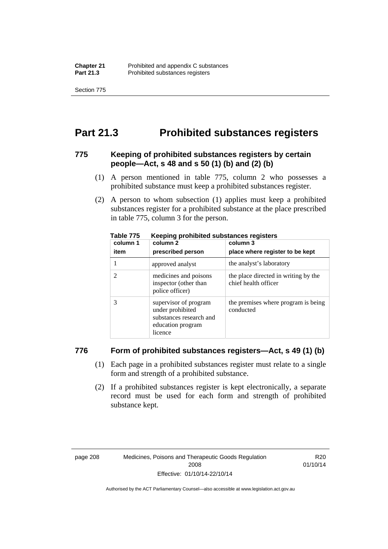Section 775

# **Part 21.3 Prohibited substances registers**

#### **775 Keeping of prohibited substances registers by certain people—Act, s 48 and s 50 (1) (b) and (2) (b)**

- (1) A person mentioned in table 775, column 2 who possesses a prohibited substance must keep a prohibited substances register.
- (2) A person to whom subsection (1) applies must keep a prohibited substances register for a prohibited substance at the place prescribed in table 775, column 3 for the person.

| column 1 | .<br>column 2                                                                                        | column 3                                                     |
|----------|------------------------------------------------------------------------------------------------------|--------------------------------------------------------------|
| item     | prescribed person                                                                                    | place where register to be kept                              |
|          | approved analyst                                                                                     | the analyst's laboratory                                     |
|          | medicines and poisons<br>inspector (other than<br>police officer)                                    | the place directed in writing by the<br>chief health officer |
|          | supervisor of program<br>under prohibited<br>substances research and<br>education program<br>licence | the premises where program is being<br>conducted             |

**Table 775 Keeping prohibited substances registers** 

#### **776 Form of prohibited substances registers—Act, s 49 (1) (b)**

- (1) Each page in a prohibited substances register must relate to a single form and strength of a prohibited substance.
- (2) If a prohibited substances register is kept electronically, a separate record must be used for each form and strength of prohibited substance kept.

R20 01/10/14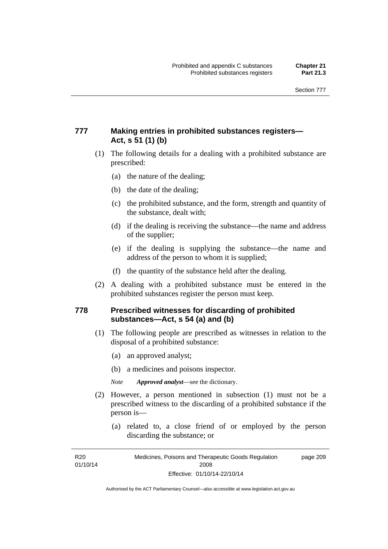#### **777 Making entries in prohibited substances registers— Act, s 51 (1) (b)**

- (1) The following details for a dealing with a prohibited substance are prescribed:
	- (a) the nature of the dealing;
	- (b) the date of the dealing;
	- (c) the prohibited substance, and the form, strength and quantity of the substance, dealt with;
	- (d) if the dealing is receiving the substance—the name and address of the supplier;
	- (e) if the dealing is supplying the substance—the name and address of the person to whom it is supplied;
	- (f) the quantity of the substance held after the dealing.
- (2) A dealing with a prohibited substance must be entered in the prohibited substances register the person must keep.

#### **778 Prescribed witnesses for discarding of prohibited substances—Act, s 54 (a) and (b)**

- (1) The following people are prescribed as witnesses in relation to the disposal of a prohibited substance:
	- (a) an approved analyst;
	- (b) a medicines and poisons inspector.

*Note Approved analyst*—see the dictionary.

- (2) However, a person mentioned in subsection (1) must not be a prescribed witness to the discarding of a prohibited substance if the person is—
	- (a) related to, a close friend of or employed by the person discarding the substance; or

R20 01/10/14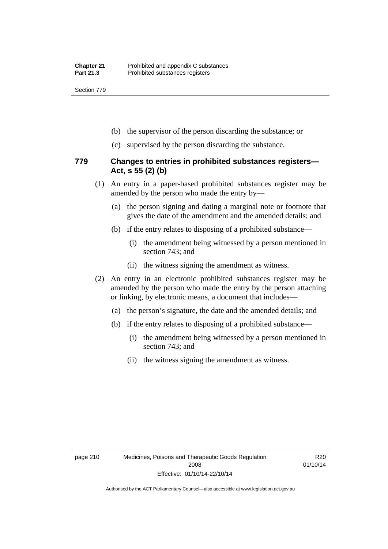Section 779

- (b) the supervisor of the person discarding the substance; or
- (c) supervised by the person discarding the substance.

#### **779 Changes to entries in prohibited substances registers— Act, s 55 (2) (b)**

- (1) An entry in a paper-based prohibited substances register may be amended by the person who made the entry by—
	- (a) the person signing and dating a marginal note or footnote that gives the date of the amendment and the amended details; and
	- (b) if the entry relates to disposing of a prohibited substance—
		- (i) the amendment being witnessed by a person mentioned in section 743; and
		- (ii) the witness signing the amendment as witness.
- (2) An entry in an electronic prohibited substances register may be amended by the person who made the entry by the person attaching or linking, by electronic means, a document that includes—
	- (a) the person's signature, the date and the amended details; and
	- (b) if the entry relates to disposing of a prohibited substance—
		- (i) the amendment being witnessed by a person mentioned in section 743; and
		- (ii) the witness signing the amendment as witness.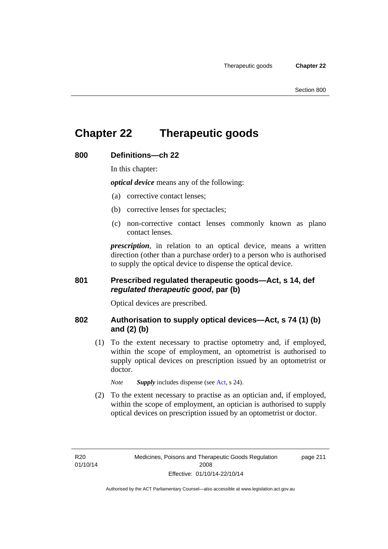# **Chapter 22 Therapeutic goods**

#### **800 Definitions—ch 22**

In this chapter:

*optical device* means any of the following:

- (a) corrective contact lenses;
- (b) corrective lenses for spectacles;
- (c) non-corrective contact lenses commonly known as plano contact lenses.

*prescription*, in relation to an optical device, means a written direction (other than a purchase order) to a person who is authorised to supply the optical device to dispense the optical device.

#### **801 Prescribed regulated therapeutic goods—Act, s 14, def**  *regulated therapeutic good***, par (b)**

Optical devices are prescribed.

#### **802 Authorisation to supply optical devices—Act, s 74 (1) (b) and (2) (b)**

 (1) To the extent necessary to practise optometry and, if employed, within the scope of employment, an optometrist is authorised to supply optical devices on prescription issued by an optometrist or doctor.

*Note Supply* includes dispense (see [Act,](http://www.legislation.act.gov.au/a/2008-26/default.asp) s 24).

 (2) To the extent necessary to practise as an optician and, if employed, within the scope of employment, an optician is authorised to supply optical devices on prescription issued by an optometrist or doctor.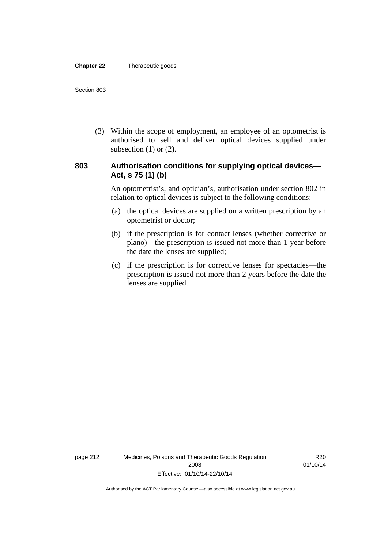#### **Chapter 22** Therapeutic goods

 (3) Within the scope of employment, an employee of an optometrist is authorised to sell and deliver optical devices supplied under subsection  $(1)$  or  $(2)$ .

#### **803 Authorisation conditions for supplying optical devices— Act, s 75 (1) (b)**

An optometrist's, and optician's, authorisation under section 802 in relation to optical devices is subject to the following conditions:

- (a) the optical devices are supplied on a written prescription by an optometrist or doctor;
- (b) if the prescription is for contact lenses (whether corrective or plano)—the prescription is issued not more than 1 year before the date the lenses are supplied;
- (c) if the prescription is for corrective lenses for spectacles—the prescription is issued not more than 2 years before the date the lenses are supplied.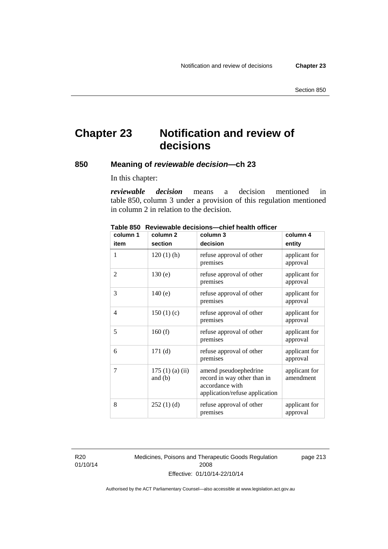# **Chapter 23 Notification and review of decisions**

#### **850 Meaning of** *reviewable decision—***ch 23**

In this chapter:

*reviewable decision* means a decision mentioned in table 850, column 3 under a provision of this regulation mentioned in column 2 in relation to the decision.

| column 1 | column <sub>2</sub>        | column 3                                                                                                  | column 4                   |
|----------|----------------------------|-----------------------------------------------------------------------------------------------------------|----------------------------|
| item     | section                    | decision                                                                                                  | entity                     |
| 1        | $120(1)$ (h)               | refuse approval of other<br>premises                                                                      | applicant for<br>approval  |
| 2        | 130(e)                     | refuse approval of other<br>premises                                                                      | applicant for<br>approval  |
| 3        | 140(e)                     | refuse approval of other<br>premises                                                                      | applicant for<br>approval  |
| 4        | 150(1)(c)                  | refuse approval of other<br>premises                                                                      | applicant for<br>approval  |
| 5        | 160(f)                     | refuse approval of other<br>premises                                                                      | applicant for<br>approval  |
| 6        | 171(d)                     | refuse approval of other<br>premises                                                                      | applicant for<br>approval  |
| 7        | 175(1)(a)(ii)<br>and $(b)$ | amend pseudoephedrine<br>record in way other than in<br>accordance with<br>application/refuse application | applicant for<br>amendment |
| 8        | 252(1)(d)                  | refuse approval of other<br>premises                                                                      | applicant for<br>approval  |

**Table 850 Reviewable decisions—chief health officer** 

R20 01/10/14 Medicines, Poisons and Therapeutic Goods Regulation 2008 Effective: 01/10/14-22/10/14

page 213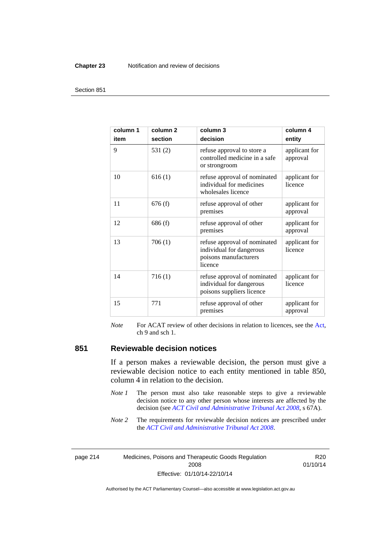#### **Chapter 23** Notification and review of decisions

#### Section 851

| column 1<br>item | column <sub>2</sub><br>section | column 3<br>decision                                                                         | column 4<br>entity        |
|------------------|--------------------------------|----------------------------------------------------------------------------------------------|---------------------------|
| 9                | 531(2)                         | refuse approval to store a<br>controlled medicine in a safe<br>or strongroom                 | applicant for<br>approval |
| 10               | 616(1)                         | refuse approval of nominated<br>individual for medicines<br>wholesales licence               | applicant for<br>licence  |
| 11               | 676(f)                         | refuse approval of other<br>premises                                                         | applicant for<br>approval |
| 12               | 686(f)                         | refuse approval of other<br>premises                                                         | applicant for<br>approval |
| 13               | 706(1)                         | refuse approval of nominated<br>individual for dangerous<br>poisons manufacturers<br>licence | applicant for<br>licence  |
| 14               | 716(1)                         | refuse approval of nominated<br>individual for dangerous<br>poisons suppliers licence        | applicant for<br>licence  |
| 15               | 771                            | refuse approval of other<br>premises                                                         | applicant for<br>approval |

*Note* For ACAT review of other decisions in relation to licences, see the [Act,](http://www.legislation.act.gov.au/a/2008-26/default.asp) ch 9 and sch 1.

#### **851 Reviewable decision notices**

If a person makes a reviewable decision, the person must give a reviewable decision notice to each entity mentioned in table 850, column 4 in relation to the decision.

- *Note 1* The person must also take reasonable steps to give a reviewable decision notice to any other person whose interests are affected by the decision (see *[ACT Civil and Administrative Tribunal Act 2008](http://www.legislation.act.gov.au/a/2008-35)*, s 67A).
- *Note* 2 The requirements for reviewable decision notices are prescribed under the *[ACT Civil and Administrative Tribunal Act 2008](http://www.legislation.act.gov.au/a/2008-35)*.

page 214 Medicines, Poisons and Therapeutic Goods Regulation 2008 Effective: 01/10/14-22/10/14

R20 01/10/14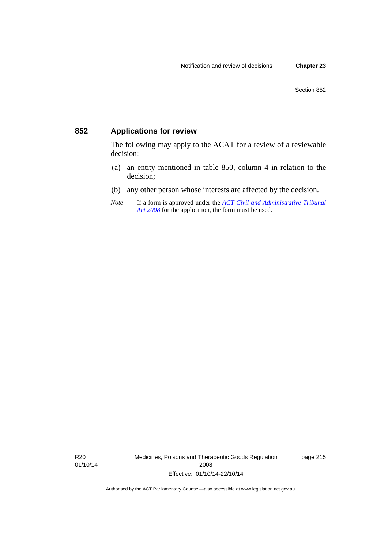### **852 Applications for review**

The following may apply to the ACAT for a review of a reviewable decision:

- (a) an entity mentioned in table 850, column 4 in relation to the decision;
- (b) any other person whose interests are affected by the decision.
- *Note* If a form is approved under the *[ACT Civil and Administrative Tribunal](http://www.legislation.act.gov.au/a/2008-35)  [Act 2008](http://www.legislation.act.gov.au/a/2008-35)* for the application, the form must be used.

R20 01/10/14 Medicines, Poisons and Therapeutic Goods Regulation 2008 Effective: 01/10/14-22/10/14

page 215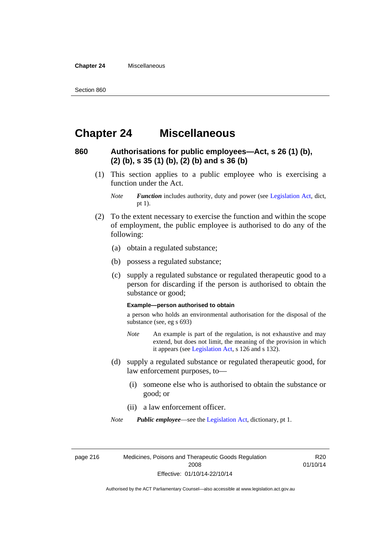**Chapter 24** Miscellaneous

# **Chapter 24 Miscellaneous**

#### **860 Authorisations for public employees—Act, s 26 (1) (b), (2) (b), s 35 (1) (b), (2) (b) and s 36 (b)**

 (1) This section applies to a public employee who is exercising a function under the Act.

- (2) To the extent necessary to exercise the function and within the scope of employment, the public employee is authorised to do any of the following:
	- (a) obtain a regulated substance;
	- (b) possess a regulated substance;
	- (c) supply a regulated substance or regulated therapeutic good to a person for discarding if the person is authorised to obtain the substance or good;

#### **Example—person authorised to obtain**

a person who holds an environmental authorisation for the disposal of the substance (see, eg s 693)

- *Note* An example is part of the regulation, is not exhaustive and may extend, but does not limit, the meaning of the provision in which it appears (see [Legislation Act,](http://www.legislation.act.gov.au/a/2001-14) s 126 and s 132).
- (d) supply a regulated substance or regulated therapeutic good, for law enforcement purposes, to—
	- (i) someone else who is authorised to obtain the substance or good; or
	- (ii) a law enforcement officer.

*Note Public employee*—see the [Legislation Act,](http://www.legislation.act.gov.au/a/2001-14) dictionary, pt 1.

page 216 Medicines, Poisons and Therapeutic Goods Regulation 2008 Effective: 01/10/14-22/10/14

R20 01/10/14

*Note Function* includes authority, duty and power (see [Legislation Act](http://www.legislation.act.gov.au/a/2001-14), dict, pt 1).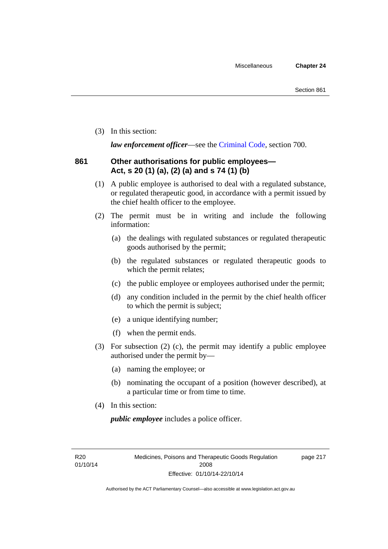(3) In this section:

*law enforcement officer*—see the [Criminal Code,](http://www.legislation.act.gov.au/a/2002-51) section 700.

#### **861 Other authorisations for public employees— Act, s 20 (1) (a), (2) (a) and s 74 (1) (b)**

- (1) A public employee is authorised to deal with a regulated substance, or regulated therapeutic good, in accordance with a permit issued by the chief health officer to the employee.
- (2) The permit must be in writing and include the following information:
	- (a) the dealings with regulated substances or regulated therapeutic goods authorised by the permit;
	- (b) the regulated substances or regulated therapeutic goods to which the permit relates;
	- (c) the public employee or employees authorised under the permit;
	- (d) any condition included in the permit by the chief health officer to which the permit is subject;
	- (e) a unique identifying number;
	- (f) when the permit ends.
- (3) For subsection (2) (c), the permit may identify a public employee authorised under the permit by—
	- (a) naming the employee; or
	- (b) nominating the occupant of a position (however described), at a particular time or from time to time.
- (4) In this section:

*public employee* includes a police officer.

R20 01/10/14 page 217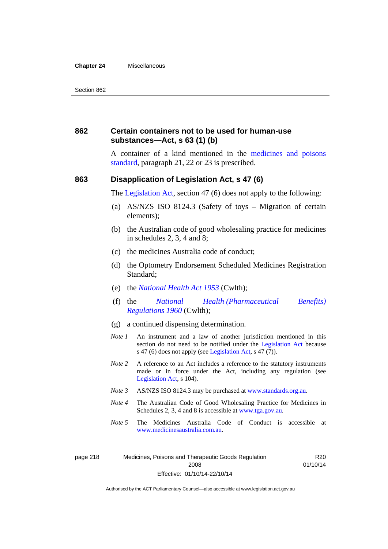#### **Chapter 24** Miscellaneous

#### **862 Certain containers not to be used for human-use substances—Act, s 63 (1) (b)**

A container of a kind mentioned in the [medicines and poisons](http://www.comlaw.gov.au/Series/F2012L01200)  [standard,](http://www.comlaw.gov.au/Series/F2012L01200) paragraph 21, 22 or 23 is prescribed.

#### **863 Disapplication of Legislation Act, s 47 (6)**

The [Legislation Act](http://www.legislation.act.gov.au/a/2001-14), section 47 (6) does not apply to the following:

- (a) AS/NZS ISO 8124.3 (Safety of toys Migration of certain elements);
- (b) the Australian code of good wholesaling practice for medicines in schedules 2, 3, 4 and 8;
- (c) the medicines Australia code of conduct;
- (d) the Optometry Endorsement Scheduled Medicines Registration Standard;
- (e) the *[National Health Act 1953](http://www.comlaw.gov.au/Series/C1953A00095)* (Cwlth);
- (f) the *[National Health \(Pharmaceutical Benefits\)](http://www.comlaw.gov.au/Series/F1996B02844)  [Regulations 1960](http://www.comlaw.gov.au/Series/F1996B02844)* (Cwlth);
- (g) a continued dispensing determination.
- *Note 1* An instrument and a law of another jurisdiction mentioned in this section do not need to be notified under the [Legislation Act](http://www.legislation.act.gov.au/a/2001-14) because s 47 (6) does not apply (see [Legislation Act](http://www.legislation.act.gov.au/a/2001-14), s 47 (7)).
- *Note 2* A reference to an Act includes a reference to the statutory instruments made or in force under the Act, including any regulation (see [Legislation Act,](http://www.legislation.act.gov.au/a/2001-14) s 104).
- *Note 3* AS/NZS ISO 8124.3 may be purchased at [www.standards.org.au.](http://www.standards.org.au/)
- *Note 4* The Australian Code of Good Wholesaling Practice for Medicines in Schedules 2, 3, 4 and 8 is accessible at [www.tga.gov.au.](http://www.tga.gov.au/)
- *Note 5* The Medicines Australia Code of Conduct is accessible at [www.medicinesaustralia.com.au](http://www.medicinesaustralia.com.au/).

R20 01/10/14

page 218 Medicines, Poisons and Therapeutic Goods Regulation 2008 Effective: 01/10/14-22/10/14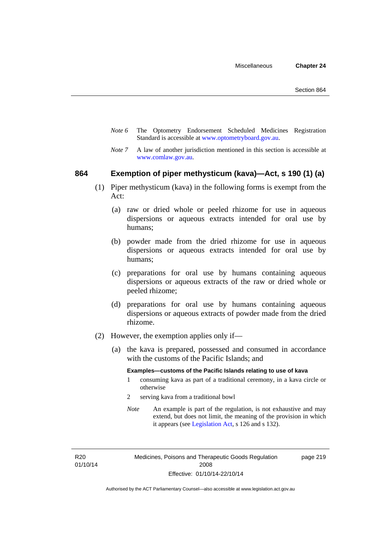- *Note 6* The Optometry Endorsement Scheduled Medicines Registration Standard is accessible at [www.optometryboard.gov.au](http://www.optometryboard.gov.au/).
- *Note* 7 A law of another jurisdiction mentioned in this section is accessible at [www.comlaw.gov.au](http://www.comlaw.gov.au/).

#### **864 Exemption of piper methysticum (kava)—Act, s 190 (1) (a)**

- (1) Piper methysticum (kava) in the following forms is exempt from the Act:
	- (a) raw or dried whole or peeled rhizome for use in aqueous dispersions or aqueous extracts intended for oral use by humans;
	- (b) powder made from the dried rhizome for use in aqueous dispersions or aqueous extracts intended for oral use by humans;
	- (c) preparations for oral use by humans containing aqueous dispersions or aqueous extracts of the raw or dried whole or peeled rhizome;
	- (d) preparations for oral use by humans containing aqueous dispersions or aqueous extracts of powder made from the dried rhizome.
- (2) However, the exemption applies only if—
	- (a) the kava is prepared, possessed and consumed in accordance with the customs of the Pacific Islands; and

#### **Examples—customs of the Pacific Islands relating to use of kava**

- 1 consuming kava as part of a traditional ceremony, in a kava circle or otherwise
- 2 serving kava from a traditional bowl
- *Note* An example is part of the regulation, is not exhaustive and may extend, but does not limit, the meaning of the provision in which it appears (see [Legislation Act,](http://www.legislation.act.gov.au/a/2001-14) s 126 and s 132).

R20 01/10/14 Medicines, Poisons and Therapeutic Goods Regulation 2008 Effective: 01/10/14-22/10/14

page 219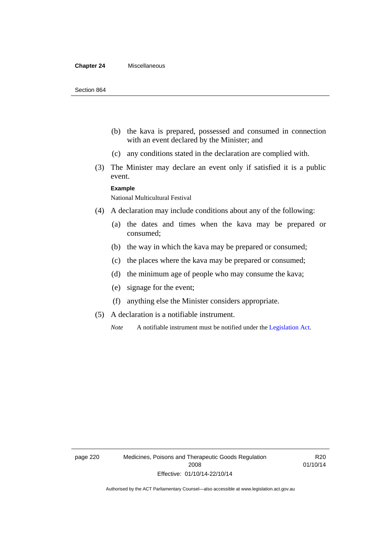#### **Chapter 24** Miscellaneous

- (b) the kava is prepared, possessed and consumed in connection with an event declared by the Minister; and
- (c) any conditions stated in the declaration are complied with.
- (3) The Minister may declare an event only if satisfied it is a public event.

#### **Example**

National Multicultural Festival

- (4) A declaration may include conditions about any of the following:
	- (a) the dates and times when the kava may be prepared or consumed;
	- (b) the way in which the kava may be prepared or consumed;
	- (c) the places where the kava may be prepared or consumed;
	- (d) the minimum age of people who may consume the kava;
	- (e) signage for the event;
	- (f) anything else the Minister considers appropriate.
- (5) A declaration is a notifiable instrument.

*Note* A notifiable instrument must be notified under the [Legislation Act](http://www.legislation.act.gov.au/a/2001-14).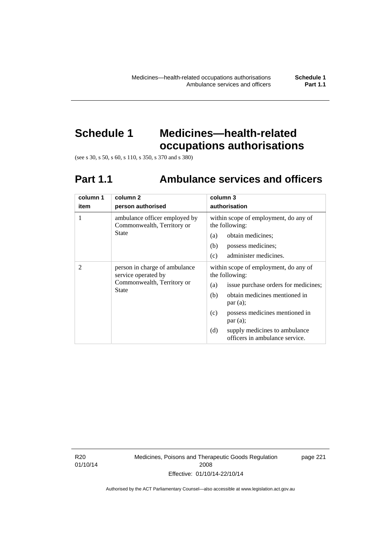# **Schedule 1 Medicines—health-related**

**occupations authorisations** 

(see s 30, s 50, s 60, s 110, s 350, s 370 and s 380)

# **Part 1.1 Ambulance services and officers**

| column 1<br>item | column <sub>2</sub><br>person authorised                                                           | column 3<br>authorisation                                                                              |
|------------------|----------------------------------------------------------------------------------------------------|--------------------------------------------------------------------------------------------------------|
| 1                | ambulance officer employed by<br>Commonwealth, Territory or                                        | within scope of employment, do any of<br>the following:                                                |
|                  | State                                                                                              | obtain medicines;<br>(a)                                                                               |
|                  |                                                                                                    | (b)<br>possess medicines;                                                                              |
|                  |                                                                                                    | administer medicines.<br>(c)                                                                           |
| $\mathfrak{D}$   | person in charge of ambulance<br>service operated by<br>Commonwealth, Territory or<br><b>State</b> | within scope of employment, do any of<br>the following:<br>issue purchase orders for medicines;<br>(a) |
|                  |                                                                                                    | obtain medicines mentioned in<br>(b)<br>par(a);                                                        |
|                  |                                                                                                    | possess medicines mentioned in<br>(c)<br>par(a);                                                       |
|                  |                                                                                                    | (d)<br>supply medicines to ambulance<br>officers in ambulance service.                                 |

R20 01/10/14 Medicines, Poisons and Therapeutic Goods Regulation 2008 Effective: 01/10/14-22/10/14

page 221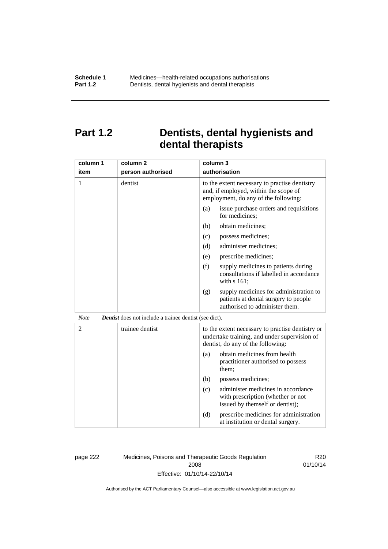# **Part 1.2 Dentists, dental hygienists and dental therapists**

| column 1       | column <sub>2</sub>                                           | column 3                                                                                                                              |
|----------------|---------------------------------------------------------------|---------------------------------------------------------------------------------------------------------------------------------------|
| item           | person authorised                                             | authorisation                                                                                                                         |
| 1              | dentist                                                       | to the extent necessary to practise dentistry<br>and, if employed, within the scope of<br>employment, do any of the following:        |
|                |                                                               | issue purchase orders and requisitions<br>(a)<br>for medicines;                                                                       |
|                |                                                               | obtain medicines;<br>(b)                                                                                                              |
|                |                                                               | possess medicines;<br>(c)                                                                                                             |
|                |                                                               | administer medicines;<br>(d)                                                                                                          |
|                |                                                               | prescribe medicines;<br>(e)                                                                                                           |
|                |                                                               | (f)<br>supply medicines to patients during<br>consultations if labelled in accordance<br>with s 161;                                  |
|                |                                                               | supply medicines for administration to<br>(g)<br>patients at dental surgery to people<br>authorised to administer them.               |
| <b>Note</b>    | <b>Dentist</b> does not include a trainee dentist (see dict). |                                                                                                                                       |
| $\overline{2}$ | trainee dentist                                               | to the extent necessary to practise dentistry or<br>undertake training, and under supervision of<br>dentist, do any of the following: |
|                |                                                               | obtain medicines from health<br>(a)<br>practitioner authorised to possess<br>them:                                                    |
|                |                                                               | (b)<br>possess medicines;                                                                                                             |
|                |                                                               | administer medicines in accordance<br>(c)<br>with prescription (whether or not<br>issued by themself or dentist);                     |
|                |                                                               | (d)<br>prescribe medicines for administration<br>at institution or dental surgery.                                                    |

page 222 Medicines, Poisons and Therapeutic Goods Regulation 2008 Effective: 01/10/14-22/10/14

R20 01/10/14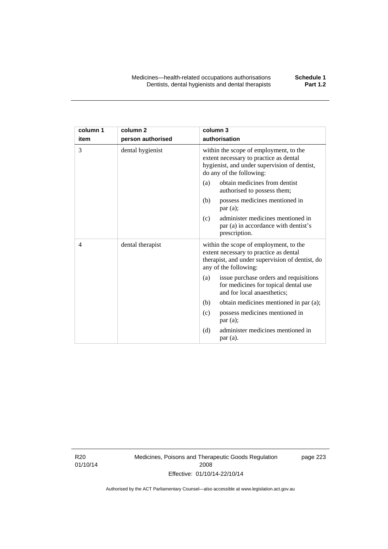| column 1 | column <sub>2</sub> | column 3                                                                                                                                                     |
|----------|---------------------|--------------------------------------------------------------------------------------------------------------------------------------------------------------|
| item     | person authorised   | authorisation                                                                                                                                                |
| 3        | dental hygienist    | within the scope of employment, to the<br>extent necessary to practice as dental<br>hygienist, and under supervision of dentist,<br>do any of the following: |
|          |                     | obtain medicines from dentist<br>(a)<br>authorised to possess them;                                                                                          |
|          |                     | possess medicines mentioned in<br>(b)<br>par(a);                                                                                                             |
|          |                     | administer medicines mentioned in<br>(c)<br>par (a) in accordance with dentist's<br>prescription.                                                            |
| 4        | dental therapist    | within the scope of employment, to the<br>extent necessary to practice as dental<br>therapist, and under supervision of dentist, do<br>any of the following: |
|          |                     | issue purchase orders and requisitions<br>(a)<br>for medicines for topical dental use<br>and for local anaesthetics;                                         |
|          |                     | obtain medicines mentioned in par (a);<br>(b)                                                                                                                |
|          |                     | possess medicines mentioned in<br>(c)<br>par (a);                                                                                                            |
|          |                     | administer medicines mentioned in<br>(d)<br>par(a).                                                                                                          |

R20 01/10/14 Medicines, Poisons and Therapeutic Goods Regulation 2008 Effective: 01/10/14-22/10/14

page 223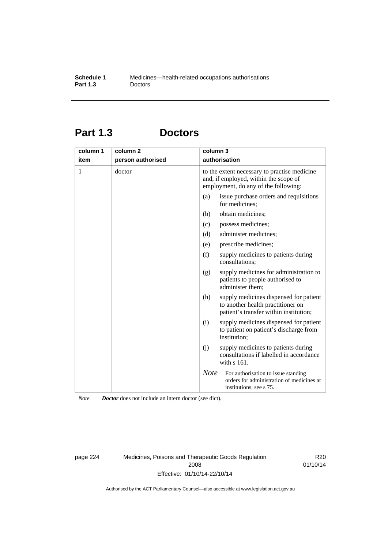# **Part 1.3 Doctors**

| column 1<br>item | column 2<br>person authorised | column 3    | authorisation                                                                                                                 |
|------------------|-------------------------------|-------------|-------------------------------------------------------------------------------------------------------------------------------|
| 1                | doctor                        |             | to the extent necessary to practise medicine<br>and, if employed, within the scope of<br>employment, do any of the following: |
|                  |                               | (a)         | issue purchase orders and requisitions<br>for medicines;                                                                      |
|                  |                               | (b)         | obtain medicines;                                                                                                             |
|                  |                               | (c)         | possess medicines;                                                                                                            |
|                  |                               | (d)         | administer medicines;                                                                                                         |
|                  |                               | (e)         | prescribe medicines;                                                                                                          |
|                  |                               | (f)         | supply medicines to patients during<br>consultations;                                                                         |
|                  |                               | (g)         | supply medicines for administration to<br>patients to people authorised to<br>administer them;                                |
|                  |                               | (h)         | supply medicines dispensed for patient<br>to another health practitioner on<br>patient's transfer within institution;         |
|                  |                               | (i)         | supply medicines dispensed for patient<br>to patient on patient's discharge from<br>institution;                              |
|                  |                               | (i)         | supply medicines to patients during<br>consultations if labelled in accordance<br>with s 161.                                 |
|                  |                               | <b>Note</b> | For authorisation to issue standing<br>orders for administration of medicines at<br>institutions, see s 75.                   |

*Note Doctor* does not include an intern doctor (see dict).

page 224 Medicines, Poisons and Therapeutic Goods Regulation 2008 Effective: 01/10/14-22/10/14

R20 01/10/14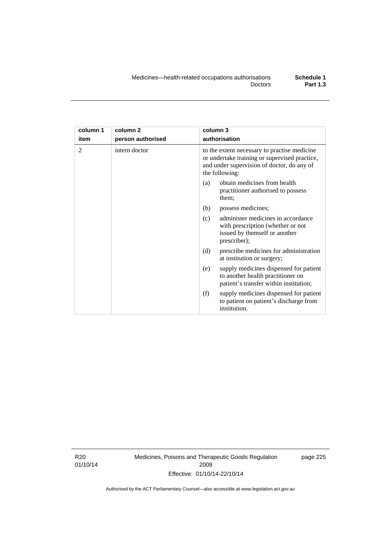| column 1<br>item | column <sub>2</sub><br>person authorised | column 3<br>authorisation                                                                                                                                     |  |
|------------------|------------------------------------------|---------------------------------------------------------------------------------------------------------------------------------------------------------------|--|
| 2                | intern doctor                            | to the extent necessary to practise medicine<br>or undertake training or supervised practice,<br>and under supervision of doctor, do any of<br>the following: |  |
|                  |                                          | obtain medicines from health<br>(a)<br>practitioner authorised to possess<br>them;                                                                            |  |
|                  |                                          | (b)<br>possess medicines;                                                                                                                                     |  |
|                  |                                          | administer medicines in accordance<br>(c)<br>with prescription (whether or not<br>issued by themself or another<br>prescriber);                               |  |
|                  |                                          | (d)<br>prescribe medicines for administration<br>at institution or surgery;                                                                                   |  |
|                  |                                          | supply medicines dispensed for patient<br>(e)<br>to another health practitioner on<br>patient's transfer within institution;                                  |  |
|                  |                                          | (f)<br>supply medicines dispensed for patient<br>to patient on patient's discharge from<br>institution.                                                       |  |

R20 01/10/14 Medicines, Poisons and Therapeutic Goods Regulation 2008 Effective: 01/10/14-22/10/14

page 225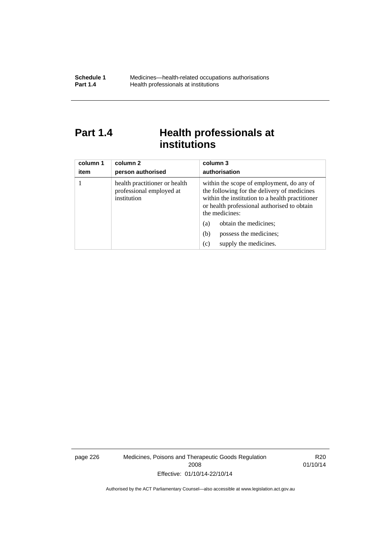# Part 1.4 **Health professionals at institutions**

| column 1<br>item | column 2<br>person authorised                                            | column 3<br>authorisation                                                                                                                                                                                    |
|------------------|--------------------------------------------------------------------------|--------------------------------------------------------------------------------------------------------------------------------------------------------------------------------------------------------------|
|                  | health practitioner or health<br>professional employed at<br>institution | within the scope of employment, do any of<br>the following for the delivery of medicines<br>within the institution to a health practitioner<br>or health professional authorised to obtain<br>the medicines: |
|                  |                                                                          | obtain the medicines;<br>(a)                                                                                                                                                                                 |
|                  |                                                                          | possess the medicines;<br>(b)                                                                                                                                                                                |
|                  |                                                                          | supply the medicines.<br>(c)                                                                                                                                                                                 |

page 226 Medicines, Poisons and Therapeutic Goods Regulation 2008 Effective: 01/10/14-22/10/14

R20 01/10/14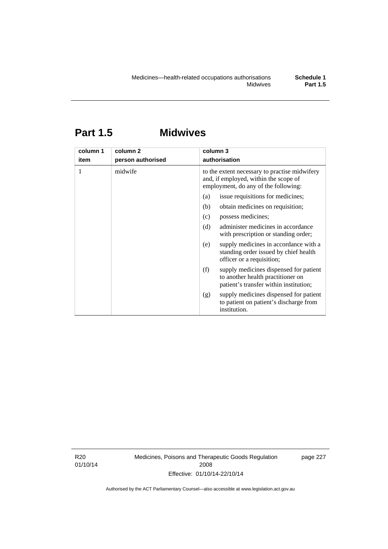# **Part 1.5 Midwives**

| column 1<br>item | column 2<br>person authorised | column 3<br>authorisation                                                                                                      |  |
|------------------|-------------------------------|--------------------------------------------------------------------------------------------------------------------------------|--|
|                  | midwife                       | to the extent necessary to practise midwifery<br>and, if employed, within the scope of<br>employment, do any of the following: |  |
|                  |                               | issue requisitions for medicines;<br>(a)                                                                                       |  |
|                  |                               | obtain medicines on requisition;<br>(b)                                                                                        |  |
|                  |                               | possess medicines;<br>(c)                                                                                                      |  |
|                  |                               | administer medicines in accordance<br>(d)<br>with prescription or standing order;                                              |  |
|                  |                               | supply medicines in accordance with a<br>(e)<br>standing order issued by chief health<br>officer or a requisition;             |  |
|                  |                               | (f)<br>supply medicines dispensed for patient<br>to another health practitioner on<br>patient's transfer within institution;   |  |
|                  |                               | supply medicines dispensed for patient<br>(g)<br>to patient on patient's discharge from<br>institution.                        |  |

R20 01/10/14 Medicines, Poisons and Therapeutic Goods Regulation 2008 Effective: 01/10/14-22/10/14

page 227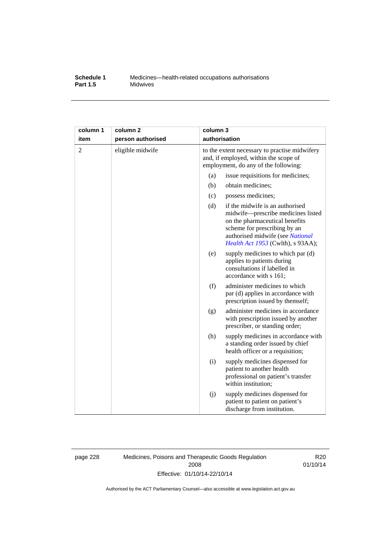#### **Schedule 1** Medicines—health-related occupations authorisations<br>**Part 1.5** Midwives **Midwives**

| column 1       | column <sub>2</sub> | column 3                                                                                                                       |                                                                                                                                                                                                                         |
|----------------|---------------------|--------------------------------------------------------------------------------------------------------------------------------|-------------------------------------------------------------------------------------------------------------------------------------------------------------------------------------------------------------------------|
| item           | person authorised   | authorisation                                                                                                                  |                                                                                                                                                                                                                         |
| $\mathfrak{2}$ | eligible midwife    | to the extent necessary to practise midwifery<br>and, if employed, within the scope of<br>employment, do any of the following: |                                                                                                                                                                                                                         |
|                |                     | (a)                                                                                                                            | issue requisitions for medicines;                                                                                                                                                                                       |
|                |                     | (b)                                                                                                                            | obtain medicines;                                                                                                                                                                                                       |
|                |                     | (c)                                                                                                                            | possess medicines;                                                                                                                                                                                                      |
|                |                     | (d)                                                                                                                            | if the midwife is an authorised<br>midwife-prescribe medicines listed<br>on the pharmaceutical benefits<br>scheme for prescribing by an<br>authorised midwife (see National<br><i>Health Act 1953</i> (Cwlth), s 93AA); |
|                |                     | (e)                                                                                                                            | supply medicines to which par (d)<br>applies to patients during<br>consultations if labelled in<br>accordance with s 161;                                                                                               |
|                |                     | (f)                                                                                                                            | administer medicines to which<br>par (d) applies in accordance with<br>prescription issued by themself;                                                                                                                 |
|                |                     | (g)                                                                                                                            | administer medicines in accordance<br>with prescription issued by another<br>prescriber, or standing order;                                                                                                             |
|                |                     | (h)                                                                                                                            | supply medicines in accordance with<br>a standing order issued by chief<br>health officer or a requisition;                                                                                                             |
|                |                     | (i)                                                                                                                            | supply medicines dispensed for<br>patient to another health<br>professional on patient's transfer<br>within institution;                                                                                                |
|                |                     | (j)                                                                                                                            | supply medicines dispensed for<br>patient to patient on patient's<br>discharge from institution.                                                                                                                        |

page 228 Medicines, Poisons and Therapeutic Goods Regulation 2008 Effective: 01/10/14-22/10/14

R20 01/10/14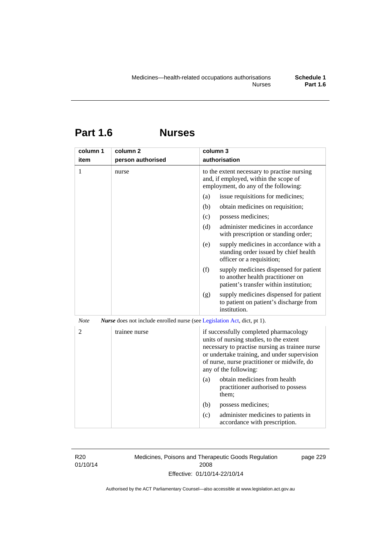# **Part 1.6 Nurses**

| column 1       | column <sub>2</sub>                                                      | column 3                                                                                                                                                                                                                                                    |
|----------------|--------------------------------------------------------------------------|-------------------------------------------------------------------------------------------------------------------------------------------------------------------------------------------------------------------------------------------------------------|
| item           | person authorised                                                        | authorisation                                                                                                                                                                                                                                               |
| 1              | nurse                                                                    | to the extent necessary to practise nursing<br>and, if employed, within the scope of<br>employment, do any of the following:                                                                                                                                |
|                |                                                                          | issue requisitions for medicines;<br>(a)                                                                                                                                                                                                                    |
|                |                                                                          | (b)<br>obtain medicines on requisition;                                                                                                                                                                                                                     |
|                |                                                                          | (c)<br>possess medicines;                                                                                                                                                                                                                                   |
|                |                                                                          | administer medicines in accordance<br>(d)<br>with prescription or standing order;                                                                                                                                                                           |
|                |                                                                          | (e)<br>supply medicines in accordance with a<br>standing order issued by chief health<br>officer or a requisition;                                                                                                                                          |
|                |                                                                          | (f)<br>supply medicines dispensed for patient<br>to another health practitioner on<br>patient's transfer within institution;                                                                                                                                |
|                |                                                                          | supply medicines dispensed for patient<br>(g)<br>to patient on patient's discharge from<br>institution.                                                                                                                                                     |
| <b>Note</b>    | Nurse does not include enrolled nurse (see Legislation Act, dict, pt 1). |                                                                                                                                                                                                                                                             |
| $\overline{2}$ | trainee nurse                                                            | if successfully completed pharmacology<br>units of nursing studies, to the extent<br>necessary to practise nursing as trainee nurse<br>or undertake training, and under supervision<br>of nurse, nurse practitioner or midwife, do<br>any of the following: |
|                |                                                                          | obtain medicines from health<br>(a)<br>practitioner authorised to possess<br>them;                                                                                                                                                                          |
|                |                                                                          | (b)<br>possess medicines;                                                                                                                                                                                                                                   |
|                |                                                                          | administer medicines to patients in<br>(c)<br>accordance with prescription.                                                                                                                                                                                 |

R20 01/10/14 Medicines, Poisons and Therapeutic Goods Regulation 2008 Effective: 01/10/14-22/10/14

page 229

Authorised by the ACT Parliamentary Counsel—also accessible at www.legislation.act.gov.au

**Part 1.6**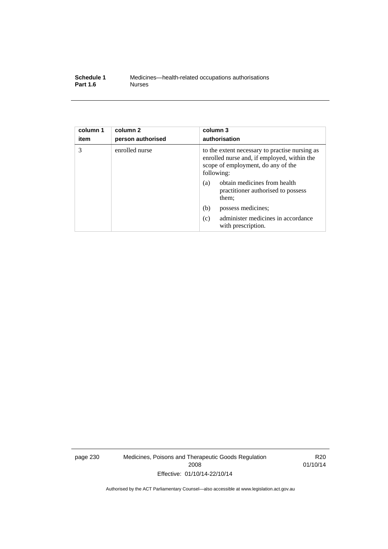| Schedule 1      | Medicines—health-related occupations authorisations |
|-----------------|-----------------------------------------------------|
| <b>Part 1.6</b> | <b>Nurses</b>                                       |

| column 1<br>item | column <sub>2</sub><br>person authorised | column 3<br>authorisation                                                                                                                         |
|------------------|------------------------------------------|---------------------------------------------------------------------------------------------------------------------------------------------------|
| 3                | enrolled nurse                           | to the extent necessary to practise nursing as<br>enrolled nurse and, if employed, within the<br>scope of employment, do any of the<br>following: |
|                  |                                          | obtain medicines from health<br>(a)<br>practitioner authorised to possess<br>them;                                                                |
|                  |                                          | (b)<br>possess medicines;                                                                                                                         |
|                  |                                          | administer medicines in accordance<br>(c)<br>with prescription.                                                                                   |

page 230 Medicines, Poisons and Therapeutic Goods Regulation 2008 Effective: 01/10/14-22/10/14

R20 01/10/14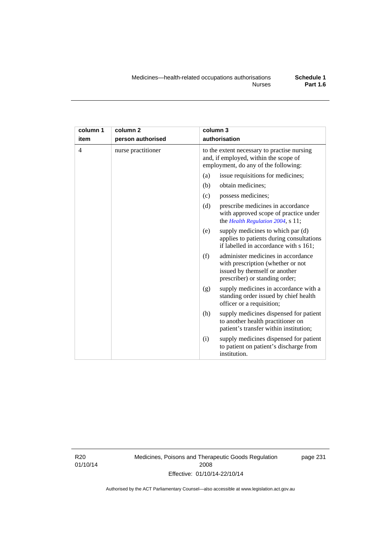| column 1       | column 2           | column 3                                                                                                                                          |
|----------------|--------------------|---------------------------------------------------------------------------------------------------------------------------------------------------|
| item           | person authorised  | authorisation                                                                                                                                     |
| $\overline{4}$ | nurse practitioner | to the extent necessary to practise nursing<br>and, if employed, within the scope of<br>employment, do any of the following:                      |
|                |                    | issue requisitions for medicines;<br>(a)                                                                                                          |
|                |                    | (b)<br>obtain medicines;                                                                                                                          |
|                |                    | possess medicines;<br>(c)                                                                                                                         |
|                |                    | (d)<br>prescribe medicines in accordance<br>with approved scope of practice under<br>the Health Regulation 2004, s 11;                            |
|                |                    | supply medicines to which par (d)<br>(e)<br>applies to patients during consultations<br>if labelled in accordance with s 161;                     |
|                |                    | administer medicines in accordance<br>(f)<br>with prescription (whether or not<br>issued by themself or another<br>prescriber) or standing order; |
|                |                    | supply medicines in accordance with a<br>(g)<br>standing order issued by chief health<br>officer or a requisition;                                |
|                |                    | supply medicines dispensed for patient<br>(h)<br>to another health practitioner on<br>patient's transfer within institution;                      |
|                |                    | supply medicines dispensed for patient<br>(i)<br>to patient on patient's discharge from<br>institution.                                           |

R20 01/10/14 Medicines, Poisons and Therapeutic Goods Regulation 2008 Effective: 01/10/14-22/10/14

page 231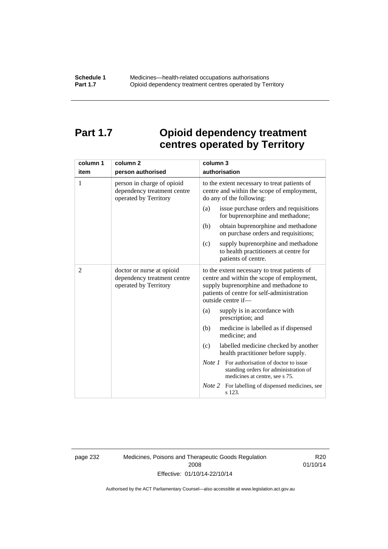# **Part 1.7 Opioid dependency treatment centres operated by Territory**

| column 1       | column <sub>2</sub>                                                                | column 3                                                                                                                                                                                                |
|----------------|------------------------------------------------------------------------------------|---------------------------------------------------------------------------------------------------------------------------------------------------------------------------------------------------------|
| item           | person authorised                                                                  | authorisation                                                                                                                                                                                           |
| 1              | person in charge of opioid<br>dependency treatment centre<br>operated by Territory | to the extent necessary to treat patients of<br>centre and within the scope of employment,<br>do any of the following:                                                                                  |
|                |                                                                                    | issue purchase orders and requisitions<br>(a)<br>for buprenorphine and methadone;                                                                                                                       |
|                |                                                                                    | obtain buprenorphine and methadone<br>(b)<br>on purchase orders and requisitions;                                                                                                                       |
|                |                                                                                    | supply buprenorphine and methadone<br>(c)<br>to health practitioners at centre for<br>patients of centre.                                                                                               |
| $\overline{2}$ | doctor or nurse at opioid<br>dependency treatment centre<br>operated by Territory  | to the extent necessary to treat patients of<br>centre and within the scope of employment,<br>supply buprenorphine and methadone to<br>patients of centre for self-administration<br>outside centre if- |
|                |                                                                                    | supply is in accordance with<br>(a)<br>prescription; and                                                                                                                                                |
|                |                                                                                    | (b)<br>medicine is labelled as if dispensed<br>medicine; and                                                                                                                                            |
|                |                                                                                    | (c)<br>labelled medicine checked by another<br>health practitioner before supply.                                                                                                                       |
|                |                                                                                    | <i>Note 1</i> For authorisation of doctor to issue<br>standing orders for administration of<br>medicines at centre, see s 75.                                                                           |
|                |                                                                                    | Note 2<br>For labelling of dispensed medicines, see<br>s 123.                                                                                                                                           |

page 232 Medicines, Poisons and Therapeutic Goods Regulation 2008 Effective: 01/10/14-22/10/14

R20 01/10/14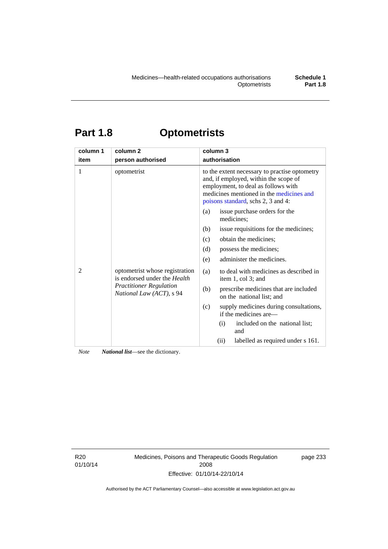# **Part 1.8 Optometrists**

| column 1 | column <sub>2</sub>                                                                                                          | column 3                                                                                                                                                                                                        |
|----------|------------------------------------------------------------------------------------------------------------------------------|-----------------------------------------------------------------------------------------------------------------------------------------------------------------------------------------------------------------|
| item     | person authorised                                                                                                            | authorisation                                                                                                                                                                                                   |
| 1        | optometrist                                                                                                                  | to the extent necessary to practise optometry<br>and, if employed, within the scope of<br>employment, to deal as follows with<br>medicines mentioned in the medicines and<br>poisons standard, schs 2, 3 and 4: |
|          | optometrist whose registration<br>is endorsed under the Health<br><b>Practitioner Regulation</b><br>National Law (ACT), s 94 | issue purchase orders for the<br>(a)<br>medicines;                                                                                                                                                              |
|          |                                                                                                                              | issue requisitions for the medicines;<br>(b)                                                                                                                                                                    |
| 2        |                                                                                                                              | obtain the medicines;<br>(c)                                                                                                                                                                                    |
|          |                                                                                                                              | possess the medicines;<br>(d)                                                                                                                                                                                   |
|          |                                                                                                                              | administer the medicines.<br>(e)                                                                                                                                                                                |
|          |                                                                                                                              | to deal with medicines as described in<br>(a)<br>item 1, col 3; and                                                                                                                                             |
|          |                                                                                                                              | prescribe medicines that are included<br>(b)<br>on the national list; and                                                                                                                                       |
|          |                                                                                                                              | (c)<br>supply medicines during consultations,<br>if the medicines are—                                                                                                                                          |
|          |                                                                                                                              | included on the national list;<br>(i)<br>and                                                                                                                                                                    |
|          |                                                                                                                              | labelled as required under s 161.<br>(ii)                                                                                                                                                                       |

*Note National list*—see the dictionary.

R20 01/10/14 Medicines, Poisons and Therapeutic Goods Regulation 2008 Effective: 01/10/14-22/10/14

page 233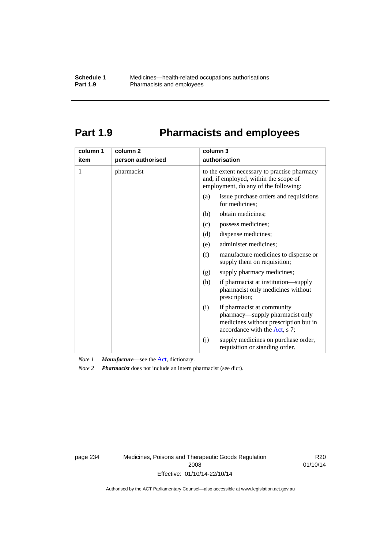# **Part 1.9 Pharmacists and employees**

| column 1<br>item | column <sub>2</sub><br>person authorised | column 3<br>authorisation                                                                                                                      |
|------------------|------------------------------------------|------------------------------------------------------------------------------------------------------------------------------------------------|
|                  |                                          |                                                                                                                                                |
| 1                | pharmacist                               | to the extent necessary to practise pharmacy<br>and, if employed, within the scope of<br>employment, do any of the following:                  |
|                  |                                          | issue purchase orders and requisitions<br>(a)<br>for medicines:                                                                                |
|                  |                                          | obtain medicines;<br>(b)                                                                                                                       |
|                  |                                          | (c)<br>possess medicines;                                                                                                                      |
|                  |                                          | (d)<br>dispense medicines;                                                                                                                     |
|                  |                                          | administer medicines;<br>(e)                                                                                                                   |
|                  |                                          | (f)<br>manufacture medicines to dispense or<br>supply them on requisition;                                                                     |
|                  |                                          | supply pharmacy medicines;<br>(g)                                                                                                              |
|                  |                                          | (h)<br>if pharmacist at institution—supply<br>pharmacist only medicines without<br>prescription;                                               |
|                  |                                          | if pharmacist at community<br>(i)<br>pharmacy—supply pharmacist only<br>medicines without prescription but in<br>accordance with the Act, s 7; |
|                  |                                          | supply medicines on purchase order,<br>(j)<br>requisition or standing order.                                                                   |

*Note 1 Manufacture*—see the [Act,](http://www.legislation.act.gov.au/a/2008-26/default.asp) dictionary.

*Note 2 Pharmacist* does not include an intern pharmacist (see dict).

page 234 Medicines, Poisons and Therapeutic Goods Regulation 2008 Effective: 01/10/14-22/10/14

R20 01/10/14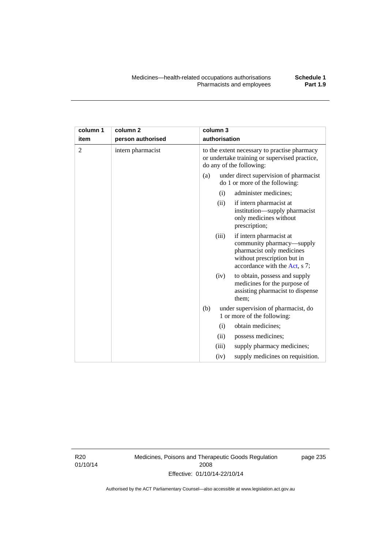| column 1<br>item | column <sub>2</sub><br>person authorised | column 3<br>authorisation                                                                                                                                  |
|------------------|------------------------------------------|------------------------------------------------------------------------------------------------------------------------------------------------------------|
| 2                | intern pharmacist                        | to the extent necessary to practise pharmacy<br>or undertake training or supervised practice,<br>do any of the following:                                  |
|                  |                                          | under direct supervision of pharmacist<br>(a)<br>do 1 or more of the following:                                                                            |
|                  |                                          | administer medicines;<br>(i)                                                                                                                               |
|                  |                                          | if intern pharmacist at<br>(ii)<br>institution—supply pharmacist<br>only medicines without<br>prescription;                                                |
|                  |                                          | if intern pharmacist at<br>(iii)<br>community pharmacy—supply<br>pharmacist only medicines<br>without prescription but in<br>accordance with the Act, s 7; |
|                  |                                          | to obtain, possess and supply<br>(iv)<br>medicines for the purpose of<br>assisting pharmacist to dispense<br>them;                                         |

(b) under supervision of pharmacist, do 1 or more of the following: (i) obtain medicines; (ii) possess medicines;

> (iii) supply pharmacy medicines; (iv) supply medicines on requisition.

R20 01/10/14 Medicines, Poisons and Therapeutic Goods Regulation 2008 Effective: 01/10/14-22/10/14

page 235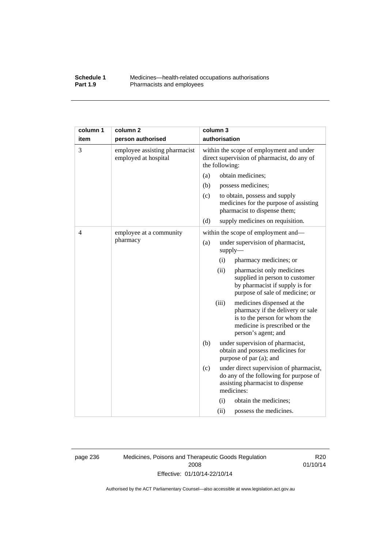### **Schedule 1** Medicines—health-related occupations authorisations<br>**Part 1.9** Pharmacists and employees **Pharmacists and employees**

| column 1 | column <sub>2</sub>                                   | column 3                                                                                                                                                         |
|----------|-------------------------------------------------------|------------------------------------------------------------------------------------------------------------------------------------------------------------------|
| item     | person authorised                                     | authorisation                                                                                                                                                    |
| 3        | employee assisting pharmacist<br>employed at hospital | within the scope of employment and under<br>direct supervision of pharmacist, do any of<br>the following:                                                        |
|          |                                                       | obtain medicines;<br>(a)                                                                                                                                         |
|          |                                                       | (b)<br>possess medicines;                                                                                                                                        |
|          |                                                       | (c)<br>to obtain, possess and supply<br>medicines for the purpose of assisting<br>pharmacist to dispense them;                                                   |
|          |                                                       | (d)<br>supply medicines on requisition.                                                                                                                          |
| 4        | employee at a community                               | within the scope of employment and-                                                                                                                              |
|          | pharmacy                                              | (a)<br>under supervision of pharmacist,<br>$supply$ —                                                                                                            |
|          |                                                       | (i)<br>pharmacy medicines; or                                                                                                                                    |
|          |                                                       | (ii)<br>pharmacist only medicines<br>supplied in person to customer<br>by pharmacist if supply is for<br>purpose of sale of medicine; or                         |
|          |                                                       | (iii)<br>medicines dispensed at the<br>pharmacy if the delivery or sale<br>is to the person for whom the<br>medicine is prescribed or the<br>person's agent; and |
|          |                                                       | (b)<br>under supervision of pharmacist,<br>obtain and possess medicines for<br>purpose of par (a); and                                                           |
|          |                                                       | (c)<br>under direct supervision of pharmacist,<br>do any of the following for purpose of<br>assisting pharmacist to dispense<br>medicines:                       |
|          |                                                       | obtain the medicines;<br>(i)                                                                                                                                     |
|          |                                                       | (ii)<br>possess the medicines.                                                                                                                                   |

page 236 Medicines, Poisons and Therapeutic Goods Regulation 2008 Effective: 01/10/14-22/10/14

R20 01/10/14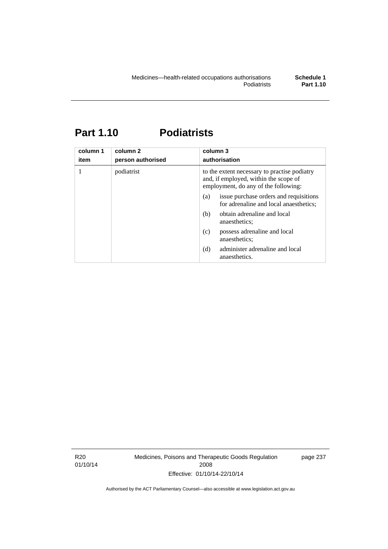# **Part 1.10 Podiatrists**

| column 1<br>item | column 2<br>person authorised | column 3<br>authorisation                                                                                                     |
|------------------|-------------------------------|-------------------------------------------------------------------------------------------------------------------------------|
| 1                | podiatrist                    | to the extent necessary to practise podiatry<br>and, if employed, within the scope of<br>employment, do any of the following: |
|                  |                               | issue purchase orders and requisitions<br>(a)<br>for adrenaline and local anaesthetics;                                       |
|                  |                               | obtain adrenaline and local<br>(b)<br>anaesthetics:                                                                           |
|                  |                               | possess adrenaline and local<br>(c)<br>anaesthetics;                                                                          |
|                  |                               | administer adrenaline and local<br>(d)<br>anaesthetics.                                                                       |

R20 01/10/14 Medicines, Poisons and Therapeutic Goods Regulation 2008 Effective: 01/10/14-22/10/14

page 237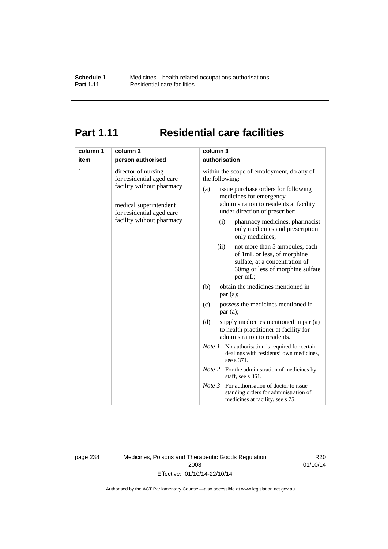## **Part 1.11 Residential care facilities**

| column 1<br>item                                                                                                                                                       | column <sub>2</sub><br>person authorised                                                                                                                                                                                                                                                                                                                   | column 3<br>authorisation                                                                                                   |
|------------------------------------------------------------------------------------------------------------------------------------------------------------------------|------------------------------------------------------------------------------------------------------------------------------------------------------------------------------------------------------------------------------------------------------------------------------------------------------------------------------------------------------------|-----------------------------------------------------------------------------------------------------------------------------|
| 1<br>director of nursing<br>for residential aged care<br>facility without pharmacy<br>medical superintendent<br>for residential aged care<br>facility without pharmacy | within the scope of employment, do any of<br>the following:<br>issue purchase orders for following<br>(a)<br>medicines for emergency<br>administration to residents at facility<br>under direction of prescriber:<br>pharmacy medicines, pharmacist<br>(i)<br>only medicines and prescription<br>only medicines;<br>not more than 5 ampoules, each<br>(ii) |                                                                                                                             |
|                                                                                                                                                                        |                                                                                                                                                                                                                                                                                                                                                            | of 1mL or less, of morphine<br>sulfate, at a concentration of<br>30mg or less of morphine sulfate<br>per mL;                |
|                                                                                                                                                                        |                                                                                                                                                                                                                                                                                                                                                            | obtain the medicines mentioned in<br>(b)<br>par(a);                                                                         |
|                                                                                                                                                                        |                                                                                                                                                                                                                                                                                                                                                            | possess the medicines mentioned in<br>(c)<br>par(a);                                                                        |
|                                                                                                                                                                        |                                                                                                                                                                                                                                                                                                                                                            | (d)<br>supply medicines mentioned in par (a)<br>to health practitioner at facility for<br>administration to residents.      |
|                                                                                                                                                                        | <i>Note 1</i> No authorisation is required for certain<br>dealings with residents' own medicines,<br>see s 371.                                                                                                                                                                                                                                            |                                                                                                                             |
|                                                                                                                                                                        |                                                                                                                                                                                                                                                                                                                                                            | <i>Note</i> 2 For the administration of medicines by<br>staff, see s 361.                                                   |
|                                                                                                                                                                        |                                                                                                                                                                                                                                                                                                                                                            | Note 3<br>For authorisation of doctor to issue<br>standing orders for administration of<br>medicines at facility, see s 75. |

page 238 Medicines, Poisons and Therapeutic Goods Regulation 2008 Effective: 01/10/14-22/10/14

R20 01/10/14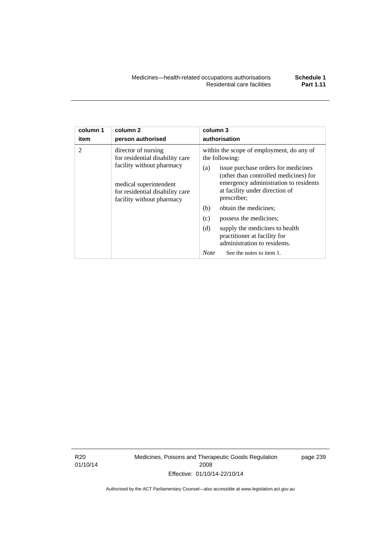| column 1       | column <sub>2</sub>                                                                                                                                                           | column 3                                                                                                                                                                                                                                                                                                                                                                                                                                                          |
|----------------|-------------------------------------------------------------------------------------------------------------------------------------------------------------------------------|-------------------------------------------------------------------------------------------------------------------------------------------------------------------------------------------------------------------------------------------------------------------------------------------------------------------------------------------------------------------------------------------------------------------------------------------------------------------|
| item           | person authorised                                                                                                                                                             | authorisation                                                                                                                                                                                                                                                                                                                                                                                                                                                     |
| $\mathfrak{D}$ | director of nursing<br>for residential disability care<br>facility without pharmacy<br>medical superintendent<br>for residential disability care<br>facility without pharmacy | within the scope of employment, do any of<br>the following:<br>issue purchase orders for medicines<br>(a)<br>(other than controlled medicines) for<br>emergency administration to residents<br>at facility under direction of<br>prescriber;<br>obtain the medicines;<br>(b)<br>(c)<br>possess the medicines;<br>(d)<br>supply the medicines to health<br>practitioner at facility for<br>administration to residents.<br><b>Note</b><br>See the notes to item 1. |

R20 01/10/14 Medicines, Poisons and Therapeutic Goods Regulation 2008 Effective: 01/10/14-22/10/14

page 239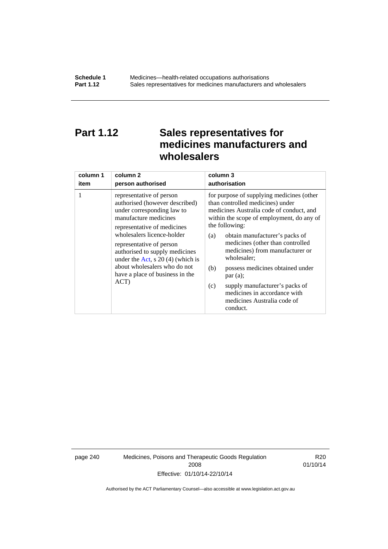## **Part 1.12 Sales representatives for medicines manufacturers and wholesalers**

| column 1 | column 2                                                                                                                                                                                                                                                                                                                                                      | column 3      |
|----------|---------------------------------------------------------------------------------------------------------------------------------------------------------------------------------------------------------------------------------------------------------------------------------------------------------------------------------------------------------------|---------------|
| item     | person authorised                                                                                                                                                                                                                                                                                                                                             | authorisation |
| 1        | representative of person<br>authorised (however described)<br>under corresponding law to<br>manufacture medicines<br>representative of medicines<br>wholesalers licence-holder<br>representative of person<br>authorised to supply medicines<br>under the Act, s $20(4)$ (which is<br>about wholesalers who do not<br>have a place of business in the<br>ACT) |               |

page 240 Medicines, Poisons and Therapeutic Goods Regulation 2008 Effective: 01/10/14-22/10/14

R20 01/10/14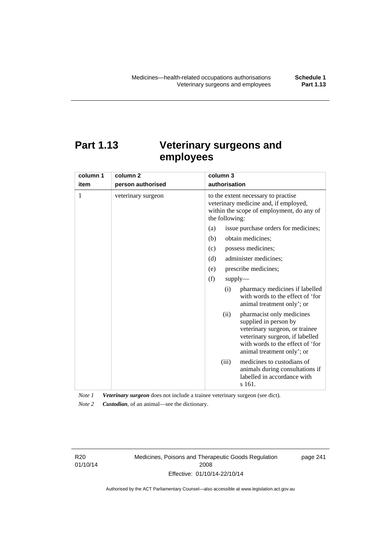# **Part 1.13 Veterinary surgeons and employees**

| column 1 | column <sub>2</sub> | column 3                                                                                                                                                                                          |  |  |
|----------|---------------------|---------------------------------------------------------------------------------------------------------------------------------------------------------------------------------------------------|--|--|
| item     | person authorised   | authorisation                                                                                                                                                                                     |  |  |
| 1        | veterinary surgeon  | to the extent necessary to practise<br>veterinary medicine and, if employed,<br>within the scope of employment, do any of<br>the following:                                                       |  |  |
|          |                     | issue purchase orders for medicines;<br>(a)                                                                                                                                                       |  |  |
|          |                     | (b)<br>obtain medicines;                                                                                                                                                                          |  |  |
|          |                     | possess medicines;<br>(c)                                                                                                                                                                         |  |  |
|          |                     | administer medicines;<br>(d)                                                                                                                                                                      |  |  |
|          |                     | prescribe medicines;<br>(e)                                                                                                                                                                       |  |  |
|          |                     | (f)<br>$supply$ —                                                                                                                                                                                 |  |  |
|          |                     | pharmacy medicines if labelled<br>(i)<br>with words to the effect of 'for<br>animal treatment only'; or                                                                                           |  |  |
|          |                     | pharmacist only medicines<br>(ii)<br>supplied in person by<br>veterinary surgeon, or trainee<br>veterinary surgeon, if labelled<br>with words to the effect of 'for<br>animal treatment only'; or |  |  |
|          |                     | medicines to custodians of<br>(iii)<br>animals during consultations if<br>labelled in accordance with<br>s 161.                                                                                   |  |  |

*Note 1 Veterinary surgeon* does not include a trainee veterinary surgeon (see dict). *Note 2 Custodian*, of an animal—see the dictionary.

R20 01/10/14 Medicines, Poisons and Therapeutic Goods Regulation 2008 Effective: 01/10/14-22/10/14

page 241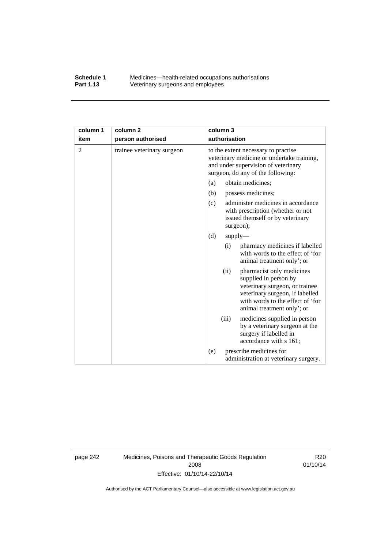### **Schedule 1** Medicines—health-related occupations authorisations<br>**Part 1.13** Veterinary surgeons and employees Veterinary surgeons and employees

| column 1       | column <sub>2</sub>        | column 3                                                                                                                                                                                          |  |
|----------------|----------------------------|---------------------------------------------------------------------------------------------------------------------------------------------------------------------------------------------------|--|
| item           | person authorised          | authorisation                                                                                                                                                                                     |  |
| $\overline{2}$ | trainee veterinary surgeon | to the extent necessary to practise<br>veterinary medicine or undertake training,<br>and under supervision of veterinary<br>surgeon, do any of the following:                                     |  |
|                |                            | obtain medicines;<br>(a)                                                                                                                                                                          |  |
|                |                            | (b)<br>possess medicines;                                                                                                                                                                         |  |
|                |                            | administer medicines in accordance<br>(c)<br>with prescription (whether or not<br>issued themself or by veterinary<br>surgeon);                                                                   |  |
|                |                            | (d)<br>$supply$ —                                                                                                                                                                                 |  |
|                |                            | pharmacy medicines if labelled<br>(i)<br>with words to the effect of 'for<br>animal treatment only'; or                                                                                           |  |
|                |                            | pharmacist only medicines<br>(ii)<br>supplied in person by<br>veterinary surgeon, or trainee<br>veterinary surgeon, if labelled<br>with words to the effect of 'for<br>animal treatment only'; or |  |
|                |                            | (iii)<br>medicines supplied in person<br>by a veterinary surgeon at the<br>surgery if labelled in<br>accordance with s 161;                                                                       |  |
|                |                            | prescribe medicines for<br>(e)<br>administration at veterinary surgery.                                                                                                                           |  |

page 242 Medicines, Poisons and Therapeutic Goods Regulation 2008 Effective: 01/10/14-22/10/14

R20 01/10/14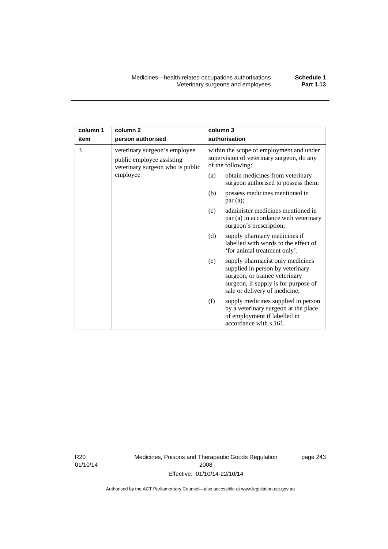| column 1 | column <sub>2</sub>                                                                            | column 3      |                                                                                                                                                                                 |
|----------|------------------------------------------------------------------------------------------------|---------------|---------------------------------------------------------------------------------------------------------------------------------------------------------------------------------|
| item     | person authorised                                                                              | authorisation |                                                                                                                                                                                 |
| 3        | veterinary surgeon's employee<br>public employee assisting<br>veterinary surgeon who is public |               | within the scope of employment and under<br>supervision of veterinary surgeon, do any<br>of the following:                                                                      |
|          | employee                                                                                       | (a)           | obtain medicines from veterinary<br>surgeon authorised to possess them;                                                                                                         |
|          |                                                                                                | (b)           | possess medicines mentioned in<br>par(a);                                                                                                                                       |
|          |                                                                                                | (c)           | administer medicines mentioned in<br>par (a) in accordance with veterinary<br>surgeon's prescription;                                                                           |
|          |                                                                                                | (d)           | supply pharmacy medicines if<br>labelled with words to the effect of<br>'for animal treatment only';                                                                            |
|          |                                                                                                | (e)           | supply pharmacist only medicines<br>supplied in person by veterinary<br>surgeon, or trainee veterinary<br>surgeon, if supply is for purpose of<br>sale or delivery of medicine; |
|          |                                                                                                | (f)           | supply medicines supplied in person<br>by a veterinary surgeon at the place<br>of employment if labelled in<br>accordance with s 161.                                           |

R20 01/10/14 Medicines, Poisons and Therapeutic Goods Regulation 2008 Effective: 01/10/14-22/10/14

page 243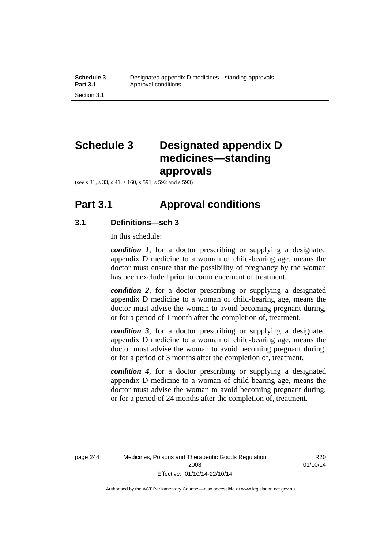# **Schedule 3 Designated appendix D medicines—standing approvals**

(see s 31, s 33, s 41, s 160, s 591, s 592 and s 593)

### **Part 3.1 Approval conditions**

### **3.1 Definitions—sch 3**

In this schedule:

*condition 1*, for a doctor prescribing or supplying a designated appendix D medicine to a woman of child-bearing age, means the doctor must ensure that the possibility of pregnancy by the woman has been excluded prior to commencement of treatment.

*condition 2*, for a doctor prescribing or supplying a designated appendix D medicine to a woman of child-bearing age, means the doctor must advise the woman to avoid becoming pregnant during, or for a period of 1 month after the completion of, treatment.

*condition 3*, for a doctor prescribing or supplying a designated appendix D medicine to a woman of child-bearing age, means the doctor must advise the woman to avoid becoming pregnant during, or for a period of 3 months after the completion of, treatment.

*condition 4*, for a doctor prescribing or supplying a designated appendix D medicine to a woman of child-bearing age, means the doctor must advise the woman to avoid becoming pregnant during, or for a period of 24 months after the completion of, treatment.

R<sub>20</sub> 01/10/14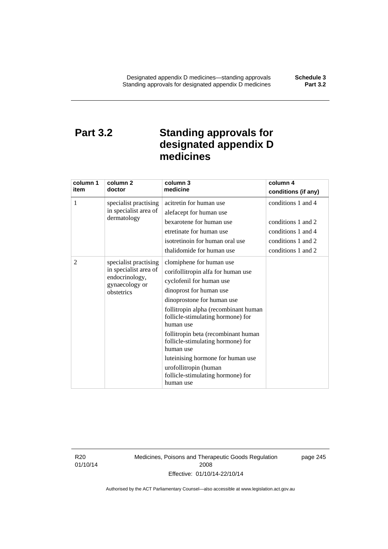## **Part 3.2 Standing approvals for designated appendix D medicines**

| column 1<br>item | column 2<br>doctor                                                                               | column 3<br>medicine                                                                                                                                                                                                                                                                                                                                                                                                                                   | column 4<br>conditions (if any)                                                                            |
|------------------|--------------------------------------------------------------------------------------------------|--------------------------------------------------------------------------------------------------------------------------------------------------------------------------------------------------------------------------------------------------------------------------------------------------------------------------------------------------------------------------------------------------------------------------------------------------------|------------------------------------------------------------------------------------------------------------|
| 1                | specialist practising<br>in specialist area of<br>dermatology                                    | acitretin for human use<br>alefacept for human use<br>bexarotene for human use<br>etretinate for human use<br>isotretinoin for human oral use<br>thalidomide for human use                                                                                                                                                                                                                                                                             | conditions 1 and 4<br>conditions 1 and 2<br>conditions 1 and 4<br>conditions 1 and 2<br>conditions 1 and 2 |
| 2                | specialist practising<br>in specialist area of<br>endocrinology,<br>gynaecology or<br>obstetrics | clomiphene for human use<br>corifollitropin alfa for human use<br>cyclofenil for human use<br>dinoprost for human use<br>dinoprostone for human use<br>follitropin alpha (recombinant human<br>follicle-stimulating hormone) for<br>human use<br>follitropin beta (recombinant human<br>follicle-stimulating hormone) for<br>human use<br>luteinising hormone for human use<br>urofollitropin (human<br>follicle-stimulating hormone) for<br>human use |                                                                                                            |

R20 01/10/14 Medicines, Poisons and Therapeutic Goods Regulation 2008 Effective: 01/10/14-22/10/14

page 245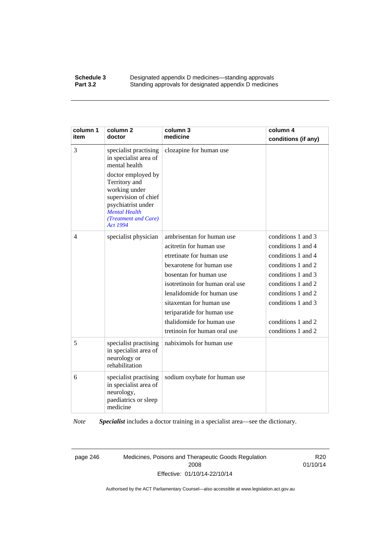#### **Schedule 3 Designated appendix D medicines—standing approvals Part 3.2** Standing approvals for designated appendix D medicine Standing approvals for designated appendix D medicines

| column 1<br>item | column <sub>2</sub><br>doctor                                                                                                                                                                                                     | column 3<br>medicine                                                                                                                                                                                                                                                                                                           | column 4<br>conditions (if any)                                                                                                                                                                                          |
|------------------|-----------------------------------------------------------------------------------------------------------------------------------------------------------------------------------------------------------------------------------|--------------------------------------------------------------------------------------------------------------------------------------------------------------------------------------------------------------------------------------------------------------------------------------------------------------------------------|--------------------------------------------------------------------------------------------------------------------------------------------------------------------------------------------------------------------------|
| 3                | specialist practising<br>in specialist area of<br>mental health<br>doctor employed by<br>Territory and<br>working under<br>supervision of chief<br>psychiatrist under<br><b>Mental Health</b><br>(Treatment and Care)<br>Act 1994 | clozapine for human use                                                                                                                                                                                                                                                                                                        |                                                                                                                                                                                                                          |
| 4                | specialist physician                                                                                                                                                                                                              | ambrisentan for human use<br>acitretin for human use<br>etretinate for human use<br>bexarotene for human use<br>bosentan for human use<br>isotretinoin for human oral use<br>lenalidomide for human use<br>sitaxentan for human use<br>teriparatide for human use<br>thalidomide for human use<br>tretinoin for human oral use | conditions 1 and 3<br>conditions 1 and 4<br>conditions 1 and 4<br>conditions 1 and 2<br>conditions 1 and 3<br>conditions 1 and 2<br>conditions 1 and 2<br>conditions 1 and 3<br>conditions 1 and 2<br>conditions 1 and 2 |
| 5                | specialist practising<br>in specialist area of<br>neurology or<br>rehabilitation                                                                                                                                                  | nabiximols for human use                                                                                                                                                                                                                                                                                                       |                                                                                                                                                                                                                          |
| 6                | specialist practising<br>in specialist area of<br>neurology,<br>paediatrics or sleep<br>medicine                                                                                                                                  | sodium oxybate for human use                                                                                                                                                                                                                                                                                                   |                                                                                                                                                                                                                          |

*Note Specialist* includes a doctor training in a specialist area—see the dictionary.

page 246 Medicines, Poisons and Therapeutic Goods Regulation 2008 Effective: 01/10/14-22/10/14

R20 01/10/14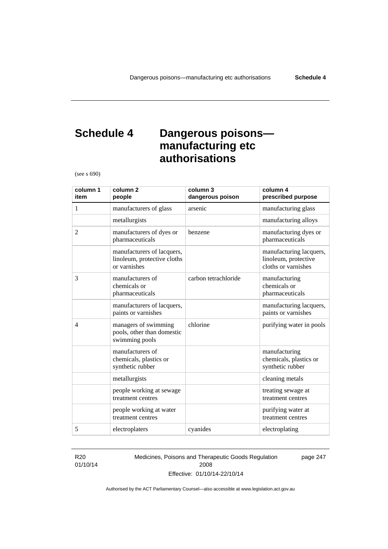## **Schedule 4 Dangerous poisons manufacturing etc authorisations**

(see s 690)

| column 1<br>item | column <sub>2</sub><br>people                                             | column 3<br>dangerous poison | column 4<br>prescribed purpose                                         |
|------------------|---------------------------------------------------------------------------|------------------------------|------------------------------------------------------------------------|
| 1                | manufacturers of glass                                                    | arsenic                      | manufacturing glass                                                    |
|                  | metallurgists                                                             |                              | manufacturing alloys                                                   |
| $\overline{2}$   | manufacturers of dyes or<br>pharmaceuticals                               | benzene                      | manufacturing dyes or<br>pharmaceuticals                               |
|                  | manufacturers of lacquers,<br>linoleum, protective cloths<br>or varnishes |                              | manufacturing lacquers,<br>linoleum, protective<br>cloths or varnishes |
| 3                | manufacturers of<br>chemicals or<br>pharmaceuticals                       | carbon tetrachloride         | manufacturing<br>chemicals or<br>pharmaceuticals                       |
|                  | manufacturers of lacquers,<br>paints or varnishes                         |                              | manufacturing lacquers,<br>paints or varnishes                         |
| $\overline{4}$   | managers of swimming<br>pools, other than domestic<br>swimming pools      | chlorine                     | purifying water in pools                                               |
|                  | manufacturers of<br>chemicals, plastics or<br>synthetic rubber            |                              | manufacturing<br>chemicals, plastics or<br>synthetic rubber            |
|                  | metallurgists                                                             |                              | cleaning metals                                                        |
|                  | people working at sewage<br>treatment centres                             |                              | treating sewage at<br>treatment centres                                |
|                  | people working at water<br>treatment centres                              |                              | purifying water at<br>treatment centres                                |
| 5                | electroplaters                                                            | cyanides                     | electroplating                                                         |

#### R20 01/10/14

Medicines, Poisons and Therapeutic Goods Regulation 2008 Effective: 01/10/14-22/10/14

page 247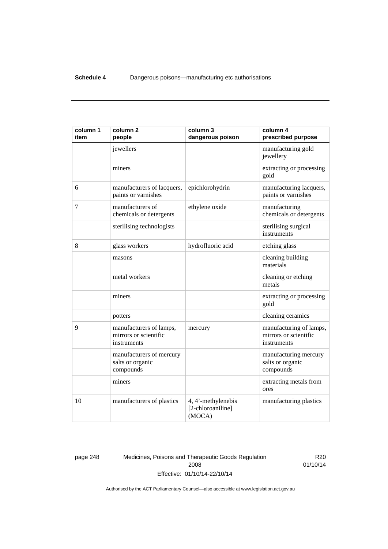| column 1<br>item | column <sub>2</sub><br>people                                   | column 3<br>dangerous poison                      | column 4<br>prescribed purpose                                  |
|------------------|-----------------------------------------------------------------|---------------------------------------------------|-----------------------------------------------------------------|
|                  | jewellers                                                       |                                                   | manufacturing gold<br>jewellery                                 |
|                  | miners                                                          |                                                   | extracting or processing<br>gold                                |
| 6                | manufacturers of lacquers,<br>paints or varnishes               | epichlorohydrin                                   | manufacturing lacquers,<br>paints or varnishes                  |
| 7                | manufacturers of<br>chemicals or detergents                     | ethylene oxide                                    | manufacturing<br>chemicals or detergents                        |
|                  | sterilising technologists                                       |                                                   | sterilising surgical<br>instruments                             |
| 8                | glass workers                                                   | hydrofluoric acid                                 | etching glass                                                   |
|                  | masons                                                          |                                                   | cleaning building<br>materials                                  |
|                  | metal workers                                                   |                                                   | cleaning or etching<br>metals                                   |
|                  | miners                                                          |                                                   | extracting or processing<br>gold                                |
|                  | potters                                                         |                                                   | cleaning ceramics                                               |
| 9                | manufacturers of lamps,<br>mirrors or scientific<br>instruments | mercury                                           | manufacturing of lamps,<br>mirrors or scientific<br>instruments |
|                  | manufacturers of mercury<br>salts or organic<br>compounds       |                                                   | manufacturing mercury<br>salts or organic<br>compounds          |
|                  | miners                                                          |                                                   | extracting metals from<br>ores                                  |
| 10               | manufacturers of plastics                                       | 4, 4'-methylenebis<br>[2-chloroaniline]<br>(MOCA) | manufacturing plastics                                          |

page 248 Medicines, Poisons and Therapeutic Goods Regulation 2008 Effective: 01/10/14-22/10/14

R20 01/10/14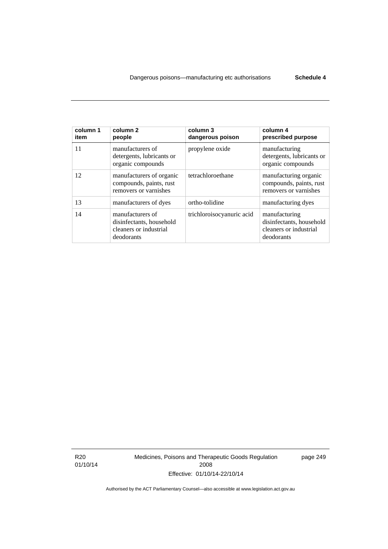| column 1<br>item | column 2<br>people                                                                   | column 3<br>dangerous poison | column 4<br>prescribed purpose                                                    |
|------------------|--------------------------------------------------------------------------------------|------------------------------|-----------------------------------------------------------------------------------|
| 11               | manufacturers of<br>detergents, lubricants or<br>organic compounds                   | propylene oxide              | manufacturing<br>detergents, lubricants or<br>organic compounds                   |
| 12               | manufacturers of organic<br>compounds, paints, rust<br>removers or varnishes         | tetrachloroethane            | manufacturing organic<br>compounds, paints, rust<br>removers or varnishes         |
| 13               | manufacturers of dyes                                                                | ortho-tolidine               | manufacturing dyes                                                                |
| 14               | manufacturers of<br>disinfectants, household<br>cleaners or industrial<br>deodorants | trichloroisocyanuric acid    | manufacturing<br>disinfectants, household<br>cleaners or industrial<br>deodorants |

R20 01/10/14 Medicines, Poisons and Therapeutic Goods Regulation 2008 Effective: 01/10/14-22/10/14

page 249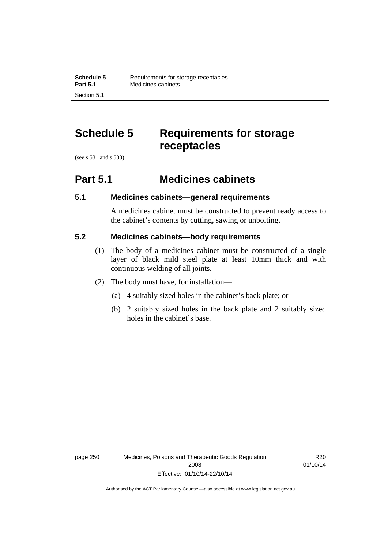# **Schedule 5 Requirements for storage receptacles**

(see s 531 and s 533)

Section 5.1

### **Part 5.1 Medicines cabinets**

### **5.1 Medicines cabinets—general requirements**

A medicines cabinet must be constructed to prevent ready access to the cabinet's contents by cutting, sawing or unbolting.

### **5.2 Medicines cabinets—body requirements**

- (1) The body of a medicines cabinet must be constructed of a single layer of black mild steel plate at least 10mm thick and with continuous welding of all joints.
- (2) The body must have, for installation—
	- (a) 4 suitably sized holes in the cabinet's back plate; or
	- (b) 2 suitably sized holes in the back plate and 2 suitably sized holes in the cabinet's base.

R20 01/10/14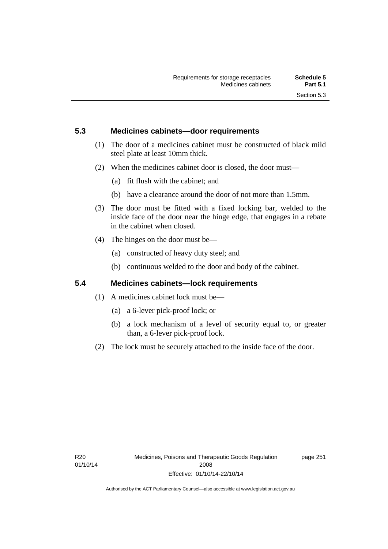### **5.3 Medicines cabinets—door requirements**

- (1) The door of a medicines cabinet must be constructed of black mild steel plate at least 10mm thick.
- (2) When the medicines cabinet door is closed, the door must—
	- (a) fit flush with the cabinet; and
	- (b) have a clearance around the door of not more than 1.5mm.
- (3) The door must be fitted with a fixed locking bar, welded to the inside face of the door near the hinge edge, that engages in a rebate in the cabinet when closed.
- (4) The hinges on the door must be—
	- (a) constructed of heavy duty steel; and
	- (b) continuous welded to the door and body of the cabinet.

### **5.4 Medicines cabinets—lock requirements**

- (1) A medicines cabinet lock must be—
	- (a) a 6-lever pick-proof lock; or
	- (b) a lock mechanism of a level of security equal to, or greater than, a 6-lever pick-proof lock.
- (2) The lock must be securely attached to the inside face of the door.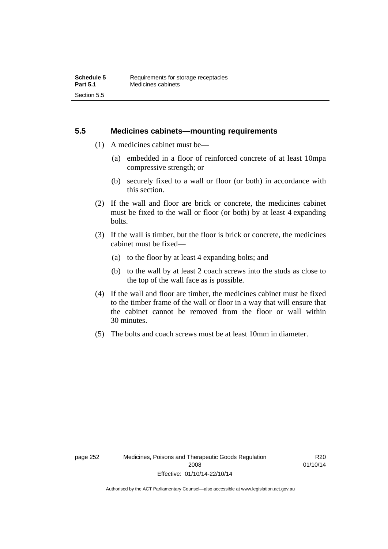### **5.5 Medicines cabinets—mounting requirements**

- (1) A medicines cabinet must be—
	- (a) embedded in a floor of reinforced concrete of at least 10mpa compressive strength; or
	- (b) securely fixed to a wall or floor (or both) in accordance with this section.
- (2) If the wall and floor are brick or concrete, the medicines cabinet must be fixed to the wall or floor (or both) by at least 4 expanding bolts.
- (3) If the wall is timber, but the floor is brick or concrete, the medicines cabinet must be fixed—
	- (a) to the floor by at least 4 expanding bolts; and
	- (b) to the wall by at least 2 coach screws into the studs as close to the top of the wall face as is possible.
- (4) If the wall and floor are timber, the medicines cabinet must be fixed to the timber frame of the wall or floor in a way that will ensure that the cabinet cannot be removed from the floor or wall within 30 minutes.
- (5) The bolts and coach screws must be at least 10mm in diameter.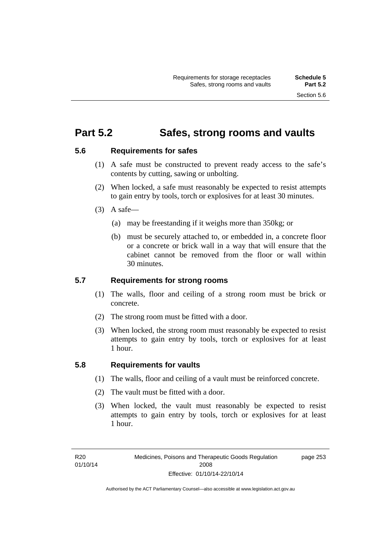### **Part 5.2 Safes, strong rooms and vaults**

### **5.6 Requirements for safes**

- (1) A safe must be constructed to prevent ready access to the safe's contents by cutting, sawing or unbolting.
- (2) When locked, a safe must reasonably be expected to resist attempts to gain entry by tools, torch or explosives for at least 30 minutes.
- $(3)$  A safe-
	- (a) may be freestanding if it weighs more than 350kg; or
	- (b) must be securely attached to, or embedded in, a concrete floor or a concrete or brick wall in a way that will ensure that the cabinet cannot be removed from the floor or wall within 30 minutes.

### **5.7 Requirements for strong rooms**

- (1) The walls, floor and ceiling of a strong room must be brick or concrete.
- (2) The strong room must be fitted with a door.
- (3) When locked, the strong room must reasonably be expected to resist attempts to gain entry by tools, torch or explosives for at least 1 hour.

### **5.8 Requirements for vaults**

- (1) The walls, floor and ceiling of a vault must be reinforced concrete.
- (2) The vault must be fitted with a door.
- (3) When locked, the vault must reasonably be expected to resist attempts to gain entry by tools, torch or explosives for at least 1 hour.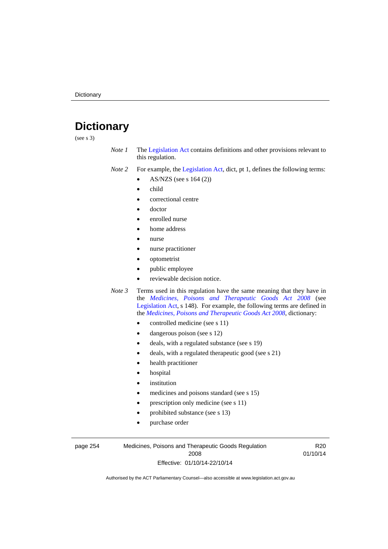# **Dictionary**

(see s 3)

- *Note 1* The [Legislation Act](http://www.legislation.act.gov.au/a/2001-14) contains definitions and other provisions relevant to this regulation.
- *Note 2* For example, the [Legislation Act,](http://www.legislation.act.gov.au/a/2001-14) dict, pt 1, defines the following terms:
	- AS/NZS (see s 164 (2))
	- child
	- correctional centre
	- doctor
	- enrolled nurse
	- home address
	- nurse
	- nurse practitioner
	- optometrist
	- public employee
	- reviewable decision notice.
- *Note 3* Terms used in this regulation have the same meaning that they have in the *[Medicines, Poisons and Therapeutic Goods Act 2008](http://www.legislation.act.gov.au/a/2008-26)* (see [Legislation Act,](http://www.legislation.act.gov.au/a/2001-14) s 148). For example, the following terms are defined in the *[Medicines, Poisons and Therapeutic Goods Act 2008](http://www.legislation.act.gov.au/a/2008-26)*, dictionary:
	- controlled medicine (see s 11)
	- dangerous poison (see s 12)
	- deals, with a regulated substance (see s 19)
	- deals, with a regulated therapeutic good (see s 21)
	- health practitioner
	- hospital
	- institution
	- medicines and poisons standard (see s 15)
	- prescription only medicine (see s 11)
	- prohibited substance (see s 13)
	- purchase order

#### page 254 Medicines, Poisons and Therapeutic Goods Regulation 2008 Effective: 01/10/14-22/10/14

R20 01/10/14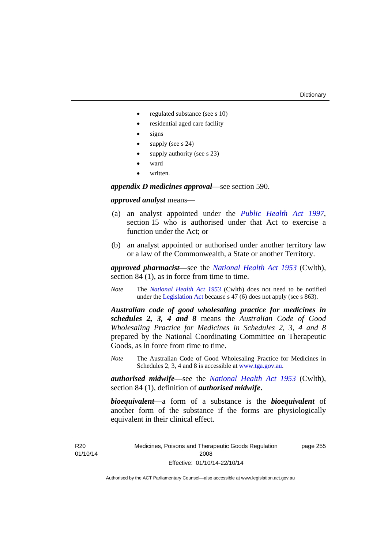page 255

- regulated substance (see s 10)
- residential aged care facility
- signs
- supply (see s 24)
- supply authority (see s 23)
- ward
- written.

*appendix D medicines approval*—see section 590.

#### *approved analyst* means—

- (a) an analyst appointed under the *[Public Health Act 1997](http://www.legislation.act.gov.au/a/1997-69)*, section 15 who is authorised under that Act to exercise a function under the Act; or
- (b) an analyst appointed or authorised under another territory law or a law of the Commonwealth, a State or another Territory.

*approved pharmacist*––see the *[National Health Act 1953](http://www.comlaw.gov.au/Series/C1953A00095)* (Cwlth), section 84 (1), as in force from time to time.

*Note* The *[National Health Act 1953](http://www.comlaw.gov.au/Series/C1953A00095)* (Cwlth) does not need to be notified under the [Legislation Act](http://www.legislation.act.gov.au/a/2001-14) because s 47 (6) does not apply (see s 863).

*Australian code of good wholesaling practice for medicines in schedules 2, 3, 4 and 8* means the *Australian Code of Good Wholesaling Practice for Medicines in Schedules 2, 3, 4 and 8* prepared by the National Coordinating Committee on Therapeutic Goods, as in force from time to time.

*Note* The Australian Code of Good Wholesaling Practice for Medicines in Schedules 2, 3, 4 and 8 is accessible at [www.tga.gov.au.](http://www.tga.gov.au/)

*authorised midwife*—see the *[National Health Act 1953](http://www.comlaw.gov.au/Series/C1953A00095)* (Cwlth), section 84 (1), definition of *authorised midwife***.**

*bioequivalent*—a form of a substance is the *bioequivalent* of another form of the substance if the forms are physiologically equivalent in their clinical effect.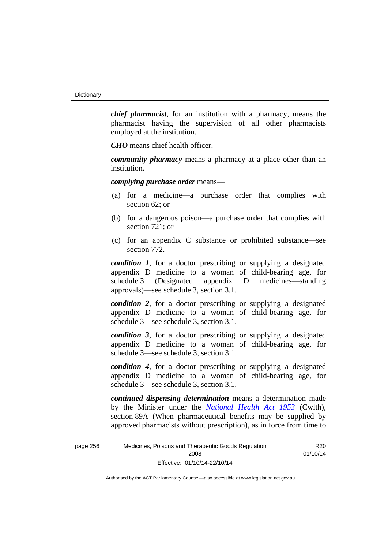*chief pharmacist*, for an institution with a pharmacy, means the pharmacist having the supervision of all other pharmacists employed at the institution.

*CHO* means chief health officer.

*community pharmacy* means a pharmacy at a place other than an institution.

*complying purchase order* means—

- (a) for a medicine—a purchase order that complies with section 62; or
- (b) for a dangerous poison—a purchase order that complies with section 721; or
- (c) for an appendix C substance or prohibited substance—see section 772.

*condition 1*, for a doctor prescribing or supplying a designated appendix D medicine to a woman of child-bearing age, for schedule 3 (Designated appendix D medicines—standing approvals)—see schedule 3, section 3.1.

*condition 2*, for a doctor prescribing or supplying a designated appendix D medicine to a woman of child-bearing age, for schedule 3—see schedule 3, section 3.1.

*condition 3*, for a doctor prescribing or supplying a designated appendix D medicine to a woman of child-bearing age, for schedule 3—see schedule 3, section 3.1.

*condition 4*, for a doctor prescribing or supplying a designated appendix D medicine to a woman of child-bearing age, for schedule 3—see schedule 3, section 3.1.

*continued dispensing determination* means a determination made by the Minister under the *[National Health Act 1953](http://www.comlaw.gov.au/Series/C1953A00095)* (Cwlth), section 89A (When pharmaceutical benefits may be supplied by approved pharmacists without prescription), as in force from time to

> R20 01/10/14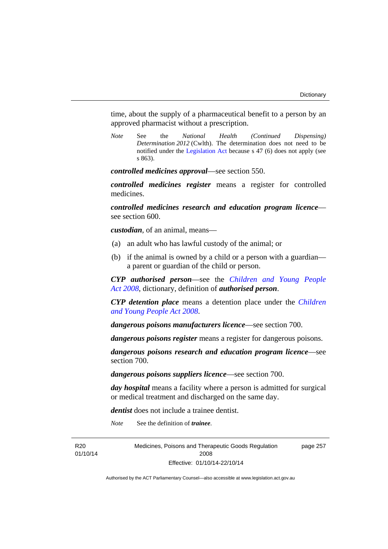time, about the supply of a pharmaceutical benefit to a person by an approved pharmacist without a prescription.

*Note* See the *National Health (Continued Dispensing) Determination 2012* (Cwlth). The determination does not need to be notified under the [Legislation Act](http://www.legislation.act.gov.au/a/2001-14) because s 47 (6) does not apply (see s 863).

*controlled medicines approval*—see section 550.

*controlled medicines register* means a register for controlled medicines.

*controlled medicines research and education program licence* see section 600.

*custodian*, of an animal, means—

- (a) an adult who has lawful custody of the animal; or
- (b) if the animal is owned by a child or a person with a guardian a parent or guardian of the child or person.

*CYP authorised person*—see the *[Children and Young People](http://www.legislation.act.gov.au/a/2008-19)  [Act 2008](http://www.legislation.act.gov.au/a/2008-19)*, dictionary, definition of *authorised person*.

*CYP detention place* means a detention place under the *[Children](http://www.legislation.act.gov.au/a/2008-19)  [and Young People Act 2008](http://www.legislation.act.gov.au/a/2008-19)*.

*dangerous poisons manufacturers licence*—see section 700.

*dangerous poisons register* means a register for dangerous poisons.

*dangerous poisons research and education program licence*—see section 700.

*dangerous poisons suppliers licence*—see section 700.

*day hospital* means a facility where a person is admitted for surgical or medical treatment and discharged on the same day.

*dentist* does not include a trainee dentist.

*Note* See the definition of *trainee*.

R20 01/10/14 Medicines, Poisons and Therapeutic Goods Regulation 2008 Effective: 01/10/14-22/10/14

page 257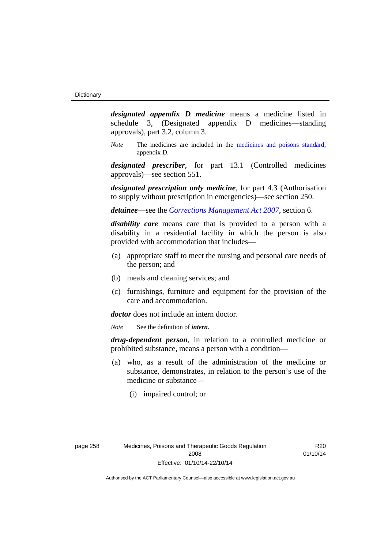*designated appendix D medicine* means a medicine listed in schedule 3, (Designated appendix D medicines—standing approvals), part 3.2, column 3.

*Note* The medicines are included in the [medicines and poisons standard,](http://www.comlaw.gov.au/Series/F2012L01200) appendix D.

*designated prescriber*, for part 13.1 (Controlled medicines approvals)—see section 551.

*designated prescription only medicine*, for part 4.3 (Authorisation to supply without prescription in emergencies)—see section 250.

*detainee*—see the *[Corrections Management Act 2007](http://www.legislation.act.gov.au/a/2007-15)*, section 6.

*disability care* means care that is provided to a person with a disability in a residential facility in which the person is also provided with accommodation that includes—

- (a) appropriate staff to meet the nursing and personal care needs of the person; and
- (b) meals and cleaning services; and
- (c) furnishings, furniture and equipment for the provision of the care and accommodation.

*doctor* does not include an intern doctor.

*Note* See the definition of *intern*.

*drug-dependent person*, in relation to a controlled medicine or prohibited substance, means a person with a condition—

- (a) who, as a result of the administration of the medicine or substance, demonstrates, in relation to the person's use of the medicine or substance—
	- (i) impaired control; or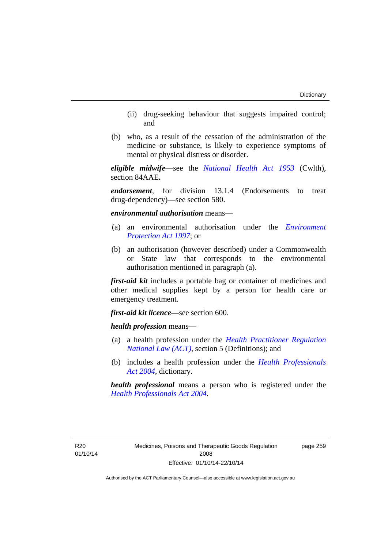- (ii) drug-seeking behaviour that suggests impaired control; and
- (b) who, as a result of the cessation of the administration of the medicine or substance, is likely to experience symptoms of mental or physical distress or disorder.

*eligible midwife*—see the *[National Health Act 1953](http://www.comlaw.gov.au/Series/C1953A00095)* (Cwlth), section 84AAE**.**

*endorsement*, for division 13.1.4 (Endorsements to treat drug-dependency)—see section 580.

*environmental authorisation* means—

- (a) an environmental authorisation under the *[Environment](http://www.legislation.act.gov.au/a/1997-92)  [Protection Act 1997](http://www.legislation.act.gov.au/a/1997-92)*; or
- (b) an authorisation (however described) under a Commonwealth or State law that corresponds to the environmental authorisation mentioned in paragraph (a).

*first-aid kit* includes a portable bag or container of medicines and other medical supplies kept by a person for health care or emergency treatment.

*first-aid kit licence*—see section 600.

*health profession* means—

- (a) a health profession under the *[Health Practitioner Regulation](http://www.legislation.act.gov.au/a/db_39269/default.asp)  [National Law \(ACT\)](http://www.legislation.act.gov.au/a/db_39269/default.asp)*, section 5 (Definitions); and
- (b) includes a health profession under the *[Health Professionals](http://www.legislation.act.gov.au/a/2004-38)  [Act 2004](http://www.legislation.act.gov.au/a/2004-38)*, dictionary.

*health professional* means a person who is registered under the *[Health Professionals Act 2004](http://www.legislation.act.gov.au/a/2004-38)*.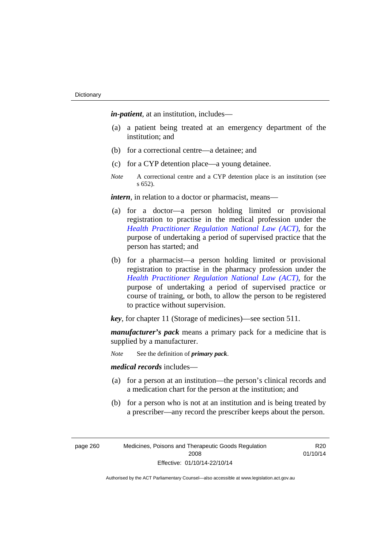*in-patient*, at an institution, includes—

- (a) a patient being treated at an emergency department of the institution; and
- (b) for a correctional centre—a detainee; and
- (c) for a CYP detention place—a young detainee.
- *Note* A correctional centre and a CYP detention place is an institution (see s 652).

*intern*, in relation to a doctor or pharmacist, means—

- (a) for a doctor—a person holding limited or provisional registration to practise in the medical profession under the *[Health Practitioner Regulation National Law \(ACT\)](http://www.legislation.act.gov.au/a/db_39269/default.asp)*, for the purpose of undertaking a period of supervised practice that the person has started; and
- (b) for a pharmacist—a person holding limited or provisional registration to practise in the pharmacy profession under the *[Health Practitioner Regulation National Law \(ACT\)](http://www.legislation.act.gov.au/a/db_39269/default.asp)*, for the purpose of undertaking a period of supervised practice or course of training, or both, to allow the person to be registered to practice without supervision.

*key*, for chapter 11 (Storage of medicines)—see section 511.

*manufacturer's pack* means a primary pack for a medicine that is supplied by a manufacturer.

*Note* See the definition of *primary pack*.

*medical records* includes—

- (a) for a person at an institution—the person's clinical records and a medication chart for the person at the institution; and
- (b) for a person who is not at an institution and is being treated by a prescriber—any record the prescriber keeps about the person.

page 260 Medicines, Poisons and Therapeutic Goods Regulation 2008 Effective: 01/10/14-22/10/14

R20 01/10/14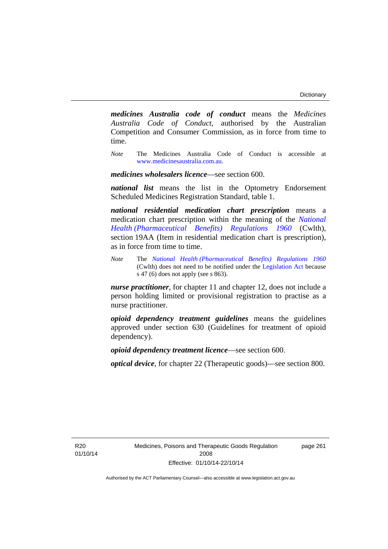*medicines Australia code of conduct* means the *Medicines Australia Code of Conduct*, authorised by the Australian Competition and Consumer Commission, as in force from time to time.

*Note* The Medicines Australia Code of Conduct is accessible at [www.medicinesaustralia.com.au](http://www.medicinesaustralia.com.au/).

*medicines wholesalers licence*—see section 600.

*national list* means the list in the Optometry Endorsement Scheduled Medicines Registration Standard, table 1.

*national residential medication chart prescription* means a medication chart prescription within the meaning of the *[National](http://www.comlaw.gov.au/Series/F1996B02844)  [Health \(Pharmaceutical Benefits\) Regulations 1960](http://www.comlaw.gov.au/Series/F1996B02844)* (Cwlth), section 19AA (Item in residential medication chart is prescription), as in force from time to time.

*Note* The *[National Health \(Pharmaceutical Benefits\) Regulations 1960](http://www.comlaw.gov.au/Series/F1996B02844)* (Cwlth) does not need to be notified under the [Legislation Act](http://www.legislation.act.gov.au/a/2001-14) because s 47 (6) does not apply (see s 863).

*nurse practitioner*, for chapter 11 and chapter 12, does not include a person holding limited or provisional registration to practise as a nurse practitioner.

*opioid dependency treatment guidelines* means the guidelines approved under section 630 (Guidelines for treatment of opioid dependency).

*opioid dependency treatment licence*—see section 600.

*optical device*, for chapter 22 (Therapeutic goods)—see section 800.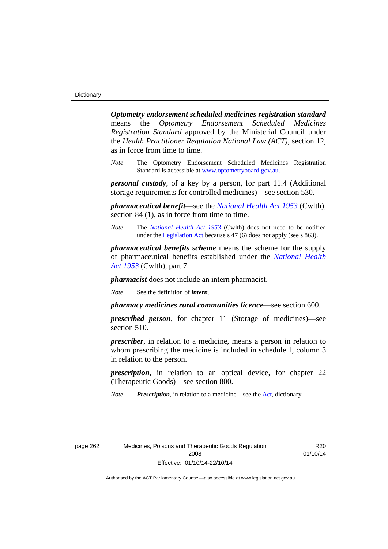*Optometry endorsement scheduled medicines registration standard* means the *Optometry Endorsement Scheduled Medicines Registration Standard* approved by the Ministerial Council under the *Health Practitioner Regulation National Law (ACT)*, section 12, as in force from time to time.

*Note* The Optometry Endorsement Scheduled Medicines Registration Standard is accessible at [www.optometryboard.gov.au](http://www.optometryboard.gov.au/).

*personal custody*, of a key by a person, for part 11.4 (Additional storage requirements for controlled medicines)—see section 530.

*pharmaceutical benefit*—see the *[National Health Act 1953](http://www.comlaw.gov.au/Series/C1953A00095)* (Cwlth), section 84 (1), as in force from time to time.

*Note* The *[National Health Act 1953](http://www.comlaw.gov.au/Series/C1953A00095)* (Cwlth) does not need to be notified under the [Legislation Act](http://www.legislation.act.gov.au/a/2001-14) because s 47 (6) does not apply (see s 863).

*pharmaceutical benefits scheme* means the scheme for the supply of pharmaceutical benefits established under the *[National Health](http://www.comlaw.gov.au/Series/C1953A00095)  [Act 1953](http://www.comlaw.gov.au/Series/C1953A00095)* (Cwlth), part 7.

*pharmacist* does not include an intern pharmacist.

*Note* See the definition of *intern*.

*pharmacy medicines rural communities licence*—see section 600.

*prescribed person*, for chapter 11 (Storage of medicines)—see section 510.

*prescriber*, in relation to a medicine, means a person in relation to whom prescribing the medicine is included in schedule 1, column 3 in relation to the person.

*prescription*, in relation to an optical device, for chapter 22 (Therapeutic Goods)—see section 800.

*Note Prescription*, in relation to a medicine—see the [Act](http://www.legislation.act.gov.au/a/2008-26/default.asp), dictionary.

page 262 Medicines, Poisons and Therapeutic Goods Regulation 2008 Effective: 01/10/14-22/10/14

R20 01/10/14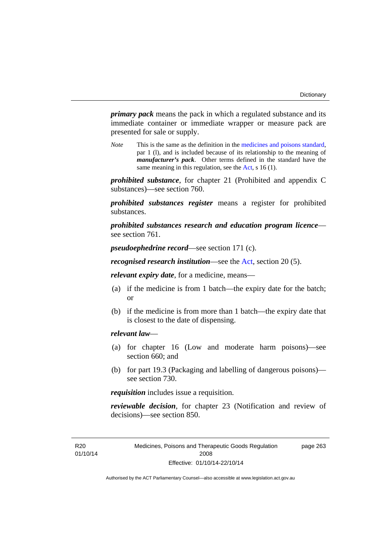page 263

*primary pack* means the pack in which a regulated substance and its immediate container or immediate wrapper or measure pack are presented for sale or supply.

*Note* This is the same as the definition in the [medicines and poisons standard,](http://www.comlaw.gov.au/Series/F2012L01200) par 1 (l), and is included because of its relationship to the meaning of *manufacturer's pack*. Other terms defined in the standard have the same meaning in this regulation, see the [Act](http://www.legislation.act.gov.au/a/2008-26/default.asp), s 16 (1).

*prohibited substance*, for chapter 21 (Prohibited and appendix C substances)—see section 760.

*prohibited substances register* means a register for prohibited substances.

*prohibited substances research and education program licence* see section 761.

*pseudoephedrine record*—see section 171 (c).

*recognised research institution*—see the [Act](http://www.legislation.act.gov.au/a/2008-26/default.asp), section 20 (5).

*relevant expiry date*, for a medicine, means—

- (a) if the medicine is from 1 batch—the expiry date for the batch; or
- (b) if the medicine is from more than 1 batch—the expiry date that is closest to the date of dispensing.

#### *relevant law*—

- (a) for chapter 16 (Low and moderate harm poisons)—see section 660; and
- (b) for part 19.3 (Packaging and labelling of dangerous poisons) see section 730.

*requisition* includes issue a requisition.

*reviewable decision*, for chapter 23 (Notification and review of decisions)—see section 850.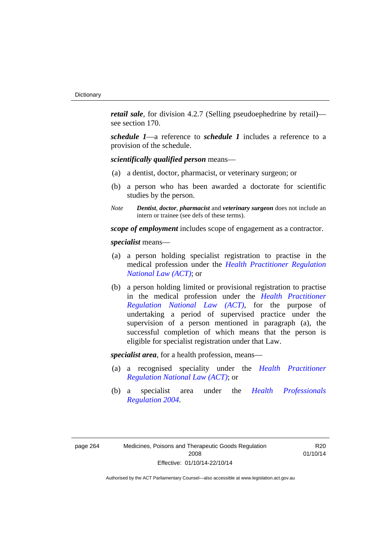*retail sale*, for division 4.2.7 (Selling pseudoephedrine by retail) see section 170.

*schedule 1*—a reference to *schedule 1* includes a reference to a provision of the schedule.

*scientifically qualified person* means—

- (a) a dentist, doctor, pharmacist, or veterinary surgeon; or
- (b) a person who has been awarded a doctorate for scientific studies by the person.
- *Note Dentist*, *doctor*, *pharmacist* and *veterinary surgeon* does not include an intern or trainee (see defs of these terms).

*scope of employment* includes scope of engagement as a contractor.

*specialist* means—

- (a) a person holding specialist registration to practise in the medical profession under the *[Health Practitioner Regulation](http://www.legislation.act.gov.au/a/db_39269/default.asp)  [National Law \(ACT\)](http://www.legislation.act.gov.au/a/db_39269/default.asp)*; or
- (b) a person holding limited or provisional registration to practise in the medical profession under the *[Health Practitioner](http://www.legislation.act.gov.au/a/db_39269/default.asp)  [Regulation National Law \(ACT\)](http://www.legislation.act.gov.au/a/db_39269/default.asp)*, for the purpose of undertaking a period of supervised practice under the supervision of a person mentioned in paragraph (a), the successful completion of which means that the person is eligible for specialist registration under that Law.

*specialist area*, for a health profession, means—

- (a) a recognised speciality under the *[Health Practitioner](http://www.legislation.act.gov.au/a/db_39269/default.asp)  [Regulation National Law \(ACT\)](http://www.legislation.act.gov.au/a/db_39269/default.asp)*; or
- (b) a specialist area under the *[Health Professionals](http://www.legislation.act.gov.au/sl/2004-41)  [Regulation 2004](http://www.legislation.act.gov.au/sl/2004-41)*.

R20 01/10/14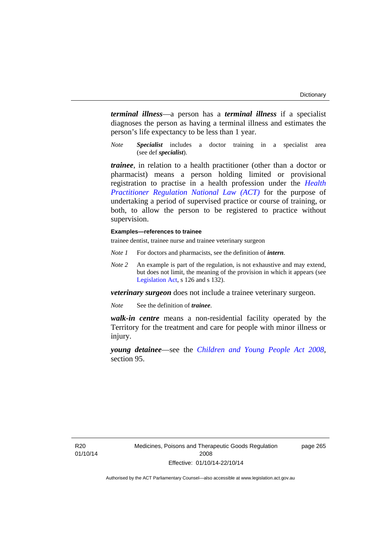*terminal illness*—a person has a *terminal illness* if a specialist diagnoses the person as having a terminal illness and estimates the person's life expectancy to be less than 1 year.

*Note Specialist* includes a doctor training in a specialist area (see def *specialist*).

*trainee*, in relation to a health practitioner (other than a doctor or pharmacist) means a person holding limited or provisional registration to practise in a health profession under the *[Health](http://www.legislation.act.gov.au/a/db_39269/default.asp)  [Practitioner Regulation National Law \(ACT\)](http://www.legislation.act.gov.au/a/db_39269/default.asp)* for the purpose of undertaking a period of supervised practice or course of training, or both, to allow the person to be registered to practice without supervision.

#### **Examples—references to trainee**

trainee dentist, trainee nurse and trainee veterinary surgeon

- *Note 1* For doctors and pharmacists, see the definition of *intern*.
- *Note 2* An example is part of the regulation, is not exhaustive and may extend, but does not limit, the meaning of the provision in which it appears (see [Legislation Act,](http://www.legislation.act.gov.au/a/2001-14) s 126 and s 132).

*veterinary surgeon* does not include a trainee veterinary surgeon.

*Note* See the definition of *trainee*.

*walk-in centre* means a non-residential facility operated by the Territory for the treatment and care for people with minor illness or injury.

*young detainee*—see the *[Children and Young People Act 2008](http://www.legislation.act.gov.au/a/2008-19)*, section 95.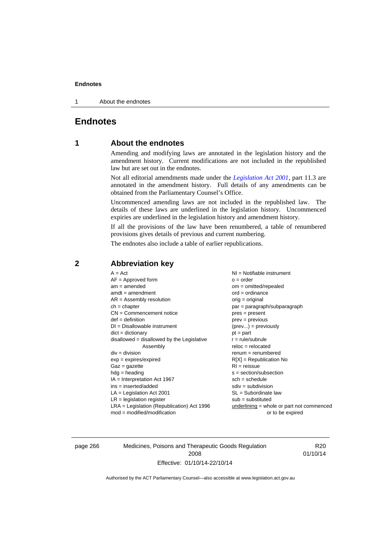1 About the endnotes

# **Endnotes**

# **1 About the endnotes**

Amending and modifying laws are annotated in the legislation history and the amendment history. Current modifications are not included in the republished law but are set out in the endnotes.

Not all editorial amendments made under the *[Legislation Act 2001](http://www.legislation.act.gov.au/a/2001-14)*, part 11.3 are annotated in the amendment history. Full details of any amendments can be obtained from the Parliamentary Counsel's Office.

Uncommenced amending laws are not included in the republished law. The details of these laws are underlined in the legislation history. Uncommenced expiries are underlined in the legislation history and amendment history.

If all the provisions of the law have been renumbered, a table of renumbered provisions gives details of previous and current numbering.

The endnotes also include a table of earlier republications.

| $A = Act$<br>$AF =$ Approved form<br>$am = amended$<br>$amdt = amendment$<br>$AR = Assembly resolution$<br>$ch = chapter$<br>$CN =$ Commencement notice<br>$def = definition$<br>$DI = Disallowable instrument$<br>$dict = dictionary$<br>disallowed = disallowed by the Legislative<br>Assembly<br>$div = division$<br>$exp = expires/expired$<br>$Gaz = gazette$<br>$hdg = heading$<br>$IA = Interpretation Act 1967$<br>$ins = inserted/added$<br>$LA =$ Legislation Act 2001<br>$LR =$ legislation register<br>$LRA =$ Legislation (Republication) Act 1996 | $NI =$ Notifiable instrument<br>$o = order$<br>$om = omitted/repealed$<br>$ord = ordinance$<br>$orig = original$<br>par = paragraph/subparagraph<br>$pres = present$<br>$prev = previous$<br>$(\text{prev}) = \text{previously}$<br>$pt = part$<br>$r = rule/subrule$<br>$reloc = relocated$<br>$renum = renumbered$<br>$R[X]$ = Republication No<br>$RI = reissue$<br>$s = section/subsection$<br>$sch = schedule$<br>$sdiv = subdivision$<br>$SL = Subordinate$ law<br>$sub =$ substituted<br>underlining = whole or part not commenced |
|-----------------------------------------------------------------------------------------------------------------------------------------------------------------------------------------------------------------------------------------------------------------------------------------------------------------------------------------------------------------------------------------------------------------------------------------------------------------------------------------------------------------------------------------------------------------|-------------------------------------------------------------------------------------------------------------------------------------------------------------------------------------------------------------------------------------------------------------------------------------------------------------------------------------------------------------------------------------------------------------------------------------------------------------------------------------------------------------------------------------------|
| $mod = modified/modification$                                                                                                                                                                                                                                                                                                                                                                                                                                                                                                                                   | or to be expired                                                                                                                                                                                                                                                                                                                                                                                                                                                                                                                          |
|                                                                                                                                                                                                                                                                                                                                                                                                                                                                                                                                                                 |                                                                                                                                                                                                                                                                                                                                                                                                                                                                                                                                           |

# **2 Abbreviation key**

page 266 Medicines, Poisons and Therapeutic Goods Regulation 2008 Effective: 01/10/14-22/10/14

R20 01/10/14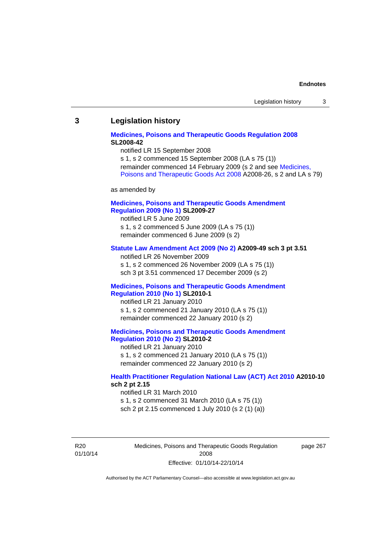#### **3 Legislation history**

#### **[Medicines, Poisons and Therapeutic Goods Regulation 2008](http://www.legislation.act.gov.au/sl/2008-42) SL2008-42**

notified LR 15 September 2008

s 1, s 2 commenced 15 September 2008 (LA s 75 (1)) remainder commenced 14 February 2009 (s 2 and see [Medicines,](http://www.legislation.act.gov.au/a/2008-26)  [Poisons and Therapeutic Goods Act 2008](http://www.legislation.act.gov.au/a/2008-26) A2008-26, s 2 and LA s 79)

as amended by

### **[Medicines, Poisons and Therapeutic Goods Amendment](http://www.legislation.act.gov.au/sl/2009-27)  [Regulation 2009 \(No 1\)](http://www.legislation.act.gov.au/sl/2009-27) SL2009-27**

notified LR 5 June 2009 s 1, s 2 commenced 5 June 2009 (LA s 75 (1)) remainder commenced 6 June 2009 (s 2)

#### **[Statute Law Amendment Act 2009 \(No 2\)](http://www.legislation.act.gov.au/a/2009-49) A2009-49 sch 3 pt 3.51**

notified LR 26 November 2009 s 1, s 2 commenced 26 November 2009 (LA s 75 (1)) sch 3 pt 3.51 commenced 17 December 2009 (s 2)

#### **[Medicines, Poisons and Therapeutic Goods Amendment](http://www.legislation.act.gov.au/sl/2010-1)  [Regulation 2010 \(No 1\)](http://www.legislation.act.gov.au/sl/2010-1) SL2010-1**

notified LR 21 January 2010 s 1, s 2 commenced 21 January 2010 (LA s 75 (1)) remainder commenced 22 January 2010 (s 2)

#### **[Medicines, Poisons and Therapeutic Goods Amendment](http://www.legislation.act.gov.au/sl/2010-2)  [Regulation 2010 \(No 2\)](http://www.legislation.act.gov.au/sl/2010-2) SL2010-2**

notified LR 21 January 2010 s 1, s 2 commenced 21 January 2010 (LA s 75 (1)) remainder commenced 22 January 2010 (s 2)

#### **[Health Practitioner Regulation National Law \(ACT\) Act 2010](http://www.legislation.act.gov.au/a/2010-10) A2010-10 sch 2 pt 2.15**

notified LR 31 March 2010 s 1, s 2 commenced 31 March 2010 (LA s 75 (1)) sch 2 pt 2.15 commenced 1 July 2010 (s 2 (1) (a))

R20 01/10/14 Medicines, Poisons and Therapeutic Goods Regulation 2008 Effective: 01/10/14-22/10/14

page 267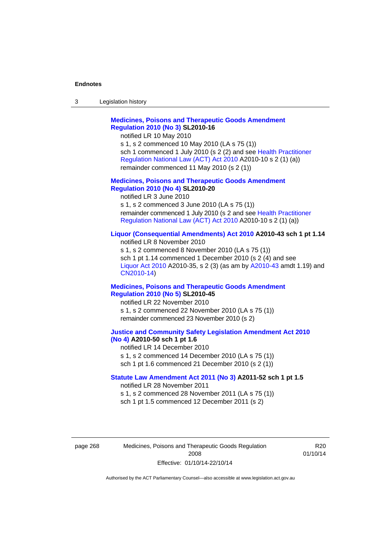| 3 | Legislation history |  |
|---|---------------------|--|
|---|---------------------|--|

# **[Medicines, Poisons and Therapeutic Goods Amendment](http://www.legislation.act.gov.au/sl/2010-16)  [Regulation 2010 \(No 3\)](http://www.legislation.act.gov.au/sl/2010-16) SL2010-16**

notified LR 10 May 2010

s 1, s 2 commenced 10 May 2010 (LA s 75 (1)) sch 1 commenced 1 July 2010 (s 2 (2) and see [Health Practitioner](http://www.legislation.act.gov.au/a/2010-10)  [Regulation National Law \(ACT\) Act 2010](http://www.legislation.act.gov.au/a/2010-10) A2010-10 s 2 (1) (a)) remainder commenced 11 May 2010 (s 2 (1))

#### **[Medicines, Poisons and Therapeutic Goods Amendment](http://www.legislation.act.gov.au/sl/2010-20)  [Regulation 2010 \(No 4\)](http://www.legislation.act.gov.au/sl/2010-20) SL2010-20**

notified LR 3 June 2010 s 1, s 2 commenced 3 June 2010 (LA s 75 (1)) remainder commenced 1 July 2010 (s 2 and see [Health Practitioner](http://www.legislation.act.gov.au/a/2010-10)  [Regulation National Law \(ACT\) Act 2010](http://www.legislation.act.gov.au/a/2010-10) A2010-10 s 2 (1) (a))

#### **[Liquor \(Consequential Amendments\) Act 2010](http://www.legislation.act.gov.au/a/2010-43) A2010-43 sch 1 pt 1.14**

notified LR 8 November 2010 s 1, s 2 commenced 8 November 2010 (LA s 75 (1)) sch 1 pt 1.14 commenced 1 December 2010 (s 2 (4) and see [Liquor Act 2010](http://www.legislation.act.gov.au/a/2010-35) A2010-35, s 2 (3) (as am by [A2010-43](http://www.legislation.act.gov.au/a/2010-43) amdt 1.19) and [CN2010-14](http://www.legislation.act.gov.au/cn/2010-14/default.asp))

#### **[Medicines, Poisons and Therapeutic Goods Amendment](http://www.legislation.act.gov.au/sl/2010-45)  [Regulation 2010 \(No 5\)](http://www.legislation.act.gov.au/sl/2010-45) SL2010-45**

notified LR 22 November 2010 s 1, s 2 commenced 22 November 2010 (LA s 75 (1)) remainder commenced 23 November 2010 (s 2)

#### **[Justice and Community Safety Legislation Amendment Act 2010](http://www.legislation.act.gov.au/a/2010-50)  [\(No 4\)](http://www.legislation.act.gov.au/a/2010-50) A2010-50 sch 1 pt 1.6**

notified LR 14 December 2010 s 1, s 2 commenced 14 December 2010 (LA s 75 (1)) sch 1 pt 1.6 commenced 21 December 2010 (s 2 (1))

#### **[Statute Law Amendment Act 2011 \(No 3\)](http://www.legislation.act.gov.au/a/2011-52) A2011-52 sch 1 pt 1.5**  notified LR 28 November 2011

s 1, s 2 commenced 28 November 2011 (LA s 75 (1)) sch 1 pt 1.5 commenced 12 December 2011 (s 2)

page 268 Medicines, Poisons and Therapeutic Goods Regulation 2008 Effective: 01/10/14-22/10/14

R20 01/10/14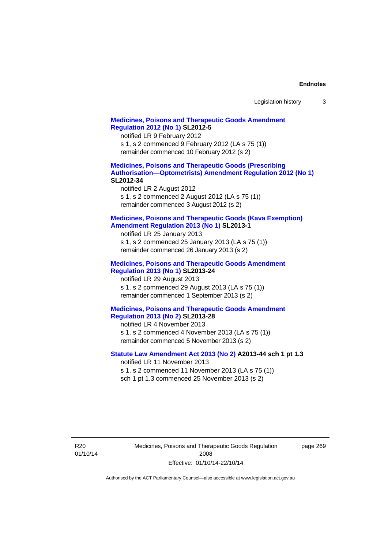| Legislation history |  |  |
|---------------------|--|--|
|---------------------|--|--|

# **[Medicines, Poisons and Therapeutic Goods Amendment](http://www.legislation.act.gov.au/sl/2012-5)  [Regulation 2012 \(No 1\)](http://www.legislation.act.gov.au/sl/2012-5) SL2012-5**  notified LR 9 February 2012 s 1, s 2 commenced 9 February 2012 (LA s 75 (1)) remainder commenced 10 February 2012 (s 2) **[Medicines, Poisons and Therapeutic Goods \(Prescribing](http://www.legislation.act.gov.au/sl/2012-34)  [Authorisation—Optometrists\) Amendment Regulation 2012 \(No 1\)](http://www.legislation.act.gov.au/sl/2012-34) SL2012-34**  notified LR 2 August 2012 s 1, s 2 commenced 2 August 2012 (LA s 75 (1)) remainder commenced 3 August 2012 (s 2) **[Medicines, Poisons and Therapeutic Goods \(Kava Exemption\)](http://www.legislation.act.gov.au/sl/2013-1/default.asp)  [Amendment Regulation 2013 \(No 1\)](http://www.legislation.act.gov.au/sl/2013-1/default.asp) SL2013-1**  notified LR 25 January 2013 s 1, s 2 commenced 25 January 2013 (LA s 75 (1)) remainder commenced 26 January 2013 (s 2) **[Medicines, Poisons and Therapeutic Goods Amendment](http://www.legislation.act.gov.au/sl/2013-24/default.asp)  [Regulation 2013 \(No 1\)](http://www.legislation.act.gov.au/sl/2013-24/default.asp) SL2013-24**  notified LR 29 August 2013 s 1, s 2 commenced 29 August 2013 (LA s 75 (1)) remainder commenced 1 September 2013 (s 2) **[Medicines, Poisons and Therapeutic Goods Amendment](http://www.legislation.act.gov.au/sl/2013-28)  [Regulation 2013 \(No 2\)](http://www.legislation.act.gov.au/sl/2013-28) SL2013-28**  notified LR 4 November 2013 s 1, s 2 commenced 4 November 2013 (LA s 75 (1)) remainder commenced 5 November 2013 (s 2) **[Statute Law Amendment Act 2013 \(No 2\)](http://www.legislation.act.gov.au/a/2013-44) A2013-44 sch 1 pt 1.3**  notified LR 11 November 2013 s 1, s 2 commenced 11 November 2013 (LA s 75 (1)) sch 1 pt 1.3 commenced 25 November 2013 (s 2)

Medicines, Poisons and Therapeutic Goods Regulation 2008 Effective: 01/10/14-22/10/14

page 269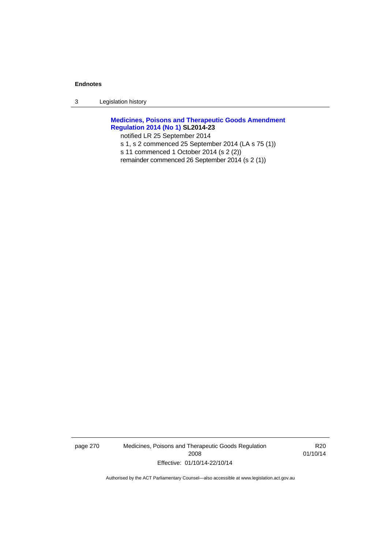3 Legislation history

# **[Medicines, Poisons and Therapeutic Goods Amendment](http://www.legislation.act.gov.au/sl/2014-23)  [Regulation 2014 \(No 1\)](http://www.legislation.act.gov.au/sl/2014-23) SL2014-23**

notified LR 25 September 2014

- s 1, s 2 commenced 25 September 2014 (LA s 75 (1))
- s 11 commenced 1 October 2014 (s 2 (2))
- remainder commenced 26 September 2014 (s 2 (1))

page 270 Medicines, Poisons and Therapeutic Goods Regulation 2008 Effective: 01/10/14-22/10/14

R20 01/10/14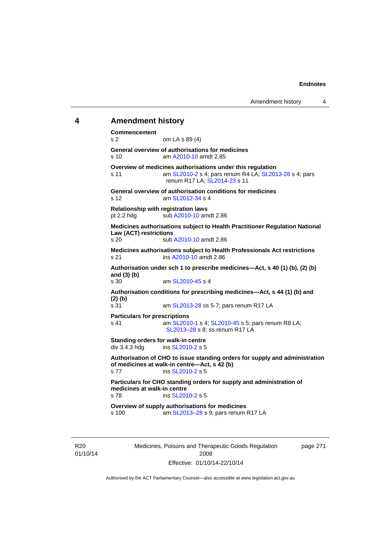# **4 Amendment history**

**Commencement**  s 2 om LA s 89 (4) **General overview of authorisations for medicines**  s 10 am [A2010-10](http://www.legislation.act.gov.au/a/2010-10) amdt 2.85 **Overview of medicines authorisations under this regulation**  s 11 am [SL2010-2](http://www.legislation.act.gov.au/sl/2010-2) s 4; pars renum R4 LA; [SL2013-28](http://www.legislation.act.gov.au/sl/2013-28) s 4; pars renum R17 LA; [SL2014-23](http://www.legislation.act.gov.au/sl/2014-23) s 11 **General overview of authorisation conditions for medicines**  s 12 am [SL2012-34](http://www.legislation.act.gov.au/sl/2012-34) s 4 **Relationship with registration laws**  pt 2.2 hdg sub [A2010-10](http://www.legislation.act.gov.au/a/2010-10) amdt 2.86 **Medicines authorisations subject to Health Practitioner Regulation National Law (ACT) restrictions**  sub [A2010-10](http://www.legislation.act.gov.au/a/2010-10) amdt 2.86 **Medicines authorisations subject to Health Professionals Act restrictions**  s 21 ins [A2010-10](http://www.legislation.act.gov.au/a/2010-10) amdt 2.86 **Authorisation under sch 1 to prescribe medicines—Act, s 40 (1) (b), (2) (b) and (3) (b)**  s 30 am [SL2010-45](http://www.legislation.act.gov.au/sl/2010-45) s 4 **Authorisation conditions for prescribing medicines—Act, s 44 (1) (b) and (2) (b)**  s 31 am [SL2013-28](http://www.legislation.act.gov.au/sl/2013-28) ss 5-7; pars renum R17 LA **Particulars for prescriptions**  s 41 **am [SL2010-1](http://www.legislation.act.gov.au/sl/2010-1) s 4; [SL2010-45](http://www.legislation.act.gov.au/sl/2010-45) s 5; pars renum R8 LA;** [SL2013–28](http://www.legislation.act.gov.au/sl/2013-28) s 8; ss renum R17 LA **Standing orders for walk-in centre**   $div 3.4.3$  hdg ins  $SL2010-2$  s 5 **Authorisation of CHO to issue standing orders for supply and administration of medicines at walk-in centre—Act, s 42 (b)**  s 77 ins [SL2010-2](http://www.legislation.act.gov.au/sl/2010-2) s 5 **Particulars for CHO standing orders for supply and administration of medicines at walk-in centre**  s 78 ins [SL2010-2](http://www.legislation.act.gov.au/sl/2010-2) s 5 **Overview of supply authorisations for medicines**  s 100 am [SL2013–28](http://www.legislation.act.gov.au/sl/2013-28) s 9; pars renum R17 LA

R20 01/10/14 Medicines, Poisons and Therapeutic Goods Regulation 2008 Effective: 01/10/14-22/10/14

page 271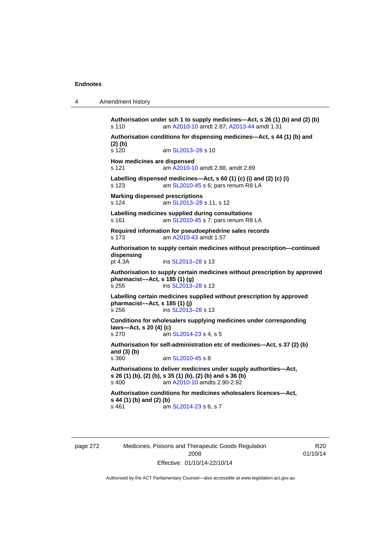4 Amendment history

**Authorisation under sch 1 to supply medicines—Act, s 26 (1) (b) and (2) (b)**  s 110 am [A2010-10](http://www.legislation.act.gov.au/a/2010-10) amdt 2.87; [A2013-44](http://www.legislation.act.gov.au/a/2013-44) amdt 1.31 **Authorisation conditions for dispensing medicines—Act, s 44 (1) (b) and (2) (b)**  s 120 am SL2013-28 s 10 **How medicines are dispensed**  s 121 am [A2010-10](http://www.legislation.act.gov.au/a/2010-10) amdt 2.88, amdt 2.89 **Labelling dispensed medicines—Act, s 60 (1) (c) (i) and (2) (c) (i)**  s 123 am [SL2010-45](http://www.legislation.act.gov.au/sl/2010-45) s 6; pars renum R8 LA **Marking dispensed prescriptions**  s 124 am [SL2013–28](http://www.legislation.act.gov.au/sl/2013-28) s 11, s 12 **Labelling medicines supplied during consultations**  s 161 **am [SL2010-45](http://www.legislation.act.gov.au/sl/2010-45) s 7; pars renum R8 LA Required information for pseudoephedrine sales records**  s 173 am [A2010-43](http://www.legislation.act.gov.au/a/2010-43) amdt 1.57 **Authorisation to supply certain medicines without prescription—continued dispensing**  ins [SL2013–28](http://www.legislation.act.gov.au/sl/2013-28) s 13 **Authorisation to supply certain medicines without prescription by approved pharmacist––Act, s 185 (1) (g)**  s 255 ins [SL2013–28](http://www.legislation.act.gov.au/sl/2013-28) s 13 **Labelling certain medicines supplied without prescription by approved pharmacist––Act, s 185 (1) (j)**  s 256 ins [SL2013–28](http://www.legislation.act.gov.au/sl/2013-28) s 13 **Conditions for wholesalers supplying medicines under corresponding laws—Act, s 20 (4) (c)**  s 270 am [SL2014-23](http://www.legislation.act.gov.au/sl/2014-23) s 4, s 5 **Authorisation for self-administration etc of medicines—Act, s 37 (2) (b) and (3) (b)**  s 360 am [SL2010-45](http://www.legislation.act.gov.au/sl/2010-45) s 8 **Authorisations to deliver medicines under supply authorities—Act, s 26 (1) (b), (2) (b), s 35 (1) (b), (2) (b) and s 36 (b)**<br>s 400 **am A2010-10 amdts 2.90-2.92** am [A2010-10](http://www.legislation.act.gov.au/a/2010-10) amdts 2.90-2.92 **Authorisation conditions for medicines wholesalers licences—Act, s 44 (1) (b) and (2) (b)**  s 461 **am [SL2014-23](http://www.legislation.act.gov.au/sl/2014-23) s 6, s 7** 

page 272 Medicines, Poisons and Therapeutic Goods Regulation 2008 Effective: 01/10/14-22/10/14

R20 01/10/14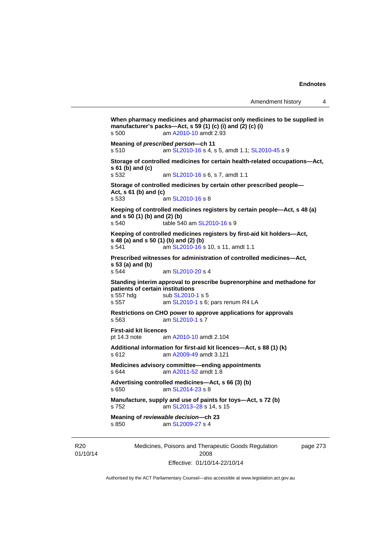```
Medicines, Poisons and Therapeutic Goods Regulation 
                                                              page 273 
When pharmacy medicines and pharmacist only medicines to be supplied in 
manufacturer's packs—Act, s 59 (1) (c) (i) and (2) (c) (i) 
s 500 am A2010-10 amdt 2.93
Meaning of prescribed person—ch 11 
s 510 am SL2010-16 s 4, s 5, amdt 1.1; SL2010-45 s 9 
Storage of controlled medicines for certain health-related occupations—Act, 
s 61 (b) and (c) 
s 532 am SL2010-16 s 6, s 7, amdt 1.1 
Storage of controlled medicines by certain other prescribed people—
Act, s 61 (b) and (c) 
s 533 am SL2010-16 s 8 
Keeping of controlled medicines registers by certain people—Act, s 48 (a) 
and s 50 (1) (b) and (2) (b) 
s 540 table 540 am SL2010-16 s 9 
Keeping of controlled medicines registers by first-aid kit holders—Act, 
s 48 (a) and s 50 (1) (b) and (2) (b) 
s 541 am SL2010-16 s 10, s 11, amdt 1.1 
Prescribed witnesses for administration of controlled medicines—Act, 
s 53 (a) and (b) 
s 544 am SL2010-20 s 4 
Standing interim approval to prescribe buprenorphine and methadone for 
patients of certain institutions 
                 SL2010-1 s 5
s 557 am SL2010-1 s 6; pars renum R4 LA 
Restrictions on CHO power to approve applications for approvals 
s 563 am SL2010-1 s 7 
First-aid kit licences 
pt 14.3 note am A2010-10 amdt 2.104
Additional information for first-aid kit licences—Act, s 88 (1) (k) 
s 612 am A2009-49 amdt 3.121
Medicines advisory committee—ending appointments 
s 644 am A2011-52 amdt 1.8
Advertising controlled medicines—Act, s 66 (3) (b) 
s 650 am SL2014-23 s 8 
Manufacture, supply and use of paints for toys—Act, s 72 (b) 
s 752 am SL2013–28 s 14, s 15 
Meaning of reviewable decision—ch 23 
s 850 am SL2009-27 s 4
```
R20 01/10/14

Effective: 01/10/14-22/10/14

2008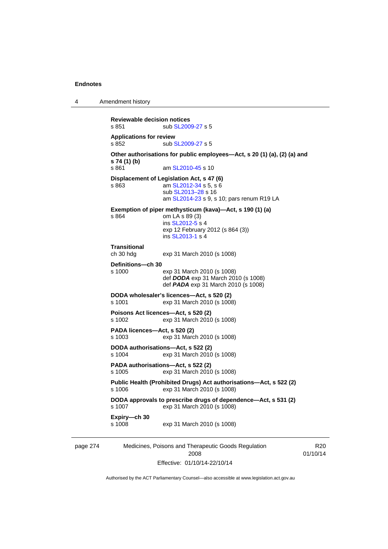4 Amendment history

```
page 274 Medicines, Poisons and Therapeutic Goods Regulation 
                                    2008 
                                                                            R20
                                                                        01/10/14 
           Reviewable decision notices 
           SL2009-27 s 5
           Applications for review 
           SL2009-27 s 5
           Other authorisations for public employees—Act, s 20 (1) (a), (2) (a) and 
           s 74 (1) (b) 
           s 861  SL2010-45 s 10
           Displacement of Legislation Act, s 47 (6) 
           s 863 am SL2012-34 s 5, s 6
                            sub SL2013–28 s 16 
                            am SL2014-23 s 9, s 10; pars renum R19 LA 
           Exemption of piper methysticum (kava)—Act, s 190 (1) (a) 
           s 864 om LA s 89 (3) 
                            ins SL2012-5 s 4
                           exp 12 February 2012 (s 864 (3)) 
                            ins SL2013-1 s 4
           Transitional 
           ch 30 hdg exp 31 March 2010 (s 1008) 
           Definitions—ch 30 
           s 1000 exp 31 March 2010 (s 1008) 
                            def DODA exp 31 March 2010 (s 1008) 
                            def PADA exp 31 March 2010 (s 1008) 
           DODA wholesaler's licences—Act, s 520 (2) 
           s 1001 exp 31 March 2010 (s 1008) 
           Poisons Act licences—Act, s 520 (2) 
           s 1002 exp 31 March 2010 (s 1008) 
           PADA licences—Act, s 520 (2) 
           s 1003 exp 31 March 2010 (s 1008) 
           DODA authorisations—Act, s 522 (2) 
           s 1004 exp 31 March 2010 (s 1008) 
           PADA authorisations—Act, s 522 (2) 
           s 1005 exp 31 March 2010 (s 1008) 
           Public Health (Prohibited Drugs) Act authorisations—Act, s 522 (2) 
           s 1006 exp 31 March 2010 (s 1008) 
           DODA approvals to prescribe drugs of dependence—Act, s 531 (2) 
                           exp 31 March 2010 (s 1008)
           Expiry—ch 30 
           s 1008 exp 31 March 2010 (s 1008)
```
Authorised by the ACT Parliamentary Counsel—also accessible at www.legislation.act.gov.au

Effective: 01/10/14-22/10/14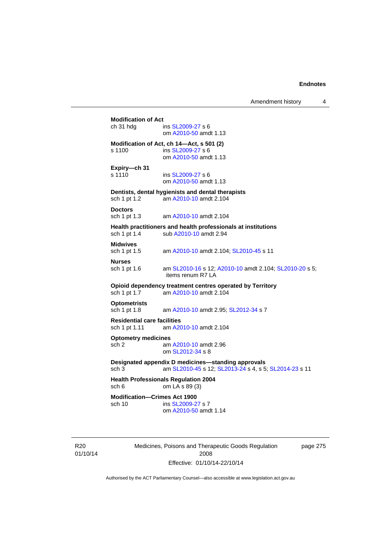| ch 31 hdg                                           | ins SL2009-27 s 6<br>om A2010-50 amdt 1.13                                                                  |
|-----------------------------------------------------|-------------------------------------------------------------------------------------------------------------|
| s 1100                                              | Modification of Act, ch 14-Act, s 501 (2)<br>ins SL2009-27 s 6<br>om A2010-50 amdt 1.13                     |
| Expiry-ch 31<br>s 1110                              | ins SL2009-27 s 6<br>om A2010-50 amdt 1.13                                                                  |
| sch 1 pt 1.2                                        | Dentists, dental hygienists and dental therapists<br>am A2010-10 amdt 2.104                                 |
| <b>Doctors</b><br>sch 1 pt 1.3                      | am A2010-10 amdt 2.104                                                                                      |
| sch 1 pt 1.4                                        | Health practitioners and health professionals at institutions<br>sub A2010-10 amdt 2.94                     |
| <b>Midwives</b><br>sch 1 pt 1.5                     | am A2010-10 amdt 2.104; SL2010-45 s 11                                                                      |
| <b>Nurses</b><br>sch 1 pt 1.6                       | am SL2010-16 s 12; A2010-10 amdt 2.104; SL2010-20 s 5;<br>items renum R7 LA                                 |
| sch 1 pt 1.7                                        | Opioid dependency treatment centres operated by Territory<br>am A2010-10 amdt 2.104                         |
| <b>Optometrists</b><br>sch 1 pt 1.8                 | am A2010-10 amdt 2.95; SL2012-34 s 7                                                                        |
| <b>Residential care facilities</b><br>sch 1 pt 1.11 | am A2010-10 amdt 2.104                                                                                      |
| <b>Optometry medicines</b><br>sch 2                 | am A2010-10 amdt 2.96<br>om SL2012-34 s 8                                                                   |
| sch 3                                               | Designated appendix D medicines-standing approvals<br>am SL2010-45 s 12; SL2013-24 s 4, s 5; SL2014-23 s 11 |
| sch 6                                               | <b>Health Professionals Regulation 2004</b><br>om LA s 89 (3)                                               |
| <b>Modification-Crimes Act 1900</b><br>sch 10       | ins SL2009-27 s 7<br>om A2010-50 amdt 1.14                                                                  |

R20 01/10/14 Medicines, Poisons and Therapeutic Goods Regulation 2008 Effective: 01/10/14-22/10/14

page 275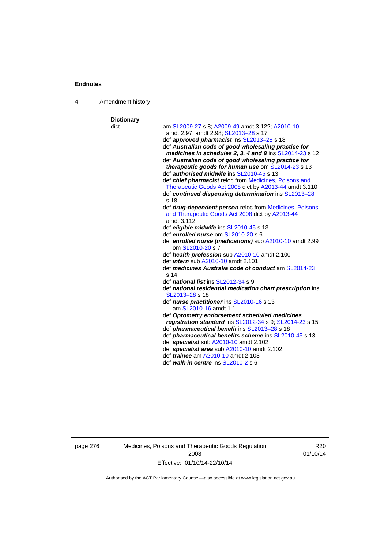4 Amendment history

| <b>Dictionary</b><br>dict | am SL2009-27 s 8; A2009-49 amdt 3.122; A2010-10                                                          |
|---------------------------|----------------------------------------------------------------------------------------------------------|
|                           | amdt 2.97, amdt 2.98; SL2013-28 s 17                                                                     |
|                           | def approved pharmacist ins SL2013-28 s 18                                                               |
|                           | def Australian code of good wholesaling practice for                                                     |
|                           | medicines in schedules 2, 3, 4 and 8 ins SL2014-23 s 12                                                  |
|                           | def Australian code of good wholesaling practice for                                                     |
|                           | therapeutic goods for human use om SL2014-23 s 13                                                        |
|                           | def <i>authorised midwife</i> ins SL2010-45 s 13                                                         |
|                           | def chief pharmacist reloc from Medicines, Poisons and                                                   |
|                           | Therapeutic Goods Act 2008 dict by A2013-44 amdt 3.110                                                   |
|                           | def continued dispensing determination ins SL2013-28                                                     |
|                           | s 18                                                                                                     |
|                           | def <i>drug-dependent person</i> reloc from <b>Medicines</b> , Poisons                                   |
|                           | and Therapeutic Goods Act 2008 dict by A2013-44                                                          |
|                           | amdt 3.112                                                                                               |
|                           | def eligible midwife ins SL2010-45 s 13                                                                  |
|                           | def enrolled nurse om SL2010-20 s 6                                                                      |
|                           | def enrolled nurse (medications) sub A2010-10 amdt 2.99                                                  |
|                           | om SL2010-20 s 7                                                                                         |
|                           | def health profession sub A2010-10 amdt 2.100                                                            |
|                           | def <i>intern</i> sub A2010-10 amdt 2.101                                                                |
|                           | def medicines Australia code of conduct am SL2014-23<br>s <sub>14</sub>                                  |
|                           | def <i>national list</i> ins SL2012-34 s 9                                                               |
|                           | def national residential medication chart prescription ins                                               |
|                           | SL2013-28 s 18                                                                                           |
|                           | def nurse practitioner ins SL2010-16 s 13<br>am SL2010-16 amdt 1.1                                       |
|                           | def Optometry endorsement scheduled medicines<br>registration standard ins SL2012-34 s 9; SL2014-23 s 15 |
|                           | def <i>pharmaceutical benefit</i> ins SL2013-28 s 18                                                     |
|                           | def <i>pharmaceutical benefits scheme</i> ins SL2010-45 s 13                                             |
|                           | def specialist sub A2010-10 amdt 2.102                                                                   |
|                           | def specialist area sub A2010-10 amdt 2.102                                                              |
|                           | def <i>trainee</i> am A2010-10 amdt 2.103                                                                |
|                           | def walk-in centre ins SL2010-2 s 6                                                                      |

page 276 Medicines, Poisons and Therapeutic Goods Regulation 2008 Effective: 01/10/14-22/10/14

R20 01/10/14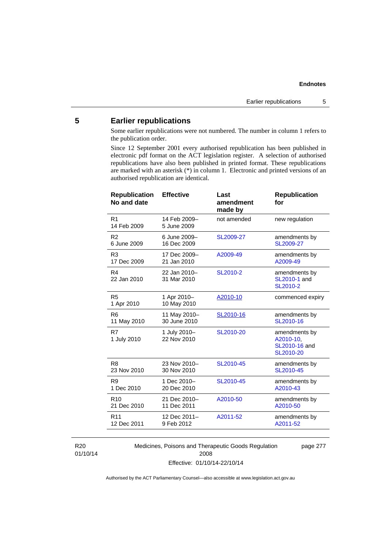# **5 Earlier republications**

Some earlier republications were not numbered. The number in column 1 refers to the publication order.

Since 12 September 2001 every authorised republication has been published in electronic pdf format on the ACT legislation register. A selection of authorised republications have also been published in printed format. These republications are marked with an asterisk (\*) in column 1. Electronic and printed versions of an authorised republication are identical.

| 14 Feb 2009-<br>R <sub>1</sub><br>not amended<br>new regulation<br>14 Feb 2009<br>5 June 2009<br>6 June 2009-<br>SL2009-27<br>R <sub>2</sub><br>amendments by<br>6 June 2009<br>16 Dec 2009<br>SL2009-27<br>17 Dec 2009-<br>amendments by<br>R <sub>3</sub><br>A2009-49<br>A2009-49<br>17 Dec 2009<br>21 Jan 2010<br>R4<br>22 Jan 2010-<br>SL2010-2<br>amendments by<br>SL2010-1 and<br>22 Jan 2010<br>31 Mar 2010<br>SL2010-2<br>R <sub>5</sub><br>1 Apr 2010-<br>A2010-10<br>commenced expiry<br>10 May 2010<br>1 Apr 2010<br>11 May 2010-<br>SL2010-16<br>R6<br>amendments by<br>30 June 2010<br>11 May 2010<br>SL2010-16<br>R7<br>SL2010-20<br>1 July 2010-<br>amendments by<br>22 Nov 2010<br>A2010-10,<br>1 July 2010<br>SL2010-16 and<br>SL2010-20<br>R <sub>8</sub><br>23 Nov 2010-<br>SL2010-45<br>amendments by<br>23 Nov 2010<br>30 Nov 2010<br>SL2010-45<br>R <sub>9</sub><br>1 Dec 2010-<br>SL2010-45<br>amendments by<br>1 Dec 2010<br>A2010-43<br>20 Dec 2010<br>R <sub>10</sub><br>21 Dec 2010-<br>A2010-50<br>amendments by<br>21 Dec 2010<br>A2010-50<br>11 Dec 2011<br>12 Dec 2011-<br>A2011-52<br>R <sub>11</sub><br>amendments by<br>12 Dec 2011<br>9 Feb 2012<br>A2011-52 | <b>Republication</b><br>No and date | <b>Effective</b> | Last<br>amendment<br>made by | <b>Republication</b><br>for |
|-------------------------------------------------------------------------------------------------------------------------------------------------------------------------------------------------------------------------------------------------------------------------------------------------------------------------------------------------------------------------------------------------------------------------------------------------------------------------------------------------------------------------------------------------------------------------------------------------------------------------------------------------------------------------------------------------------------------------------------------------------------------------------------------------------------------------------------------------------------------------------------------------------------------------------------------------------------------------------------------------------------------------------------------------------------------------------------------------------------------------------------------------------------------------------------------------|-------------------------------------|------------------|------------------------------|-----------------------------|
|                                                                                                                                                                                                                                                                                                                                                                                                                                                                                                                                                                                                                                                                                                                                                                                                                                                                                                                                                                                                                                                                                                                                                                                                 |                                     |                  |                              |                             |
|                                                                                                                                                                                                                                                                                                                                                                                                                                                                                                                                                                                                                                                                                                                                                                                                                                                                                                                                                                                                                                                                                                                                                                                                 |                                     |                  |                              |                             |
|                                                                                                                                                                                                                                                                                                                                                                                                                                                                                                                                                                                                                                                                                                                                                                                                                                                                                                                                                                                                                                                                                                                                                                                                 |                                     |                  |                              |                             |
|                                                                                                                                                                                                                                                                                                                                                                                                                                                                                                                                                                                                                                                                                                                                                                                                                                                                                                                                                                                                                                                                                                                                                                                                 |                                     |                  |                              |                             |
|                                                                                                                                                                                                                                                                                                                                                                                                                                                                                                                                                                                                                                                                                                                                                                                                                                                                                                                                                                                                                                                                                                                                                                                                 |                                     |                  |                              |                             |
|                                                                                                                                                                                                                                                                                                                                                                                                                                                                                                                                                                                                                                                                                                                                                                                                                                                                                                                                                                                                                                                                                                                                                                                                 |                                     |                  |                              |                             |
|                                                                                                                                                                                                                                                                                                                                                                                                                                                                                                                                                                                                                                                                                                                                                                                                                                                                                                                                                                                                                                                                                                                                                                                                 |                                     |                  |                              |                             |
|                                                                                                                                                                                                                                                                                                                                                                                                                                                                                                                                                                                                                                                                                                                                                                                                                                                                                                                                                                                                                                                                                                                                                                                                 |                                     |                  |                              |                             |
|                                                                                                                                                                                                                                                                                                                                                                                                                                                                                                                                                                                                                                                                                                                                                                                                                                                                                                                                                                                                                                                                                                                                                                                                 |                                     |                  |                              |                             |
|                                                                                                                                                                                                                                                                                                                                                                                                                                                                                                                                                                                                                                                                                                                                                                                                                                                                                                                                                                                                                                                                                                                                                                                                 |                                     |                  |                              |                             |
|                                                                                                                                                                                                                                                                                                                                                                                                                                                                                                                                                                                                                                                                                                                                                                                                                                                                                                                                                                                                                                                                                                                                                                                                 |                                     |                  |                              |                             |

R20 01/10/14 Medicines, Poisons and Therapeutic Goods Regulation 2008 Effective: 01/10/14-22/10/14

page 277